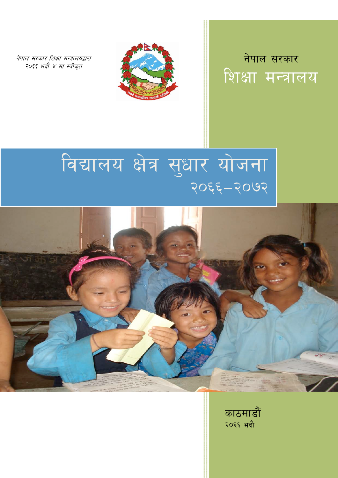नेपाल सरकार शिक्षा मन्त्रालयद्वारा २०६६ भदौ ४ मा स्वीकृत



नेपाल सरकार शिक्षा मन्त्रालय

# विद्यालय क्षेत्र सुधार योजना २०६६-२०७२



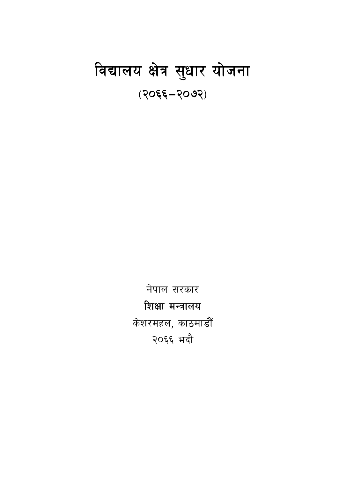## विद्यालय क्षेत्र सुधार योजना (२०६६–२०७२)

नेपाल सरकार शिक्षा मन्त्रालय केशरमहल, काठमाडौँ २०६६ भदौ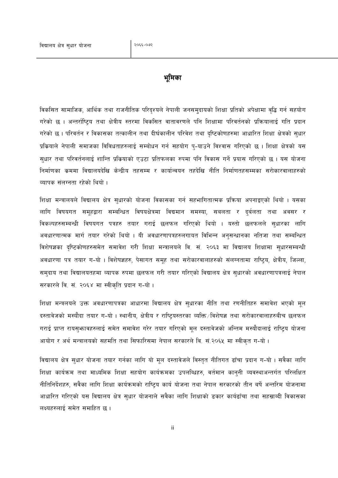#### भमिका

विकसित सामाजिक, आर्थिक तथा राजनीतिक परिदृश्यले नेपाली जनसमुदायको शिक्षा प्रतिको अपेक्षामा वृद्धि गर्न सहयोग गरेको छ । अन्तर्राष्टिय तथा क्षेत्रीय स्तरमा विकसित वातावरणले पनि शिक्षामा परिवर्तनको प्रक्रियालाई गति प्रदान गरेको छ । परिवर्तन र विकासका तत्कालीन तथा दीर्घकालीन परिवेश तथा दृष्टिकोणहरुमा आधारित शिक्षा क्षेत्रको सुधार प्रक्रियाले नेपाली समाजका विविधताहरुलाई सम्बोधन गर्न सहयोग पु-याउने विश्वास गरिएको छ । शिक्षा क्षेत्रको यस सधार तथा परिवर्तनलाई शान्ति प्रक्रियाको एउटा प्रतिफलका रुपमा पनि विकास गर्ने प्रयास गरिएको छ । यस योजना निर्माणका क्रममा विद्यालयदेखि केन्द्रीय तहसम्म र कार्यान्वयन तहदेखि नीति निर्माणतहसम्मका सरोकारवालाहरुको व्यापक संलग्नता रहेको थियो ।

शिक्षा मन्त्रालयले विद्यालय क्षेत्र सुधारको योजना विकासका गर्न सहभागितात्मक प्रक्रिया अपनाइएको थियो । यसका लागि विषयगत समूहद्वारा सम्बन्धित विषयक्षेत्रमा विद्यमान समस्या, सबलता र दुर्बलता तथा अवसर र विकल्पहरुसम्बन्धी विषयगत पत्रहरु तयार गराई छलफल गरिएको थियो । यस्तो छलफलले सुधारका लागि अवधारणात्मक मार्ग तयार गरेको थियो । यी अवधारणापत्रहरुलगायत विभिन्न अनुसन्धानका नतिजा तथा सम्बन्धित विशेषज्ञका दृष्टिकोणहरुसमेत समावेश गरी शिक्षा मन्त्रालयले वि. सं. २०६३ मा विद्यालय शिक्षामा सुधारसम्बन्धी अवधारणा पत्र तयार ग-यो । विशेषज्ञहरु, पेसागत समूह तथा सरोकारवालाहरुको संलग्नतामा राष्ट्रिय, क्षेत्रीय, जिल्ला, समुदाय तथा विद्यालयतहमा व्यापक रुपमा छलफल गरी तयार गरिएको विद्यालय क्षेत्र सुधारको अवधारणापत्रलाई नेपाल सरकारले वि. सं. २०६४ मा स्वीकृति प्रदान ग-यो।

शिक्षा मन्त्रलयले उक्त अवधारणापत्रका आधारमा विद्यालय क्षेत्र सुधारका नीति तथा रणनीतिहरु समावेश भएको मूल दस्तावेजको मस्यौदा तयार ग-यो । स्थानीय, क्षेत्रीय र राष्ट्रियस्तरका व्यक्ति ∕विशेषज्ञ तथा सरोकारवालाहरुबीच छलफल गराई प्राप्त रायसुभ्कावहरुलाई समेत समावेश गरेर तयार गरिएको मूल दस्तावेजको अन्तिम मस्यौदालाई राष्ट्रिय योजना आयोग र अर्थ मन्त्रालयको सहमति तथा सिफारिसमा नेपाल सरकारले वि. सं.२०६५ मा स्वीकृत ग-यो।

विद्यालय क्षेत्र सुधार योजना तयार गर्नका लागि यो मुल दस्तावेजले विस्तुत नीतिगत ढाँचा प्रदान ग-यो । सवैका लागि शिक्षा कार्यक्रम तथा माध्यमिक शिक्षा सहयोग कार्यक्रमका उपलब्धिहरु, वर्तमान कान्नी व्यवस्थाअन्तर्गत परिलक्षित नीतिनिर्देशहरु, सवैका लागि शिक्षा कार्यक्रमको राष्ट्रिय कार्य योजना तथा नेपाल सरकारको तीन बर्षे अन्तरिम योजनामा आधारित गरिएको यस विद्यालय क्षेत्र सुधार योजनाले सवैका लागि शिक्षाको डकार कार्यढाँचा तथा सहस्राब्दी विकासका लक्ष्यहरुलाई समेत समाहित छ।

ii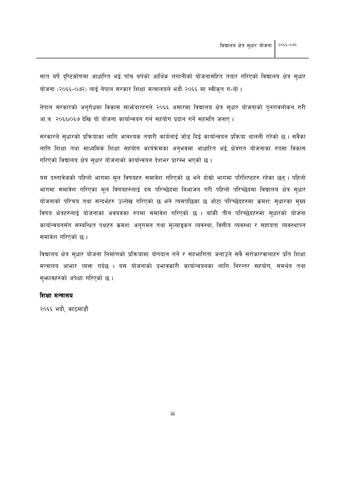सात बर्षे दृष्टिकोणमा आधारित भई पाँच बर्षको आर्थिक लगानीको योजनासहित तयार गरिएको विद्यालय क्षेत्र सुधार योजना (२०६६-०७२) लाई नेपाल सरकार शिक्षा मन्त्रालयले भदौ २०६६ मा स्वीकृत ग-यो ।

नेपाल सरकारको अनुरोधमा विकास साभ्रेदारहरुले २०६६ असारमा विद्यालय क्षेत्र सुधार योजनाको पुनरावलोकन गरी आ.ब. २०६६1०६७ देखि यो योजना कार्यान्वयन गर्न सहयोग प्रदान गर्ने सहमति जनाए।

सरकारले सुधारको प्रक्रियाका लागि आवश्यक तयारी कार्यलाई जोड दिई कार्यान्वयन प्रक्रिया थालनी गरेको छ । सवैका लागि शिक्षा तथा माध्यमिक शिक्षा सहयोग कार्यक्रमका अनुभवमा आधारित भई क्षेत्रगत योजनाका रुपमा विकास गरिएको विद्यालय क्षेत्र सुधार योजनाको कार्यान्वयन देशभर प्रारम्भ भएको छ।

यस दस्तावेजको पहिलो भागमा मुल विषयहरु समावेश गरिएको छ भने दोस्रो भागमा परिशिष्टहरु रहेका छन्। पहिलो भागमा समावेश गरिएका मूल विषयहरुलाई दस परिच्छेदमा विभाजन गरी पहिलो परिच्छेदमा विद्यालय क्षेत्र सुधार योजनाको परिचय तथा सन्दर्भहरु उल्लेख गरिएको छ भने त्यसपछिका छ ओटा परिच्छेदहरुमा कमश: सुधारका मुख्य विषय क्षेत्रहरुलाई योजनाका अवयवका रुपमा समावेश गरिएको छ । बाँकी तीन परिच्छेदहरुमा सुधारको योजना कार्यान्वयनसँग सम्बन्धित पक्षहरु क्रमशः अनुगमन तथा मूल्याङ्कन व्यवस्था, वित्तीय व्यवस्था र सहायता व्यवस्थापन समावेश गरिएको छ।

विद्यालय क्षेत्र सुधार योजना निर्माणको प्रक्रियामा योगदान गर्ने र सहभागिता जनाउने सवै सरोकारवालाहरु प्रति शिक्षा मन्त्रालय आभार व्यक्त गर्दछ । यस योजनाको प्रभावकारी कार्यान्वयनका लागि निरन्तर सहयोग, समर्थन तथा स्फावहरुको अपेक्षा गरिएको छ।

#### शिक्षा मन्त्रालय

२०६६ भदौ, काठमाडौं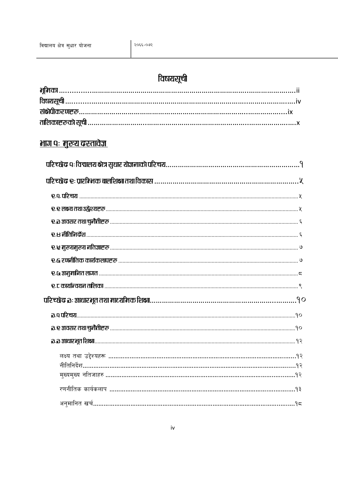## विषयसूची

## <u>भाग पः मुख्य दस्तावेज्ञ</u>

| <b>a.a STIEITE DIG POIS PORT ACTES A LA CONSTITUTION DE SU PERSONAL PROPERTY SE A LA CONSTITUTION DE SU PRESENTA D</b> |
|------------------------------------------------------------------------------------------------------------------------|
|                                                                                                                        |
|                                                                                                                        |
|                                                                                                                        |
|                                                                                                                        |
|                                                                                                                        |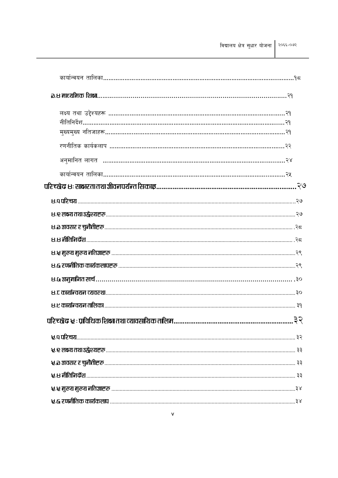| <b>\</b> .प परिचय                                                                                                           |  |
|-----------------------------------------------------------------------------------------------------------------------------|--|
| <b>ka &amp; secondo and adjust to the second of the second second second second second second second second secondom</b> st |  |
|                                                                                                                             |  |
| र्, स नीतिनिर्देश .                                                                                                         |  |
|                                                                                                                             |  |
|                                                                                                                             |  |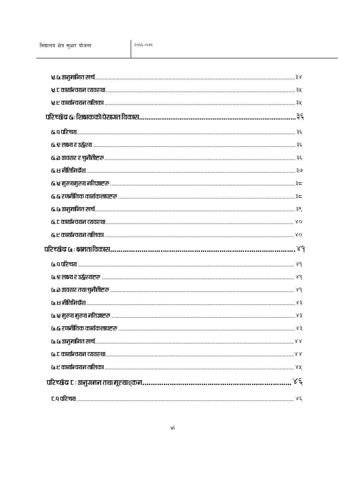| 6.0 up us uniformal set of the set of the set of the set of the set of the set of the set of the set of the set of the set of the set of the set of the set of the set of the set of the set of the set of the set of the set o |  |
|---------------------------------------------------------------------------------------------------------------------------------------------------------------------------------------------------------------------------------|--|
|                                                                                                                                                                                                                                 |  |
|                                                                                                                                                                                                                                 |  |
|                                                                                                                                                                                                                                 |  |
|                                                                                                                                                                                                                                 |  |
|                                                                                                                                                                                                                                 |  |
|                                                                                                                                                                                                                                 |  |
|                                                                                                                                                                                                                                 |  |
|                                                                                                                                                                                                                                 |  |
|                                                                                                                                                                                                                                 |  |
|                                                                                                                                                                                                                                 |  |
|                                                                                                                                                                                                                                 |  |
|                                                                                                                                                                                                                                 |  |
|                                                                                                                                                                                                                                 |  |
|                                                                                                                                                                                                                                 |  |
|                                                                                                                                                                                                                                 |  |
|                                                                                                                                                                                                                                 |  |
|                                                                                                                                                                                                                                 |  |
|                                                                                                                                                                                                                                 |  |
|                                                                                                                                                                                                                                 |  |
|                                                                                                                                                                                                                                 |  |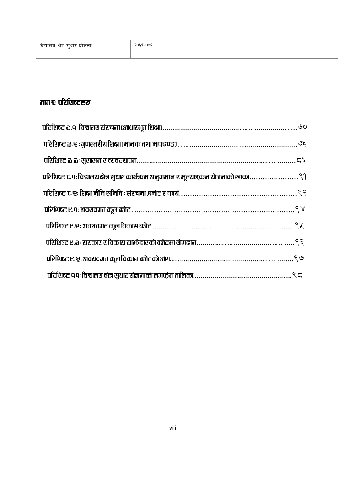## $m$ e abguece $\overline{e}$

| परिशिष्ट ट.पः विद्यालय क्षेत्र सुधार कार्यक्रम अनुगम।न र मूल्याङ्कन योजनाको खाका९१ |  |
|------------------------------------------------------------------------------------|--|
|                                                                                    |  |
|                                                                                    |  |
|                                                                                    |  |
|                                                                                    |  |
|                                                                                    |  |
|                                                                                    |  |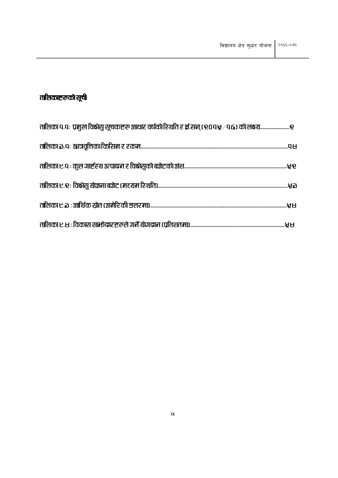## तालिकाहरूको सूची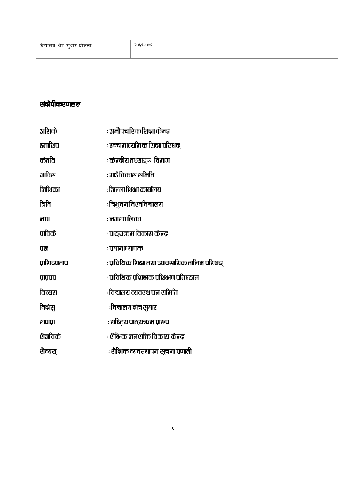### संद्रीपीकरणहरू

| अशिके          | : अनौपचारिक शिक्षा केन्द्र                   |
|----------------|----------------------------------------------|
| उमाशिप         | : ३च्च माध्यमिक शिक्षा परिषद्                |
| केतवि          | : <b>केन्द्रीय तश्या</b> ङ्क  विभाग          |
| गविस           | : गाउँ विकास समिति                           |
| जिशिका         | : जिल्ला शिद्धा कार्यालय                     |
| त्रिवि         | : त्रिभुवन विश्वविद्यालय                     |
| नपा            | : नगरपालिका                                  |
| पाविके         | : पाठ्यऋम विकास केन्द्र                      |
| प्रश           | : प्रधानाध्यापक                              |
| प्रशिव्यताप    | ाप्रविधिक शिद्धा तथा व्यावसायिक तालिम परिषद् |
| <b>VIDAD</b>   | : प्राविधिक प्रशिक्षक प्रशिक्षण प्रतिष्ठान   |
| विव्यस         | : विद्यालय व्यवरुथापन समिति                  |
| विक्षेस्       | :विद्यालय क्षेत्र सुधार                      |
| रापाप्रा       | : राष्ट्रिय पाठ्यक्रम प्रारूप                |
| <b>थैजविके</b> | : शैक्षिक जनशक्ति विकास केन्द्र              |
| शैत्यसू        | : शैक्षिक व्यवस्थापन सूचना प्रणाली           |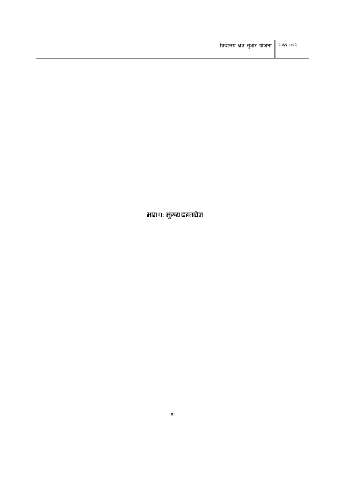भाग पः मुख्य दस्तावेज्ञ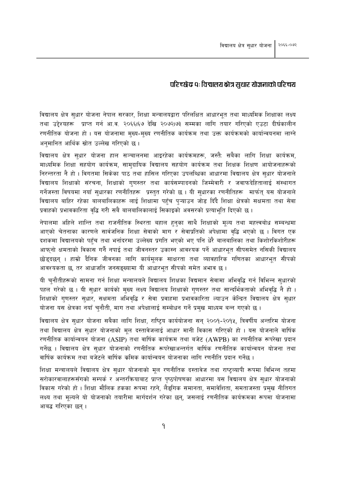#### परिच्छेद पः विद्यालय क्षेत्र सुधार योजनाको परिचय

विद्यालय क्षेत्र सुधार योजना नेपाल सरकार, शिक्षा मन्त्रालयद्वारा परिलक्षित आधारभूत तथा माध्यमिक शिक्षाका लक्ष्य तथा उद्देश्यहरू प्राप्त गर्न आ.व. २०६६।६७ देखि २०७२।७३ सम्मका लागि तयार गरिएको एउटा दीर्घकालीन रणनीतिक योजना हो । यस योजनामा मुख्य-मुख्य रणनीतिक कार्यक्रम तथा उक्त कार्यक्रमको कार्यान्वयनमा लाग्ने अनुमानित आर्थिक स्रोत उल्लेख गरिएको छ।

विद्यालय क्षेत्र सधार योजना हाल सञ्चालनमा आइरहेका कार्यक्रमहरू, जस्तै: सबैका लागि शिक्षा कार्यक्रम, माध्यमिक शिक्षा सहयोग कार्यक्रम, सामदायिक विद्यालय सहयोग कार्यक्रम तथा शिक्षक शिक्षण आयोजनाहरूको निरन्तरता नै हो । विगतमा सिकेका पाठ तथा हासिल गरिएका उपलब्धिका आधारमा विद्यालय क्षेत्र सुधार योजनाले विद्यालय शिक्षाको संरचना, शिक्षाको गुणस्तर तथा कार्यसम्पादनको जिम्मेवारी र जवाफदेहितालाई संस्थागत गर्नेजस्ता विषयमा नयाँ सुधारका रणनीतिहरू प्रस्तुत गरेको छ । यी सुधारका रणनीतिहरू मार्फत् यस योजनाले विद्यालय बाहिर रहेका बालबालिकाहरू लाई शिक्षामा पहुँच प्ऱ्याउन जोड दिँदै शिक्षा क्षेत्रको सक्षमता तथा सेवा प्रवाहको प्रभावकारिता वृद्धि गरी सबै बालबालिकालाई सिकाइको अवसरको प्रत्याभूति दिएको छ।

नेपालमा अहिले शान्ति तथा राजनीतिक स्थिरता बहाल हुनुका साथै शिक्षाको मूल्य तथा महत्त्वबोध सम्बन्धमा आएको चेतनाका कारणले सार्वजनिक शिक्षा सेवाको माग र सेवाप्रतिको अपेक्षामा वृद्धि भएको छ । विगत एक दशकमा विद्यालयको पहुँच तथा भर्नादरमा उल्लेख्य प्रगति भएको भए पनि धेरै बालबालिका तथा किशोरकिशोरीहरू आफुनो क्षमताको विकास गर्नै नपाई तथा जीवनस्तर उकास्न आवश्यक पर्ने आधारभूत सीपसमेत नसिकी विद्यालय छोडदछन । हाम्रो दैनिक जीवनका लागि कार्यमुलक साक्षरता तथा व्यावहारिक गणितका आधारभूत सीपको आवश्यकता छ, तर आधाजति जनसङ्ख्यामा यी आधारभुत सीपको समेत अभाव छ।

यी चुनौतीहरूको सामना गर्न शिक्षा मन्त्रालयले विद्यालय शिक्षका विद्यमान सेवामा अभिवृद्धि गर्न विभिन्न सुधारको पहल गरेको छ । यी सुधार कार्यको मुख्य लक्ष्य विद्यालय शिक्षाको गणस्तर तथा सान्दर्भिकताको अभिवद्धि नै हो । शिक्षाको गुणस्तर सुधार, सक्षमता अभिवृद्धि र सेवा प्रवाहमा प्रभावकारिता ल्याउन केन्द्रित विद्यालय क्षेत्र सुधार योजना यस क्षेत्रका नयाँ चुनौती, माग तथा अपेक्षालाई सम्बोधन गर्ने प्रमुख माध्यम बन्न गएको छ ।

विद्यालय क्षेत्र सधार योजना सबैका लागि शिक्षा, राष्टिय कार्ययोजना सन २००१-२०१५, त्रिवर्षीय अन्तरिम योजना तथा विद्यालय क्षेत्र सुधार योजनाको मुल दस्तावेजलाई आधार मानी विकास गरिएको हो । यस योजनाले वार्षिक रणनीतिक कार्यान्वयन योजना (ASIP) तथा वार्षिक कार्यक्रम तथा बजेट (AWPB) का रणनीतिक रूपरेखा प्रदान गर्नेछ । विद्यालय क्षेत्र सुधार योजनाको रणनीतिक रूपरेखाअन्तर्गत वार्षिक रणनीतिक कार्यान्वयन योजना तथा वार्षिक कार्यक्रम तथा बजेटले वार्षिक कमिक कार्यान्वयन योजनाका लागि रणनीति प्रदान गर्नेछ ।

शिक्षा मन्त्रालयले विद्यालय क्षेत्र सुधार योजनाको मूल रणनीतिक दस्तावेज तथा राष्ट्व्यापी रूपमा विभिन्न तहमा सरोकारवालाहरूसँगको सम्पर्क र अन्तरक्रियाबाट प्राप्त पृष्ठपोषणका आधारमा यस विद्यालय क्षेत्र सुधार योजनाको विकास गरेको हो । शिक्षा मौलिक हकका रूपमा रहने, लैङ्गिक समानता, समावेशिता, समताजस्ता प्रमुख नीतिगत लक्ष्य तथा मूल्यले यो योजनाको तयारीमा मार्गदर्शन गरेका छन्, जसलाई रणनीतिक कार्यक्रमका रूपमा योजनामा आबद्ध गरिएका छन ।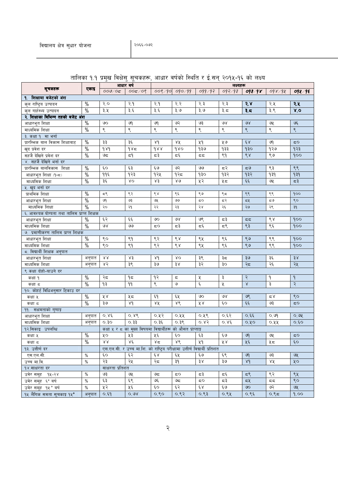|                                            | एकाइ          | आधार वर्ष        |                                                                            | लक्ष्यहरू           |                           |            |                 |                             |        |                          |
|--------------------------------------------|---------------|------------------|----------------------------------------------------------------------------|---------------------|---------------------------|------------|-----------------|-----------------------------|--------|--------------------------|
| सूचकहरू                                    |               | 000/05           | 005/09                                                                     | 009/90              | 090/99                    | 099/97     | 097/97          | 093/98                      | 098/94 | 094/95                   |
| १. शिक्षामा बजेटको अंश                     |               |                  |                                                                            |                     |                           |            |                 |                             |        |                          |
| कुल राष्ट्रिय उत्पादन                      | $\%$          | २.०              | २.१                                                                        | २.१                 | २.२                       | २.३        | २.३             | २.४                         | २.५    | २.५                      |
| कुल गाहेस्थ्य उत्पादन                      | $\frac{0}{2}$ | ३.५              | ३.६                                                                        | ३.६                 | ३.७                       | ९.६        | ३.८             | ३.८                         | ३.९    | X, O                     |
| २. शिक्षाका बिभिन्न तहको बजेट अंश          |               |                  |                                                                            |                     |                           |            |                 |                             |        |                          |
| आधारभूत शिक्षा                             | $\%$          | ७०               | জ                                                                          | ७१                  | ও२                        | ও३         | ও४              | $\mathcal{A}$               | ও⊻     | ७६                       |
| माध्यमिक शिक्षा                            | $\frac{0}{6}$ | ९                | ९                                                                          | ९                   | ९                         | ९          | ९               | ९                           | ९      | ९                        |
| ३. कक्षा १) मा भनो                         |               |                  |                                                                            |                     |                           |            |                 |                             |        |                          |
| प्रारम्भिक बाल विकास शिक्षाबाट             | $\%$          | ३३               | ३६                                                                         | 8d                  | ४५                        | ५१         | ५७              | $\xi_{\rm A}$               | ७१     | 50                       |
| खुद प्रवेश दर                              | $\frac{0}{0}$ | 989              | 985                                                                        | dAA                 | 980                       | १३७        | १३३             | 930                         | १२७    | १२३                      |
| सहजे देखिने प्रवेश दर                      | $\%$          | ಅದ               | ξ۹                                                                         | द३                  | τξ                        | ςς         | ९१              | $\mathcal{S}_{\mathcal{R}}$ | ९७     | 900                      |
| ४. सहजै देखिने भर्ना दर                    |               |                  |                                                                            |                     |                           |            |                 |                             |        |                          |
| प्रारम्भिक बालविकास शिक्षा                 | $\%$          | ξO               | ६३                                                                         | ६७                  | ७२                        | وى         | द२              | ದ೪                          | ९३     | ९९                       |
| आधारभूत शिक्षा (१-८)                       | $\%$          | ११६              | १२३                                                                        | १२५                 | १२८                       | oęp        | १३२             | १३२                         | 939    | 939                      |
| माध्यमिक शिक्षा                            | $\%$          | ३६               | λO                                                                         | ४३                  | $80^{\circ}$              | ५२         | ५८              | $\xi \xi$                   | ७५     | $\approx$                |
| ५. खुद भर्ना दर                            |               |                  |                                                                            |                     |                           |            |                 |                             |        |                          |
| प्राथमिक शिक्षा                            | $\%$          | $5^{\circ}$      | ९२                                                                         | ९४                  | ९६                        | ९७         | ९८              | ९९                          | ९९     | 900                      |
| आधारभूत शिक्षा                             | $\%$          | ७१               | ७३                                                                         | ७५                  | واقا                      | 5Ο         | दरे             | ८५                          | ಧಅ     | ९०                       |
| माध्यमिक शिक्षा                            | $\frac{0}{0}$ | २०               | २१                                                                         | २२                  | २३                        | २४         | २६              | २७                          | २९     | 3d                       |
| ६. आवश्यक योग्यता तथा तालिम प्राप्त शिक्षक |               |                  |                                                                            |                     |                           |            |                 |                             |        |                          |
| आधारभूत शिक्षा                             | $\%$          | ६२               | ६६                                                                         | ७०                  | ७४                        | ७९         | ಧ३              | 55                          | ९४     | 900                      |
| माध्यमिक शिक्षा                            | $\%$          | ७४               | وى                                                                         | ςΟ                  | द३                        | Σξ         | جع              | ९३                          | ९६     | 900                      |
| ७. प्रमाणीकरण तालिम प्राप्त शिक्षक         |               |                  |                                                                            |                     |                           |            |                 |                             |        |                          |
| आधारभूत शिक्षा                             | $\%$          | ९०               | ९१                                                                         | ९२                  | $\mathcal{S} \mathcal{R}$ | ९५         | ९६              | ९७                          | ९९     | 900                      |
| माध्यमिक शिक्षा                            | $\frac{0}{6}$ | ९०               | ९१                                                                         | ९२                  | $\acute{\sim}$            | ९५         | ९६              | ९७                          | ९९     | 900                      |
| ८. विद्यार्थी शिक्षक अनुपात                |               |                  |                                                                            |                     |                           |            |                 |                             |        |                          |
| आधारभूत शिक्षा                             | अनुपात        | 88               | ४३                                                                         | ४१                  | 80                        | ३९         | ३८              | ३७                          | ३६     | 38                       |
| माध्यमिक शिक्षा                            | अनुपात        | ४२               | ३९                                                                         | ३७                  | ३४                        | ३२         | ЗO              | २८                          | २६     | २५                       |
| ९ कक्षा दोहो-याउने दर                      |               |                  |                                                                            |                     |                           |            |                 |                             |        |                          |
| कक्षा १                                    | $\%$          | २८               | ۹≂                                                                         | १२                  | ς                         | χ          | ३               | २                           | ۹      | 9                        |
| कक्षा द                                    | $\frac{0}{6}$ | ۹₹               | 99                                                                         | ९                   | ও                         | ٤          | χ               | $\propto$                   | ३      | $\overline{\mathcal{R}}$ |
| १०. कोहर्ट विधिअनुसार टिकाउ दर             |               |                  |                                                                            |                     |                           |            |                 |                             |        |                          |
| कक्षा ५                                    | $\%$          | ४४               | ५८                                                                         | ξ٩                  | ६५                        | ৩০         | ও४              | ७९                          | م ک    | ९०                       |
| कक्षा द                                    | $\frac{0}{2}$ | ३७               | 8d                                                                         | ४४                  | ४९                        | ४४         | ξO              | $\xi \xi$                   | ও३     | 50                       |
| ११. सक्षमताको गुणाङ्ग                      |               |                  |                                                                            |                     |                           |            |                 |                             |        |                          |
| आधारभूत शिक्षा                             | अनुपात        | 0.86             | ०.४९                                                                       | ०.५२                | ०.५५                      | ०.५९       | ०.६२            | ०.६६                        | ०.७१   | O.99                     |
| माध्यमिक शिक्षा                            | अनुपात        | 0,30             | 0.33                                                                       | 0.35                | 0.38                      | ०.४२       | 0.86            | ०.५०                        | ०.५५   | $O, \xi O$               |
| १२.सिकाइ उपलब्धि                           |               |                  | कक्षा ५ र ८ का मुख्य विषयमा विद्यार्थीहरू को औसत प्राप्ताङ्क               |                     |                           |            |                 |                             |        |                          |
| कक्षा ५                                    | $\frac{0}{0}$ | χo               | ५३                                                                         | ५६                  | $\epsilon$ o              | ६३         | $\xi\!\cdot\!9$ | ७१                          | ७५     | $\mathbf{C} \circ$       |
| कक्षा द                                    | $\%$          | $\lambda\lambda$ | $X \xi$                                                                    | 85                  | ४९                        | ५१         | χγ              | ५६                          | ५८     | $\epsilon$ o             |
| १३. उत्तीर्ण दर                            |               |                  | एस.एल.सी. र उच्च मा.शि. को राष्ट्रिय परीक्षामा उत्तीर्ण विद्यार्थी प्रतिशत |                     |                           |            |                 |                             |        |                          |
| एस.एल.सी.                                  | $\%$          | ξO               | ६२                                                                         | $\epsilon$ $\times$ | ६५                        | ६७         | ६९              | ७१                          | چٯ     | ७५                       |
| उच्च मा.वि.                                | $\%$          | २३               | २५                                                                         | २८                  | pę                        | 38         | ३७              | 8d                          | ४४     | ५०                       |
| १४.साक्षरता दर                             |               | साक्षरता प्रतिशत |                                                                            |                     |                           |            |                 |                             |        |                          |
| उमेर समूह १५-२४                            | $\%$          | ७३               | ও⊻                                                                         | ಅದ                  | 50                        | د ع        | Σξ              | 55                          | ९२     | ९५                       |
| उमेर समूह ६+ बर्ष                          | $\%$          | لمحم             | ६९                                                                         | بگا                 | ಅದ                        | ςΟ         | ⊂३              | 54                          | 55     | 80                       |
| उमेर समूह १५ * वर्ष                        | $\%$          | ५२               | ५६                                                                         | ξO                  | ६२                        | $\xi \chi$ | ی ع             | ७०                          | ५२     | $\overline{\mathcal{G}}$ |
| १५ लैगिक समता सूचकाइ १५*                   | अनुपात        | 0.69             | O.98                                                                       | 0.80                | 0.82                      | ०.९३       | ०.९५            | ०.९६                        | 0.95   | 9.00                     |

#### तालिका १.१ प्रमुख विक्षेस सूचकहरू, आधार वर्षको स्थिति र ई.सन् २०१५-१६ को लक्ष्य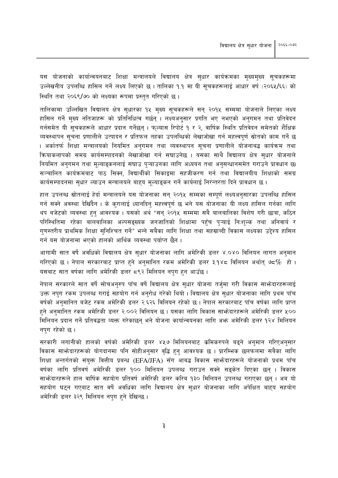यस योजनाको कार्यान्वयनबाट शिक्षा मन्त्रालयले विद्यालय क्षेत्र सुधार कार्यक्रमका मुख्यमुख्य सूचकहरूमा उल्लेखनीय उपलब्धि हासिल गर्ने लक्ष्य लिएको छ । तालिका १.१ मा यी सुचकहरूलाई आधार वर्ष (२०६५/६६) को स्थिति तथा २०६९/७० को लक्ष्यका रूपमा प्रस्तुत गरिएको छ।

तालिकामा उल्लिखित विद्यालय क्षेत्र सुधारका १५ मुख्य सूचकहरूले सन् २०१५ सम्ममा योजनाले लिएका लक्ष्य हासिल गर्ने मुख्य नतिजाहरू को प्रतिनिधित्व गर्छन् । लक्ष्यअनुसार प्रगति भए नभएको अनुगमन तथा प्रतिवेदन गर्नसमेत यी सूचकहरूले आधार प्रदान गर्नेछन् । फुल्यास रिपोर्ट १ र २, वार्षिक स्थिति प्रतिवेदन समेतको शैक्षिक व्यवस्थापन सूचना प्रणालीले उत्पादन र प्रतिफल तहका उपलब्धिको लेखाजोखा गर्न महत्त्वपूर्ण स्रोतको काम गर्ने छ । अर्कातर्फ शिक्षा मन्त्रालयको नियमित अनुगमन तथा व्यवस्थापन सुचना प्रणालीले योजनाबद्ध कार्यक्रम तथा क्रियाकलापको समग्र कार्यसम्पादनको लेखाजोखा गर्न सघाउनेछ । यसका साथै विद्यालय क्षेत्र सुधार योजनाले नियमित अनुगमन तथा मूल्याङ्कनलाई सघाउ प्ऱ्याउनका लागि अध्ययन तथा अनुसन्धानसमेत गराउने प्रावधान छ। सञ्चालित कार्यक्रमबाट पाठ सिक्न, विद्यार्थीको सिकाइमा सहजीकरण गर्न तथा विद्यालयीय शिक्षाको समग्र कार्यसम्पादनमा सुधार ल्याउन मन्त्रालयले बाह्य मूल्याङ्कन गर्ने कार्यलाई निरन्तरता दिने प्रावधान छ ।

हाल उपलब्ध स्रोतलाई हेर्दा मन्त्रालयले यस योजनाका सन् २०१५ सम्मका सम्पूर्ण लक्ष्यअनुसारका उपलब्धि हासिल गर्न सक्ने अवस्था देखिँदैन । के कुरालाई ध्यानदिन् महत्त्वपूर्ण छ भने यस योजनाका यी लक्ष्य हासिल गर्नका लागि थप बजेटको व्यवस्था हुन् आवश्यक । यसको अर्थ "सन् २०१५ सम्ममा सबै बालबालिका विशेष गरी छात्रा, कठिन परिस्थितिमा रहेका बालबालिका अल्पसङ्ख्यक जनजातिको शिक्षामा पहुँच प्ऱ्याई निःशुल्क तथा अनिवार्य र गुणस्तरीय प्राथमिक शिक्षा सुनिश्चित गर्ने" भन्ने सबैका लागि शिक्षा तथा सहस्राब्दी विकास लक्ष्यका उद्देश्य हासिल गर्न यस योजनामा भएको हालको आर्थिक व्यवस्था पर्याप्त छैन ।

आगामी सात वर्षे अवधिको विद्यालय क्षेत्र सुधार योजनाका लागि अमेरिकी डलर ४.०४० विलियन लागत अनुमान गरिएको छ । नेपाल सरकारबाट प्राप्त हुने अनुमानित रकम अमेरिकी डलर ३.१४८ विलियन अर्थात् ७८ $\%$  हो । यसबाट सात वर्षका लागि अमेरिकी डलर ८९२ मिलियन नपुग हुन आउँछ।

नेपाल सरकारले सात वर्षे सोचअनुरुप पाँच वर्षे विद्यालय क्षेत्र सुधार योजना तर्जुमा गरी विकास साभ्रेदारहरूलाई उक्त नपुग रकम उपलब्ध गराई सहयोग गर्न अनुरोध गरेको थियो। विद्यालय क्षेत्र सुधार योजनाका लागि प्रथम पाँच वर्षको अनुमानित बजेट रकम अमेरिकी डलर २.६२६ विलियन रहेको छ । नेपाल सरकारबाट पाँच वर्षका लागि प्राप्त हुने अनुमानित रकम अमेरिकी डलर २.००२ विलियन छ । यसका लागि विकास साभेदारहरूले अमेरिकी डलर ५०० मिलियन प्रदान गर्ने प्रतिवद्धता व्यक्त गरेकाछन् भने योजना कार्यान्वयनका लागि अभ्त अमेरिकी डलर १२४ मिलियन नपुग रहेको छ ।

सरकारी लगानीको हालको वर्षको अमेरिकी डलर ४५७ मिलियनबाट कमिकरुपले बढ्ने अनुमान गरिएअनुसार विकास साभ्रेदारहरूको योगदानमा पनि सोहीअनुसार वद्धि हुनु आवश्यक छ । प्रारम्भिक छलफलमा सबैका लागि शिक्षा अन्तर्गतको संयुक्त वित्तीय प्रबन्ध (EFA/JFA) सँग आबद्ध विकास साभ्रेदारहरूले योजनाको प्रथम पाँच वर्षका लागि प्रतिवर्ष अमेरिकी डलर १०० मिलियन उपलब्ध गराउन सक्ने सडुकेत दिएका छन् । विकास साभनेदारहरूले हाल वार्षिक सहयोग प्रतिवर्ष अमेरिकी डलर करिब १३० मिलियन उपलब्ध गराएका छन् । अब यो सहयोग घटन गएबाट सात वर्षे अवधिका लागि विद्यालय क्षेत्र सुधार योजनाका लागि अपेक्षित बाहय सहयोग अमेरिकी डलर ३२९ मिलियन नपुग हुने देखिन्छ।

 $\mathbf{a}$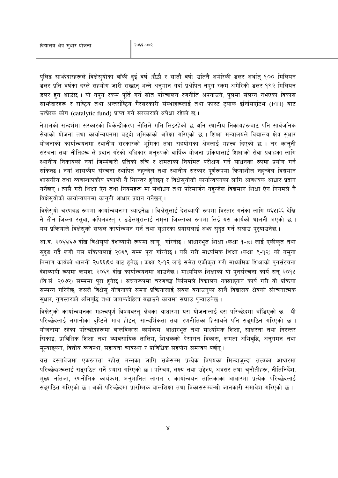पुलिङ साभ्रेदारहरूले विक्षेसुयोका बाँकी दुई वर्ष (छैठौ र सातौं वर्ष) उतिनै अमेरिकी डलर अर्थात् १०० मिलियन डलर प्रति वर्षका दरले सहयोग जारी राख्छन भन्ने अनमान गर्दा प्रक्षेपित नपग रकम अमेरिकी डलर १९२ मिलियन डलर हुन आउँछ । यो नपुग रकम पुर्ति गर्न स्रोत परिचालन रणनीति अपनाउने, पुलमा संलग्न नभएका विकास साभ्रेदारहरू र राष्टिय तथा अन्तर्राष्टिय गैरसरकारी संस्थाहरूलाई तथा फास्ट ट्रयाक इनिसिएटिभ (FTI) बाट उत्प्रेरक कोष (catalytic fund) प्राप्त गर्ने सरकारको अपेक्षा रहेको छ।

नेपालको सन्दर्भमा सरकारको विकेन्द्रीकरण नीतिले गति लिइरहेको छ अनि स्थानीय निकायहरूबाट पनि सार्वजनिक सेवाको योजना तथा कार्यान्वयनमा बढ्दो भूमिकाको अपेक्षा गरिएको छ । शिक्षा मन्त्रालयले विद्यालय क्षेत्र सुधार योजनाको कार्यान्वयनमा स्थानीय सरकारको भूमिका तथा सहयोगका क्षेत्रलाई महत्त्व दिएको छ । तर कान्नी संरचना तथा नीतिहरू ले प्रदान गरेको अधिकार अनुरुपको वार्षिक योजना प्रक्रियालाई शिक्षाको सेवा प्रवाहका लागि स्थानीय निकायको नयाँ जिम्मेवारी प्रतिको रुचि र क्षमताको नियमित परीक्षण गर्ने साधनका रुपमा प्रयोग गर्न सकिन्छ । नयाँ शासकीय संरचना स्थापित नहन्जेल तथा स्थानीय सरकार पुर्णरूपमा कियाशील नहन्जेल विद्यमान शासकीय तथा व्यवस्थापकीय प्रणाली नै निरन्तर हुनेछन् र विक्षेस्योको कार्यान्वयनका लागि आवश्यक आधार प्रदान गर्नेछन् । त्यसै गरी शिक्षा ऐन तथा नियमहरू मा संशोधन तथा परिमार्जन नहन्जेल विद्यमान शिक्षा ऐन नियमले नै विक्षेसुयोको कार्यान्वयनमा कानुनी आधार प्रदान गर्नेछन्।

विक्षेसयो चरणबद्ध रूपमा कार्यान्वयनमा ल्याइनेछ । विक्षेसलाई देशव्यापी रूपमा विस्तार गर्नका लागि ०६५।६६ देखि नै तीन जिल्ला रसुवा, कपिलवस्तु र डडेलधुरालाई नमुना जिल्लाका रूपमा लिई यस कार्यको थालनी भएको छ । यस प्रक्रियाले विक्षेसको सफल कार्यान्वयन गर्न तथा सुधारका प्रयासलाई अफ सुदृढ गर्न सघाउ पुरयाउनेछ।

आ.व. २०६६।६७ देखि विक्षेसुयो देशव्यापी रूपमा लागू गरिनेछ । आधारभूत शिक्षा (कक्षा १-८) लाई एकीकृत तथा सुदृढ गर्दै लगी यस प्रक्रियालाई २०६९ सम्म पुरा गरिनेछ । यसै गरी माध्यमिक शिक्षा (कक्षा ९-१२) को नमुना निर्माण कार्यको थालनी २०६६।६७ बाट हुनेछ । कक्षा ९-१२ लाई समेत एकीकृत गरी माध्यमिक शिक्षाको पुनर्संरचना देशव्यापी रूपमा क्रमश: २०६९ देखि कार्यान्वयनमा आउनेछ । माध्यमिक शिक्षाको यो पुनर्संरचना कार्य सन् २०१५ (वि.सं. २०७२) सम्ममा पुरा हुनेछ । सघनरूपमा चरणबद्ध किसिमले विद्यालय नक्साङ्कन कार्य गरी यो प्रक्रिया सम्पन्न गरिनेछ, जसले विक्षेस् योजनाको समग्र प्रक्रियालाई सबल बनाउनुका साथै विद्यालय क्षेत्रको संरचनात्मक सुधार, गुणस्तरको अभिवृद्धि तथा जवाफदेहिता बढाउने कार्यमा सघाउ पुऱ्याउनेछ ।

विक्षेसुको कार्यान्वयनका महत्त्वपूर्ण विषयवस्तु क्षेत्रका आधारमा यस योजनालाई दस परिच्छेदमा बाँडिएको छ । यी परिच्छेदलाई लगानीका दष्टिले मात्र होइन, सान्दर्भिकता तथा रणनीतिका हिसाबले पनि सङ्गठिन गरिएको छ । योजनामा रहेका परिच्छेदहरूमा बालविकास कार्यक्रम, आधारभूत तथा माध्यमिक शिक्षा, साक्षरता तथा निरन्तर सिकाइ, प्राविधिक शिक्षा तथा व्यावसायिक तालिम, शिक्षकको पेसागत विकास, क्षमता अभिवद्धि, अनगमन तथा मुल्याइकन, वित्तीय व्यवस्था, सहायता व्यवस्था र प्राविधिक सहयोग समन्वय पर्छन् ।

यस दस्तावेजमा एकरूपता रहोस भन्नका लागि सकेसम्म प्रत्येक विषयका मिल्दाजल्दा तत्त्वका आधारमा परिच्छेदहरूलाई सङ्गठित गर्ने प्रयास गरिएको छ । परिचय, लक्ष्य तथा उद्देश्य, अवसर तथा चुनौतीहरू, नीतिनिर्देश, मुख्य नतिजा, रणनीतिक कार्यक्रम, अनुमानित लागत र कार्यान्वयन तालिकाका आधारमा प्रत्येक परिच्छेदलाई सड़गठित गरिएको छ । अर्को परिच्छेदमा प्रारम्भिक बालशिक्षा तथा विकाससम्बन्धी जानकारी समावेश गरिएको छ ।

 $\propto$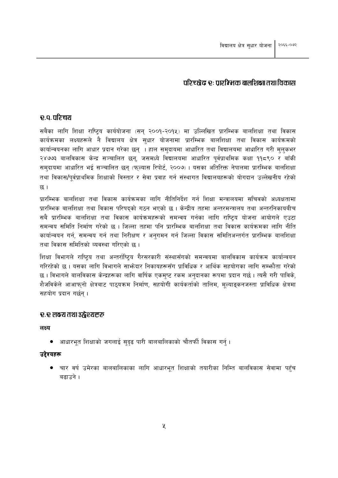#### छा विकासी एक पश्चारी कार्या जा रहा के बंदन दी प

#### <u>२.०. परिचय</u>

सबैका लागि शिक्षा राष्टिय कार्ययोजना (सन् २००१-२०१५) मा उल्लिखित प्रारम्भिक बालशिक्षा तथा विकास कार्यक्रमका लक्ष्यहरूले नै विद्यालय क्षेत्र सुधार योजनामा प्रारम्भिक बालशिक्षा तथा विकास कार्यक्रमको कार्यान्वयनका लागि आधार प्रदान गरेका छन् । हाल समुदायमा आधारित तथा विद्यालयमा आधारित गरी मुलुकभर २४७७३ बालविकास केन्द्र सञ्चालित छन्, जसमध्ये विद्यालयमा आधारित पूर्वप्राथमिक कक्षा ११८९० र बाँकी समदायमा आधारित भई सञ्चालित छन (फल्यास रिपोर्ट, २००७) । यसका अतिरिक्त नेपालमा प्रारम्भिक बालशिक्षा तथा विकास/पर्वप्राथमिक शिक्षाको विस्तार र सेवा प्रवाह गर्न संस्थागत विद्यालयहरूको योगदान उल्लेखनीय रहेको छ ।

प्रारम्भिक बालशिक्षा तथा विकास कार्यक्रमका लागि नीतिनिर्देश गर्न शिक्षा मन्त्रालयमा सचिवको अध्यक्षतामा प्रारम्भिक बालशिक्षा तथा विकास परिषदको गठन भएको छ । केन्द्रीय तहमा अन्तरमन्त्रालय तथा अन्तरनिकायबीच सबै प्रारम्भिक बालशिक्षा तथा विकास कार्यक्रमहरूको समन्वय गर्नका लागि राष्ट्रिय योजना आयोगले एउटा समन्वय समिति निर्माण गरेको छ । जिल्ला तहमा पनि प्रारम्भिक बालशिक्षा तथा विकास कार्यक्रमका लागि नीति कार्यान्वयन गर्न, समन्वय गर्न तथा निरीक्षण र अनुगमन गर्न जिल्ला विकास समितिअन्तर्गत प्रारम्भिक बालशिक्षा तथा विकास समितिको व्यवस्था गरिएको छ।

शिक्षा विभागले राष्टिय तथा अन्तर्राष्टिय गैरसरकारी संस्थासँगको समन्वयमा बालविकास कार्यक्रम कार्यान्वयन गरिरहेको छ । यसका लागि विभागले साभ्रेदार निकायहरूसँग प्राविधिक र आर्थिक सहयोगका लागि सम्भ्रौता गरेको छ । विभागले बालविकास केन्द्रहरूका लागि वार्षिक एकमुष्ट रकम अनुदानका रूपमा प्रदान गर्छ । त्यसै गरी पाविके, शैजविकेले आआफुनो क्षेत्रबाट पाठुयक्रम निर्माण, सहयोगी कार्यकर्ताको तालिम, मुल्याइकनजस्ता प्राविधिक क्षेत्रमा सहयोग प्रदान गर्छन ।

#### <u>र.र लक्ष्य तथा उद्गेश्यहरू</u>

लक्ष्य

● आधारभूत शिक्षाको जगलाई सुदृढ पारी बालबालिकाको चौतर्फी विकास गर्नु।

#### उद्देश्यहरू

्चार वर्ष उमेरका बालबालिकाका लागि आधारभूत शिक्षाको तयारीका निम्ति बालविकास सेवामा पहुँच  $\bullet$ बढाउने ।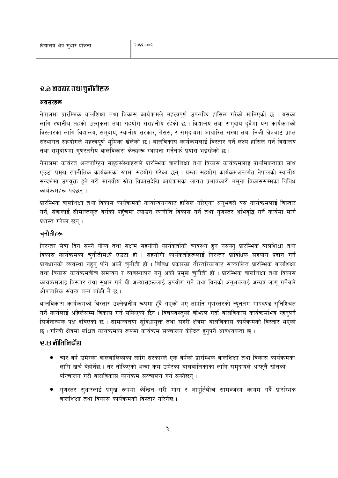#### रु.ळ अवसर तथा चुनौतीहरू

#### अवसरहरू

नेपालमा प्रारम्भिक बालशिक्षा तथा विकास कार्यक्रमले महत्त्वपूर्ण उपलब्धि हासिल गरेको मानिएको छ । यसका लागि स्थानीय तहको उत्सुकता तथा सहयोग सराहनीय रहेको छ। विद्यालय तथा समुदाय दुवैमा यस कार्यक्रमको विस्तारका लागि विद्यालय, समुदाय, स्थानीय सरकार, गैसस, र समुदायमा आधारित संस्था तथा निजी क्षेत्रबाट प्राप्त संस्थागत सहयोगले महत्त्वपूर्ण भूमिका खेलेको छ । बालविकास कार्यक्रमलाई विस्तार गर्ने लक्ष्य हासिल गर्न विद्यालय तथा समुदायमा गुणस्तरीय बालविकास केन्द्रहरू स्थापना गर्नेतर्फ प्रयास भइरहेको छ ।

नेपालमा कार्यरत अन्तर्राष्ट्रिय सङ्घसंस्थाहरूले प्रारम्भिक बालशिक्षा तथा विकास कार्यक्रमलाई प्राथमिकताका साथ एउटा प्रमुख रणनीतिक कार्यक्रमका रुपमा सहयोग गरेका छन् । यस्ता सहयोग कार्यक्रमअन्तर्गत नेपालको स्थानीय सन्दर्भमा उपयुक्त हुने गरी मानवीय स्रोत विकासदेखि कार्यक्रमका लागत प्रभावकारी नमुना विकाससम्मका विविध कार्यक्रमहरू पर्दछन ।

प्रारम्भिक बालशिक्षा तथा विकास कार्यक्रमको कार्यान्वयनबाट हासिल गरिएका अनुभवले यस कार्यक्रमलाई विस्तार गर्ने, सेवालाई सीमान्तकृत वर्गको पहुँचमा ल्याउन रणनीति विकास गर्ने तथा गुणस्तर अभिवृद्धि गर्ने कार्यमा मार्ग प्रशस्त गरेका छन्।

#### च्नौतीहरू

निरन्तर सेवा दिन सक्ने योग्य तथा सक्षम सहयोगी कार्यकर्ताको व्यवस्था हन नसक्न् प्रारम्भिक बालशिक्षा तथा विकास कार्यक्रमका चुनौतीमध्ये एउटा हो । सहयोगी कार्यकर्ताहरूलाई निरन्तर प्राविधिक सहयोग प्रदान गर्ने प्रावधानको व्यवस्था नहुनु पनि अर्को चुनौती हो । विविध प्रकारका तौरतरिकाबाट सञ्चालित प्रारम्भिक बालशिक्षा तथा विकास कार्यक्रमबीच समन्वय र व्यवस्थापन गर्न् अर्को प्रमुख चुनौती हो । प्रारम्भिक बालशिक्षा तथा विकास कार्यक्रमलाई विस्तार तथा सुधार गर्न यी अभ्यासहरूलाई उपयोग गर्ने तथा यिनको अनुभवलाई अन्यत्र लागु गर्नेबारे औपचारिक संयन्त्र बन्न बाँकी नै छ ।

बालविकास कार्यक्रमको विस्तार उल्लेखनीय रूपमा हुँदै गएको भए तापनि गुणस्तरको न्यूनतम मापदण्ड सुनिश्चित गर्ने कार्यलाई अहिलेसम्म विकास गर्न सकिएको छैन । विषयवस्तुको बोफले गर्दा बालविकास कार्यक्रमभित्र रहनुपर्ने सिर्जनात्मक पक्ष दबिएको छ । सामान्यतया सुविधायुक्त तथा सहरी क्षेत्रमा बालविकास कार्यक्रमको विस्तार भएको छ । गरिबी क्षेत्रमा लक्षित कार्यक्रमका रूपमा कार्यक्रम सञ्चालन केन्द्रित हुनुपर्ने आवश्यकता छ ।

#### ਦ.ਖ ਜੀतਿਜਿਰੇਂश

- चार वर्ष उमेरका बालबालिकाका लागि सरकारले एक वर्षको प्रारम्भिक बालशिक्षा तथा विकास कार्यक्रमका लागि खर्च बेहोर्नेछ । तर तोकिएको भन्दा कम उमेरका बालबालिकाका लागि समुदायले आफुनै स्रोतको परिचालन गरी बालविकास कार्यक्रम सञ्चालन गर्न सक्नेछन्।
- ागणस्तर सुधारलाई प्रमुख रूपमा केन्द्रित गरी माग र आपुर्तिबीच सामञ्जस्य कायम गर्दै प्रारम्भिक बालशिक्षा तथा विकास कार्यक्रमको विस्तार गरिनेछ ।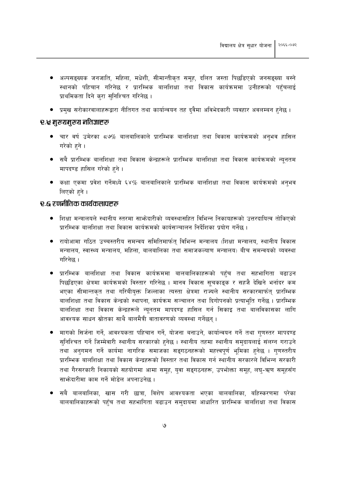- अल्पसङ्ख्यक जनजाति, महिला, मधेशी, सीमान्तीकृत समूह, दलित जस्ता पिछडिएको जनसङ्ख्या बस्ने स्थानको पहिचान गरिनेछ र प्रारम्भिक बालशिक्षा तथा विकास कार्यक्रममा उनीहरूको पहुँचलाई प्राथमिकता दिने करा सुनिश्चित गरिनेछ।
- प्रमुख सरोकारवालाहरूद्वारा नीतिगत तथा कार्यान्वयन तह दुवैमा अविभेदकारी व्यवहार अवलम्बन हुनेछ ।

#### रु.श्च मुख्यमुख्य नतिज्ञाहरू

- चार वर्ष उमेरका ८७% बालबालिकाले प्रारम्भिक बालशिक्षा तथा विकास कार्यक्रमको अनुभव हासिल गरेको हने ।
- सबै प्रारम्भिक बालशिक्षा तथा विकास केन्द्रहरूले प्रारम्भिक बालशिक्षा तथा विकास कार्यक्रमको न्यूनतम मापदण्ड हासिल गरेको हुने।
- कक्षा एकमा प्रवेश गर्नेमध्ये ६४% बालबालिकाले प्रारम्भिक बालशिक्षा तथा विकास कार्यक्रमको अनुभव लिएको हने ।

#### <u>२.६ रणनीतिक कार्यकलापहरू</u>

- शिक्षा मन्त्रालयले स्थानीय स्तरमा साभ्रेदारीको व्यवस्थासहित विभिन्न निकायहरूको उत्तरदायित्व तोकिएको प्रारम्भिक बालशिक्षा तथा विकास कार्यक्रमको कार्यसञ्चालन निर्देशिका प्रयोग गर्नेछ ।
- रायोआमा गठित उच्चस्तरीय समन्वय समितिमार्फत् विभिन्न मन्त्रालय (शिक्षा मन्त्रालय, स्थानीय विकास मन्त्रालय, स्वास्थ्य मन्त्रालय, महिला, बालबालिका तथा समाजकल्याण मन्त्रालय) बीच समन्वयको व्यवस्था गरिनेछ ।
- प्रारम्भिक बालशिक्षा तथा विकास कार्यक्रममा बालबालिकाहरूको पहुँच तथा सहभागिता बढाउन पिछडिएका क्षेत्रमा कार्यक्रमको विस्तार गरिनेछ । मानव विकास सुचकाइक र सहजै देखिने भर्नादर कम भएका सीमान्तकृत तथा गरिबीयुक्त जिल्लाका त्यस्ता क्षेत्रमा राज्यले स्थानीय सरकारमार्फत् प्रारम्भिक बालशिक्षा तथा विकास केन्द्रको स्थापना, कार्यक्रम सञ्चालन तथा दिगोपनको प्रत्याभूति गर्नेछ । प्रारम्भिक बालशिक्षा तथा विकास केन्द्रहरूले न्युनतम मापदण्ड हासिल गर्न सिकाइ तथा बालविकासका लागि आवश्यक साधन स्रोतका साथै बालमैत्री वातावरणको व्यवस्था गर्नेछन ।
- मागको सिर्जना गर्ने, आवश्यकता पहिचान गर्ने, योजना बनाउने, कार्यान्वयन गर्ने तथा गुणस्तर मापदण्ड सुनिश्चित गर्ने जिम्मेवारी स्थानीय सरकारको हुनेछ । स्थानीय तहमा स्थानीय समुदायलाई संलग्न गराउने तथा अनगमन गर्ने कार्यमा नागरिक समाजका सङ्गठनहरूको महत्त्वपूर्ण भूमिका हुनेछ । गुणस्तरीय प्रारम्भिक बालशिक्षा तथा विकास केन्द्रहरूको विस्तार तथा विकास गर्न स्थानीय सरकारले विभिन्न सरकारी तथा गैरसरकारी निकायको सहयोगमा आमा समूह, युवा सङ्गठनहरू, उपभोक्ता समूह, लघ्-ऋण समूहसँग साफ़ेदारीमा काम गर्ने मोडेल अपनाउनेछ।
- सबै बालबालिका, खास गरी छात्रा, विशेष आवश्यकता भएका बालबालिका, बहिस्करणमा परेका बालबालिकाहरूको पहुँच तथा सहभागिता बढाउन समुदायमा आधारित प्रारम्भिक बालशिक्षा तथा विकास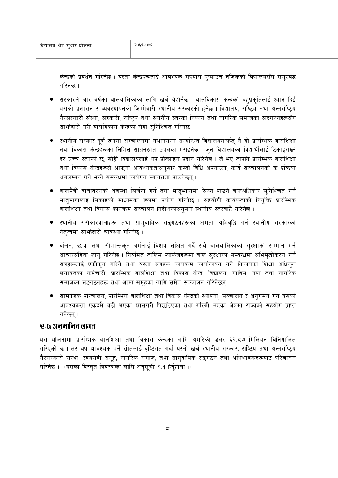केन्द्रको प्रवर्धन गरिनेछ । यस्ता केन्द्रहरूलाई आवश्यक सहयोग पुऱ्याउन नजिकको विद्यालयसँग समूहबद्ध गरिनेछ ।

- सरकारले चार वर्षका बालबालिकाका लागि खर्च बेहोर्नेछ । बालविकास केन्द्रको बहुप्रकृतिलाई ध्यान दिई यसको प्रशासन र व्यवस्थापनको जिम्मेवारी स्थानीय सरकारको हुनेछ । विद्यालय, राष्ट्रिय तथा अन्तर्राष्ट्रिय गैरसरकारी संस्था, सहकारी, राष्टिय तथा स्थानीय स्तरका निकाय तथा नागरिक समाजका सङगठनहरूसँग साभेदारी गरी बालविकास केन्द्रको सेवा सनिश्चित गरिनेछ ।
- स्थानीय सरकार पूर्ण रूपमा सञ्चालनमा नआएसम्म सम्बन्धित विद्यालयमार्फत् नै यी प्रारम्भिक बालशिक्षा तथा विकास केन्द्रहरूका निमित्त साधनस्रोत उपलब्ध गराइनेछ । जुन विद्यालयको विद्यार्थीलाई टिकाइराख्ने दर उच्च स्तरको छ. सोही विद्यालयलाई थप प्रोत्साहन प्रदान गरिनेछ । जे भए तापनि प्रारम्भिक बालशिक्षा तथा विकास केन्द्रहरूले आफनो आवश्यकताअनसार कस्तो विधि अपनाउने, कार्य सञ्चालनको के प्रक्रिया अवलम्बन गर्ने भन्ने सम्बन्धमा कार्यगत स्वायत्तता पाउनेछन ।
- बालमैत्री वातावरणको अवस्था सिर्जना गर्न तथा मातभाषामा सिक्न पाउने बालअधिकार सुनिश्चित गर्न मातुभाषालाई सिकाइको माध्यमका रूपमा प्रयोग गरिनेछ । सहयोगी कार्यकर्ताको नियुक्ति प्रारम्भिक बालशिक्षा तथा विकास कार्यक्रम सञ्चालन निर्देशिकाअनुसार स्थानीय स्तरबाटै गरिनेछ ।
- स्थानीय सरोकारवालाहरू तथा सामदायिक सङ्गठनहरूको क्षमता अभिवद्धि गर्न स्थानीय सरकारको नेतृत्वमा साभ्रेदारी व्यवस्था गरिनेछ।
- दलित, छात्रा तथा सीमान्तकत वर्गलाई विशेष लक्षित गर्दै सबै बालबालिकाको सरक्षाको सम्मान गर्न आचारसंहिता लागू गरिनेछ । नियमित तालिम प्याकेजहरूमा बाल सुरक्षाका सम्बन्धमा अभिमुखीकरण गर्ने सत्रहरूलाई एकीकृत गरिने तथा यस्ता सत्रहरू कार्यक्रम कार्यान्वयन गर्ने निकायका शिक्षा अधिकृत लगायतका कर्मचारी, प्रारम्भिक बालशिक्षा तथा विकास केन्द्र, विद्यालय, गाविस, नपा तथा नागरिक समाजका सङ्गठनहरू तथा आमा समूहका लागि समेत सञ्चालन गरिनेछन् ।
- सामाजिक परिचालन, प्रारम्भिक बालशिक्षा तथा विकास केन्द्रको स्थापना, सञ्चालन र अनुगमन गर्न यसको आवश्यकता एकदमै बढी भएका खासगरी पिछडिएका तथा गरिबी भएका क्षेत्रमा राज्यको सहयोग प्राप्त गर्नेछन ।

#### <u>e.G अनमानित लागत</u>

यस योजनामा प्रारम्भिक बालशिक्षा तथा विकास केन्द्रका लागि अमेरिकी डलर ६२.८७ मिलियन विनियोजित गरिएको छ । तर थप आवश्यक पर्ने स्रोतलाई दृष्टिगत गर्दा यस्तो खर्च स्थानीय सरकार, राष्ट्रिय तथा अन्तर्राष्ट्रिय गैरसरकारी संस्था, स्वयंसेवी समूह, नागरिक समाज, तथा सामुदायिक सङ्गठन तथा अभिभावकहरूबाट परिचालन गरिनेछ। (यसको विस्तत विवरणका लागि अनसची ९.१ हेर्नहोला।)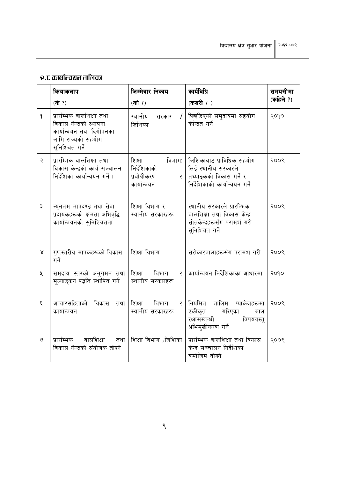## र.ट कार्यान्वयन तालिका

|                    | कियाकलाप                                                                                                                   | जिम्मेवार निकाय                                                    | कार्यविधि                                                                                                      | समयसीमा   |  |
|--------------------|----------------------------------------------------------------------------------------------------------------------------|--------------------------------------------------------------------|----------------------------------------------------------------------------------------------------------------|-----------|--|
|                    | (के ?)                                                                                                                     | (को ?)                                                             | (कसरी ?)                                                                                                       | (कहिले ?) |  |
| $\mathsf{P}$       | प्रारम्भिक बालशिक्षा तथा<br>विकास केन्द्रको स्थापना,<br>कार्यान्वयन तथा दिगोपनका<br>लागि राज्यको सहयोग<br>सुनिश्चित गर्ने। | स्थानीय<br>सरकार<br>जिशिका                                         | पिछडिएको समुदायमा सहयोग<br>केन्द्रित गर्ने                                                                     | २०१०      |  |
| ২                  | प्रारम्भिक बालशिक्षा तथा<br>विकास केन्द्रको कार्य सञ्चालन<br>निर्देशिका कार्यान्वयन गर्ने।                                 | विभाग:<br>शिक्षा<br>निर्देशिकाको<br>प्रबोधीकरण<br>र<br>कार्यान्वयन | जिशिकाबाट प्राविधिक सहयोग<br>लिई स्थानीय सरकारले<br>तथ्याङ्कको विकास गर्ने र<br>निर्देशिकाको कार्यान्वयन गर्ने | २००९      |  |
| ३                  | न्यूनतम मापदण्ड तथा सेवा<br>प्रदायकहरूको क्षमता अभिवृद्धि<br>कार्यान्वयनको सुनिश्चितता                                     | शिक्षा विभाग र<br>स्थानीय सरकारहरू                                 | स्थानीय सरकारले प्रारम्भिक<br>बालशिक्षा तथा विकास केन्द्र<br>स्रोतकेन्द्रहरूसँग परामर्श गरी<br>सुनिश्चित गर्ने | २००९      |  |
| Χ                  | गुणस्तरीय मापकहरूको विकास<br>गर्ने                                                                                         | शिक्षा विभाग                                                       | सरोकारवालाहरूसँग परामर्श गरी                                                                                   | २००९      |  |
| ৼ                  | समुदाय स्तरको अनुगमन तथा<br>मूल्याङ्कन पद्धति स्थापित गर्ने                                                                | शिक्षा<br>विभाग<br>र<br>स्थानीय सरकारहरू                           | कार्यान्वयन निर्देशिकाका आधारमा                                                                                | २०१०      |  |
| $\boldsymbol{\xi}$ | आचारसंहिताको<br>विकास<br>तथा<br>कार्यान्वयन                                                                                | शिक्षा<br>विभाग<br>र<br>स्थानीय सरकारहरू                           | नियमित तालिम प्याकेजहरूमा<br>एकीकृत<br>गरिएका<br>बाल<br>रक्षासम्बन्धी<br>विषयवस्त्<br>अभिमुखीकरण गर्ने         | २००९      |  |
| ও                  | प्रारम्भिक<br>बालशिक्षा<br>तथा<br>विकास केन्द्रको संयोजक तोक्ने                                                            | शिक्षा विभाग /जिशिका                                               | प्रारम्भिक बालशिक्षा तथा विकास<br>केन्द्र सञ्चालन निर्देशिका<br>बमोजिम तोक्ने                                  | २००९      |  |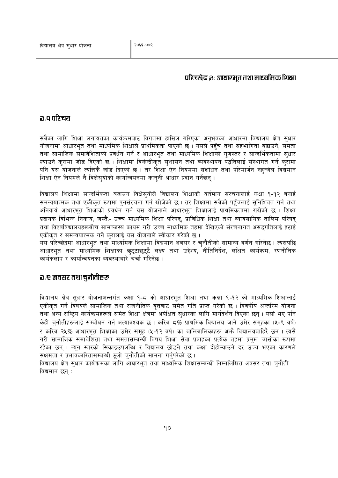#### परिच्छेद्न ३ः आधारभत तथा माध्यमिक शिक्षा

#### ञ .व परिचय

सबैका लागि शिक्षा लगायतका कार्यक्रमबाट विगतमा हासिल गरिएका अनुभवका आधारमा विद्यालय क्षेत्र सुधार योजनामा आधारभूत तथा माध्यमिक शिक्षाले प्राथमिकता पाएको छ । यसले पहुँच तथा सहभागिता बढाउने, समता तथा सामाजिक समावेशिताको प्रवर्धन गर्ने र आधारभत तथा माध्यमिक शिक्षाको गणस्तर र सान्दर्भिकतामा सधार ल्याउने करामा जोड दिएको छ । शिक्षामा विकेन्द्रीकृत सुशासन तथा व्यवस्थापन पद्धतिलाई संस्थागत गर्ने करामा पनि यस योजनाले त्यत्तिकै जोड दिएको छ । तर शिक्षा ऐन नियममा संशोधन तथा परिमार्जन नहन्जेल विद्यमान शिक्षा ऐन नियमले नै विक्षेसयोको कार्यान्वयनमा काननी आधार प्रदान गर्नेछन।

विद्यालय शिक्षामा सान्दर्भिकता बढाउन विक्षेसुयोले विद्यालय शिक्षाको वर्तमान संरचनालाई कक्षा १-१२ बनाई समन्वयात्मक तथा एकीकृत रूपमा पुनर्संरचना गर्न खोजेको छ । तर शिक्षामा सबैको पहुँचलाई सुनिश्चित गर्न तथा अनिवार्य आधारभूत शिक्षाको प्रवर्धन गर्न यस योजनाले आधारभूत शिक्षालाई प्राथमिकतामा राखेको छ । शिक्षा प्रदायक विभिन्न निकाय, जस्तै:- उच्च माध्यमिक शिक्षा परिषद, प्राविधिक शिक्षा तथा व्यावसायिक तालिम परिषद तथा विश्वविद्यालयहरूबीच सामञ्जस्य कायम गरी उच्च माध्यमिक तहमा देखिएको संरचनागत असङगतिलाई हटाई एकीकत र समन्वयात्मक गर्ने करालाई यस योजनाले स्वीकार गरेको छ ।

यस परिच्छेदमा आधारभूत तथा माध्यमिक शिक्षामा विद्यमान अवसर र चुनौतीको सामान्य वर्णन गरिनेछ । त्यसपछि आधारभूत तथा माध्यमिक शिक्षाका छुट्टाछुट्टै लक्ष्य तथा उद्देश्य, नीतिनिर्देश, लक्षित कार्यक्रम, रणनीतिक कार्यकलाप र कार्यान्वयनका व्यवस्थाबारे चर्चा गरिनेछ ।

#### <u> อ. २ अवसर तथा चुनौतीहरू</u>

विद्यालय क्षेत्र सुधार योजनाअन्तर्गत कक्षा १-८ को आधारभूत शिक्षा तथा कक्षा ९-१२ को माध्यमिक शिक्षालाई एकीकृत गर्ने विषयले सामाजिक तथा राजनीतिक वृत्तबाट समेत गति प्राप्त गरेको छ । त्रिवर्षीय अन्तरिम योजना तथा अन्य राष्ट्रिय कार्यक्रमहरूले समेत शिक्षा क्षेत्रमा अपेक्षित सुधारका लागि मार्गदर्शन दिएका छन्। यसो भए पनि केही चुनौतीहरूलाई सम्बोधन गर्नु अत्यावश्यक छ । करिब ८% प्राथमिक विद्यालय जाने उमेर समुहका (५-९ वर्ष) र करिब २५% आधारभूत शिक्षाका उमेर समूह (५-१२ वर्ष) का बालिबालिकाहरू अभ्तै विद्यालयबाहिरै छन् । त्यसै गरी सामाजिक समावेशिता तथा समतासम्बन्धी विषय शिक्षा सेवा प्रवाहका प्रत्येक तहमा प्रमख चासोका रूपमा रहेका छन् । न्यन स्तरको सिकाइउपलब्धि र विद्यालय छोडुने तथा कक्षा दोहोऱ्याउने दर उच्च भएका कारणले सक्षमता र प्रभावकारितासम्बन्धी ठूलो चुनौतीको सामना गर्नुपरेको छ ।

विद्यालय क्षेत्र सुधार कार्यक्रमका लागि आधारभूत तथा माध्यमिक शिक्षासम्बन्धी निम्नलिखित अवसर तथा चुनौती विद्यमान छन :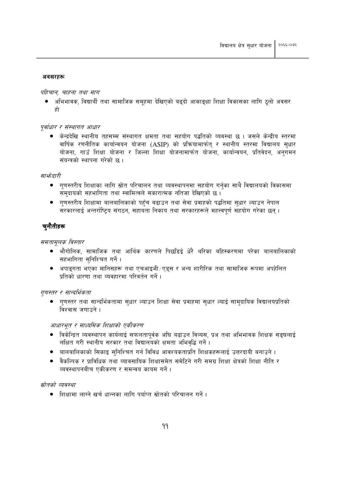#### अवसरहरू

#### पहिचान, चाहना तथा माग

अभिभावक, विद्यार्थी तथा सामाजिक समुहमा देखिएको बढुदो आकाङ्क्षा शिक्षा विकासका लागि ठुलो अवसर हो

#### पर्वाधार र संस्थागत आधार

● केन्द्रदेखि स्थानीय तहसम्म संस्थागत क्षमता तथा सहयोग पद्धतिको व्यवस्था छ । जसले केन्द्रीय स्तरमा वार्षिक रणनीतिक कार्यान्वयन योजना (ASIP) को प्रक्रियामार्फत् र स्थानीय स्तरमा विद्यालय सुधार योजना, गाउँ शिक्षा योजना र जिल्ला शिक्षा योजनामार्फत योजना, कार्यान्वयन, प्रतिवेदन, अनुगमन संयन्त्रको स्थापना गरेको छ ।

#### सार्भ्रदारी

- गुणस्तरीय शिक्षाका लागि स्रोत परिचालन तथा व्यवस्थापनमा सहयोग गर्नुका साथै विद्यालयको विकासमा समुदायको सहभागिता तथा स्वामित्वले सकारात्मक नतिजा देखिएको छ।
- गुणस्तरीय शिक्षामा बालबालिकाको पहुँच बढाउन तथा सेवा प्रवाहको पद्धतिमा सुधार ल्याउन नेपाल सरकारलाई अन्तर्राष्टिय संगठन, सहायता निकाय तथा सरकारहरूले महत्त्वपर्ण सहयोग गरेका छन ।

#### चनौतीहरू

समतामूलक विस्तार

- भौगोलिक, सामाजिक तथा आर्थिक कारणले पिछडिई धेरै थरिका बहिस्करणमा परेका बालबालिकाको सहभागिता सनिश्चित गर्ने।
- अपाइगता भएका मानिसहरू तथा एचआइभी ∕ एड्स र अन्य शारीरिक तथा सामाजिक रूपमा अपहेलित प्रतिको धारणा तथा व्यवहारमा परिवर्तन गर्ने ।

#### गुणस्तर र सान्दर्भिकता

● गणस्तर तथा सान्दर्भिकतामा सधार ल्याउन शिक्षा सेवा प्रवाहमा सधार ल्याई सामदायिक विद्यालयप्रतिको विश्वास जगाउने ।

#### आधारभूत र माध्यमिक शिक्षाको एकीकरण

- विकेन्द्रित व्यवस्थापन कार्यलाई सफलतापुर्वक अधि बढाउन विव्यस, प्रअ तथा अभिभावक शिक्षक सङ्घलाई लक्षित गरी स्थानीय सरकार तथा विद्यालयको क्षमता अभिवृद्धि गर्ने।
- बालबालिकाको सिकाइ सुनिश्चित गर्न विविध आवश्यकताप्रति शिक्षकहरूलाई उत्तरदायी बनाउने ।
- वैकल्पिक र प्राविधिक तथा व्यावसायिक शिक्षासमेत समेटिने गरी समग्र शिक्षा क्षेत्रको शिक्षा नीति र व्यवस्थापनबीच एकीकरण र समन्वय कायम गर्ने।

#### स्रोतको व्यवस्था

• शिक्षामा लाग्ने खर्च धान्नका लागि पर्याप्त स्रोतको परिचालन गर्ने ।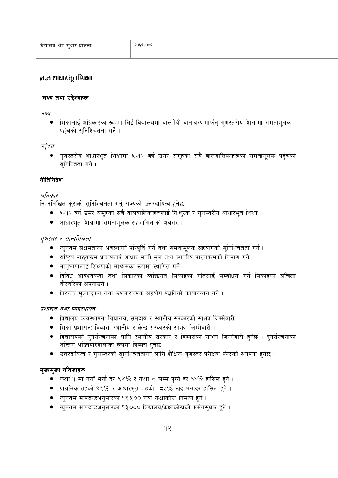#### ञ्च आधार भुत शिक्षा

#### लक्ष्य तथा उद्देश्यहरू

लक्ष्य

● शिक्षालाई अधिकारका रूपमा लिई विद्यालयमा बालमैत्री वातावरणमार्फत् गुणस्तरीय शिक्षामा समतामुलक पहुँचको सुनिश्चितता गर्ने।

उद्देश्य

गुणस्तरीय आधारभूत शिक्षामा ५-१२ वर्ष उमेर समुहका सबै बालबालिकाहरूको समतामुलक पहुँचको सुनिश्तिता गर्ने ।

#### नीतिनिर्देश

#### अधिकार

निम्नलिखित कुराको सुनिश्चितता गर्नु राज्यको उत्तरदायित्व हुनेछ:

- ५-१२ वर्ष उमेर समूहका सबै बालबालिकाहरूलाई निःशुल्क र गुणस्तरीय आधारभूत शिक्षा ।
- आधारभूत शिक्षामा समतामूलक सहभागिताको अवसर ।

#### गुणस्तर र सान्दर्भिकता

- न्यूनतम सक्षमताका अवस्थाको परिपूर्ति गर्ने तथा समतामूलक सहयोगको सुनिश्चितता गर्ने।
- राष्ट्रिय पाठ्यक्रम प्रारूपलाई आधार मानी मूल तथा स्थानीय पाठ्यक्रमको निर्माण गर्ने ।
- मातृभाषालाई शिक्षणको माध्यमका रूपमा स्थापित गर्ने ।
- विविध आवश्यकता तथा सिकारुका व्यक्तिगत सिकाइका गतिलाई सम्बोधन गर्न सिकाइका लचिला तौरतरिका अपनाउने ।
- निरन्तर मूल्याङ्कन तथा उपचारात्मक सहयोग पद्धतिको कार्यान्वयन गर्ने ।

प्रशासन तथा व्यवस्थापन

- विद्यालय व्यवस्थापनः विद्यालय, समुदाय र स्थानीय सरकारको साभा जिम्मेवारी ।
- शिक्षा प्रशासन: विव्यस, स्थानीय र केन्द्र सरकारको साभा जिम्मेवारी ।
- विद्यालयको पुनर्संरचनाका लागि स्थानीय सरकार र विव्यसको साभा जिम्मेवारी हुनेछ । पुनर्संरचनाको अन्तिम अख्तियारवालाका रूपमा विव्यस हनेछ ।
- उत्तरदायित्व र गुणस्तरको सुनिश्चितताका लागि शैक्षिक गुणस्तर परीक्षण केन्द्रको स्थापना हुनेछ ।

#### मुख्यमुख्य नतिजाहरू

- कक्षा १ मा नयाँ भर्ना दर ९४% र कक्षा ८ सम्म पुग्ने दर ६६% हासिल हुने ।
- $\bullet$  प्राथमिक तहको ९९% र आधारभुत तहको  $\,$  ८५% खुद भर्नादर हासिल हुने ।
- न्यूनतम मापदण्डअनुसारका १९,५०० नयाँ कक्षाकोठा निर्माण हुने ।
- ल्यनतम मापदण्डअनसारका १३,००० विद्यालय/कक्षाकोठाको मर्मतसधार हुने ।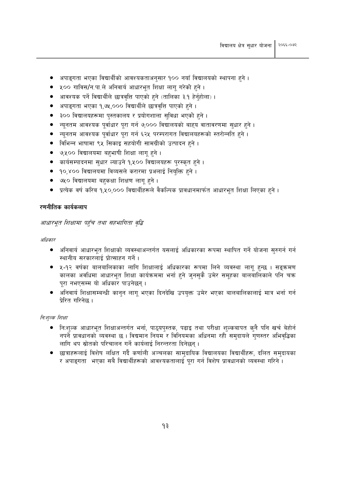- अपाइगता भएका विद्यार्थीको आवश्यकताअनुसार १०० नयाँ विद्यालयको स्थापना हुने ।
- ५०० गाविस/न.पा.ले अनिवार्य आधारभुत शिक्षा लागु गरेको हुने ।
- आवश्यक पर्ने विद्यार्थीले छात्रवृत्ति पाएको हुने (तालिका ३.१ हेर्नुहोला)।
- अपाइगता भएका १,७५,००० विद्यार्थीले छात्रवृत्ति पाएको हुने ।
- ३०० विद्यालयहरूमा पुस्तकालय र प्रयोगशाला सुविधा भएको हुने ।
- न्यूनतम आवश्यक पूर्वाधार पूरा गर्न ७,००० विद्यालयको बाहय वातावरणमा सुधार हुने ।
- न्युनतम आवश्यक पुर्वाधार पुरा गर्न ६२५ परम्परागत विद्यालयहरूको स्तरोन्नति हुने।
- विभिन्न भाषामा ९५ सिकाइ सहयोगी सामग्रीको उत्पादन हुने ।
- ७,५०० विद्यालयमा बहुभाषी शिक्षा लागू हुने ।
- कार्यसम्पादनमा सुधार ल्याउने १,५०० विद्यालयहरू पुरस्कृत हुने ।
- १०,४०० विद्यालयमा विव्यसले करारमा प्रअलाई नियुक्ति हुने ।
- ७५० विद्यालयमा बहकक्षा शिक्षण लागू हुने।
- प्रत्येक वर्ष करिब १,५०,००० विद्यार्थीहरूले वैकल्पिक प्रावधानमार्फत आधारभत शिक्षा लिएका हुने ।

#### रणनीतिक कार्यकलाप

#### आधारभूत शिक्षामा पहुँच तथा सहभागिता वृद्धि

अधिकार

- अनिवार्य आधारभूत शिक्षाको व्यवस्थाअन्तर्गत यसलाई अधिकारका रूपमा स्थापित गर्ने योजना सुरुगर्न गर्न स्थानीय सरकारलाई प्रोत्साहन गर्ने ।
- ५-१२ वर्षका बालबालिकाका लागि शिक्षालाई अधिकारका रूपमा लिने व्यवस्था लागु हुन्छ । सङ्क्रमण कालका अवधिमा आधारभूत शिक्षा कार्यक्रममा भर्ना हुने जुनसुकै उमेर समूहका बालबालिकाले पनि चक्र पुरा नभएसम्म यो अधिकार पाउनेछन्।
- अनिवार्य शिक्षासम्बन्धी कानुन लागु भएका दिनदेखि उपयुक्त उमेर भएका बालबालिकालाई मात्र भर्ना गर्न प्रेरित गरिनेछ।

#### नि:शुल्क शिक्षा

- निःशुल्क आधारभूत शिक्षाअन्तर्गत भर्ना, पाठ्यपुस्तक, पढाइ तथा परीक्षा शुल्कबापत कुनै पनि खर्च बेहोर्न नपर्ने प्रावधानको व्यवस्था छ । विद्यमान नियम र विनियमका अधिनमा रही समुदायले गुणस्तर अभिवृद्धिका लागि थप स्रोतको परिचालन गर्ने कार्यलाई निरन्तरता दिनेछन् ।
- छात्राहरूलाई विशेष लक्षित गर्दै कर्णाली अञ्चलका सामुदायिक विद्यालयका विद्यार्थीहरू, दलित समुदायका र अपाइगता भएका सबै विद्यार्थीहरूको आवश्यकतालाई पूरा गर्न विशेष प्रावधानको व्यवस्था गरिने ।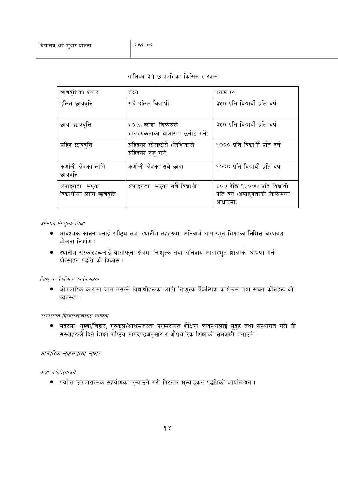#### तालिका ३.१ छात्रवृत्तिका किसिम र रकम

| छात्रवृत्तिका प्रकार                           | लक्ष्य                                                    | रकम (रु)                                                                     |
|------------------------------------------------|-----------------------------------------------------------|------------------------------------------------------------------------------|
| दलित छात्रवृत्ति                               | सबै दलित विद्यार्थी                                       | ३५० प्रति विद्यार्थी प्रति वर्ष                                              |
| छात्रा छात्रवृत्ति                             | ५० $\%$ छात्रा (विव्यसले<br>आवश्यकताका आधारमा छनोट गर्ने) | ३५० प्रति विद्यार्थी प्रति वर्ष                                              |
| सहिद छात्रवृत्ति                               | सहिदका छोराछोरी (जिशिकाले<br>सहिदको रुजू गर्ने)           | १००० प्रति विद्यार्थी प्रति वर्ष                                             |
| कर्णाली क्षेत्रका लागि<br>छात्रवृत्ति          | कर्णाली क्षेत्रका सबै छात्रा                              | १००० प्रति विद्यार्थी प्रति वर्ष                                             |
| अपाङ्गता भएका<br>विद्यार्थीका लागि छात्रवृत्ति | भएका सबै विद्यार्थी<br>अपाङगता                            | ५०० देखि १५००० प्रति विद्यार्थी<br>प्रति वर्ष (अपाङ्गताको किसिमका<br>आधारमा) |

#### अनिवार्य नि:शुल्क शिक्षा

- आवश्यक कानुन बनाई राष्ट्रिय तथा स्थानीय तहहरूमा अनिवार्य आधारभूत शिक्षाका निमित्त चरणबद्ध योजना निर्माण ।
- स्थानीय सरकारहरूलाई आआफ्ना क्षेत्रमा निःशुल्क तथा अनिवार्य आधारभूत शिक्षाको घोषणा गर्न प्रोत्साहन पद्धति को विकास।

#### नि:शुल्क वैकल्पिक कार्यक्रमहरू

• औपचारिक कक्षामा जान नसक्ने विद्यार्थीहरूका लागि नि:शुल्क वैकल्पिक कार्यक्रम तथा सघन कोर्सहरू को व्यवस्था ।

#### परम्परागत विद्यालयहरूलाई मान्यता

● मदरसा, गुम्बा/विहार, गुरुकुल/आश्रमजस्ता परम्परागत शैक्षिक व्यवस्थालाई सुदृढ तथा संस्थागत गरी यी<br>संस्थाहरूले दिने शिक्षा राष्ट्रिय मापदण्डअनुसार र औपचारिक शिक्षाको समकक्षी बनाउने ।

#### आन्तरिक सक्षमतामा सुधार

#### कक्षा नदोहोर्*याउने*

• पर्याप्त उपचारात्मक सहयोगका प्ऱ्याउने गरी निरन्तर मूल्याङ्कन पद्धतिको कार्यान्वयन ।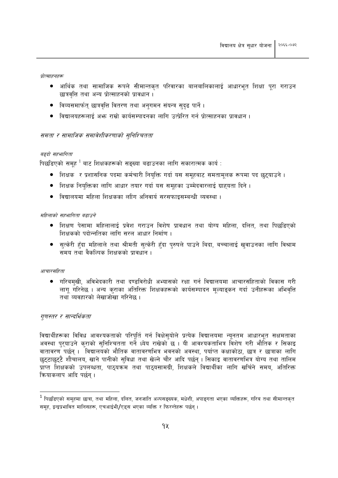प्रोत्साहनहरू

- आर्थिक तथा सामाजिक रूपले सीमान्तकृत परिवारका बालबालिकालाई आधारभूत शिक्षा पूरा गराउन छात्रवत्ति तथा अन्य प्रोत्साहनको प्रावधान ।
- विव्यसमार्फत् छात्रवृत्ति वितरण तथा अनुगमन संयन्त्र सुदृढ पार्ने ।
- ्विद्यालयहरूलाई अफ्र राम्रो कार्यसम्पादनका लागि उत्प्रेरित गर्न प्रोत्साहनका प्रावधान् ।

#### समता र सामाजिक समावेशीकरणाको सुनिश्चितता

#### बढदो सहभागिता

पिछडिएको समुह $\,1\,$ बाट शिक्षकहरूको सङ्ख्या बढाउनका लागि सकारात्मक कार्य :

- शिक्षक) र प्रशासनिक पदमा कर्मचारी नियुक्ति गर्दा यस समुहबाट समतामुलक रूपमा पद छुट्याउने ।
- शिक्षक नियक्तिका लागि आधार तयार गर्दा यस समुहका उम्मेदवारलाई ग्राहयता दिने ।
- विद्यालयमा महिला शिक्षकका लाीग अनिवार्य सरसफाइसम्बन्धी व्यवस्था ।

#### महिलाको सहभागिता बढाउने

- शिक्षण पेसामा महिलालाई प्रवेश गराउन विशेष प्रावधान तथा योग्य महिला, दलित, तथा पिछडिएको शिक्षकको पदोन्नतिका लागि सरल आधार निर्माण ।
- सुत्केरी हँदा महिलाले तथा श्रीमती सुत्केरी हँदा पुरुषले पाउने बिदा, बच्चालाई खुवाउनका लागि विश्राम समय तथा वैकल्पिक शिक्षकको पावधान ।

#### आचारसंहिता

● गरिबमुखी, अविभेदकारी तथा दण्डविरोधी अभ्यासको रक्षा गर्न विद्यालयमा आचारसंहिताको विकास गरी लागु गरिनेछ । अन्य कराका अतिरिक्त शिक्षकहरूको कार्यसम्पादन मुल्याङ्कन गर्दा उनीहरूका अभिवृत्ति तथा व्यवहारको लेखाजोखा गरिनेछ ।

#### गुणस्तर र सान्दर्भिकता

विद्यार्थीहरूका विविध आवश्यकताको परिपुर्ति गर्न विक्षेसुयोले प्रत्येक विद्यालयमा न्यूनतम आधारभुत सक्षमताका अवस्था पुरयाउने कुराको सुनिश्चितता गर्ने ध्येय राखेको छ । यी आवश्यकताभित्र विशेष गरी भौतिक र सिकाइ वातावरण पर्छन् । विद्यालयको भौतिक वातावरणभित्र भवनको अवस्था, पर्याप्त कक्षाकोठा, छात्र र छात्राका लागि छुट्टाछुट्टै शौचालय, खाने पानीको सुविधा तथा खेल्ने चौर आदि पर्छन् । सिकाइ वातावरणभित्र योग्य तथा तालिम प्राप्त शिक्षकको उपलब्धता, पाठ्यक्रम तथा पाठ्यसामग्री, शिक्षकले विद्यार्थीका लागि खर्चिने समय, अतिरिक्त कियाकलाप आदि पर्छन् ।

 $^{\,1}$  पिछडिएको समूहमा छात्रा, तथा महिला, दलित, जनजाति अल्पसङ्ख्यक, मधेशी, अपाङ्गता भएका व्यक्तिहरू, गरिब तथा सीमान्तकृत समह, द्वन्द्वप्रभावित मानिसहरू, एचआईभी/एडस भएका व्यक्ति र फिरन्तेहरू पर्छन्।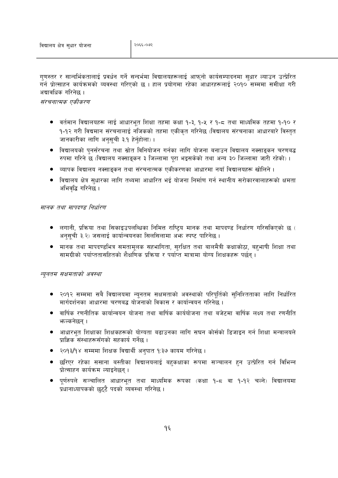गुणस्तर र सान्दर्भिकतालाई प्रवर्धन गर्ने सन्दर्भमा विद्यालयहरूलाई आफ्नो कार्यसम्पादनमा सुधार ल्याउन उत्प्रेरित गर्न प्रोत्साहन कार्यक्रमको व्यवस्था गरिएको छ । हाल प्रयोगमा रहेका आधारहरूलाई २०१० सम्ममा समीक्षा गरी अद्यावधिक गरिनेछ ।

#### संरचनात्मक एकीकरण

- वर्तमान विद्यालयहरू लाई आधारभूत शिक्षा तहमा कक्षा १-३, १-५ र १-८ तथा माध्यमिक तहमा १-१० र १-१२ गरी विद्यमान संरचनालाई नजिकको तहमा एकीकृत गरिनेछ (विद्यालय संरचनाका आधारबारे विस्तृत जानकारीका लागि अनुसूची ३.१ हेर्नुहोला)।
- विद्यालयको पनर्संरचना तथा स्रोत विनियोजन गर्नका लागि योजना बनाउन विद्यालय नक्साङकन चरणबद्ध रुपमा गरिने छ (विद्यालय नक्साइकन ३ जिल्लामा पुरा भइसकेको तथा अन्य ३० जिल्लामा जारी रहेको)।
- व्यापक विद्यालय नक्साडुकन तथा संरचनात्मक एकीकरणका आधारमा नयाँ विद्यालयहरू खोलिने ।
- विद्यालय क्षेत्र सुधारका लागि तथ्यमा आधारित भई योजना निर्माण गर्न स्थानीय सरोकारवालाहरूको क्षमता अभिवद्धि गरिनेछ ।

#### मानक तथा मापदण्ड निर्धारण

- लगानी, प्रक्रिया तथा सिकाइउपलब्धिका निमित्त राष्टिय मानक तथा मापदण्ड निर्धारण गरिसकिएको छ ( अनुसूची ३.२) जसलाई कार्यान्वयनका सिलसिलामा अंफ स्पष्ट पारिनेछ ।
- मानक तथा मापदण्डभित्र समतामूलक सहभागिता, सुरक्षित तथा बालमैत्री कक्षाकोठा, बहुभाषी शिक्षा तथा सामग्रीको पर्याप्ततासहितको शैक्षणिक प्रक्रिया र पर्याप्त मात्रामा योग्य शिक्षकहरू पर्छन ।

#### न्यूनतम सक्षमताको अवस्था

- २०१२ सम्ममा सबै विद्यालयमा न्युनतम सक्षमताको अवस्थाको परिपूर्तिको सुनिश्तिताका लागि निर्धारित मार्गदर्शनका आधारमा चरणबद्ध योजनाको विकास र कार्यान्वयन गरिनेछ ।
- वार्षिक रणनीतिक कार्यान्वयन योजना तथा वार्षिक कार्ययोजना तथा बजेटमा वार्षिक लक्ष्य तथा रणनीति भाल्कनेछन ।
- आधारभूत शिक्षाका शिक्षकहरूको योग्यता बढाउनका लागि सघन कोर्सको डिजाइन गर्न शिक्षा मन्त्रालयले प्राज्ञिक संस्थाहरूसँगको सहकार्य गर्नेछ ।
- २०१३/१४ सम्ममा शिक्षक विद्यार्थी अनुपात १:३७ कायम गरिनेछ ।
- छरिएर रहेका ससाना बस्तीका विद्यालयलाई बहुकक्षाका रूपमा सञ्चालन हुन उत्प्रेरित गर्न विभिन्न प्रोत्साहन कार्यक्रम ल्याइनेछन ।
- पुर्णरुपले सञ्चालित आधारभुत तथा माध्यमिक रूपका (कक्षा १-८ वा १-१२ चल्ने) विद्यालयमा प्रधानाध्यापकको छट्टै पदको व्यवस्था गरिनेछ।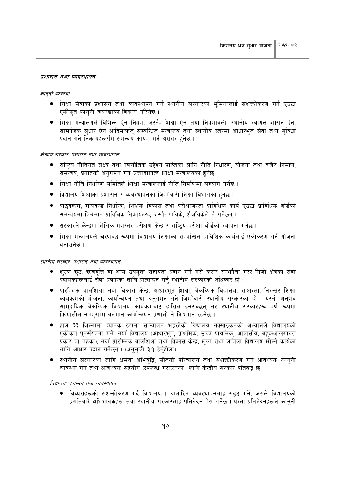#### प्रशासन तथा व्यवस्थापन

#### काननी व्यवस्था

- शिक्षा सेवाको प्रशासन तथा व्यवस्थापन गर्न स्थानीय सरकारको भुमिकालाई सशक्तीकरण गर्न एउटा एकीकत काननी रूपरेखाको विकास गरिनेछ।
- शिक्षा मन्त्रालयले विभिन्न ऐन नियम, जस्तै- शिक्षा ऐन तथा नियमावली, स्थानीय स्वायत्त शासन ऐन, सामाजिक सुधार ऐन आदिमार्फत् सम्बन्धित मन्त्रालय तथा स्थानीय स्तरमा आधारभूत सेवा तथा सुविधा प्रदान गर्ने निकायहरूसँग समन्वय कायम गर्न अग्रसर हुनेछ ।

#### केन्द्रीय सरकार: प्रशासन तथा व्यवस्थापन

- राष्टिय नीतिगत लक्ष्य तथा रणनीतिक उद्देश्य प्राप्तिका लागि नीति निर्धारण, योजना तथा बजेट निर्माण, समन्वय, प्रगतिको अनुगमन गर्ने उत्तरदायित्व शिक्षा मन्त्रालयको हुनेछ ।
- शिक्षा नीति निर्धारण समितिले शिक्षा मन्त्राललाई नीति निर्माणमा सहयोग गर्नेछ ।
- विद्यालय शिक्षाको प्रशासन र व्यवस्थापनको जिम्मेवारी शिक्षा विभागको हुनेछ ।
- पाठयक्रम, मापदण्ड निर्धारण, शिक्षक विकास तथा परीक्षाजस्ता प्राविधिक कार्य एउटा प्राविधिक बोर्डको समन्वयमा विद्यमान प्राविधिक निकायहरू. जस्तै- पाविके. शैजविकेले नै गर्नेछन ।
- ्सरकारले केन्द्रमा शैक्षिक गुणस्तर परीक्षण केन्द्र र राष्ट्रिय परीक्षा बोर्डको स्थापना गर्नेछ ।
- शिक्षा मन्त्रालयले चरणबद्ध रूपमा विद्यालय शिक्षाको सम्बन्धित प्राविधिक कार्यलाई एकीकरण गर्ने योजना बनाउनेछ ।

#### स्थानीय सरकार: प्रशासन तथा व्यवस्थापन

- शल्क छट, छात्रवृत्ति वा अन्य उपयुक्त सहायता प्रदान गर्ने गरी करार सम्फौता गरेर निजी क्षेत्रका सेवा प्रदायकहरूलाई सेवा प्रवाहका लागि प्रोत्साहन गर्न स्थानीय सरकारको अधिकार हो ।
- प्रारम्भिक बालशिक्षा तथा विकास केन्द्र, आधारभूत शिक्षा, वैकल्पिक विद्यालय, साक्षरता, निरन्तर शिक्षा कार्यक्रमको योजना, कार्यान्वयन तथा अनगमन गर्ने जिम्मेवारी स्थानीय सरकारको हो । यस्तो अनभव सामुदायिक वैकल्पिक विद्यालय कार्यक्रमबाट हासिल हुनसक्छन् तर स्थानीय सरकारहरू पूर्ण रूपमा कियाशील नभएसम्म वर्तमान कार्यान्वयन प्रणाली नै विद्यमान रहनेछ ।
- हाल ३३ जिल्लामा व्यापक रूपमा सञ्चालन भइरहेको विद्यालय नक्साइकनको अभ्यासले विद्यालयको एकीकृत पुनर्संरचना गर्ने, नयाँ विद्यालय (आधारभूत, प्राथमिक, उच्च प्राथमिक, आवासीय, बहुकक्षालगायत प्रकार वा तहका), नयाँ प्रारम्भिक बालशिक्षा तथा विकास केन्द्र, खला तथा लचिला विद्यालय खोल्ने कार्यका लागि आधार प्रदान गर्नेछन्। (अनुसूची ३.१ हेर्नुहोला)
- स्थानीय सरकारका लागि क्षमता अभिवृद्धि, स्रोतको परिचालन तथा सशक्तीकरण गर्न आवश्यक कानुनी व्यवस्था गर्न तथा आवश्यक सहयोग उपलब्ध गराउनका लागि केन्द्रीय सरकार प्रतिबद्ध छ ।

#### विद्यालय: प्रशासन तथा व्यवस्थापन

● विव्यसहरूको सशक्तीकरण गर्दै विद्यालयमा आधारित व्यवस्थापनलाई सदढ गर्ने, जसले विद्यालयको प्रगतिबारे अभिभावकहरू तथा स्थानीय सरकारलाई प्रतिवेदन पेस गर्नेछ । यस्ता प्रतिवेदनहरूले काननी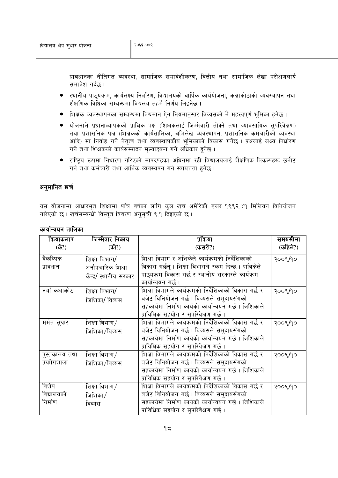प्राबधानका नीतिगत व्यवस्था, सामाजिक समावेशीकरण, वित्तीय तथा सामाजिक लेखा परीक्षणलार्य समावेश गर्दछ ।

- स्थानीय पाठयक्रम, कार्यलक्ष्य निर्धारण, विद्यालयको वार्षिक कार्ययोजना, कक्षाकोठाको व्यवस्थापन तथा शैक्षणिक विधिका सम्बन्धमा विद्यलय तहमै निर्णय लिइनेछ ।
- शिक्षक व्यवस्थापनका सम्बन्धमा विद्यमान ऐन नियमानुसार विव्यसको नै महत्त्वपूर्ण भूमिका हुनेछ ।
- योजनाले प्रधानाध्यापकको प्राज्ञिक पक्ष (शिक्षकलाई जिम्मेवारी तोक्ने तथा व्यावसायिक सपरिवेक्षण) तथा प्रशासनिक पक्ष (शिक्षकको कार्यतालिका, अभिलेख व्यवस्थापन, प्रशासनिक कर्मचारीको व्यवस्था आदि) मा निर्वाह गर्ने नेतत्व तथा व्यवस्थापकीय भमिकाको विकास गर्नेछ । प्रअलाई लक्ष्य निर्धारण गर्ने तथा शिक्षकको कार्यसम्पादन मूल्याङ्कन गर्ने अधिकार हुनेछ ।
- ्राष्टिय रूपमा निर्धारण गरिएको मापदण्डका अधिनमा रही विद्यालयलाई शैक्षणिक विकल्पहरू छनौट गर्न तथा कर्मचारी तथा आर्थिक व्यवस्थपन गर्न स्वायत्तता हुनेछ ।

#### अनुमानित खर्च

यस योजनामा आधारभूत शिक्षामा पाँच वर्षका लागि कुल खर्च अमेरिकी डलर १९९२.४१ मिलियन विनियोजन गरिएको छ। खर्चसम्बन्धी विस्तृत विवरण अनुसूची ९.१ दिइएको छ।

| कियाकलाप       | जिम्मेवार निकाय        | प्रक्रिया                                            | समयसीमा  |
|----------------|------------------------|------------------------------------------------------|----------|
| (के?)          | (को?)                  | (कसरी?)                                              | (कहिले?) |
| वैकल्पिक       | शिक्षा विभाग/          | शिक्षा विभाग र अशिकेले कार्यक्रमको निर्देशिकाको      | २००९/१०  |
| प्रावधान       | अनौपचारिक शिक्षा       | विकास गर्छन् । शिक्षा विभागले रकम दिन्छ । पाविकेले   |          |
|                | केन्द्र/ स्थानीय सरकार | पाठ्यक्रम विकास गर्छ र स्थानीय सरकारले कार्यक्रम     |          |
|                |                        | कार्यान्वयन गर्छ ।                                   |          |
| नयाँ कक्षाकोठा | शिक्षा विभाग/          | शिक्षा विभागले कार्यक्रमको निर्देशिकाको विकास गर्छ र | २००९/१०  |
|                | जिशिका/ विव्यस         | बजेट विनियोजन गर्छ। विव्यसले समुदायसँगको             |          |
|                |                        | सहकार्यमा निर्माण कार्यको कार्यान्वयन गर्छ। जिशिकाले |          |
|                |                        | प्राविधिक सहयोग र सुपरिवेक्षण गर्छ।                  |          |
| मर्मत सुधार    | शिक्षा विभाग $/$       | शिक्षा विभागले कार्यक्रमको निर्देशिकाको विकास गर्छ र | २००९/१०  |
|                | जिशिका/विव्यस          | बजेट विनियोजन गर्छ। विव्यसले सम्दायसँगको             |          |
|                |                        | सहकार्यमा निर्माण कार्यको कार्यान्वयन गर्छ। जिशिकाले |          |
|                |                        | प्राविधिक सहयोग र सुपरिवेक्षण गर्छ।                  |          |
| पुस्तकालय तथा  | शिक्षा विभाग/          | शिक्षा विभागले कार्यक्रमको निर्देशिकाको विकास गर्छ र | २००९/१०  |
| प्रयाोगशाला    | जिशिका/विव्यस          | बजेट विनियोजन गर्छ। विव्यसले समुदायसँगको             |          |
|                |                        | सहकार्यमा निर्माण कार्यको कार्यान्वयन गर्छ। जिशिकाले |          |
|                |                        | प्राविधिक सहयोग र सुपरिवेक्षण गर्छ ।                 |          |
| विशेष          | शिक्षा विभाग $/$       | शिक्षा विभागले कार्यक्रमको निर्देशिकाको विकास गर्छ र | २००९/१०  |
| विद्यालयको     | जिशिका $\sqrt{}$       | बजेट विनियोजन गर्छ । विव्यसले समुदायसँगको            |          |
| निर्माण        | विव्यस                 | सहकार्यमा निर्माण कार्यको कार्यान्वयन गर्छ। जिशिकाले |          |
|                |                        | प्राविधिक सहयोग र सुपरिवेक्षण गर्छ।                  |          |

#### कार्यान्वयन तालिका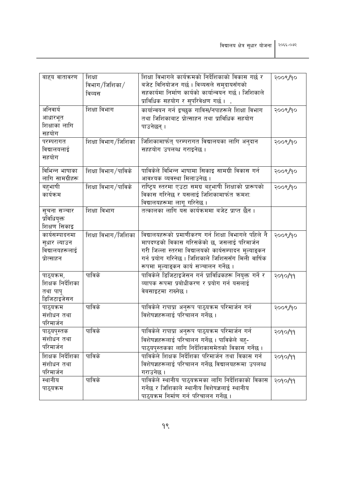| बाहय वातावरण                  | शिक्षा              | शिक्षा विभागले कार्यक्रमको निर्देशिकाको विकास गर्छ र   | २००९/१० |
|-------------------------------|---------------------|--------------------------------------------------------|---------|
|                               | विभाग/जिशिका $/$    | बजेट विनियोजन गर्छ। विव्यसले समुदायसँगको               |         |
|                               | विव्यस              | सहकार्यमा निर्माण कार्यको कार्यान्वयन गर्छ। जिशिकाले   |         |
|                               |                     | प्राविधिक सहयोग र सुपरिवेक्षण गर्छ ।                   |         |
| अनिवार्य                      | शिक्षा विभाग        | कार्यान्वयन गर्न इच्छुक गाविस/नपाहरूले शिक्षा विभाग    | २००९/१० |
| आधारभूत                       |                     | तथा जिशिकाबाट प्रोत्साहन तथा प्राविधिक सहयोग           |         |
| शिक्षाका लागि                 |                     | पाउनेछन् ।                                             |         |
| सहयोग                         |                     |                                                        |         |
| परम्परागत                     | शिक्षा विभाग/जिशिका | जिशिकामार्फत् परम्परागत विद्यालयका लागि अनुदान         | २००९/१० |
| विद्यालयलाई                   |                     | सहहयोग उपलब्ध गराइनेछ।                                 |         |
| सहयोग                         |                     |                                                        |         |
|                               |                     |                                                        |         |
| विभिन्न भाषाका                | शिक्षा विभाग/पाविके | पाविकेले विभिन्न भाषामा सिकाइ सामग्री विकास गर्न       | २००९/१० |
| लागि सामग्रीहरू               |                     | आवश्यक व्यवस्था मिलाउनेछ ।                             |         |
| बहभाषी                        | शिक्षा विभाग/पाविके | राष्ट्रिय स्तरमा एउटा समग्र बहुभाषी शिक्षाको प्रारूपको | २००९/१० |
| कार्यक्रम                     |                     | विकास गरिनेछ र यसलाई जिशिकामार्फत क्रमशः               |         |
|                               |                     | विद्यालयहरूमा लागू गरिनेछ ।                            |         |
| सूचना सञ्चार                  | शिक्षा विभाग        | तत्कालका लागि यस कार्यक्रममा बजेट प्राप्त छैन ।        |         |
| प्रविधियुक्त                  |                     |                                                        |         |
| शिक्षण सिकाइ                  |                     |                                                        |         |
| कार्यसम्पादनमा                | शिक्षा विभाग/जिशिका | विद्यालयहरूको प्रमाणीकरण गर्न शिक्षा विभागले पहिले नै  | २००९/१० |
| सुधार ल्याउन                  |                     | मापदण्डको विकास गरिसकेको छ, जसलाई परिमार्जन            |         |
| विद्यालयहरूलाई                |                     | गरी जिल्ला स्तरमा विद्यालयको कार्यसम्पादन मूल्याङ्कन   |         |
| प्रोत्साहन                    |                     | गर्न प्रयोग गरिनेछ । जिशिकाले जिशिससँग मिली वार्षिक    |         |
|                               |                     | रूपमा मूल्याइकन कार्य सञ्चालन गर्नेछ ।                 |         |
| पाठ्यक्रम,                    | पाविके              | पाविकेले डिजिटाइजेसन गर्न प्राविधिकहरू नियुक्त गर्ने र | २०१०/११ |
| शिक्षक निर्देशिका             |                     | व्यापक रूपमा प्रबोधीकरण र प्रयोग गर्न यसलाई            |         |
| तथा पाप्                      |                     | वेबसाइटमा राख्नेछ ।                                    |         |
| डिजिटाइजेसन                   |                     |                                                        |         |
| पाठ्यक्रम                     | पाविके              | पाविकेले रापाप्रा अनुरूप पाठ्यक्रम परिमार्जन गर्न      | २००९/१० |
| संशोधन तथा                    |                     | विशेषज्ञहरूलाई परिचालन गर्नेछ ।                        |         |
| परिमार्जन                     |                     |                                                        |         |
| पाठ्यपुस्तक                   | पाविके              | पाविकेले रापाप्रा अनुरूप पाठ्यक्रम परिमार्जन गर्न      | २०१०/११ |
| संशोधन तथा                    |                     | विशेषज्ञहरूलाई परिचालन गर्नेछ । पाविकेले बहु-          |         |
| परिमार्जन                     |                     | पाठ्यपुस्तकका लागि निर्देशिकासमेतको विकास गर्नेछ ।     |         |
| <u>.</u><br>शिक्षक निर्देशिका | पाविके              | पाविकेले शिक्षक निर्देशिका परिमार्जन तथा विकास गर्न    | २०१०/११ |
| संशोधन तथा                    |                     | विशेषज्ञहरूलाई परिचालन गर्नेछ विद्यालयहरूमा उपलब्ध     |         |
| परिमार्जन                     |                     | गराउनेछ ।                                              |         |
| स्थानीय                       | पाविके              | पाविकेले स्थानीय पाठ्यक्रमका लागि निर्देशिकाको विकास   | २०१०/११ |
| पाठ्यक्रम                     |                     | गर्नेछ र जिशिकाले स्थानीय विशेषज्ञलाई स्थानीय          |         |
|                               |                     | पाठ्यक्रम निर्माण गर्न परिचालन गर्नेछ ।                |         |
|                               |                     |                                                        |         |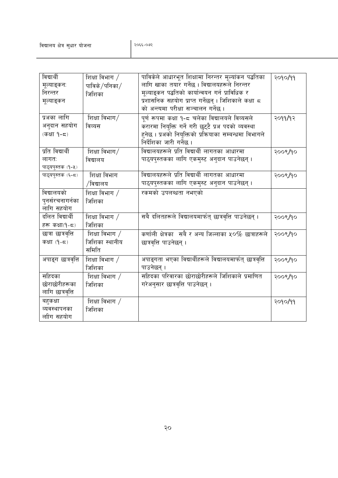| विद्यार्थी         | शिक्षा विभाग /       | पाविकेले आधारभूत शिक्षामा निरन्तर मूल्यांकन पद्धतिका      | २०१०/११ |
|--------------------|----------------------|-----------------------------------------------------------|---------|
| मूल्याङ्कन:        | पाविके $/$ पनिका $/$ | लागि खाका तयार गर्नेछ । विद्यालयहरूले निरन्तर             |         |
| निरन्तर            | जिशिका               | मूल्याइकन पद्धतिको कार्यान्वयन गर्न प्राविधिक र           |         |
| मूल्याङ्कन         |                      | प्रशासनिक सहयोग प्राप्त गर्नेछन् । जिशिकाले कक्षा ८       |         |
|                    |                      | को अन्त्यमा परीक्षा सञ्चालन गर्नेछ ।                      |         |
| प्रअका लागि        | शिक्षा विभाग $/$     | पूर्ण रूपमा कक्षा १-८ चलेका विद्यालयले विव्यसले           | २०११/१२ |
| अनुदान सहयोग       | विव्यस               | करारमा नियुक्ति गर्ने गरी छुट्टै प्रअ पदको व्यवस्था       |         |
| (कक्षा १-८)        |                      | हुनेछ । प्रअको नियुक्तिको प्रक्रियाका सम्बन्धमा विभागले   |         |
|                    |                      | निर्देशिका जारी गर्नेछ ।                                  |         |
| प्रति विद्यार्थी   | शिक्षा विभाग/        | विद्यालयहरूले प्रति विद्यार्थी लागतका आधारमा              | २००९/१० |
| लागत:              | विद्यालय             | पाठ्यपुस्तकका लागि एकमुस्ट अनुदान पाउनेछन् ।              |         |
| पाठ्यपुस्तक (१-५)  |                      |                                                           |         |
| पाठ्यपुस्तक (६-८)  | शिक्षा विभाग         | विद्यालयहरूले प्रति विद्यार्थी लागतका आधारमा              | २००९/१० |
|                    | /विद्यालय            | पाठ्यपुस्तकका लागि एकमुस्ट अनुदान पाउनेछन् ।              |         |
| विद्यालयको         | शिक्षा विभाग /       | रकमको उपलब्धता नभएको                                      |         |
| पुनर्सरचनागर्नका   | जिशिका               |                                                           |         |
| लागि सहयोग         |                      |                                                           |         |
| दलित विद्यार्थी    | शिक्षा विभाग /       | सबै दलितहरूले विद्यालयमार्फत् छात्रवृत्ति पाउनेछन् ।      | २००९/१० |
| हरू कक्षा(१-८)     | जिशिका               |                                                           |         |
| छात्रा छात्रवृत्ति | शिक्षा विभाग $/$     | कर्णाली क्षेत्रका सबै र अन्य जिल्लाका ५०% छात्राहरूले     | २००९/१० |
| कक्षा (१-८)        | जिशिका स्थानीय       | छात्रवृत्ति पाउनेछन् ।                                    |         |
|                    | समिति                |                                                           |         |
| अपाङ्ग छात्रवृत्ति | शिक्षा विभाग /       | अपाङ्गता भएका विद्यार्थीहरूले विद्यालयमार्फत् छात्रवृत्ति | २००९/१० |
|                    | जिशिका               | पाउनेछन् ।                                                |         |
| सहिदका             | शिक्षा विभाग $/$     | सहिदका परिवारका छोराछोरीहरूले जिशिकाले प्रमाणित           | २००९/१० |
| छोराछोरीहरूका      | जिशिका               | गरेअनुसार छात्रवृत्ति पाउनेछन् ।                          |         |
| लागि छात्रवृत्ति   |                      |                                                           |         |
| बहकक्षा            | शिक्षा विभाग /       |                                                           | २०१०/११ |
| व्यवस्थापनका       | जिशिका               |                                                           |         |
| लाीग सहयोग         |                      |                                                           |         |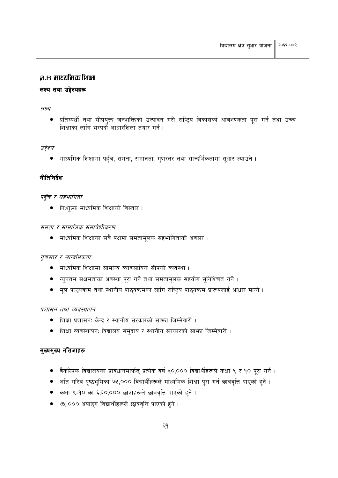#### a.८ माध्यमिक शि**क्षा**

#### लक्ष्य तथा उद्देश्यहरू

#### लक्ष्य

प्रतिस्पर्धी तथा सीपयुक्त जनशक्तिको उत्पादन गरी राष्ट्रिय विकासको आवश्यकता पूरा गर्ने तथा उच्च शिक्षाका लागि भरपर्दो आधारशिला तयार गर्ने।

#### उद्देश्य

माध्यमिक शिक्षामा पहुँच, समता, समानता, गुणस्तर तथा सान्दर्भिकतामा सुधार ल्याउने ।

#### नीतिनिर्देश

#### पहुँच र सहभागिता

• नि:शल्क माध्यमिक शिक्षाको विस्तार ।

#### समता र सामाजिक समावेशीकरण

● माध्यमिक शिक्षाका सबै पक्षमा समतामूलक सहभागिताको अवसर ।

#### गुणस्तर र सान्दर्भिकता

- माध्यमिक शिक्षामा सामान्य व्यावसायिक सीपको व्यवस्था ।
- न्यूनतम सक्षमताका अवस्था पूरा गर्ने तथा समतामूलक सहयोग सुनिश्चित गर्ने ।
- मूल पाठ्यक्रम तथा स्थानीय पाठ्यक्रमका लागि राष्ट्रिय पाठ्यक्रम प्रारूपलाई आधार मान्ने।

#### प्रशासन तथा व्यवस्थापन

- शिक्षा प्रशासन: केन्द्र र स्थानीय सरकारको साभा जिम्मेवारी ।
- शिक्षा व्यवस्थापन: विद्यालय समुदाय र स्थानीय सरकारको साभ्रा जिम्मेवारी ।

#### मुख्यमुख्य नतिजाहरू

- वैकल्पिक विद्यालयका प्रावधानमार्फत् प्रत्येक वर्ष ६०,००० विद्यार्थीहरूले कक्षा ९ र १० पूरा गर्ने ।
- अति गरिब पृष्ठभूमिका ७५,००० विद्यार्थीहरूले माध्यमिक शिक्षा पूरा गर्न छात्रवृत्ति पाएको हुने ।
- कक्षा ९-१० का ६,६०,००० छात्राहरूले छात्रवृत्ति पाएको हुने ।  $\bullet$
- ७५,००० अपाङ्ग विद्यार्थीहरूले छात्रवृत्ति पाएको हुने ।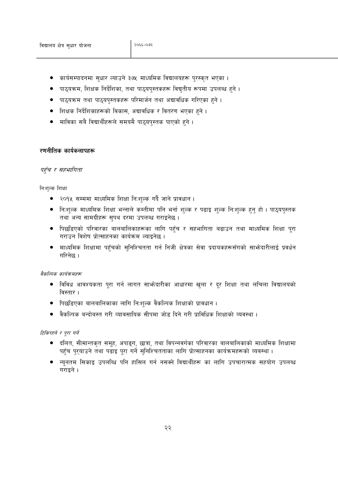- कार्यसम्पादनमा सुधार ल्याउने ३७५ माध्यमिक विद्यालयहरू पुरस्कृत भएका ।
- पाठ्यक्रम, शिक्षक निर्देशिका, तथा पाठ्यपुस्तकहरू विद्युतीय रूपमा उपलब्ध हुने ।
- पाठ्यक्रम तथा पाठ्यपुस्तकहरू परिमार्जन तथा अद्यावधिक गरिएका हुने।
- शिक्षक निर्देशिकाहरूको विकास, अद्यावधिक र वितरण भएका हुने ।
- माविका सबै विद्यार्थीहरूले समयमै पाठ्यपस्तक पाएको हुने ।

#### रणनीतिक कार्यकलापहरू

#### पहुँच र सहभागिता

नि:शुल्क शिक्षा

- २०१५ सम्ममा माध्यमिक शिक्षा नि:शुल्क गर्दै जाने प्रावधान ।
- नि:शुल्क माध्यमिक शिक्षा भन्नाले कम्तीमा पनि भर्ना शुल्क र पढाइ शुल्क नि:शुल्क हुनु हो । पाठुयपुस्तक तथा अन्य सामग्रीहरू सपथ दरमा उपलब्ध गराइनेछ ।
- पिछडिएको परिवारका बालबालिकाहरूका लागि पहुँच र सहभागिता बढाउन तथा माध्यमिक शिक्षा पूरा गराउन विशेष प्रोत्साहनका कार्यक्रम ल्याइनेछ ।
- माध्यमिक शिक्षामा पहुँचको सुनिश्चितता गर्न निजी क्षेत्रका सेवा प्रदायकहरूसँगको साभ्रेदारीलाई प्रवर्धन गरिनेछ ।

वैकल्पिक कार्यक्रमहरू

- विविध आवश्यकता पूरा गर्न लागत साभेदारीका आधारमा खुला र दूर शिक्षा तथा लचिला विद्यालयको विस्तार ।
- पिछडिएका बालबालिकाका लागि निःशुल्क वैकल्पिक शिक्षाको प्रावधान ।
- ै वैकल्पिक बन्दोबस्त गरी व्यावसायिक सीपमा जोड़ दिने गरी प्राविधिक शिक्षाको व्यवस्था ।

#### टिकिरहने र पूरा गर्ने

- दलित, सीमान्तकृत समूह, अपाइग, छात्रा, तथा विपन्नवर्गका परिवारका बालबालिकाको माध्यमिक शिक्षामा पहुँच पुरयाउने तथा पढाइ पुरा गर्ने सुनिश्चितताका लागि प्रोत्साहनका कार्यक्रमहरूको व्यवस्था ।
- न्यूनतम सिकाइ उपलब्धि पनि हासिल गर्न नसक्ने विद्यार्थीहरू का लागि उपचारात्मक सहयोग उपलब्ध गराइने ।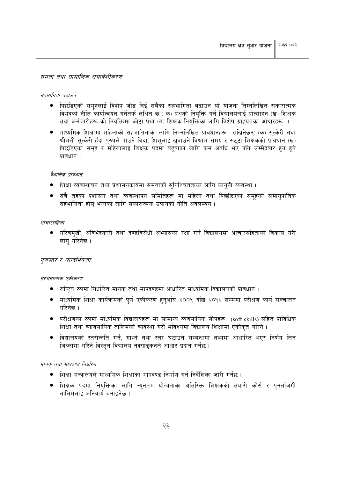#### समता तथा सामाजिक समावेशीकरण

#### सहभागिता बढाउने

- पिछडिएको समहलाई विशेष जोड दिई सबैको सहभागिता बढाउन यो योजना निम्नलिखित सकारात्मक विभेदको नीति कार्यान्वयन गर्नेतर्फ लक्षित छ : क) प्रअको नियुक्ति गर्ने विद्यालयलाई प्रोत्साहन (ख) शिक्षक तथा कर्मचारीहरू को नियक्तिमा कोटा प्रथा (ग) शिक्षक नियक्तिका लागि विशेष ग्राहयतका आधारहरू ।
- माध्यमिक शिक्षामा महिलाको सहभागिताका लागि निम्नलिखित प्रावधानहरू राखिनेछन्: (क) सुत्केरी तथा श्रीमती सुत्केरी हुँदा पुरुषले पाउने बिदा, शिशुलाई खुवाउने विश्राम समय र सट्टा शिक्षकको प्रावधान (ख) पिछडिएका समूह र महिलालाई शिक्षक पदमा बढवाका लागि कम अवधि भए पनि उम्मेदवार हुन हुने प्रावधान ।

#### वैधानिक प्रावधान

- शिक्षा व्यवस्थापन तथा प्रशासनकार्यमा समताको सुनिश्चितताका लागि कानुनी व्यवस्था ।
- सबै तहका प्रशासन तथा व्यवस्थापन समितिहरू मा महिला तथा पिछडिएका समुहको समानुपातिक सहभागिता होस भन्नका लागि सकारात्मक उपायको नीति अवलम्बन ।

#### आचारसंहिता

● गरिबमुखी, अविभेदकारी तथा दण्डविरोधी अभ्यासको रक्षा गर्न विद्यालयमा आचारसंहिताको विकास गरी लागु गरिनेछ ।

#### गुणस्तर र सान्दर्भिकता

संरचनात्मक एकीकरण

- राष्ट्रिय रुपमा निर्धारित मानक तथा मापदण्डमा आधारित माध्यमिक विद्यालयको प्रावधान ।
- माध्यमिक शिक्षा कार्यक्रमको पुर्ण एकीकरण हुनुअघि २००९ देखि २०१२ सम्ममा परीक्षण कार्य सञ्चालन गरिनेछ ।
- परीक्षणका रुपमा माध्यमिक विद्यालयहरू मा सामान्य व्यवसायिक सीपहरू (soft skills) सहित प्राविधिक शिक्षा तथा व्यावसायिक तालिमको व्यवस्था गरी भविश्यमा विद्यालय शिक्षामा एकीकृत गरिने ।
- विद्यालयको स्तरोन्नति गर्ने, गाभ्ने तथा स्तर घटाउने सम्बन्धमा तथ्यमा आधारित भएर निर्णय लिन जिल्लामा गरिने विस्तत विद्यालय नक्साडकनले आधार प्रदान गर्नेछ ।

#### मानक तथा मापदण्ड निर्धारण

- शिक्षा मन्त्रालयले माध्यमिक शिक्षाका मापदण्ड निर्माण गर्न निर्देशिका जारी गर्नेछ ।
- शिक्षक पदमा नियुक्तिका लागि न्यूनतम योग्यताका अतिरिक्त शिक्षकको तयारी कोर्स र पुनर्ताजगी तालिमलाई अनिवार्य बनाइनेछ ।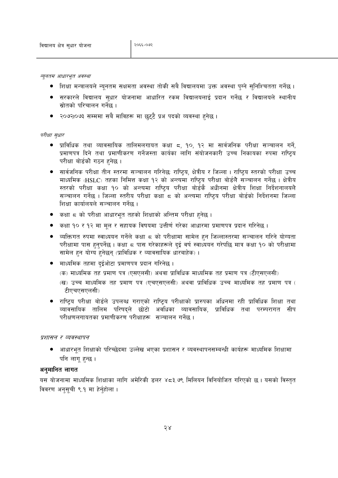न्यूनतम आधारभूत अवस्था

- शिक्षा मन्त्रालयले न्यूनतम सक्षमता अवस्था तोकी सबै विद्यालयमा उक्त अवस्था पुग्ने सुनिश्चितता गर्नेछ ।
- सरकारले विद्यालय सुधार योजनामा आधारित रकम विद्यालयलाई प्रदान गर्नेछ र विद्यालयले स्थानीय स्रोतको परिचालन गर्नेछ ।
- २०७२1०७३ सम्ममा सबै माविहरू मा छट्टै प्रअ पदको व्यवस्था हुनेछ ।

#### परीक्षा सधार

- प्राविधिक तथा व्यावसायिक तालिमलगायत कक्षा ८, १०, १२ मा सार्वजनिक परीक्षा सञ्चालन गर्ने, प्रमाणपत्र दिने तथा प्रमाणीकरण गर्नेजस्ता कार्यका लागि संयोजनकारी उच्च निकायका रुपमा राष्ट्रिय परीक्षा बोर्डको गठन हनेछ।
- सार्वजनिक परीक्षा तीन स्तरमा सञ्चालन गरिनेछः राष्ट्रिय, क्षेत्रीय र जिल्ला । राष्ट्रिय स्तरको परीक्षा उच्च माध्यमिक (HSLC) तहका निमित्त कक्षा १२ को अन्त्यमा राष्टिय परीक्षा बोर्डले सञ्चालन गर्नेछ । क्षेत्रीय स्तरको परीक्षा कक्षा १० को अन्त्यमा राष्टिय परीक्षा बोर्डकै अधीनमा क्षेत्रीय शिक्षा निर्देशनालयले सञ्चालन गर्नेछ । जिल्ला स्तरीय परीक्षा कक्षा ८ को अन्त्यमा राष्टिय परीक्षा बोर्डको निर्देशनमा जिल्ला शिक्षा कार्यालयले सञ्चालन गर्नेछ ।
- कक्षा ८ को परीक्षा आधारभुत तहको शिक्षाको अन्तिम परीक्षा हुनेछ ।
- कक्षा १० र १२ मा मूल र सहायक विषयमा उत्तीर्ण गरेका आधारमा प्रमाणपत्र प्रदान गरिनेछ ।
- व्यक्तिगत रुपमा स्वाध्ययन गर्नेले कक्षा ८ को परीक्षामा सामेल हुन जिल्लास्तरमा सञ्चालन गरिने योग्यता परीक्षामा पास हुनुपर्नेछ । कक्षा ८ पास गरेकाहरूले दुई वर्ष स्वाध्ययन गरेपछि मात्र कक्षा १० को परीक्षामा सामेल हुन योग्य हुनेछन् (प्राविधिक र व्यावसायिक धारबाहेक)।
- माध्यमिक तहमा दुईओटा प्रमाणपत्र प्रदान गरिनेछ ।
	- (क) माध्यमिक तह प्रमाण पत्र (एसएलसी) अथवा प्राविधिक माध्यमिक तह प्रमाण पत्र (टीएसएलसी)
	- (ख) उच्च माध्यमिक तह प्रमाण पत्र (एचएसएलसी) अथवा प्राविधिक उच्च माध्यमिक तह प्रमाण पत्र ( टीएचएसएलसी)
- राष्टिय परीक्षा बोर्डले उपलब्ध गराएको राष्टिय परीक्षाको प्रारुपका अधिनमा रही प्राविधिक शिक्षा तथा व्यावसायिक तालिम परिषद्ले छोटो अवधिका व्यावसायिक, प्राविधिक तथा परम्परागत सीप परीक्षणलगायतका प्रमाणीकरण परीक्षाहरू सञ्चालन गर्नेछ ।

#### प्रशासन र व्यवस्थापन

• आधारभूत शिक्षाको परिच्छेदमा उल्लेख भएका प्रशासन र व्यवस्थापनसम्बन्धी कार्यहरू माध्यमिक शिक्षामा पनि लागू हुन्छ ।

#### अनमानित लागत

यस योजनामा माध्यमिक शिक्षाका लागि अमेरिकी डलर ४८३.७९ मिलियन विनियोजित गरिएको छ । यसको विस्तुत विवरण अनसची ९.१ मा हेर्नहोला।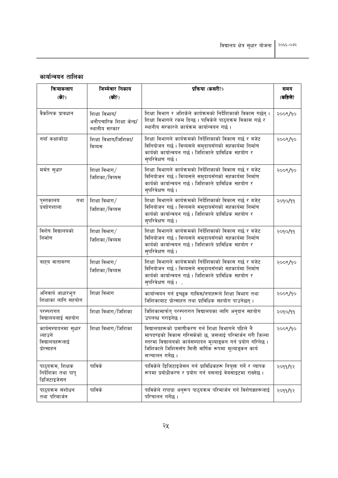# कार्यान्वयन तालिका

| क्रियाकलाप                                                      | जिम्मेवार निकाय                                             | प्रक्रिया (कसरी?)                                                                                                                                                                                                                                             |         |  |
|-----------------------------------------------------------------|-------------------------------------------------------------|---------------------------------------------------------------------------------------------------------------------------------------------------------------------------------------------------------------------------------------------------------------|---------|--|
| (के?)                                                           | (को?)                                                       |                                                                                                                                                                                                                                                               | (कहिले? |  |
| वैकल्पिक प्रावधान                                               | शिक्षा विभाग/<br>अनौपचारिक शिक्षा केन्द्र/<br>स्थानीय सरकार | शिक्षा विभाग र अशिकेले कार्यक्रमको निर्देशिकाको विकास गर्छन् ।<br>शिक्षा विभागले रकम दिन्छ । पाविकेले पाठ्यक्रम विकास गर्छ र<br>स्थानीय सरकारले कार्यक्रम कार्यान्वयन गर्छ ।                                                                                  | २००९/१० |  |
| नयाँ कक्षाकोठा                                                  | शिक्षा विभाग/जिशिका/<br>विव्यस                              | शिक्षा विभागले कार्यक्रमको निर्देशिकाको विकास गर्छ र बजेट<br>विनियोजन गर्छ। विव्यसले समुदायसँगको सहकार्यमा निर्माण<br>कार्यको कार्यान्वयन गर्छ। जिशिकाले प्राविधिक सहयोग र<br>सुपरिवेक्षण गर्छ।                                                               | २००९/१० |  |
| मर्मत सुधार                                                     | शिक्षा विभाग $/$<br>जिशिका/विव्यस                           | शिक्षा विभागले कार्यक्रमको निर्देशिकाको विकास गर्छ र बजेट<br>विनियोजन गर्छ। विव्यसले समुदायसँगको सहकार्यमा निर्माण<br>कार्यको कार्यान्वयन गर्छ। जिशिकाले प्राविधिक सहयोग र<br>सपरिवेक्षण गर्छ।                                                                | २००९/१० |  |
| पुस्तकालय<br>तथा<br>प्रयाोगशाला                                 | शिक्षा विभाग $/$<br>जिशिका/विव्यस                           | शिक्षा विभागले कार्यक्रमको निर्देशिकाको विकास गर्छ र बजेट<br>विनियोजन गर्छ। विव्यसले समुदायसँगको सहकार्यमा निर्माण<br>कार्यको कार्यान्वयन गर्छ। जिशिकाले प्राविधिक सहयोग र<br>सुपरिवेक्षण गर्छ।                                                               | २०१०/११ |  |
| विशेष विद्यालयको<br>निर्माण                                     | शिक्षा विभाग $/$<br>जिशिका/विव्यस                           | शिक्षा विभागले कार्यक्रमको निर्देशिकाको विकास गर्छ र बजेट<br>विनियोजन गर्छ। विव्यसले समुदायसँगको सहकार्यमा निर्माण<br>कार्यको कार्यान्वयन गर्छ। जिशिकाले प्राविधिक सहयोग र<br>सपरिवेक्षण गर्छ।                                                                | २०१०/११ |  |
| बाह्य वातावरण                                                   | शिक्षा विभाग $/$<br>जिशिका/विव्यस                           | शिक्षा विभागले कार्यक्रमको निर्देशिकाको विकास गर्छ र बजेट<br>विनियोजन गर्छ। विव्यसले समुदायसँगको सहकार्यमा निर्माण<br>कार्यको कार्यान्वयन गर्छ। जिशिकाले प्राविधिक सहयोग र<br>स्परिवेक्षण गर्छ।.                                                              | २००९/१० |  |
| अनिवार्य आधारभूत<br>शिक्षाका लागि सहयोग                         | शिक्षा विभाग                                                | कार्यान्वयन गर्न इच्छुक गाविस/नपाहरूले शिक्षा विभाग तथा<br>जिशिकाबाट प्रोत्साहन तथा प्राविधिक सहयोग पाउनेछन् ।                                                                                                                                                | २००९/१० |  |
| परम्परागत<br>विद्यालयलाई सहयोग                                  | शिक्षा विभाग/जिशिका                                         | जिशिकामार्फत् परम्परागत विद्यालयका लागि अनुदान सहयोग<br>उपलब्ध गराइनेछ ।                                                                                                                                                                                      | २०१०/११ |  |
| कार्यसम्पादनमा सुधार<br>ल्याउने<br>विद्यालयहरूलाई<br>प्रोत्साहन | शिक्षा विभाग/जिशिका                                         | विद्यालयहरूको प्रमाणीकरण गर्न शिक्षा विभागले पहिले नै<br>मापदण्डको विकास गरिसकेको छ, जसलाई परिमार्जन गरी जिल्ला<br>स्तरमा विद्यालयको कार्यसम्पादन मूल्याङ्कन गर्न प्रयोग गरिनेछ ।<br>जिशिकाले जिशिससँग मिली वार्षिक रूपमा मूल्याइकन कार्य<br>सञ्चालन गर्नेछ । | २००९/१० |  |
| पाठ्यक्रम, शिक्षक<br>निर्देशिका तथा पापु<br>डिजिटाइजेसन         | पाविके                                                      | पाविकेले डिजिटाइजेसन गर्न प्राविधिकहरू नियुक्त गर्ने र व्यापक<br>रूपमा प्रबोधीकरण र प्रयोग गर्न यसलाई वेबसाइटमा राख्नेछ ।                                                                                                                                     | २०११/१२ |  |
| पाठ्यक्रम संशोधन<br>तथा परिमार्जन                               | पाविके                                                      | पाविकेले रापाप्रा अनुरूप पाठ्यक्रम परिमार्जन गर्न विशेषज्ञहरूलाई<br>परिचालन गर्नेछ ।                                                                                                                                                                          | २०११/१२ |  |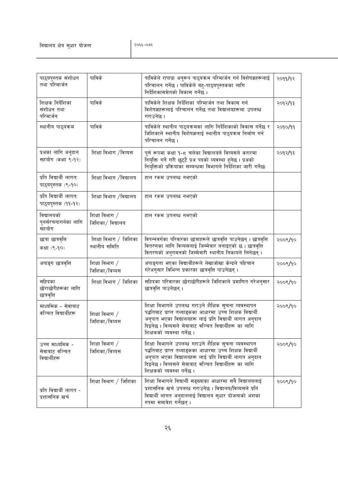| पाठ्यपुस्तक संशोधन<br>तथा परिमार्जन                | पाविके                                 | पाविकेले रापाप्रा अनुरूप पाठ्यक्रम परिमार्जन गर्न विशेषज्ञहरूलाई<br>परिचालन गर्नेछ । पाविकेले बहु-पाठ्यपुस्तकका लागि<br>निर्देशिकासमेतको विकास गर्नेछ ।                                                                                                                 | २०११/१२ |
|----------------------------------------------------|----------------------------------------|-------------------------------------------------------------------------------------------------------------------------------------------------------------------------------------------------------------------------------------------------------------------------|---------|
| शिक्षक निर्देशिका<br>संशोधन तथा<br>परिमार्जन       | पाविके                                 | पाविकेले शिक्षक निर्देशिका परिमार्जन तथा विकास गर्न<br>विशेषज्ञहरूलाई परिचालन गर्नेछ तथा विद्यालयहरूमा उपलब्ध<br>गराउनेछ ।                                                                                                                                              | २०१२/१३ |
| स्थानीय पाठ्यक्रम                                  | पाविके                                 | पाविकेले स्थानीय पाठ्यक्रमका लागि निर्देशिकाको विकास गर्नेछ र<br>जिशिकाले स्थानीय विशेषज्ञलाई स्थानीय पाठ्यक्रम निर्माण गर्न<br>परिचालन गर्नेछ ।                                                                                                                        | २०१०/११ |
| प्रअका लागि अनुदान<br>सहयोग (कक्षा ९-१२)           | शिक्षा विभाग /विव्यस                   | पूर्ण रूपमा कक्षा १-८ चलेका विद्यालयले विव्यसले करारमा<br>नियुक्ति गर्ने गरी छुट्टै प्रअ पदको व्यवस्था हुनेछ । प्रअको<br>नियुक्तिको प्रक्रियाका सम्बन्धमा विभागले निर्देशिका जारी गर्नेछ।                                                                               | २०१२/१३ |
| प्रति विद्यार्थी लागत:<br>पाठ्यपुस्तक (९-१०)       | शिक्षा विभाग /विद्यालय                 | हाल रकम उपलब्ध नभएको                                                                                                                                                                                                                                                    |         |
| प्रति विद्यार्थी लागत:<br>पाठ्यपुस्तक (११-१२)      | शिक्षा विभाग /विद्यालय                 | हाल रकम उपलब्ध नभएको                                                                                                                                                                                                                                                    |         |
| विद्यालयको<br>पुनर्सरचनागर्नका लागि<br>सहयोग       | शिक्षा विभाग /<br>जिशिका/ विद्यालय     | हाल रकम उपलब्ध नभएको                                                                                                                                                                                                                                                    |         |
| छात्रा छात्रवृत्ति<br>कक्षा (९-१०)                 | शिक्षा विभाग / जिशिका<br>स्थानीय समिति | विपन्नवर्गका परिवारका छात्राहरूले छात्रवृत्ति पाउनेछन् । छात्रवृत्ति<br>वितरणका लागि विव्यसलाई जिम्मेवार बनाइएको छ । छात्रवृत्ति<br>वितरणको अनुगमनको जिम्मेवारी स्थानीय निकायले लिनेछन् ।                                                                               | २००९/१० |
| अपाङ्ग छात्रवृत्ति                                 | शिक्षा विभाग /<br>जिशिका/विव्यस        | अपाङ्गता भएका विद्यार्थीहरूले लेखाजोखा केन्द्रले पहिचान<br>गरेअनुसार विभिन्न प्रकारका छात्रवृत्ति पाउनेछन् ।                                                                                                                                                            | २००९/१० |
| सहिदका<br>छोराछोरीहरूका लागि<br>छात्रवृत्ति        | शिक्षा विभाग / जिशिका                  | सहिदका परिवारका छोराछोरीहरूले जिशिकाले प्रमाणित गरेअन्सार<br>छात्रवृत्ति पाउनेछन् ।                                                                                                                                                                                     | २००९/१० |
| माध्यमिक - सेवाबाट<br>वञ्चित विद्यार्थीहरू         | शिक्षा विभाग /<br>जिशिका/विव्यस        | शिक्षा विभागले उपलब्ध गराउने शैक्षिक सूचना व्यवस्थापन<br>पद्धतिबाट प्राप्त तथ्याङ्कका आधारमा उच्च शिक्षक विद्यार्थी<br>अनुपात भएका विद्यालयहरू लाई प्रति विद्यार्थी लागत अनुदान<br>दिइनेछ । विव्यसले सेवाबाट वञ्चित विद्यार्थीहरू का लागि<br>शिक्षकको व्यवस्था गर्नेछ । | २००९/१० |
| उच्च माध्यमिक -<br>सेवाबाट वञ्चित<br>विद्यार्थीहरू | शिक्षा विभाग $/$<br>जिशिका/विव्यस      | शिक्षा विभागले उपलब्ध गराउने शैक्षिक सूचना व्यवस्थापन<br>पद्धतिबाट प्राप्त तथ्याङ्कका आधारमा उच्च शिक्षक विद्यार्थी<br>अनुपात भएका विद्यालयहरू लाई प्रति विद्यार्थी लागत अनुदान<br>दिइनेछ । विव्यसले सेवाबाट वञ्चित विद्यार्थीहरू का लागि<br>शिक्षकको व्यवस्था गर्नेछ । | २००९/१० |
| प्रति विद्यार्थी लागत -<br>प्रशासनिक खर्च          | शिक्षा विभाग / जिशिका                  | शिक्षा विभागले विद्यार्थी सङ्ख्याका आधारमा सबै विद्यालयलाई<br>प्रशासनिक खर्च उपलब्ध गराउनेछ। विद्यालय/विव्यसले प्रति<br>विद्यार्थी लागत अनुदानलाई विद्यालय सुधार योजनाको अंशका<br>रुपमा समावेश गर्नेछन्।                                                                | २००९/१० |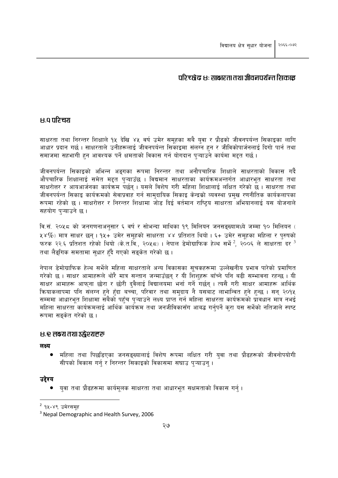### परिच्छेद ४: साक्षरता तथा जीवनपर्यन्त सिकाइ

### **B.** 9 परिचय

साक्षरता तथा निरन्तर शिक्षाले १५ देखि ४५ वर्ष उमेर समुहका सबै युवा र प्रौढको जीवनपर्यन्त सिकाइका लागि आधार प्रदान गर्छ। साक्षरताले उनीहरूलाई जीवनपर्यन्त सिकाइमा संलग्न हुन र जीविकोपार्जनलाई दिगो पार्न तथा समाजमा सहभागी हुन आवश्यक पर्ने क्षमताको विकास गर्न योगदान पृऱ्याउने कार्यमा मद्दत गर्छ।

जीवनपर्यन्त सिकाइको अभिन्न अङगका रूपमा निरन्तर तथा अनौपचारिक शिक्षाले साक्षरताको विकास गर्दै औपचारिक शिक्षालाई समेत मद्दत पऱ्याउँछ । विद्यमान साक्षरताका कार्यक्रमअन्तर्गत आधारभूत साक्षरता तथा साक्षरोत्तर र आयआर्जनका कार्यक्रम पर्छन । यसले विशेष गरी महिला शिक्षालाई लक्षित गरेको छ । साक्षरता तथा जीवनपर्यन्त सिकाइ कार्यक्रमको सेवाप्रवाह गर्न सामुदायिक सिकाइ केन्द्रको व्यवस्था प्रमुख रणनीतिक कार्यकलापका रूपमा रहेको छ । साक्षरोत्तर र निरन्तर शिक्षामा जोड दिई वर्तमान राष्टिय साक्षरता अभियानलाई यस योजनाले सहयोग पऱ्याउने छ।

वि.सं. २०५८ को जनगणनाअनुसार ६ वर्ष र सोभन्दा माथिका १९ मिलियन जनसङ्ख्यामध्ये जम्मा १० मिलियन (  $x \times \%$ ) मात्र साक्षर छन् । १४+ उमेर समुहको साक्षरता ४४ प्रतिशत थियो । ६+ उमेर समुहका महिला र पुरुषको फरक २२.६ प्रतिशत रहेको थियो (के.त.वि., २०५८) । नेपाल डेमोग्राफिक हेल्थ सर्भे  $^2$ , २००६ ले साक्षरता दर  $^3$ तथा लैडगिक समतामा सधार हँदै गएको सड़केत गरेको छ ।

नेपाल डेमोग्राफिक हेल्थ सर्भेले महिला साक्षरताले अन्य विकासका सूचकहरूमा उल्लेखनीय प्रभाव पारेको प्रमाणित गरेको छ । साक्षर आमाहरूले थोरै मात्र सन्तान जन्माउँछन् र यी शिशुहरू बाँच्ने पनि बढी सम्भावना रहन्छ । यी साक्षर आमाहरू आफ्ना छोरा र छोरी दवैलाई विद्यालयमा भर्ना गर्ने गर्छन् । त्यसै गरी साक्षर आमाहरू आर्थिक क्रियाकलापमा पनि संलग्न हुने हुँदा बच्चा, परिवार तथा समुदाय नै यसबाट लाभान्वित हुने हुन्छ । सन् २०१५ सम्ममा आधारभूत शिक्षामा सबैको पहुँच पुऱ्याउने लक्ष्य प्राप्त गर्न महिला साक्षरता कार्यक्रमको प्रावधान मात्र नभई महिला साक्षरता कार्यक्रमलाई आर्थिक कार्यक्रम तथा जनजीविकासँग आबद्ध गर्नपर्ने करा यस सर्भेको नतिजाले स्पष्ट रूपमा सङकेत गरेको छ।

#### **४.९ लक्ष्य तथा उद्घेश्यहरू**

लक्ष्य

● महिला तथा पिछडिएका जनसङ्ख्यालाई विशेष रूपमा लक्षित गरी युवा तथा प्रौढहरूको जीवनोपयोगी सीपको विकास गर्नु र निरन्तर सिकाइको विकासमा सघाउ प्ऱ्याउन् ।

#### उद्देश्य

● युवा तथा प्रौढहरूमा कार्यमुलक साक्षरता तथा आधारभुत सक्षमताको विकास गर्न् ।

<sup>&</sup>lt;sup>2</sup> १५-४९ उमेरसमह

<sup>&</sup>lt;sup>3</sup> Nepal Demographic and Health Survey, 2006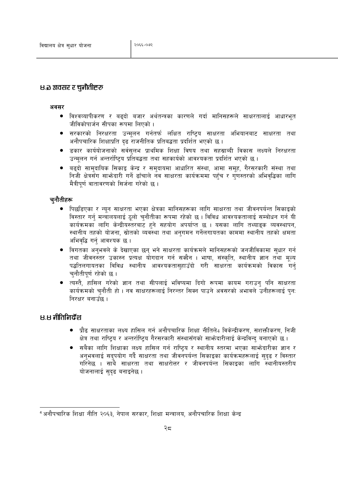### B.ि अवसर र चुनौतीहरू

#### अवसर

- विश्वव्यापीकरण र बढ्दो बजार अर्थतन्त्रका कारणले गर्दा मानिसहरूले साक्षरतालाई आधारभूत जीविकोपार्जन सीपका रूपमा लिएको ।
- सरकारको निरक्षरता उन्मलन गर्नतर्फ लक्षित राष्टिय साक्षरता अभियानबाट साक्षरता तथा अनौपचारिक शिक्षाप्रति दढ राजनीतिक प्रतिबद्धता प्रदर्शित भएको छ।
- डकार कार्ययोजनाको सर्वसुलभ प्राथमिक शिक्षा विषय तथा सहस्राब्दी विकास लक्ष्यले निरक्षरता उन्मलन गर्न अन्तर्राष्टिय प्रतिबद्धता तथा सहकार्यको आवश्यकता प्रदर्शित भएको छ ।
- बढ्दो सामुदायिक सिकाइ केन्द्र र समुदायमा आधारित संस्था, आमा समूह, गैरसरकारी संस्था तथा निजी क्षेत्रसँग साभ्रेदारी गर्ने ढाँचाले नव साक्षरता कार्यक्रममा पहुँच र गुणस्तरको अभिवृद्धिका लागि मैत्रीपूर्ण वातावरणको सिर्जना गरेको छ ।

### च्नौतीहरू

- पिछडिएका र न्यून साक्षरता भएका क्षेत्रका मानिसहरूका लागि साक्षरता तथा जीवनपर्यन्त सिकाइको विस्तार गर्नु मन्त्रालयलाई ठूलो चुनौतीका रूपमा रहेको छ । विविध आवश्यकतालाई सम्बोधन गर्न यी कार्यक्रमका लागि केन्द्रीयस्तरबाट हुने सहयोग अपर्याप्त छ । यसका लागि तथ्याइक व्यवस्थापन, स्थानीय तहको योजना, स्रोतको व्यवस्था तथा अनुगमन गर्नेलगायतका काममा स्थानीय तहको क्षमता अभिवृद्धि गर्न् आवश्यक छ ।
- विगतका अनभवले के देखाएका छन् भने साक्षरता कार्यक्रमले मानिसहरूको जनजीविकामा सधार गर्न तथा जीवनस्तर उकास्न प्रत्यक्ष योगदान गर्न सक्दैन । भाषा, संस्कृति, स्थानीय ज्ञान तथा मृत्य पद्धतिलगायतका विविध स्थानीय आवश्यकतासहाउँदो गरी साक्षरता कार्यक्रमको विकास गर्न चनौतीपूर्ण रहेको छ ।
- त्यस्तै, हासिल गरेको ज्ञान तथा सीपलाई भविष्यमा दिगो रूपमा कायम गराउन पनि साक्षरता कार्यक्रमको चुनौती हो। नव साक्षरहरूलाई निरन्तर सिक्न पाउने अवसरको अभावले उनीहरूलाई पुन: निरक्षर बनाउँछ ।

## 8.8 नीतिनिर्देश

- प्रौढ साक्षरताका लक्ष्य हासिल गर्न अनौपचारिक शिक्षा नीतिले4 विकेन्द्रीकरण, सशक्तीकरण, निजी क्षेत्र तथा राष्टिय र अन्तर्राष्टिय गैरसरकारी संस्थासँगको साभ्रेदारीलाई केन्द्रविन्द बनाएको छ।
- सबैका लागि शिक्षाका लक्ष्य हासिल गर्न राष्टिय र स्थानीय स्तरमा भएका साभ्रेदारीका ज्ञान र अनुभवलाई सद्पयोग गर्दै साक्षरता तथा जीवनपर्यन्त सिकाइका कार्यक्रमहरूलाई सुदुढ र विस्तार गरिनेछ । साथै साक्षरता तथा साक्षरोत्तर र जीवनपर्यन्त सिकाइका लागि स्थानीयस्तरीय योजनालाई सुदृढ बनाइनेछ ।

<sup>4</sup> अनौपचारिक शिक्षा नीति २०६३, नेपाल सरकार, शिक्षा मन्त्रालय, अनौपचारिक शिक्षा केन्द्र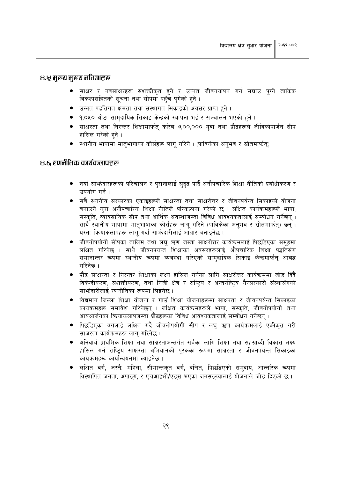### ८.५ मुख्य मुख्य नतिज्ञाहरू

- साक्षर र नवसाक्षरहरू सशक्तीकृत हुने र उन्नत जीवनयापन गर्न सघाउ पुग्ने तार्किक विकल्पसहितको सूचना तथा सीपमा पहुँच पुगेको हुने।
- उन्नत पद्धतिगत क्षमता तथा संस्थागत सिकाइको अवसर प्राप्त हुने ।
- १,०५० ओटा सामदायिक सिकाइ केन्द्रको स्थापना भई र सञ्चालन भएको हुने ।
- साक्षरता तथा निरन्तर शिक्षामार्फत् करिब ७,००,००० यवा तथा प्रौढहरूले जीविकोपार्जन सीप हासिल गरेको हने ।
- स्थानीय भाषामा मातुभाषाका कोर्सहरू लागु गरिने । (पाविकेका अनुभव र स्रोतमार्फत्)

### ४.६ रणनीतिक कार्यकलापहरू

- नयाँ साभेदारहरूको परिचालन र पुरानालाई सुदढ पार्दै अनौपचारिक शिक्षा नीतिको प्रबोधीकरण र उपयोग गर्ने ।
- सबै स्थानीय सरकारका एकाइहरूले साक्षरता तथा साक्षरोत्तर र जीवनपर्यन्त सिकाइको योजना बनाउने करा अनौपचारिक शिक्षा नीतिले परिकल्पना गरेको छ । लक्षित कार्यक्रमहरूले भाषा, संस्कृति, व्यावसायिक सीप तथा आर्थिक अवस्थाजस्ता विविध आवश्यकतालाई सम्बोधन गर्नेछन् । साथै स्थानीय भाषामा मातृभाषाका कोर्सहरू लागू गरिने (पाविकेका अनुभव र स्रोतमार्फत्) छन् । यस्ता कियाकलापहरू लाग गर्दा साभ्रेदारीलाई आंधार बनाइनेछ ।
- जीवनोपयोगी सीपका तालिम तथा लघ ऋण जस्ता साक्षरोत्तर कार्यक्रमलाई पिछडिएका समहमा लक्षित गरिनेछ । साथै जीवनपर्यन्त शिक्षाका अवसरहरूलाई औपचारिक शिक्षा पद्धतिसँग समानान्तर रूपमा स्थानीय रूपमा व्यवस्था गरिएको सामदायिक सिकाइ केन्द्रमार्फत आबद्ध गरिनेछ ।
- प्रौढ साक्षरता र निरन्तर शिक्षाका लक्ष्य हासिल गर्नका लागि साक्षरोत्तर कार्यक्रममा जोड दिँदै विकेन्द्रीकरण, सशक्तीकरण, तथा निजी क्षेत्र र राष्टिय र अन्तर्राष्टिय गैरसरकारी संस्थासँगको साफ्रेदारीलाई रणनीतिका रूपमा लिइनेछ ।
- विद्यमान जिल्ला शिक्षा योजना र गाउँ शिक्षा योजनाहरूमा साक्षरता र जीवनपर्यन्त सिकाइका कार्यक्रमहरू समावेश गरिनेछन् । लक्षित कार्यक्रमहरूले भाषा, संस्कृति, जीवनोपयोगी तथा आयआर्जनका कियाकलापजस्ता प्रौढहरूका विविध आवश्यकतालाई सम्बोधन गर्नेछन् ।
- पिछडिएका वर्गलाई लक्षित गर्दै जीवनोपयोगी सीप र लघु ऋण कार्यक्रमलाई एकीकृत गरी साक्षरता कार्यक्रमहरू लागु गरिनेछ ।
- अनिवार्य प्राथमिक शिक्षा तथा साक्षरताअन्तर्गत सबैका लागि शिक्षा तथा सहस्राब्दी विकास लक्ष्य  $\bullet$ हासिल गर्न राष्ट्रिय साक्षरता अभियानको पुरकका रूपमा साक्षरता र जीवनपर्यन्त सिकाइका कार्यक्रमहरू कार्यान्वयनमा ल्याइनेछ ।
- लक्षित वर्ग, जस्तै: महिला, सीमान्तकृत वर्ग, दलित, पिछडिएको समुदाय, आन्तरिक रूपमा विस्थापित जनता. अपाइग. र एचआईभी/एडस भएका जनसङख्यालाई योजनाले जोड दिएको छ।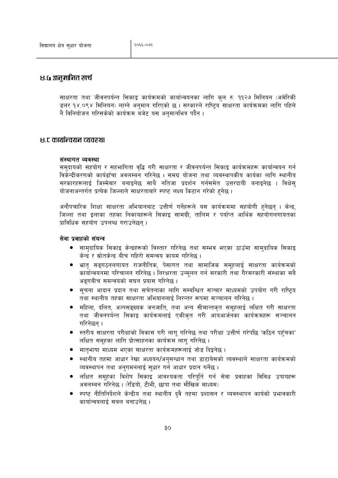## ८.६ अनुमानित खर्च

साक्षरता तथा जीवनपर्यन्त सिकाइ कार्यक्रमको कार्यान्वयनका लागि कुल रु. ११२७ मिलियन (अमेरिकी डलर १४.०९४ मिलियन) लाग्ने अनमान गरिएको छ । सरकारले राष्टिय साक्षरता कार्यक्रमका लागि पहिले नै विनियोजन गरिसकेको कार्यक्रम बजेट यस अनुमानभित्र पर्दैन ।

### ४.ट कार्यान्वयन व्यवस्था

#### संस्थागत व्यवस्था

समुदायको सहयोग र सहभागिता वृद्धि गरी साक्षरता र जीवनपर्यन्त सिकाइ कार्यक्रमहरू कार्यान्वयन गर्न विकेन्द्रीकरणको कार्यढाँचा अवलम्बन गरिनेछ । समग्र योजना तथा व्यवस्थापकीय कार्यका लागि स्थानीय सरकारहरूलाई जिम्मेवार बनाइनेछ साथै नतिजा प्रदर्शन गर्नसमेत उत्तरदायी बनाइनेछ । विक्षेस योजनाअन्तर्गत प्रत्येक जिल्लाले साक्षरताबारे स्पष्ट लक्ष्य किटान गरेको हुनेछ ।

अनौपचारिक शिक्षा साक्षरता अभियानबाट उत्तीर्ण गर्नेहरूले यस कार्यक्रममा सहयोगी हुनेछन् । केन्द्र, जिल्ला तथा इलाका तहका निकायहरूले सिकाइ सामग्री, तालिम र पर्याप्त आर्थिक सहयोगलगायतका प्राविधिक सहयोग उपलब्ध गराउनेछन ।

#### सेवा प्रवाहको संयन्त्र

- सामुदायिक सिकाइ केन्द्रहरूको विस्तार गरिनेछ तथा सम्भव भएका ठाउँमा सामुदायिक सिकाइ केन्द्र र स्रोतकेन्द्र बीच गहिरो समन्वय कायम गरिनेछ ।
- भ्रात् सङ्गठनलगायत राजनीतिक, पेसागत तथा सामाजिक समुहलाई साक्षरता कार्यक्रमको  $\bullet$ कार्यान्वयनमा परिचालन गरिनेछ । निरक्षरता उन्मुलन गर्न सरकारी तथा गैरसरकारी संस्थाका सबै अङ्गबीच समन्वयको सघन प्रयास गरिनेछ ।
- सूचना आदान प्रदान तथा सचेतनाका लागि सम्बन्धित सञ्चार माध्यमको उपयोग गरी राष्ट्रिय तथा स्थानीय तहका साक्षरता अभियानलाई निरन्तर रूपमा सञ्चालन गरिनेछ ।
- महिला, दलित, अल्पसङ्ख्यक जनजाति, तथा अन्य सीमान्तकत समहलाई लक्षित गरी साक्षरता  $\bullet$ तथा जीवनपर्यन्त सिकाइ कार्यक्रमलाई एकीकृत गरी आयआर्जनका कार्यक्रमहरू सञ्चालन गरिनेछन ।
- स्तरीय साक्षरता परीक्षाको विकास गरी लागु गरिनेछ तथा परीक्षा उत्तीर्ण गरेपछि 'कठिन पहुँचका'  $\bullet$ लक्षित समुहका लागि प्रोत्साहनका कार्यक्रम लागु गरिनेछ ।
- मातृभाषा माध्यम भएका साक्षरता कार्यक्रमहरूलाई जोड दिइनेछ।
- स्थानीय तहमा आधार रेखा अध्ययन/अनुसन्धान तथा डाटाबेसको व्यवस्थाले साक्षरता कार्यक्रमको  $\bullet$ व्यवस्थापन तथा अनुगमनलाई सुधार गर्न आधार प्रदान गर्नेछ ।
- लक्षित समहका विशेष सिकाइ आवश्यकता परिपर्ति गर्न सेवा प्रवाहका विविध उपायहरू अवलम्बन गरिनेछ । (रेडियो, टीभी, छापा तथा मौखिक माध्यम)
- स्पष्ट नीतिनिर्देशले केन्द्रीय तथा स्थानीय दुवै तहमा प्रशासन र व्यवस्थापन कार्यको प्रभावकारी कार्यान्वयलाई सबल बनाउनेछ ।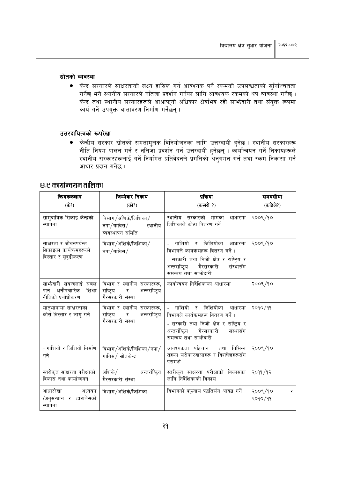#### स्रोतको व्यवस्था

• केन्द्र सरकारले साक्षरताको लक्ष्य हासिल गर्न आवश्यक पर्ने रकमको उपलब्धताको सुनिश्चितता गर्नेछ भने स्थानीय सरकारले नतिजा प्रदर्शन गर्नका लागि आवश्यक रकमको थप व्यवस्था गर्नेछ । केन्द्र तथा स्थानीय सरकारहरूले आआफ्नो अधिकार क्षेत्रभित्र रही साभ्रेदारी तथा संयुक्त रूपमा कार्य गर्ने उपयुक्त वातावरण निर्माण गर्नेछन् ।

### उत्तरदायित्वको रूपरेखा

● केन्द्रीय सरकार स्रोतको समतामूलक विनियोजनका लागि उत्तरदायी हुनेछ । स्थानीय सरकारहरू नीति नियम पालन गर्न र नतिजा प्रदर्शन गर्न उत्तरदायी हुनेछन् । कार्यान्वयन गर्ने निकायहरूले<br>स्थानीय सरकारहरूलाई गर्ने नियमित प्रतिवेदनले प्रगतिको अनुगमन गर्न तथा रकम निकासा गर्न आधार प्रदान गर्नेछ ।

## ४.९ कार्यान्वयन तालिका

| कियककलाप<br>(के?)                                                            | जिम्मेवार निकाय<br>(को?)                                                     | प्रक्रिया<br>(कसरी?)                                                                                                                                                       | समयसीमा<br>(कहिले?)     |
|------------------------------------------------------------------------------|------------------------------------------------------------------------------|----------------------------------------------------------------------------------------------------------------------------------------------------------------------------|-------------------------|
| सामुदायिक सिकाइ केन्द्रको<br>स्थापना                                         | विभाग/अशिके/जिशिका/<br>नपा / गाविस /<br>स्थानीय<br>व्यवस्थापन समिति          | स्थानीय सरकारको मागका आधारमा<br>जिशिकाले कोटा वितरण गर्ने                                                                                                                  | २००९/१०                 |
| साक्षरता र जीवनपर्यन्त<br>सिकाइका कार्यक्रमहरूको<br>विस्तार र सुदृढीकरण      | विभाग/अशिके/जिशिका/<br>नपा $/$ गाविस $/$                                     | गाशियो र जिशियोका आधारमा<br>विभागले कार्यक्रमहरू वितरण गर्ने ।<br>- सरकारी तथा निजी क्षेत्र र राष्ट्रिय र<br>अन्तर्राष्टिय गैरसरकारी<br>संस्थासँग<br>समन्वय तथा साभ्रेदारी | २००९/१०                 |
| साभ्रेदारी संयन्त्रलाई सबल<br>पार्न अनौपचारिक<br>शिक्षा<br>नीतिको प्रबोधीकरण | विभाग र स्थानीय सरकारहरू,<br>राष्टिय र<br>अन्तर्राष्टिय<br>गैरसरकारी संस्था  | कार्यान्वयन निर्देशिकाका आधारमा                                                                                                                                            | २००९/१०                 |
| मातृभाषामा साक्षरताका<br>कोर्स विस्तार र लागू गर्ने                          | विभाग र स्थानीय सरकारहरू,<br>राष्ट्रिय र अन्तर्राष्ट्रिय<br>गैरसरकारी संस्था | - गाशियो र जिशियोका आधारमा<br>विभागले कार्यक्रमहरू वितरण गर्ने।<br>- सरकारी तथा निजी क्षेत्र र राष्ट्यि र<br>अन्तर्राष्टिय गैरसरकारी<br>संस्थासँग<br>समन्वय तथा साफ्रेदारी | २०१०/११                 |
| - गाशियो र जिशियो निर्माण<br>गर्ने                                           | विभाग/अशिके/जिशिका/नपा/<br>गाविस/ स्रोतकेन्द्र                               | आवश्यकता पहिचान तथा विभिन्न<br>तहका सरोकारवालाहरू र विशषेज्ञहरूसँग<br>परामर्श                                                                                              | २००९/१०                 |
| स्तरीकृत साक्षरता परीक्षाको<br>विकास तथा कार्यान्वयन                         | अशिके/ अन्तर्राष्ट्रिय<br>गैरसरकारी संस्था                                   | स्तरीकृत साक्षरता परीक्षाको विकासका<br>लागि निर्देशिकाको विकास                                                                                                             | २०११/१२                 |
| आधाररेखा अध्ययन<br>/अनुसन्धान र डाटाबेसको<br>स्थापना                         | विभाग/अशिके/जिशिका                                                           | विभागको फल्यास पद्धतिसँग आबद्ध गर्ने                                                                                                                                       | २००९/१०<br>₹<br>२०१०/११ |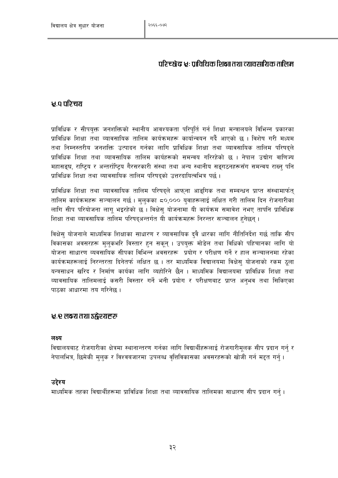# परिच्छे छः पाविधिक शिक्षा तथा द्यावसायिक तालिस

# ४ ० गरिचग

प्राविधिक र सीपयुक्त जनशक्तिको स्थानीय आवश्यकता परिपूर्ति गर्न शिक्षा मन्त्रालयले विभिन्न प्रकारका प्राविधिक शिक्षा तथा व्यावसायिक तालिम कार्यक्रमहरू कार्यान्वयन गर्दै आएको छ । विशेष गरी मध्यम तथा निम्नस्तरीय जनशक्ति उत्पादन गर्नका लागि प्राविधिक शिक्षा तथा व्यावसायिक तालिम परिषदले प्राविधिक शिक्षा तथा व्यावसायिक तालिम कार्यहरूको समन्वय गरिरहेको छ । नेपाल उद्योग वाणिज्य महासङ्घ, राष्टिय र अन्तर्राष्टिय गैरसरकारी संस्था तथा अन्य स्थानीय सङ्गठनहरूसँग समन्वय राख्नु पनि प्राविधिक शिक्षा तथा व्यावसायिक तालिम परिषदुको उत्तरदायित्वभित्र पर्छ।

प्राविधिक शिक्षा तथा व्यावसायिक तालिम परिषदले आफना आडगिक तथा सम्बन्धन प्राप्त संस्थामार्फत तालिम कार्यक्रमहरू सञ्चालन गर्छ । मलकका ८०,००० यवाहरूलाई लक्षित गरी तालिम दिन रोजगारीका लागि सीप परियोजना लाग भइरहेको छ । विक्षेस योजनामा यी कार्यक्रम समावेश नभए तापनि प्राविधिक शिक्षा तथा व्यावसायिक तालिम परिषदुअन्तर्गत यी कार्यक्रमहरू निरन्तर सञ्चालन हुनेछन् ।

विक्षेस् योजनाले माध्यमिक शिक्षाका साधारण र व्यावसायिक दुवै धारका लागि नीतिनिर्देश गर्छ ताकि सीप विकासका अवसरहरू मुलुकभरि विस्तार हुन सकनु । उपयुक्त मोडेल तथा विधिको पहिचानका लागि यो योजना साधारण व्यवसायिक सीपका विभिन्न अवसरहरू प्रयोग र परीक्षण गर्ने र हाल सञ्चालनमा रहेका कार्यक्रमहरूलाई निरन्तरता दिनेतर्फ लक्षित छ । तर माध्यमिक विद्यालयमा विक्षेस योजनाको रकम ठला यन्त्रसाधन खरिद र निर्माण कार्यका लागि व्यहोरिने छैन । माध्यमिक विद्यालयमा प्राविधिक शिक्षा तथा व्यावसायिक तालिमलाई कसरी विस्तार गर्ने भनी प्रयोग र परीक्षणबाट प्राप्त अनभव तथा सिकिएका पाठका आधारमा तय गरिनेछ ।

## र्ध्र : र लक्ष्य तथा उद्गोश्यहरू

## लक्ष्य

विद्यालयबाट रोजगारीका क्षेत्रमा स्थानान्तरण गर्नका लागि विद्यार्थीहरूलाई रोजगारीमुलक सीप प्रदान गर्नु र नेपालभित्र, छिमेकी मुलुक र विश्वबजारमा उपलब्ध वृत्तिविकासका अवसरहरूको खोजी गर्न मद्दत गर्नु ।

## उद्देश्य

माध्यमिक तहका विद्यार्थीहरूमा प्राविधिक शिक्षा तथा व्यावसायिक तालिमका साधारण सीप प्रदान गर्न।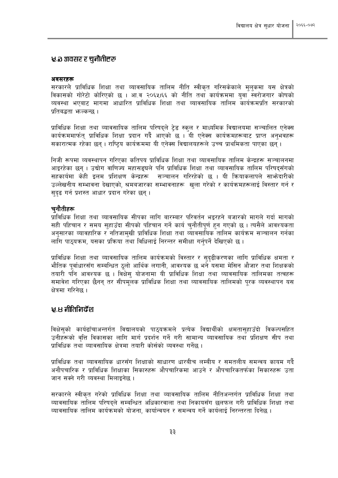### 'र के अवसर र चुनौतीहरू

#### अवसरहरू

सरकारले प्राविधिक शिक्षा तथा व्यावसायिक तालिम नीति स्वीकत गरिसकेकाले मलकमा यस क्षेत्रको विकासको गोरेटो कोरिएको छ । आ.व २०६५।६६ को नीति तथा कार्यक्रममा युवा स्वरोजगार कोषको व्यवस्था भएबाट मागमा आधारित प्राविधिक शिक्षा तथा व्यावसायिक तालिम कार्यक्रमप्रति सरकारको प्रतिबद्धता भन्त्कन्छ ।

प्राविधिक शिक्षा तथा व्यावसायिक तालिम परिषदले टेड स्कूल र माध्यमिक विद्यालयमा सञ्चालित एनेक्स कार्यक्रममार्फत् प्राविधिक शिक्षा प्रदान गर्दै आएको छ । यी एनेक्स कार्यक्रमहरूबाट प्राप्त अनुभवहरू सकारात्मक रहेका छन् । राष्टिय कार्यक्रममा यी एनेक्स विद्यालयहरूले उच्च प्राथमिकता पाएका छन् ।

निजी रूपमा व्यवस्थापन गरिएका कतिपय प्राविधिक शिक्षा तथा व्यावसायिक तालिम केन्द्रहरू सञ्चालनमा आइरहेका छन । उद्योग वाणिज्य महासङ्घले पनि प्राविधिक शिक्षा तथा व्यावसायिक तालिम परिषदसँगको सहकार्यमा केही इलम प्रशिक्षण केन्द्रहरू सञ्चालन गरिरहेको छ । यी कियाकलापले साभ्रेदारीको उल्लेखनीय सम्भावना देखाएको, श्रमबजारका सम्भावनाहरू खुला गरेको र कार्यक्रमहरूलाई विस्तार गर्न र सुदृढ गर्न प्रशस्त आधार प्रदान गरेका छन् ।

### चनौतीहरू

प्राविधिक शिक्षा तथा व्यावसायिक सीपका लागि बारम्बार परिवर्तन भइरहने बजारको मागले गर्दा मागको सही पहिचान र समय सहाउँदा सीपको पहिचान गर्ने कार्य चुनौतीपर्ण हुन गएको छ । त्यसैले आवश्यकता अनुसारका व्यावहारिक र नतिजामुखी प्राविधिक शिक्षा तथा व्यावसायिक तालिम कार्यक्रम सञ्चालन गर्नका लागि पाठुयक्रम, यसका प्रक्रिया तथा विधिलाई निरन्तर समीक्षा गर्नुपर्ने देखिएको छ।

प्राविधिक शिक्षा तथा व्यावसायिक तालिम कार्यक्रमको विस्तार र सुदढीकरणका लागि प्राविधिक क्षमता र भौतिक पर्वाधारसँग सम्बन्धित ठलो आर्थिक लगानी, आवश्यक छ भने यसमा मेसिन औजार तथा शिक्षकको तयारी पाने आवश्यक छ । विक्षेस् योजनामा यी प्राविधिक शिक्षा तथा व्यावसायिक तालिमका तत्वहरू समावेश गरिएका छैनन् तर सीपमूलक प्राविधिक शिक्षा तथा व्यावसायिक तालिमको पूरक व्यवस्थापन यस क्षेत्रमा गरिनेछ ।

## $E$ , स नीतिनिर्देश

विक्षेसको कार्यढाँचाअन्तर्गत विद्यालयको पाठयक्रमले प्रत्येक विद्यार्थीको क्षमतासहाउँदो विकल्पसहित उनीहरूको वत्ति विकासका लागि मार्ग प्रदर्शन गर्ने गरी सामान्य व्यावसायिक तथा प्रशिक्षण सीप तथा पाविधिक तथा व्यावसायिक क्षेत्रमा तयारी कोर्सको व्यवस्था गर्नेछ ।

प्राविधिक तथा व्यावसायिक धारसँग शिक्षाको साधारण धारबीच लम्बीय र समतलीय समन्वय कायम गर्दै अनौपचारिक र प्राविधिक शिक्षाका सिकारुहरू औपचारिकमा आउने र औपचारिकतर्फका सिकारुहरू उता जान सक्ने गरी व्यवस्था मिलाइनेछ ।

सरकारले स्वीकत गरेको प्राविधिक शिक्षा तथा व्यावसायिक तालिम नीतिअन्तर्गत प्राविधिक शिक्षा तथा व्यावसायिक तालिम परिषदले सम्बन्धित अधिकारवाला तथा निकायसँग छलफल गरी प्राविधिक शिक्षा तथा व्यावसायिक तालिम कार्यक्रमको योजना, कार्यान्वयन र समन्वय गर्ने कार्यलाई निरन्तरता दिनेछ ।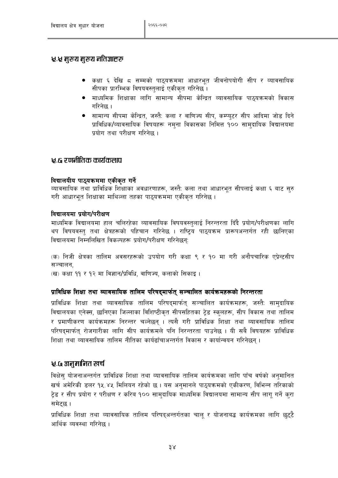## 'र्र्थ मुख्य मुख्य नतिज्ञाहरू

- कक्षा ६ देखि ८ सम्मको पाठ्यक्रममा आधारभूत जीवनोपयोगी सीप र व्यावसायिक सीपका प्रारम्भिक विषयवस्तुलाई एकीकृत गरिनेछ ।
- माध्यमिक शिक्षाका लागि सामान्य सीपमा केन्द्रित व्यावसायिक पाठयक्रमको विकास गरिनेछ ।
- सामान्य सीपमा केन्द्रित, जस्तै: कला र वाणिज्य सीप, कम्प्युटर सीप आदिमा जोड दिने प्राविधिक/व्यावसायिक विषयहरू नमुना विकासका निमित्त १०० सामुदायिक विद्यालयमा प्रयोग तथा परीक्षण गरिनेछ ।

## राजकोचक कातीतिाए दे स

### विद्यालयीय पाठयक्रममा एकीकत गर्ने

व्यावसायिक तथा प्राविधिक शिक्षाका अवधारणाहरू, जस्तै: कला तथा आधारभूत सीपलाई कक्षा ६ बाट सुरु गरी आधारभत शिक्षाका माथिल्ला तहका पाठयक्रममा एकीकत गरिनेछ ।

### विद्यालयमा प्रयोग/परीक्षण

माध्यमिक विद्यालयमा हाल चलिरहेका व्यावसायिक विषयवस्तुलाई निरन्तरता दिँदै प्रयोग/परीक्षणका लागि थप विषयवस्त तथा क्षेत्रहरूको पहिचान गरिनेछ । राष्टिय पाठयक्रम प्रारूपअन्तर्गत रही छानिएका विद्यालयमा निम्नलिखित विकल्पहरू प्रयोग/परीक्षण गरिनेछन:

(क) निजी क्षेत्रका तालिम अवसरहरूको उपयोग गरी कक्षा ९ र १० मा गरी अनौपचारिक एप्रेन्टसीप **सञ्चालन** 

(ख) कक्षा ११ र १२ मा विज्ञान/प्रविधि, वाणिज्य, कलाको सिकाइ।

## प्राविधिक शिक्षा तथा व्यावसायिक तालिम परिषद्मार्फत् सञ्चालित कार्यक्रमहरूको निरन्तरता

प्राविधिक शिक्षा तथा व्यावसायिक तालिम परिषद्मार्फत् सञ्चालित कार्यक्रमहरू, जस्तै: सामुदायिक विद्यालयका एनेक्स, छानिएका जिल्लाका विशिष्टीकृत सीपसहितका ट्रेड स्कुलहरू, सीप विकास तथा तालिम र प्रमाणीकरण कार्यक्रमहरू निरन्तर चल्नेछन् । त्यसै गरी प्राविधिक शिक्षा तथा व्यावसायिक तालिम परिषदमार्फत् रोजगारीका लागि सीप कार्यक्रमले पनि निरन्तरता पाउनेछ । यी सबै विषयहरू प्राविधिक शिक्षा तथा व्यावसायिक तालिम नीतिका कार्यढाँचाअन्तर्गत विकास र कार्यान्वयन गरिनेछन ।

## र्:८० अनुमानित खर्च

विक्षेसु योजनाअन्तर्गत प्राविधिक शिक्षा तथा व्यावसायिक तालिम कार्यक्रमका लागि पाँच वर्षको अनुमानित खर्च अमेरिकी डलर १५.४५ मिलियन रहेको छ । यस अनुमानले पाठुयक्रमको एकीकरण, विभिन्न तरिकाको टेड र सीप प्रयोग र परीक्षण र करिब १०० सामदायिक माध्यमिक विद्यालयमा सामान्य सीप लाग गर्ने करा समेटछ ।

प्राविधिक शिक्षा तथा व्यावसायिक तालिम परिषदअन्तर्गतका चाल र योजनाबद्ध कार्यक्रमका लागि छटटै आर्थिक व्यवस्था गरिनेछ ।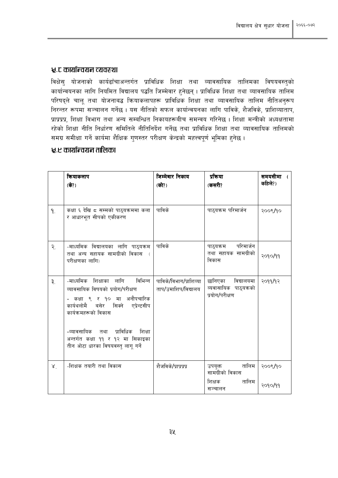### <u>५.८ कार्यान्वयन व्यवस्था</u>

विक्षेसु योजनाको कार्यढाँचाअन्तर्गत प्राविधिक शिक्षा तथा व्यावसायिक तालिमका विषयवस्तुको कार्यान्वयनका लागि नियमित विद्यालय पद्धति जिम्मेवार हुनेछन् । प्राविधिक शिक्षा तथा व्यावसायिक तालिम परिषद्ले चालू तथा योजनाबद्ध क्रियाकलापहरू प्राविधिक शिक्षा तथा व्यावसायिक तालिम नीतिअनुरूप निरन्तर रूपमा सञ्चालन गर्नेछ । यस नीतिको सफल कार्यान्वयनका लागि पाविके, शैजविके, प्राशिव्याताप, प्राप्रप्रप्र, शिक्षा विभाग तथा अन्य सम्बन्धित निकायहरूबीच समन्वय गरिनेछ । शिक्षा मन्त्रीको अध्यक्षतामा रहेको शिक्षा नीति निर्धारण समितिले नीतिनिर्देश गर्नेछ तथा प्राविधिक शिक्षा तथा व्यावसायिक तालिमको समग्र समीक्षा गर्ने कार्यमा शैक्षिक गुणस्तर परीक्षण केन्द्रको महत्त्वपूर्ण भूमिका हुनेछ ।

## रू.ए कार्यान्वयन तालिका

|               | कियाकलाप<br>(के?)                                                                                                                                                                                                                                        | जिम्मेवार निकाय<br>(को?)                       | प्रकिया<br>(कसरी?                                                 | समयसीमा<br>कहिले?) |
|---------------|----------------------------------------------------------------------------------------------------------------------------------------------------------------------------------------------------------------------------------------------------------|------------------------------------------------|-------------------------------------------------------------------|--------------------|
| ۹.            | कक्षा ६ देखि ८ सम्मको पाठ्यक्रममा कला<br>र आधारभूत सीपको एकीकरण                                                                                                                                                                                          | पाविके                                         | पाठ्यक्रम परिमार्जन                                               | २००९/१०            |
| २.            | -माध्यमिक विद्यालयका लागि पाठ्यक्रम<br>तथा अन्य सहायक सामग्रीको विकास (<br>परीक्षणका लागि)                                                                                                                                                               | पाविके                                         | परिमार्जन<br>पाठ्यक्रम<br>तथा सहायक सामग्रीको<br>विकास            | २०१०/११            |
| ३.            | -माध्यमिक शिक्षाका लागि<br>विभिन्न<br>व्यावसायिक विषयको प्रयोग/परीक्षण<br>- कक्षा ९ र १० मा अनौपचारिक<br>कार्यथलोमै<br>बसेर सिक्ने<br>एप्रेन्टसीप<br>कार्यक्रमहरूको विकास<br>-व्यावसायिक तथा<br>प्राविधिक<br>शिक्षा<br>अन्तर्गत कक्षा ११ र १२ मा सिकाइका | पाविके/विभाग/प्राशिव्या<br>ताप/उमाशिप/विद्यालय | छानिएका<br>विद्यालयमा<br>व्यवासायिक पाठ्यक्रको<br>प्रयोग/परीक्षण  | २०११/१२            |
|               | तीन ओटा धारका विषयवस्तु लागू गर्ने                                                                                                                                                                                                                       |                                                |                                                                   |                    |
| $X^{\dagger}$ | -शिक्षक तयारी तथा विकास                                                                                                                                                                                                                                  | शैजविके/प्राप्रप्रप्र                          | तालिम<br>उपयुक्त<br>सामग्रीको विकास<br>तालिम<br>शिक्षक<br>सञ्चालन | २००९/१०<br>२०१०/११ |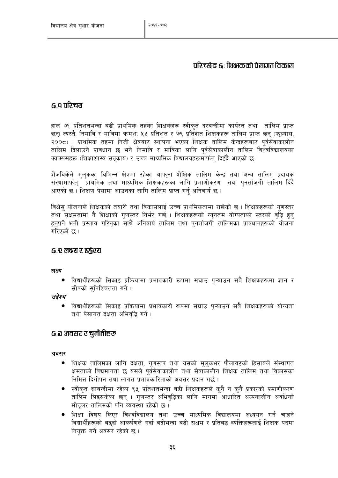# परिच्छे ठावासचे कित्काओं पे स्वास्त्री क

## ६.० परिचर्य

हाल ७१ प्रतिशतभन्दा बढी प्राथमिक तहका शिक्षकहरू स्वीकृत दरबन्दीमा कार्यरत तथा तालिम प्राप्त छन। त्यस्तै, निमावि र माविमा क्रमश: ५५ प्रतिशत र ७९ प्रतिशत शिक्षकहरू तालिम प्राप्त छन (फल्यास, २००८) । प्राथमिक तहमा निजी क्षेत्रबाट स्थापना भएका शिक्षक तालिम केन्द्रहरूबाट पुर्वसेवाकालीन तालिम दिलाउने प्रावधान छ भने निमावि र माविका लागि पर्वसेवाकालीन तालिम विश्वविद्यालयका क्याम्पसहरू (शिक्षाशास्त्र सङ्काय) र उच्च माध्यमिक विद्यालयहरूमार्फत् दिइँदै आएको छ ।

शैजविकेले मुलुकका विभिन्न क्षेत्रमा रहेका आफुना शैक्षिक तालिम केन्द्र तथा अन्य तालिम प्रदायक संस्थामार्फत् प्राथमिक तथा माध्यमिक शिक्षकहरूका लागि प्रमाणीकरण तथा पुनर्ताजगी तालिम दिँदै आएको छ । शिक्षण पेसामा आउनका लागि तालिम प्राप्त गर्नु अनिवार्य छ ।

विक्षेस योजनाले शिक्षकको तयारी तथा विकासलाई उच्च प्राथमिकतामा राखेको छ । शिक्षकहरूको गुणस्तर तथा सक्षमतामा नै शिक्षाको गणस्तर निर्भर गर्छ । शिक्षकहरूको न्यनतम योग्यताको स्तरको वद्धि हन हनपर्ने भनी प्रस्ताव गरिनका साथै अनिवार्य तालिम तथा पनर्ताजगी तालिमका प्रावधानहरूको योजना गरिएको छ ।

## ६.९ लक्ष्य र उद्घेश्य

### लक्ष्य

● विद्यार्थीहरूको सिकाइ प्रक्रियामा प्रभावकारी रूपमा सघाउ पऱ्याउन सबै शिक्षकहरूमा ज्ञान र सीपको सुनिश्चितता गर्ने।

### उद्देश्य

● विद्यार्थीहरूको सिकाइ प्रक्रियामा प्रभावकारी रूपमा सघाउ प्ऱ्याउन सबै शिक्षकहरूको योग्यता तथा पेसागत दक्षता अभिवद्धि गर्ने ।

## ६.३ अवसर र चुनौतीहरू

### अवसर

- शिक्षक तालिमका लागि दक्षता, गणस्तर तथा यसको मुलकभर फैलावटको हिसाबले संस्थागत क्षमताको विद्यमानता छ यसले पुर्वसेवाकालीन तथा सेवाकालीन शिक्षक तालिम तथा विकासका निमित्त दिगोपन तथा लागत प्रभावकारिताको अवसर प्रदान गर्छ ।
- स्वीकत दरबन्दीमा रहेका ९४ प्रतिशतभन्दा बढी शिक्षकहरूले कनै न कनै प्रकारको प्रमाणीकरण तालिम लिइसकेका छन् । गुणस्तर अभिवृद्धिका लागि मागमा आधारित अल्पकालीन अवधिको मोडुलर तालिमको पनि व्यवस्था रहेको छ।
- शिक्षा विषय लिएर विश्वविद्यालय तथा उच्च माध्यमिक विद्यालयमा अध्ययन गर्न चाहने विद्यार्थीहरूको बढदो आकर्षणले गर्दा बढीभन्दा बढी सक्षम र प्रतिबद्ध व्यक्तिहरूलाई शिक्षक पदमा नियक्त गर्ने अवसर रहेको छ।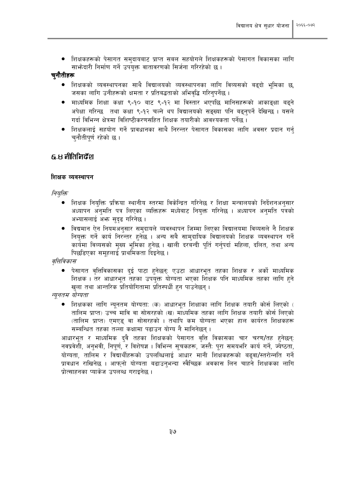ीशक्षकहरूको पेसागत समुदायबाट प्राप्त सबल सहयोगले शिक्षकहरूको पेसागत विकासका लागि साभ्रेदारी निर्माण गर्ने उपयुक्त वातावरणको सिर्जना गरिरहेको छ।

### चनौतीहरू

- शिक्षकको व्यवस्थापनका साथै विद्यालयको व्यवस्थापनका लागि विव्यसको बढदो भमिका छ. जसका लागि उनीहरूको क्षमता र प्रतिबद्धताको अभिवृद्धि गरिन्पर्नेछ ।
- माध्यमिक शिक्षा कक्षा ९-१० बाट ९-१२ मा विस्तार भएपछि मानिसहरूको आकाङक्षा बढने अपेक्षा गरिन्छ तथा कक्षा ९-१२ चल्ने थप विद्यालयको सङ्ख्या पनि बढनपर्ने देखिन्छ । यसले गर्दा विभिन्न क्षेत्रमा विशिष्टीकरणसहित शिक्षक तयारीको आवश्यकता पर्नेछ ।
- शिक्षकलाई सहयोग गर्ने प्रावधानका साथै निरन्तर पेसागत विकासका लागि अवसर प्रदान गर्न् चुनौतीपूर्ण रहेको छ ।

## ह.स नीतिनिर्देश

### शिक्षक व्यवस्थापन

नियुक्ति

- शिक्षक नियक्ति प्रक्रिया स्थानीय स्तरमा विकेन्द्रित गरिनेछ र शिक्षा मन्त्रालयको निर्देशनअनुसार अध्यापन अनुमति पत्र लिएका व्यक्तिहरू मध्येबाट नियुक्त गरिनेछ । अध्यापन अनुमति पत्रको अभ्यासलाई अभ्र सुदृढ गरिनेछ।
- विद्यमान ऐन नियमअनुसार समुदायले व्यवस्थापन जिम्मा लिएका विद्यालयमा विव्यसले नै शिक्षक नियुक्त गर्ने कार्य निरन्तर हुनेछ । अन्य सबै सामुदायिक विद्यालयको शिक्षक व्यवस्थापन गर्ने कार्यमा विव्यसको मुख्य भूमिका हुनेछ । खाली दरबन्दी पूर्ति गर्नुपर्दा महिला, दलित, तथा अन्य पिछडिएका समहलाई प्राथमिकता दिइनेछ।

वत्तिविकास

● पेसागत वृत्तिविकासका दुई पाटा हुनेछन्: एउटा आधारभूत तहका शिक्षक र अर्को माध्यमिक शिक्षक। तर आधारभूत तहका उपयुक्त योग्यता भएका शिक्षक पनि माध्यमिक तहका लागि हुने खुला तथा आन्तरिक प्रतियोगितामा प्रतिस्पर्धी हुन पाउनेछन् ।

न्यूनतम योग्यता

शिक्षकका लागि न्युनतम योग्यता: (क) आधारभूत शिक्षाका लागि शिक्षक तयारी कोर्स लिएको ( तालिम प्राप्त) उच्च मावि वा सोसरहको (ख) माध्यमिक तहका लागि शिक्षक तयारी कोर्स लिएको (तालिम प्राप्त) एमएड वा सोसरहको । तथापि कम योग्यता भएका हाल कार्यरत शिक्षकहरू सम्बन्धित तहका तल्ला कक्षामा पढाउन योग्य नै मानिनेछन् ।

आधारभूत र माध्यमिक दुवै तहका शिक्षकको पेसागत वृत्ति विकासका चार चरण/तह हुनेछन्: नवप्रवेशी, अनुभवी, निपूर्ण, र विशेषज्ञ । विभिन्न सुचकहरू, जस्तै: पुरा समयभरि कार्य गर्ने, ज्येष्ठता, योग्यता, तालिम र विद्यार्थीहरूको उपलब्धिलाई आधार मानी शिक्षकहरूको बढवा/स्तरोन्नति गर्ने प्रावधान राखिनेछ । आफुनो योग्यता बढाउनभन्दा स्वैच्छिक अवकास लिन चाहने शिक्षकका लागि पोत्साहनका प्याकेज उपलब्ध गराइनेछ ।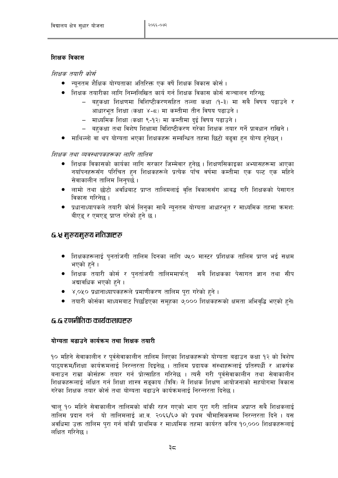## शिक्षक विकास

शिक्षक तयारी कोर्स

- न्यूनतम शैक्षिक योग्यताका अतिरिक्त एक वर्षे शिक्षक विकास कोर्स ।
- शिक्षक तयारीका लागि निम्नलिखित कार्य गर्न शिक्षक विकास कोर्स सञ्चालन गरिन्छ:
	- बहुकक्षा शिक्षणमा विशिष्टीकरणसहित तल्ला कक्षा (१-३) मा सबै विषय पढाउने र आधारभूत शिक्षा (कक्षा ४-८) मा कम्तीमा तीन विषय पढाउने।
	- माध्यमिक शिक्षा (कक्षा ९-१२) मा कम्तीमा दुई विषय पढाउने ।
	- बहकक्षा तथा विशेष शिक्षामा विशिष्टीकरण गरेका शिक्षक तयार गर्ने प्रावधान राखिने ।
- माथिल्लो वा थप योग्यता भएका शिक्षकहरू सम्बन्धित तहमा छिटो बढ्वा हुन योग्य हुनेछन् ।

## शिक्षक तथा व्यवस्थापकहरूका लागि तालिम

- शिक्षक विकासको कार्यका लागि सरकार जिम्मेवार हुनेछ । शिक्षणसिकाइका अभ्यासहरूमा आएका नयाँपनहरूसँग परिचित हुन शिक्षकहरूले प्रत्येक पाँच वर्षमा कम्तीमा एक पल्ट एक महिने सेवाकालीन तालिम लिन्पर्छ।
- लामो तथा छोटो अवधिबाट प्राप्त तालिमलाई वत्ति विकाससँग आबद्ध गरी शिक्षकको पेसागत विकास गरिनेछ ।
- प्रधानाध्यापकले तयारी कोर्स लिनुका साथै न्यूनतम योग्यता आधारभूत र माध्यमिक तहमा क्रमश: बीएड र एमएड प्राप्त गरेको हने छ।

## ६.५ मुख्यमुख्य नतिज्ञाहरू

- शिक्षकहरूलाई पुनर्ताजगी तालिम दिनका लागि ७५० मास्टर प्रशिक्षक तालिम प्राप्त भई सक्षम भएको हने ।
- शिक्षक तयारी कोर्स र पुनर्ताजगी तालिममार्फत् सबै शिक्षकका पेसागत ज्ञान तथा सीप अद्यावधिक भएको हुने ।
- ४,०५० प्रधानाध्यापकहरूले प्रमाणीकरण तालिम पुरा गरेको हुने ।
- तयारी कोर्सका माध्यमबाट पिछडिएका समुहका ७,००० शिक्षकहरूको क्षमता अभिवद्धि भएको हुने।

## द नगानीतिक कार्यकलणहरू

## योग्यता बढाउने कार्यक्रम तथा शिक्षक तयारी

१० महिने सेवाकालीन र पर्वसेवाकालीन तालिम लिएका शिक्षकहरूको योग्यता बढाउन कक्षा १२ को विशेष पाठयक्रम/शिक्षा कार्यक्रमलाई निरन्तरता दिइनेछ । तालिम प्रदायक संस्थाहरूलाई प्रतिस्पर्धी र आकर्षक बनाउन राम्रा कोर्सहरू तयार गर्न प्रोत्साहित गरिनेछ । त्यसै गरी पुर्वसेवाकालीन तथा सेवाकालीन शिक्षकहरूलाई लक्षित गर्न शिक्षा शास्त्र सड़काय (त्रिवि) ले शिक्षक शिक्षण आयोजनाको सहयोगमा विकास गरेका शिक्षक तयार कोर्स तथा योग्यता बढाउने कार्यक्रमलाई निरन्तरता दिनेछ ।

चाल १० महिने सेवाकालीन तालिमको बाँकी रहन गएको भाग परा गरी तालिम अप्राप्त सबै शिक्षकलाई तालिम प्रदान गर्न यो तालिमलाई आ.व. २०६६/६७ को प्रथम चौमासिकसम्म निरन्तरता दिने । यस अवधिमा उक्त तालिम पुरा गर्न बाँकी प्राथमिक र माध्यमिक तहमा कार्यरत करिब १०,००० शिक्षकहरूलाई लक्षित गरिनेछ ।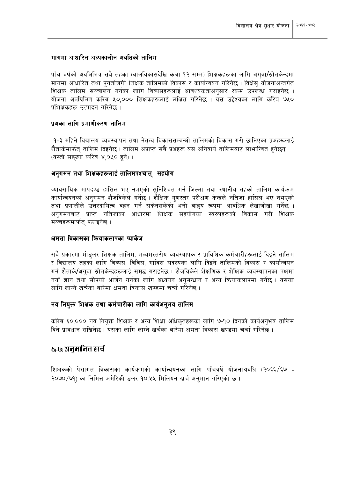#### मागमा आधारित अल्पकालीन अवधिको तालिम

पाँच वर्षको अवधिभित्र सबै तहका (बालविकासदेखि कक्षा १२ सम्म) शिक्षकहरूका लागि अगवा/स्रोतकेन्द्रमा मागमा आधारित तथा पुनर्ताजगी शिक्षक तालिमको विकास र कार्यान्वयन गरिनेछ । विक्षेसु योजनाअन्तर्गत शिक्षक तालिम सञ्चालन गर्नका लागि विव्यसहरूलाई आवश्यकताअनुसार रकम उपलब्ध गराइनेछ । योजना अवधिभित्र करिब ५०,००० शिक्षकहरूलाई लक्षित गरिनेछ । यस उद्देश्यका लागि करिब ७५० पशिक्षकहरू उत्पादन गरिनेछ ।

### पअका लागि पमाणीकरण तालिम

१-३ महिने विद्यालय व्यवस्थापन तथा नेतृत्व विकाससम्बन्धी तालिमको विकास गरी छानिएका प्रअहरूलाई शैताकेमार्फत् तालिम दिइनेछ । तालिम अप्राप्त सबै प्रअहरू यस अनिवार्य तालिमबाट लाभान्वित हुनेछन् (यस्तो सङ्ख्या करिब ४,०५० हुने)।

#### अनगमन तथा शिक्षकहरूलाई तालिमपश्चात् सहयोग

व्यावसायिक मापदण्ड हासिल भए नभएको सुनिश्चित गर्न जिल्ला तथा स्थानीय तहको तालिम कार्यक्रम कार्यान्वयनको अनुगमन शैजविकेले गर्नेछ । शैैक्षिक गुणस्तर परीक्षण केन्द्रले नतिजा हासिल भए नभएको तथा प्रणालीले उत्तरदायित्व वहन गर्न सकेनसकेको भनी बाहय रूपमा आवधिक लेखाजोखा गर्नेछ । अनुगमनबाट प्राप्त नतिजाका आधारमा शिक्षक सहयोगका स्वरुपहरूको विकास गरी शिक्षक मञ्चहरूमार्फत् पठाइनेछ।

#### क्षमता विकासका कियाकलापका प्याकेज

सबै प्रकारमा मोडुलर शिक्षक तालिम, मध्यमस्तरीय व्यवस्थापक र प्राविधिक कर्मचारीहरूलाई दिइने तालिम र विद्यालय तहका लागि विव्यस, विविस, गाविस सदस्यका लागि दिइने तालिमको विकास र कार्यान्वयन गर्न शैताके/अगुवा स्रोतकेन्द्रहरूलाई समृद्ध गराइनेछ । शैजविकेले शैक्षणिक र शैक्षिक व्यवस्थापनका पक्षमा नयाँ ज्ञान तथा सीपको आर्जन गर्नका लागि अध्ययन अनसन्धान र अन्य कियाकलापमा गर्नेछ । यसका लागि लाग्ने खर्चका बारेमा क्षमता विकास खण्डमा चर्चा गरिनेछ ।

### नव नियुक्त शिक्षक तथा कर्मचारीका लागि कार्यअनुभव तालिम

करिब ६०,००० नव नियुक्त शिक्षक र अन्य शिक्षा अधिकृतहरूका लागि ७-१० दिनको कार्यअनुभव तालिम दिने पावधान राखिनेछ । यसका लागि लाग्ने खर्चका बारेमा क्षमता विकास खण्डमा चर्चा गरिनेछ ।

### ६.६ अनुमानित खर्च

शिक्षकको पेसागत विकासका कार्यक्रमको कार्यान्वयनका लागि पाँचवर्षे योजनाअवधि (२०६६/६७ -२०७०/७१) का निमित्त अमेरिकी डलर १०.५५ मिलियन खर्च अनुमान गरिएको छ ।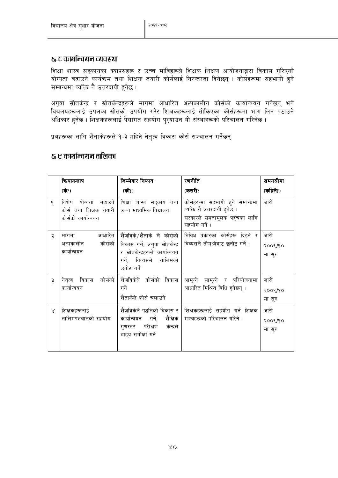## ६.ट कार्यान्वयन व्यवरुथा

शिक्षा शास्त्र सङ्कायका क्यापसहरू र उच्च माविहरूले शिक्षक शिक्षण आयोजनाद्वारा विकास गरिएको योग्यता बढाउने कार्यक्रम तथा शिक्षक तयारी कोर्सलाई निरन्तरता दिनेछन् । कोर्सहरूमा सहभागी हुने सम्बन्धमा व्यक्ति नै उत्तरदायी हनेछ।

अगुवा स्रोतकेन्द्र र स्रोतकेन्द्रहरूले मागमा आधारित अल्पकालीन कोर्सको कार्यान्वयन गर्नेछन् भने विद्यलयहरूलाई उपलब्ध स्रोतको उपयोग गरेर शिक्षकहरूलाई तोकिएका कोर्सहरूमा भाग लिन पठाउने अधिकार हुनेछ । शिक्षकहरूलाई पेसागत सहयोग पुर्याउन यी संस्थाहरूको परिचालन गरिनेछ ।

प्रअहरूका लागि शैताकेहरूले १-३ महिने नेतृत्व विकास कोर्स सञ्चालन गर्नेछन्

## ६.ए कार्यान्वयन तालिका

|              | कियाकलाप                                                              | जिम्मेवार निकाय                                                                                                                          | रणनीति                                                                                                           | समयसीमा                    |
|--------------|-----------------------------------------------------------------------|------------------------------------------------------------------------------------------------------------------------------------------|------------------------------------------------------------------------------------------------------------------|----------------------------|
|              | (के?)                                                                 | (को?)                                                                                                                                    | (कसरी?                                                                                                           | (कहिले?)                   |
| $\mathsf{P}$ | विशेष योग्यता बढाउने<br>कोर्स तथा शिक्षक तयारी<br>कोर्सको कार्यान्वयन | शिक्षा शास्त्र सङ्काय तथा<br>उच्च माध्यमिक विद्यालय                                                                                      | कोर्सहरूमा सहभागी हुने सम्बन्धमा<br>व्यक्ति नै उत्तरदायी हनेछ ।<br>सरकारले समतामूलक पहँचका लागि<br>सहयोग गर्ने । | जारी                       |
| २            | आधारित<br>मागमा<br>कोर्सको<br>अल्पकालीन<br>कार्यान्वयन                | शैजविके/शैताके ले कोर्सको<br>विकास गर्ने, अगुवा स्रोतकेन्द्र<br>र स्रोतकेन्द्रहरूले कार्यान्वयन<br>गर्ने, विव्यसले तालिमको<br>छनोट गर्ने | विविध प्रकारका कोर्सहरू दिइने र<br>विव्यसले तीमध्येबाट छनोट गर्ने।                                               | जारी<br>२००९/१०<br>मा सुरु |
| ३            | कोर्सको<br>नेतृत्व विकास<br>कार्यान्वयन                               | शैजविकेले कोर्सको विकास<br>गर्ने<br>शैताकेले कोर्स चलाउने                                                                                | आमुन्ने सामुन्ने र परियोजनामा<br>आधारित मिश्रित विधि हनेछन्।                                                     | जारी<br>२००९/१०<br>मा सुरु |
| $\lambda$    | शिक्षकहरूलाई<br>तालिमपश्चात्को सहयोग                                  | कार्यान्वयन गर्ने, शैक्षिक<br>गुणस्तर परीक्षण<br>केन्द्रले<br>बाहय समीक्षा गर्ने                                                         | शैजविकेले पद्धतिको विकास र   शिक्षकहरूलाई  सहयोग  गर्न  शिक्षक<br>मञ्चहरूको परिचालन गरिने ।                      | जारी<br>२००९/१०<br>मा सुरु |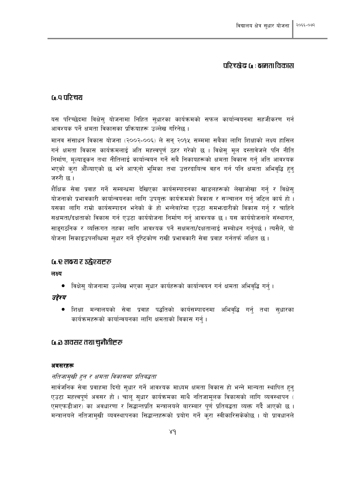## परिच्छेढ (; : भागा विकास

## ि ० परिचरा

यस परिच्छेदमा विक्षेस् योजनामा निहित सुधारका कार्यक्रमको सफल कार्यान्वयनमा सहजीकरण गर्न आवश्यक पर्ने क्षमता विकासका प्रक्रियाहरू उल्लेख गरिनेछ ।

मानव संसाधन विकास योजना (२००२-००६) ले सन् २०१५ सम्ममा सबैका लागि शिक्षाको लक्ष्य हासिल गर्न क्षमता विकास कार्यक्रमलाई अति महत्त्वपूर्ण ठहर गरेको छ । विक्षेसु मूल दस्तावेजले पनि नीति निर्माण, मुल्याङ्कन तथा नीतिलाई कार्यान्वयन गर्ने सबै निकायहरूको क्षमता विकास गर्नु अति आवश्यक भएको कुरा औँल्याएको छ भने आफ्नो भूमिका तथा उत्तरदायित्व वहन गर्न पनि क्षमता अभिवृद्धि हुनु जरुरी छ ।

शैक्षिक सेवा प्रवाह गर्ने सम्बन्धमा देखिएका कार्यसम्पादनका खाडलहरूको लेखाजोखा गर्न र विक्षेस योजनाको प्रभावकारी कार्यान्वयनका लागि उपयक्त कार्यक्रमको विकास र सञ्चालन गर्न जटिल कार्य हो । यसका लागि राम्रो कार्यसम्पादन भनेको के हो भन्नेबारेमा एउटा समभ्रुदारीको विकास गर्न र चाहिने सक्षमता/दक्षताको विकास गर्न एउटा कार्ययोजना निर्माण गर्न आवश्यक छ। यस कार्ययोजनाले संस्थागत, साङ्गठनिक र व्यक्तिगत तहका लागि आवश्यक पर्ने सक्षमता/दक्षतालाई सम्बोधन गर्नुपर्छ । त्यसैले, यो योजना सिकाइउपलब्धिमा सुधार गर्ने दृष्टिकोण राखी प्रभावकारी सेवा प्रवाह गर्नतर्फ लक्षित छ ।

### <u>५.९ लक्ष्य र उद्घेश्यहरू</u>

लक्ष्य

● विक्षेस योजनामा उल्लेख भएका सुधार कार्यहरूको कार्यान्वयन गर्न क्षमता अभिवद्धि गर्न् ।

उद्देश्य

● शिक्षा मन्त्रालयको सेवा प्रवाह पद्धतिको कार्यसम्पादनमा अभिवद्धि गर्नु तथा सुधारका कार्यक्रमहरूको कार्यान्वयनका लागि क्षमताको विकास गर्न।

## ५.อ अवसर तथा चुनौतीहरू

### अवसरहरू

## नतिजामखी हन र क्षमता विकासमा प्रतिबद्धता

सार्वजनिक सेवा प्रवाहमा दिगो सधार गर्ने आवश्यक माध्यम क्षमता विकास हो भन्ने मान्यता स्थापित हुन् एउटा महत्त्वपूर्ण अवसर हो । चालू सुधार कार्यक्रमका साथै नतिजामूलक विकासको लागि व्यवस्थापन ( एमएफडीआर) का अवधारणा र सिद्धान्तप्रति मन्त्रालयले बारम्बार पूर्ण प्रतिबद्धता व्यक्त गर्दै आएको छ । मन्त्रालयले नतिजामुखी व्यवस्थापनका सिद्धान्तहरूको प्रयोग गर्ने करा स्वीकारिसकेकोछ । यो प्रावधानले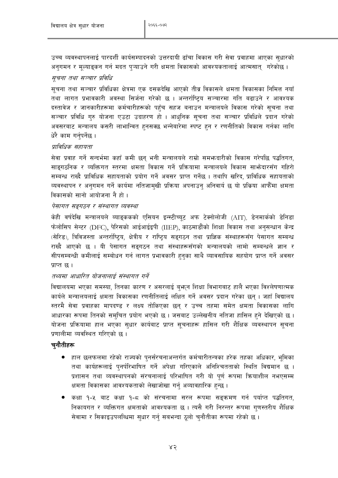उच्च व्यवस्थापनलाई पारदर्शी कार्यसम्पादनको उत्तरदायी ढाँचा विकास गरी सेवा प्रवाहमा आएका सुधारको अनुगमन र मुल्याङ्कन गर्न मदत पुऱ्याउने गरी क्षमता विकासको आवश्यकतालाई आत्मसातु गरेकोछ ।

## सूचना तथा सञ्चार प्रविधि

सूचना तथा सञ्चार प्रविधिका क्षेत्रमा एक दसकदेखि आएको तीव्र विकासले क्षमता विकासका निमित्त नयाँ तथा लागत प्रभावकारी अवस्था सिर्जना गरेको छ । अन्तर्राष्टिय सञ्चारमा गति बढाउने र आवश्यक दस्तावेज र जानकारीहरूमा कर्मचारीहरूको पहुँच सहज बनाउन मन्त्रालयले विकास गरेको सूचना तथा सञ्चार प्रविधि गुरु योजना एउटा उदाहरण हो । आधुनिक सुचना तथा सञ्चार प्रविधिले प्रदान गरेको अवसरबाट मन्त्रालय कसरी लाभान्वित हुनसक्छ भन्नेबारेमा स्पष्ट हुन र रणनीतिको विकास गर्नका लागि धेरै काम गर्नुपर्नेछ ।

## प्राविधिक सहायता

सेवा प्रवाह गर्ने सन्दर्भमा कहाँ कमी छन् भनी मन्त्रालयले राम्रो समभ्रुदारीको विकास गरेपछि पद्धतिगत, साङगठनिक र व्यक्तिगत स्तरमा क्षमता विकास गर्ने प्रक्रियामा मन्त्रालयले विकास साभ्रेदारसँग गहिरो सम्बन्ध राख्दै प्राविधिक सहायताको प्रयोग गर्ने अवसर प्राप्त गर्नेछ । तथापि खरिद, प्राविधिक सहायताको व्यवस्थापन र अनगमन गर्ने कार्यमा नतिजामखी प्रक्रिया अपनाउन अनिवार्य छ यो प्रक्रिया आफैँमा क्षमता विकासको सानो आयोजना नै हो।

### पेसागत सङ्गठन र संस्थागत व्यवस्था

केही वर्षदेखि मन्त्रालयले ब्याङ्ककको एसियन इन्स्टीच्यूट अफ टेक्नोलोजी (AIT), डेनमार्कको डेनिडा फेलोसिप सेन्टर (DFC), पेरिसको आईआईइपी (IIEP), काठमाडौंको शिक्षा विकास तथा अनुसन्धान केन्द्र (सेरिड), त्रिविजस्ता अन्तर्राष्टिय, क्षेत्रीय र राष्टिय सङ्गठन तथा प्राज्ञिक संस्थाहरूसँग पेसागत सम्बन्ध राख्दै आएको छ । यी पेसागत सङगठन तथा संस्थाहरूसँगको मन्त्रालयको लामो सम्बन्धले ज्ञान र सीपसम्बन्धी कमीलाई सम्बोधन गर्न लागत प्रभावकारी हुनुका साथै व्यावसायिक सहयोग प्राप्त गर्ने अवसर प्राप्त छ।

### तथ्यमा आधारित योजनालाई संस्थागत गर्ने

विद्यालयमा भएका समस्या, तिनका कारण र असरलाई बुभून शिक्षा विभागबाट हालै भएका विश्लेषणात्मक कार्यले मन्त्रालयलाई क्षमता विकासका रणनीतिलाई लक्षित गर्ने अवसर प्रदान गरेका छन । जहाँ विद्यालय स्तरमै सेवा प्रवाहका मापदण्ड र लक्ष्य तोकिएका छन् र उच्च तहमा समेत क्षमता विकासका लागि आधारका रूपमा तिनको समचित प्रयोग भएको छ। जसबाट उल्लेखनीय नतिजा हासिल हुने देखिएको छ। योजना प्रक्रियामा हाल भएका सुधार कार्यबाट प्राप्त सुचनाहरू हासिल गरी शैक्षिक व्यवस्थापन सुचना प्रणालीमा व्यवस्थित गरिएको छ ।

### चनौतीहरू

- हाल छलफलमा रहेको राज्यको पुनर्संरचनाअन्तर्गत कर्मचारीतन्त्रका हरेक तहका अधिकार, भूमिका  $\bullet$ तथा कार्यहरूलाई पुनर्परिभाषित गर्ने अपेक्षा गरिएकाले अनिश्चितताको स्थिति विद्यमान छ । प्रशासन तथा व्यवस्थापनको संरचनालाई परिभाषित गरी यो पूर्ण रूपमा क्रियाशील नभएसम्म क्षमता विकासका आवश्यकताको लेखाजोखा गर्न् अव्यावहारिक हुन्छ ।
- कक्षा १-५ बाट कक्षा १-८ को संरचनामा सरल रूपमा सङ्क्रमण गर्न पर्याप्त पद्धतिगत. निकायगत र व्यक्तिगत क्षमताको आवश्यकता छ । त्यसै गरी निरन्तर रूपमा गणस्तरीय शैक्षिक सेवामा र सिकाइउपलब्धिमा सुधार गर्न् सबभन्दा ठुलो चुनौतीका रूपमा रहेको छ।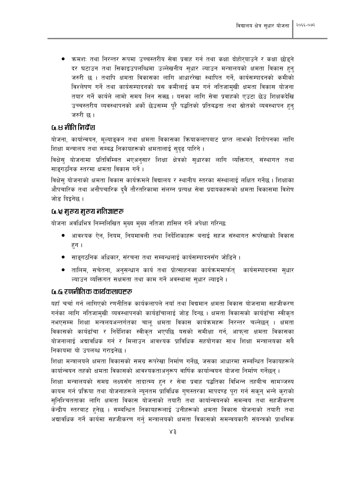● कमशः तथा निरन्तर रूपमा उच्चस्तरीय सेवा प्रवाह गर्न तथा कक्षा दोहोरयाउने र कक्षा छोड़ने दर घटाउन तथा सिकाइउपलब्धिमा उल्लेखनीय सुधार ल्याउन मन्त्रालयको क्षमता विकास हन् जरुरी छ । तथापि क्षमता विकासका लागि आधाररेखा स्थापित गर्ने, कार्यसम्पादनको कमीको विश्लेषण गर्ने तथा कार्यसम्पादनको यस कमीलाई कम गर्न नतिजामखी क्षमता विकास योजना तयार गर्ने कार्यले लामो समय लिन सक्छ । यसका लागि सेवा प्रवाहको एउटा छेउ शिक्षकदेखि उच्चस्तरीय व्यवस्थापनको अर्को छेउसम्म परै पद्धतिको प्रतिबद्धता तथा स्रोतको व्यवस्थापन हुन जरुरी छ ।

## G.8 नीति निर्देश

योजना, कार्यान्वयन, मूल्याङ्कन तथा क्षमता विकासका क्रियाकलापबाट प्राप्त लाभको दिगोपनका लागि शिक्षा मन्त्रालय तथा सम्बद्ध निकायहरूको क्षमतालाई सुदृढ पारिने।

विक्षेस योजनामा प्रतिविम्बित भएअनुसार शिक्षा क्षेत्रको सधारका लागि व्यक्तिगत, संस्थागत तथा साइगठनिक स्तरमा क्षमता विकास गर्ने।

विक्षेस योजनाको क्षमता विकास कार्यक्रमले विद्यालय र स्थानीय स्तरका संस्थालाई लक्षित गर्नेछ । शिक्षाका औपचारिक तथा अनौपचारिक दवै तौरतरिकामा संलग्न प्रत्यक्ष सेवा प्रदायकहरूको क्षमता विकासमा विशेष जोड दिइनेछ ।

### <u>५.५ मुख्य मुख्य नतिज्ञाहरू</u>

योजना अवधिभित्र निम्नलिखित मुख्य मुख्य नतिजा हासिल गर्ने अपेक्षा गरिन्छ:

- आवश्यक ऐन, नियम, नियमावली तथा निर्देशिकाहरू बनाई सहज संस्थागत रूपरेखाको विकास हन ।
- साङ्गठनिक अधिकार, संरचना तथा सम्बन्धलाई कार्यसम्पादनसँग जोडिने ।  $\bullet$
- तालिम, सचेतना, अनुसन्धान कार्य तथा प्रोत्साहनका कार्यक्रममार्फत् कार्यसम्पादनमा सुधार ल्याउन व्यक्तिगत सक्षमता तथा काम गर्ने अवस्थामा सधार ल्याइने ।

## ि ह रणनीतिक कार्यकलणहरू

यहाँ चर्चा गर्न लागिएको रणनीतिक कार्यकलापले नयाँ तथा विद्यमान क्षमता विकास योजनामा सहजीकरण गर्नका लागि नतिजामुखी व्यवस्थापनको कार्यढाँचालाई जोड दिन्छ । क्षमता विकासको कार्यढाँचा स्वीकृत नभएसम्म शिक्षा मन्त्रलयअन्तर्गतका चाल् क्षमता विकास कार्यक्रमहरू निरन्तर चल्नेछन् । क्षमता विकासको कार्यढाँचा र निर्देशिका स्वीकृत भएपछि यसको समीक्षा गर्न, आफ्ना क्षमता विकासका योजनालाई अद्यावधिक गर्न र मिलाउन आवश्यक प्राविधिक सहयोगका साथ शिक्षा मन्त्रालयका सबै निकायमा यो उपलब्ध गराइनेछ ।

शिक्षा मन्त्रालयले क्षमता विकासको समग्र रूपरेखा निर्माण गर्नेछ, जसका आधारमा सम्बन्धित निकायहरूले कार्यान्वयन तहको क्षमता विकासको आवश्यकताअनुरूप वार्षिक कार्यान्वयन योजना निर्माण गर्नेछन् ।

शिक्षा मन्त्रालयको समग्र लक्ष्यसँग तादात्म्य हुन र सेवा प्रवाह पद्धतिका विभिन्न तहबीच सामञ्जस्य कायम गर्न प्रक्रिया तथा योजनाहरूले न्यूनतम प्राविधिक गुणस्तरका मापदण्ड पूरा गर्न सकून् भन्ने कुराको सुनिश्चितताका लागि क्षमता विकास योजनाको तयारी तथा कार्यान्वयनको समन्वय तथा सहजीकरण केन्द्रीय स्तरबाट हुनेछ । सम्बन्धित निकायहरूलाई उनीहरूको क्षमता विकास योजनाको तयारी तथा अद्यावधिक गर्ने कार्यमा सहजीकरण गर्न् मन्त्रालयको क्षमता विकासको समन्वयकारी संयन्त्रको प्राथमिक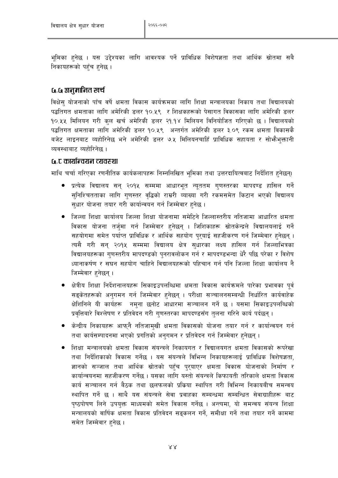भूमिका हुनेछ । यस उद्देश्यका लागि आवश्यक पर्ने प्राविधिक विशेषज्ञता तथा आर्थिक स्रोतमा सबै निकायहरूको पहुँच हुनेछ ।

## <u>५.५ अनमानित खर्च</u>

विक्षेस योजनाको पाँच वर्षे क्षमता विकास कार्यक्रमका लागि शिक्षा मन्त्रालयका निकाय तथा विद्यालयको पद्धतिगत क्षमताका लागि अमेरिकी डलर १०.५९ र शिक्षकहरूको पेसागत विकासका लागि अमेरिकी डलर १०.५५ मिलियन गरी कुल खर्च अमेरिकी डलर २१.१४ मिलियन विनियोजित गरिएको छ । विद्यालयको पद्धतिगत क्षमताका लागि अमेरिकी डलर १०.५९ अन्तर्गत अमेरिकी डलर ३.०९ रकम क्षमता विकासकै बजेट लाइनबाट व्यहोरिनेछ भने अमेरिकी डलर ७.५ मिलियनचाहिँ प्राविधिक सहायता र सोभैभुक्तानी व्यवस्थाबाट व्यहोरिनेछ ।

## <u>G.C कार्यान्वयन व्यवस्था</u>

माथि चर्चा गरिएका रणनीतिक कार्यकलापहरू निम्नलिखित भूमिका तथा उत्तरदायित्वबाट निर्देशित हुनेछन्।

- प्रत्येक विद्यालय सन २०१५ सम्ममा आधारभत न्यततम गणस्तरका मापदण्ड हासिल गर्ने सुनिश्चितताका लागि गुणस्तर वृद्धिको राम्ररी व्याख्या गरी रकमसमेत किटान भएको विद्यालय सुधार योजना तयार गरी कार्यान्वयन गर्न जिम्मेवार हुनेछ ।
- ्जिल्ला शिक्षा कार्यालय जिल्ला शिक्षा योजनामा समेटिने जिल्लास्तरीय नतिजामा आधारित क्षमता विकास योजना तर्जुमा गर्न जिम्मेवार हुनेछन् । जिशिकाहरू स्रोतकेन्द्रले विद्यालयलाई गर्ने सहयोगमा समेत पर्याप्त प्राविधिक र आर्थिक सहयोग पुरुयाई सहजीकरण गर्न जिम्मेवार हुनेछन् । त्यसै गरी सन् २०१५ सम्ममा विद्यालय क्षेत्र सुधारका लक्ष्य हासिल गर्न जिल्लाभित्रका विद्यालयहरूका गणस्तरीय मापदण्डको पनरावलोकन गर्न र मापदण्डभन्दा धेरै पछि परेका र विशेष ध्यानाकर्षण र सघन सहयोग चाहिने विद्यालयहरूको पहिचान गर्न पनि जिल्ला शिक्षा कार्यालय नै जिम्मेवार हनेछन् ।
- क्षेत्रीय शिक्षा निर्देशनालयहरू सिकाइउपलब्धिमा क्षमता विकास कार्यक्रमले पारेका प्रभावका पूर्व सङ्केतहरूको अनुगमन गर्न जिम्मेवार हुनेछन् । परीक्षा सञ्चालनसम्बन्धी निर्धारित कार्यवाहेक क्षेशिनिले यी कार्यहरू नम्ना छनोट आधारमा सञ्चालन गर्ने छ । यसमा सिकाइउपलब्धिको प्रवत्तिबारे विश्लेषण र प्रतिवेदन गरी गणस्तरका मापदण्डसँग तलना गरिने कार्य पर्दछन ।
- केन्द्रीय निकायहरू आफ्नै नतिजामुखी क्षमता विकासको योजना तयार गर्न र कार्यान्वयन गर्न तथा कार्यसम्पादनमा भएको प्रगतिको अनुगमन र प्रतिवेदन गर्न जिम्मेवार हुनेछन् ।
- शिक्षा मन्त्रालयको क्षमता विकास संयन्त्रले निकायगत र विद्यालयगत क्षमता विकासको रूपरेखा तथा निर्देशिकाको विकास गर्नेछ । यस संयन्त्रले विभिन्न निकायहरूलाई प्राविधिक विशेषज्ञता, ज्ञानको सञ्जाल तथा आर्थिक स्रोतको पहुँच पुरुयाएर क्षमता विकास योजनाको निर्माण र कार्यान्वयनमा सहजीकरण गर्नेछ । यसका लागि यस्तो संयन्त्रले किफायती तरिकाले क्षमता विकास कार्य सञ्चालन गर्न बैठक तथा छलफलको प्रक्रिया स्थापित गरी विभिन्न निकायबीच समन्वय स्थापित गर्ने छ । साथै यस संयन्त्रले सेवा प्रवाहका सम्बन्धमा सम्बन्धित सेवाग्राहीहरू बाट पृष्ठपोषण लिने उपयुक्त माध्यमको समेत विकास गर्नेछ । अन्त्यमा, यो समन्वय संयन्त्र शिक्षा मन्त्रालयको वार्षिक क्षमता विकास प्रतिवेदन सङ्कलन गर्ने, समीक्षा गर्ने तथा तयार गर्ने काममा समेत जिम्मेवार हनेछ ।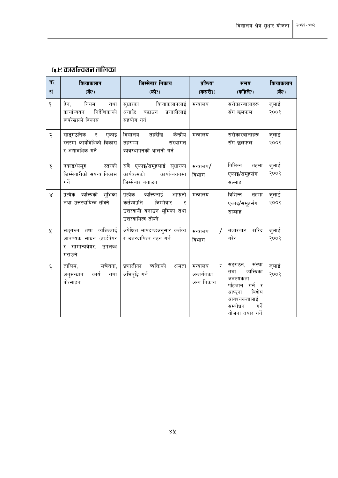# <u>५.ए कार्यान्वयन तालिका</u>

| क.<br>सं           | कियाकलाप<br>(के?)                                                                  | जिम्मेवार निकाय<br>(को?)                                                                                         | प्रकिया<br>(कसरी?)                         | समय<br>(कहिले?)                                                                                                                              | कियाकलाप<br>(के?) |
|--------------------|------------------------------------------------------------------------------------|------------------------------------------------------------------------------------------------------------------|--------------------------------------------|----------------------------------------------------------------------------------------------------------------------------------------------|-------------------|
| $\mathsf{P}$       | नियम<br>ऐन,<br>तथा<br>निर्देशिकाको<br>कार्यान्वयन<br>रूपरेखाको विकास               | कियाकलापलाई<br>सुधारका<br>अगाडि बढाउन प्रणालीलाई<br>सहयोग गर्न                                                   | मन्त्रालय                                  | सरोकारवालाहरू<br>सँग छलफल                                                                                                                    | जुलाई<br>२००९     |
| २                  | साङ्गठनिक र एकाइ<br>स्तरमा कार्यविधिको विकास<br>र अद्यावधिक गर्ने                  | विद्यालय तहदेखि केन्द्रीय<br>तहसम्म<br>संस्थागत<br>व्यवस्थापनको थालनी गर्न                                       | मन्त्रालय                                  | सरोकारवालाहरू<br>सँग छलफल                                                                                                                    | जुलाई<br>२००९     |
| ३                  | एकाइ/समूह स्तरको<br>जिम्मेवारीको संयन्त्र विकास<br>गर्ने                           | सबै एकाइ/समूहलाई सुधारका<br>कार्यक्रमको<br>कार्यान्वयनमा<br>जिम्मेवार बनाउन                                      | मन्त्रालय/<br>विभाग                        | विभिन्न<br>तहमा<br>एकाइ/समूहसँग<br>सल्लाह                                                                                                    | जुलाई<br>२००९     |
| $\propto$          | प्रत्येक व्यक्तिको भूभिका<br>तथा उत्तरदायित्व तोक्ने                               | प्रत्येक व्यक्तिलाई आफ्नो<br>कर्तव्यप्रति<br>जिम्मेवार<br>र<br>उत्तरदायी बनाउन भूमिका तथा<br>उत्तरदायित्व तोक्ने | मन्त्रालय                                  | विभिन्न<br>तहमा<br>एकाइ/समूहसँग<br>सल्लाह                                                                                                    | जुलाई<br>२००९     |
| ৼ                  | सङ्गठन तथा व्यक्तिलाई<br>आवश्यक साधन (हार्डवेयर<br>र सामान्यवेयर) उपलब्ध<br>गराउने | अपेक्षित मापदण्डअनुसार कर्तव्य<br>र उत्तरदायित्व वहन गर्न                                                        | मन्त्रालय<br>विभाग                         | खरिद<br>बजारबाट<br>गरेर                                                                                                                      | जुलाई<br>२००९     |
| $\boldsymbol{\xi}$ | सचेतना,<br>तालिम,<br>अनुसन्धान कार्य तथा<br>प्रोत्साहन                             | प्रणालीका व्यक्तिको<br>क्षमता<br>अभिवृद्धि गर्न                                                                  | र<br>मन्त्रालय<br>अन्तर्गतका<br>अन्य निकाय | संस्था<br>सङ्गठन,<br>व्यक्तिका<br>तथा<br>अवश्यकता<br>पहिचान गर्ने र<br>विशेष<br>आफ्ना<br>आवश्यकतालाई<br>सम्बोधन<br>गर्ने<br>योजना तयार गर्ने | जुलाई<br>२००९     |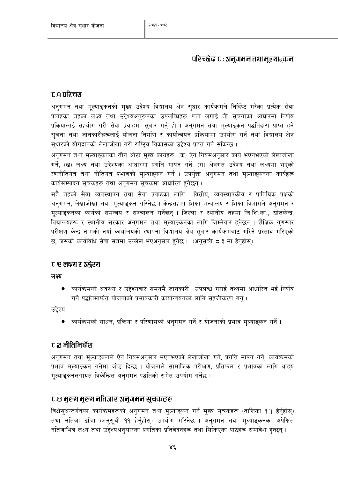## परिच्छेद C : अनुगमन तथा मुल्याङ्कन

# c.a परिचय

अनुगमन तथा मूल्याङ्कनको मुख्य उद्देश्य विद्यालय क्षेत्र सुधार कार्यक्रमले निर्दिष्ट गरेका प्रत्येक सेवा प्रवाहका तहका लक्ष्य तथा उद्देश्यअनुरूपका उपलब्धिहरू पत्ता लगाई ती सुचनाका आधारमा निर्णय प्रक्रियालाई सहयोग गरी सेवा प्रवाहमा सुधार गर्नु हो । अनुगमन तथा मुल्याडुकन पद्धतिद्वारा प्राप्त हुने सचना तथा जानकारीहरूलाई योजना निर्माण र कार्यान्वयन प्रक्रियामा उपयोग गर्न तथा विद्यालय क्षेत्र सुधारको योगदानको लेखाजोखा गरी राष्ट्रिय विकासका उद्देश्य प्राप्त गर्न सकिन्छ ।

अनुगमन तथा मुल्याङ्कनका तीन ओटा मुख्य कार्यहरू: (क) ऐन नियमअनुसार कार्य भएनभएको लेखाजोखा गर्ने. (ख) लक्ष्य तथा उद्देश्यका आधारमा प्रगति मापन गर्ने. (ग) क्षेत्रगत उद्देश्य तथा लक्ष्यमा भएको रणनीतिगत तथा नीतिगत प्रभावको मुल्याङ्कन गर्ने । उपर्युक्त अनुगमन तथा मुल्याङ्कनका कार्यहरू कार्यसम्पादन सचकहरू तथा अनगमन सचकमा आधारित हनेछन।

सबै तहको सेवा व्यवस्थापन तथा सेवा प्रवाहका लागि वित्तीय, व्यवस्थापकीय र प्राविधिक पक्षको अनुगमन, लेखाजोखा तथा मुल्याङ्कन गरिनेछ । केन्द्रतहमा शिक्षा मन्त्रालय र शिक्षा विभागले अनुगमन र मूल्याइकनका कार्यको समन्वय र सञ्चालन गर्नेछन् । जिल्ला र स्थानीय तहमा जि.शि.का., स्रोतकेन्द्र, विद्यालयहरू र स्थानीय सरकार अनुगमन तथा मुल्याइकनका लागि जिम्मेवार हुनेछन् । शैक्षिक गुणस्तर परीक्षण केन्द्र नामको नयाँ कार्यालयको स्थापना विद्यालय क्षेत्र सुधार कार्यक्रमबाट गरिने प्रस्ताव गरिएको छ, जसको कार्यविधि सेवा सर्तमा उल्लेख भएअनुसार हुनेछ। (अनुसूची ८.३ मा हेनुहोसु)

## ट. लक्ष्य र उन्नेश्य

लक्ष्य

कार्यक्रमको अवस्था र उद्देश्यबारे समयमै जानकारी उपलब्ध गराई तथ्यमा आधारित भई निर्णय गर्ने पद्धतिमार्फत योजनाको प्रभावकारी कार्यान्वयनका लागि सहजीकरण गर्न ।

उद्देश्य

● कार्यक्रमको साधन, प्रक्रिया र परिणामको अनुगमन गर्ने र योजनाको प्रभाव मूल्याइकन गर्ने ।

## ट.3 नीतिनिर्देश

अनुगमन तथा मुल्याङ्कनले ऐन नियमअनुसार भएनभएको लेखाजोखा गर्ने, प्रगति मापन गर्ने, कार्यक्रमको प्रभाव मूल्याङ्कन गर्नेमा जोड दिन्छ । योजनाले सामाजिक परीक्षण, प्रतिफल र प्रभावका लागि बाहय मुल्याङ्कनलगायत विकेन्द्रित अनुगमन पद्धतिको समेत उपयोग गर्नेछ ।

## ट.८ मुख्य मुख्य नतिज्ञा र अनुगमन सूचकहरू

विक्षेसुअन्तर्गतका कार्यक्रमहरूको अनुगमन तथा मूल्याङ्कन गर्न मुख्य सूचकहरू (तालिका १.१ हेर्नुहोस्) तथा नतिजा ढाँचा (अनुसूची ११ हेर्नुहोस्) उपयोग गरिनेछ । अनुगमन तथा मूल्याङ्कनका अपेक्षित नतिजाभित्र लक्ष्य तथा उद्देश्यअनुसारका प्रगतिका प्रतिवेदनहरू तथा सिकिएका पाठहरू समावेश हुन्छन् ।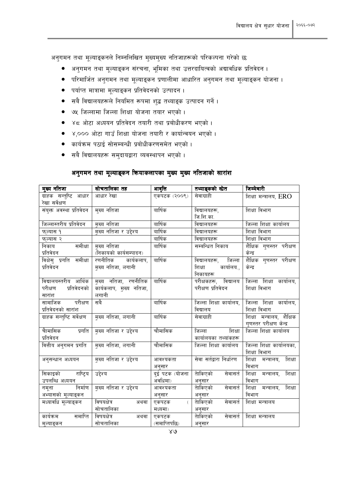अनुगमन तथा मूल्याङ्कनले निम्नलिखित मुख्यमुख्य नतिजाहरूको परिकल्पना गरेको छ:

- अनुगमन तथा मूल्याङ्कन संरचना, भूमिका तथा उत्तरदायित्वको अद्यावधिक प्रतिवेदन ।  $\bullet$
- परिमार्जित अनुगमन तथा मूल्याङ्कन प्रणालीमा आधारित अनुगमन तथा मूल्याङ्कन योजना ।
- पर्याप्त मात्रामा मूल्याङ्कन प्रतिवेदनको उत्पादन ।
- सबै विद्यालयहरूले नियमित रूपमा शुद्ध तथ्याङ्क उत्पादन गर्ने ।
- ७५ जिल्लामा जिल्ला शिक्षा योजना तयार भएको।
- ४८ ओटा अध्ययन प्रतिवेदन तयारी तथा प्रबोधीकरण भएको ।  $\bullet$
- ४,००० ओटा गाउँ शिक्षा योजना तयारी र कार्यान्वयन भएको ।  $\bullet$
- कार्यक्रम पठाई सोसम्बन्धी प्रबोधीकरणसमेत भएको ।
- सबै विद्यालयहरू समुदायद्वारा व्यवस्थापन भएको ।  $\bullet$

## अनुगमन तथा मूल्याङ्कन कियाकलापका मुख्य मुख्य नतिजाको सारांश

| मुख्य नतिजा                             | सोचतालिका तह            | आवृत्ति        | तथ्याङ्कको सोत                   | जिम्मेवारी                                          |
|-----------------------------------------|-------------------------|----------------|----------------------------------|-----------------------------------------------------|
| ग्राहक सन्तुष्टि आधार<br>रेखा सर्वेक्षण | आधार रेखा               | एकपटक (२००९)   | सेवाग्राही                       | शिक्षा मन्त्रालय, ERO                               |
| संयुक्त अवस्था प्रतिवेदन                | मुख्य नतिजा             | वार्षिक        | विद्यालयहरू,                     | शिक्षा विभाग                                        |
|                                         |                         |                | जि.शि.का.                        |                                                     |
| जिल्लास्तरीय प्रतिवेदन                  | मुख्य नतिजा             | वार्षिक        | विद्यालयहरू                      | जिल्ला शिक्षा कार्यालय                              |
| फल्यास १                                | मुख्य नतिजा र उद्देश्य  | वार्षिक        | विद्यालयहरू                      | शिक्षा विभाग                                        |
| फल्यास २                                |                         | वार्षिक        | विद्यालयहरू                      | शिक्षा विभाग                                        |
| समीक्षा<br>निकाय                        | मुख्य नतिजा             | वार्षिक        | सम्बन्धित निकाय                  | शैक्षिक गुणस्तर परीक्षण                             |
| प्रतिवेदन                               | (निकायको कार्यसम्पादन)  |                |                                  | केन्द्र                                             |
| विक्षेसु प्रगति<br>समीक्षा              | रणनीतिक<br>कार्यकलाप,   | वार्षिक        | जिल्ला<br>विद्यालयहरू,           | शैक्षिक गुणस्तर परीक्षण                             |
| प्रतिवेदन                               | मुख्य नतिजा, लगानी      |                | कार्यालय.,<br>शिक्षा<br>निकायहरू | केन्द्र                                             |
| विद्यालयस्तरीय आर्थिक                   | मुख्य नतिजा, रणनीतिक    | वार्षिक        | विद्यालय<br>परीक्षकहरू,          | जिल्ला शिक्षा कार्यालय,                             |
| प्रतिवेदनको<br>परीक्षण                  | कार्यकलाप, मुख्य नतिजा, |                | परीक्षण प्रतिवेदन                | शिक्षा विभाग                                        |
| सारांश                                  | लगानी                   |                |                                  |                                                     |
| परीक्षण<br>सामाजिक                      | सबै                     | वार्षिक        | जिल्ला शिक्षा कार्यालय,          | जिल्ला शिक्षा कार्यालय,                             |
| प्रतिवेदनको सारांश                      |                         |                | विद्यालय                         | शिक्षा विभाग                                        |
| ग्राहक सन्त्ष्टि सर्वेक्षण              | मुख्य नतिजा, लगानी      | वार्षिक        | सेवाग्राही                       | शिक्षा मन्त्रालय, शैक्षिक<br>गणस्तर परीक्षण केन्द्र |
| चैामासिक<br>प्रगति                      | मुख्य नतिजा र उद्देश्य  | चौमासिक        | जिल्ला<br>शिक्षा                 | जिल्ला शिक्षा कार्यालय                              |
| प्रतिवेदन                               |                         |                | कार्यालयका तथ्यांकहरू            |                                                     |
| वित्तीय अनुगमन प्रगति                   | मुख्य नतिजा, लगानी      | चौमासिक        | जिल्ला शिक्षा कार्यालय           | जिल्ला शिक्षा कार्यालयका,                           |
|                                         |                         |                |                                  | शिक्षा विभाग                                        |
| अनुसन्धान अध्ययन                        | मुख्य नतिजा र उद्देश्य  | आवश्यकता       | सेवा सर्तद्वारा निर्धारण         | शिक्षा<br>शिक्षा मन्त्रालय,                         |
|                                         |                         | अनुसार         |                                  | विभाग                                               |
| राष्ट्रिय<br>सिकाइको                    | उद्देश्य                | दुई पटक (योजना | तेाकिएको<br>सेवासर्त             | शिक्षा<br>शिक्षा<br>मन्त्रालय,                      |
| उपलब्धि अध्ययन                          |                         | अवधिमा)        | अनुसार                           | विभाग                                               |
| निर्माण<br>नमूना                        | मुख्य नतिजा र उद्देश्य  | आवश्यकता       | सेवासर्त<br>तेाकिएको             | शिक्षा<br>मन्त्रालय,<br>शिक्षा                      |
| अभ्यासको मूल्याङ्कन                     |                         | अनुसार         | अनुसार                           | विभाग                                               |
| मध्यावधि मूल्याङ्कन                     | विषयक्षेत्र<br>अथवा     | एकपटक          | तेाकिएको<br>सेवासर्त             | शिक्षा मन्त्रालय                                    |
|                                         | सोचतालिका               | मध्यमा)        | अनुसार                           |                                                     |
| कार्यक्रम<br>समाप्ति                    | विषयक्षेत्र<br>अथवा     | एकपटक          | तेाकिएको<br>सेवासर्त             | शिक्षा मन्त्रालय                                    |
| मुल्याङ्कन                              | सोचतालिका               | (समाप्तिपछि)   | अनुसार                           |                                                     |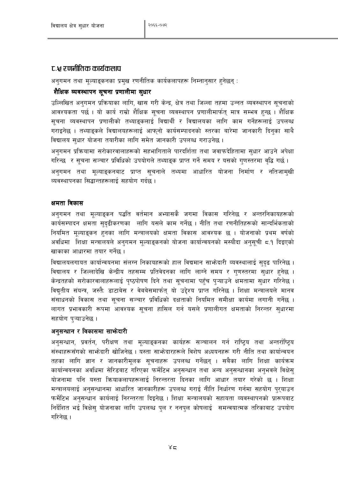## ट.श्च रणनीतिक कार्यकलाप

अनुगमन तथा मुल्याङ्कनका प्रमुख रणनीतिक कार्यकलापहरू निम्नानुसार हुनेछनु :

## शैक्षिक व्यवस्थापन सुचना प्रणालीमा सुधार

उल्लिखित अनगमन प्रक्रियाका लागि. खास गरी केन्द्र. क्षेत्र तथा जिल्ला तहमा उन्नत व्यवस्थापन सचनाको आवश्यकता पर्छ । यो कार्य राम्रो शैक्षिक सूचना व्यवस्थापन प्रणालीमार्फतु मात्र सम्भव हुन्छ । शैक्षिक सूचना व्यवस्थापन प्रणालीको तथ्याङ्कलाई विद्यार्थी र विद्यालयका लागि काम गर्नेहरूलाई उपलब्ध गराइनेछ । तथ्याइकले विद्यालयहरूलाई आफ्**नो कार्यसम्पादनको स्तरका बारेमा जानकारी** दिनुका साथै विद्यालय सुधार योजना तयारीका लागि समेत जानकारी उपलब्ध गराउनेछ ।

अनुगमन प्रक्रियामा सरोकारवालाहरूको सहभागिताले पारदर्शिता तथा जवाफदेहितामा सधार आउने अपेक्षा गरिन्छ र सूचना सञ्चार प्रविधिको उपयोगले तथ्याइक प्राप्त गर्ने समय र यसको गुणस्तरमा वद्धि गर्छ। अनुगमन तथा मुल्याङ्कनबाट प्राप्त सुचनाले तथ्यमा आधारित योजना निर्माण र नतिजामखी व्यवस्थापनका सिद्धान्तहरूलाई सहयोग गर्दछ ।

### क्षमता विकास

अनुगमन तथा मुल्याङ्कन पद्धति वर्तमान अभ्यासकै जगमा विकास गरिनेछ र अन्तरनिकायहरूको कार्यसम्पादन क्षमता सुदृढीकरणका लागि यसले काम गर्नेछ । नीति तथा रणनीतिहरूको सान्दर्भिकताको नियमित मुल्याङ्कन हुनका लागि मन्त्रालयको क्षमता विकास आवश्यक छ । योजनाको प्रथम वर्षको अवधिमा शिक्षा मन्त्रालयले अनुगमन मूल्याङ्कनको योजना कार्यान्वयनको मस्यौदा अनुसूची ८.१ दिइएको खाकाका आधारमा तयार गर्नेछ ।

विद्यालयलगायत कार्यान्वयनमा संलग्न निकायहरूको हाल विद्यमान साभ्रेदारी व्यवस्थालाई सदढ पारिनेछ । विद्यालय र जिल्लादेखि केन्द्रीय तहसम्म प्रतिवेदनका लागि लाग्ने समय र गणस्तरमा सधार हुनेछ । केन्द्रतहको सरोकारवालाहरूलाई पृष्ठपोषण दिने तथा सूचनामा पहुँच प्ऱ्याउने क्षमतामा सुधार गरिनेछ । विद्यतीय संयन्त्र, जस्तै: डाटाबेस र वेबबेसमार्फत यो उद्देश्य प्राप्त गरिनेछ । शिक्षा मन्त्रालयले मानव संसाधनको विकास तथा सूचना सञ्चार प्रविधिको दक्षताको नियमित समीक्षा कार्यमा लगानी गर्नेछ । लागत प्रभावकारी रूपमा आवश्यक सूचना हासिल गर्न यसले प्रणालीगत क्षमताको निरन्तर सुधारमा सहयोग प्ऱ्याउनेछ।

## अनुसन्धान र विकासमा साभेदारी

अनुसन्धान, प्रवर्तन, परीक्षण तथा मूल्याङ्कनका कार्यहरू सञ्चालन गर्न राष्ट्रिय तथा अन्तर्राष्ट्रिय संस्थाहरूसँगको साभ्रेदारी खोजिनेछ । यस्ता साभ्रेदारहरूले विशेष अध्ययनहरू गरी नीति तथा कार्यान्वयन तहका लागि ज्ञान र जानकारीमुलक सुचनाहरू उपलब्ध गर्नेछन् । सबैका लागि शिक्षा कार्यक्रम कार्यान्वयनका अवधिमा सेरिडबाट गरिएका फर्मेटिभ अनुसन्धान तथा अन्य अनुसन्धानका अनुभवले विक्षेस् योजनामा पनि यस्ता क्रियाकलापहरूलाई निरन्तरता दिनका लागि आधार तयार गरेको छ । शिक्षा मन्त्रालयलाई अनुसन्धानमा आधारित जानकारीहरू उपलब्ध गराई नीति निर्धारण गर्नमा सहयोग पुरयाउन फर्मेटिभ अनुसन्धान कार्यलाई निरन्तरता दिइनेछ । शिक्षा मन्त्रालयको सहायता व्यवस्थापनको प्रारूपबाट निर्देशित भई विक्षेस् योजनाका लागि उपलब्ध पुल र ननपुल कोषलाई समन्वयात्मक तरिकाबाट उपयोग गरिनेछ ।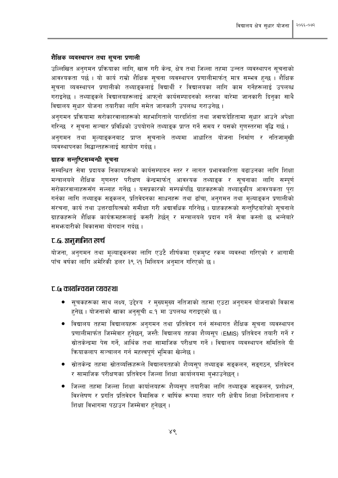#### शैक्षिक व्यवस्थापन तथा सूचना प्रणाली

उल्लिखित अनुगमन प्रक्रियाका लागि, खास गरी केन्द्र, क्षेत्र तथा जिल्ला तहमा उन्नत व्यवस्थापन सुचनाको आवश्यकता पर्छ । यो कार्य राम्रो शैक्षिक सूचना व्यवस्थापन प्रणालीमार्फत् मात्र सम्भव हुन्छ । शैक्षिक सूचना व्यवस्थापन प्रणालीको तथ्याङ्कलाई विद्यार्थी र विद्यालयका लागि काम गर्नेहरूलाई उपलब्ध गराइनेछ । तथ्याइकले विद्यालयहरूलाई आफनो कार्यसम्पादनको स्तरका बारेमा जानकारी दिनका साथै विद्यालय सुधार योजना तयारीका लागि समेत जानकारी उपलब्ध गराउनेछ ।

अनुगमन प्रक्रियामा सरोकारवालाहरूको सहभागिताले पारदर्शिता तथा जवाफदेहितामा सुधार आउने अपेक्षा गरिन्छ र सूचना सञ्चार प्रविधिको उपयोगले तथ्याङ्क प्राप्त गर्ने समय र यसको गुणस्तरमा वृद्धि गर्छ। अनुगमन तथा मूल्याङ्कनबाट प्राप्त सूचनाले तथ्यमा आधारित योजना निर्माण र नतिजामुखी व्यवस्थापनका सिद्धान्तहरूलाई सहयोग गर्दछ ।

### ग्राहक सन्तुष्टिसम्बन्धी सूचना

सम्बन्धित सेवा प्रदायक निकायहरूको कार्यसम्पादन स्तर र लागत प्रभावकारिता बढाउनका लागि शिक्षा मन्त्रालयले शैक्षिक गणस्तर परीक्षण केन्द्रमार्फत् आवश्यक तथ्याङ्क र सूचनाका लागि सम्पूर्ण सरोकारवालाहरूसँग सल्लाह गर्नेछ । यसप्रकारको सम्पर्कपछि ग्राहकहरूको तथ्याङ्कीय आवश्यकता पुरा गर्नका लागि तथ्याङक सङ्कलन, प्रतिवेदनका साधनहरू तथा ढाँचा, अनगमन तथा मल्याङकन प्रणालीको संरचना, कार्य तथा उत्तरदायित्वको समीक्षा गरी अद्यावधिक गरिनेछ । ग्राहकहरूको सन्तुष्टिबारेको सूचनाले ग्राहकहरूले शैक्षिक कार्यक्रमहरूलाई कसरी हेर्छन र मन्त्रालयले प्रदान गर्ने सेवा कस्तो छ भन्नेबारे समभ्रुदारीको विकासमा योगदान गर्दछ ।

# ट.६. अनुमानित खर्च

योजना, अनगमन तथा मल्याङकनका लागि एउटै शीर्षकमा एकमष्ट रकम व्यवस्था गरिएको र आगामी पाँच वर्षका लागि अमेरिकी डलर ३९.२१ मिलियन अनुमान गरिएको छ।

### ट.५ कार्यान्वयन व्यवरुथा

- सूचकहरूका साथ लक्ष्य, उद्देश्य र मुख्यमुख्य नतिजाको तहमा एउटा अनुगमन योजनाको विकास हुनेछ । योजनाको खाका अनुसूची ८.१ मा उपलब्ध गराइएको छ ।
- विद्यालय तहमा विद्यालयहरू अनुगमन तथा प्रतिवेदन गर्न संस्थागत शैक्षिक सूचना व्यवस्थापन प्रणालीमार्फत जिम्मेवार हुनेछन्, जस्तैः विद्यालय तहका शैव्यसुप (EMIS) प्रतिवेदन तयारी गर्ने र स्रोतकेन्द्रमा पेस गर्ने, आर्थिक तथा सामाजिक परीक्षण गर्ने । विद्यालय व्यवस्थापन समितिले यी कियाकलाप सञ्चालन गर्न महत्त्वपूर्ण भूमिका खेल्नेछ ।
- स्रोतकेन्द्र तहमा स्रोतव्यक्तिहरूले विद्यालयतहको शैव्यसुप तथ्याइक सङ्कलन, सङ्गठन, प्रतिवेदन र सामाजिक परीक्षणका प्रतिवेदन जिल्ला शिक्षा कार्यालयमा बुभ्जाउनेछन् ।
- जिल्ला तहमा जिल्ला शिक्षा कार्यालयहरू शैव्यसुप तयारीका लागि तथ्याइक सङ्कलन, प्रशोधन, विश्लेषण र प्रगति प्रतिवेदन त्रैमासिक र वार्षिक रूपमा तयार गरी क्षेत्रीय शिक्षा निर्देशानालय र शिक्षा विभागमा पठाउन जिम्मेवार हुनेछन् ।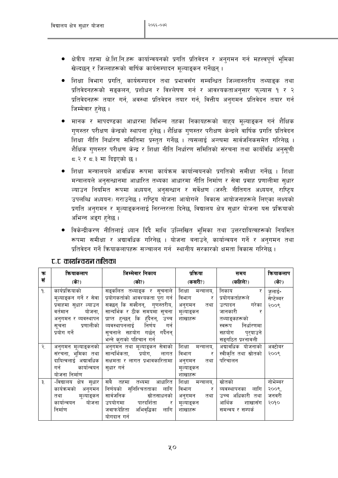- क्षेत्रीय तहमा क्षे.शि.नि.हरू कार्यान्वयनको प्रगति प्रतिवेदन र अनुगमन गर्न महत्त्वपूर्ण भूमिका खेल्दछन् र जिल्लाहरूको वार्षिक कार्यसम्पादन मुल्याइकन गर्नेछन् ।
- शिक्षा विभाग प्रगति, कार्यसम्पादन तथा प्रभावसँग सम्बन्धित जिल्लास्तरीय तथ्याङ्क तथा प्रतिवेदनहरूको सङ्कलन, प्रशोधन र विश्लेषण गर्न र आवश्यकताअनुसार फुल्यास १ र २ प्रतिवेदनहरू तयार गर्न, अवस्था प्रतिवेदन तयार गर्न, वित्तीय अनुगमन प्रतिवेदन तयार गर्न जिम्मेवार हनेछ ।
- मानक र मापदण्डका आधारमा विभिन्न तहका निकायहरूको बाहय मुल्याइकन गर्न शैक्षिक गुणस्तर परीक्षण केन्द्रको स्थापना हुनेछ । शैक्षिक गुणस्तर परीक्षण केन्द्रले वार्षिक प्रगति प्रतिवेदन शिक्षा नीति निर्धारण समितिमा प्रस्तुत गर्नेछ । त्यसलाई अन्त्यमा सार्वजनिकसमेत गरिनेछ । शैक्षिक गुणस्तर परीक्षण केन्द्र र शिक्षा नीति निर्धारण समितिको संरचना तथा कार्यविधि अनुसूची 5.२ र 5.३ मा दिइएको छ।
- शिक्षा मन्त्रालयले आवधिक रूपमा कार्यक्रम कार्यान्वयनको प्रगतिको समीक्षा गर्नेछ । शिक्षा मन्त्रालयले अनुसन्धानमा आधारित तथ्यका आधारमा नीति निर्माण र सेवा प्रवाह प्रणालीमा सुधार ल्याउन नियमित रूपमा अध्ययन, अनुसन्धान र सर्वेक्षण (जस्तै: नीतिगत अध्ययन, राष्टिय उपलब्धि अध्ययन) गराउनेछ । राष्टिय योजना आयोगले विकास आयोजनाहरूले लिएका लक्ष्यको प्रगति अनगमन र मुल्याङ्कनलाई निरन्तरता दिनेछ, विद्यालय क्षेत्र सुधार योजना यस प्रक्रियाको अभिन्न अङ्ग हनेछ ।
- विकेन्द्रीकरण नीतिलाई ध्यान दिँदै माथि उल्लिखित भूमिका तथा उत्तरदायित्वहरूको नियमित रूपमा समीक्षा र अद्यावधिक गरिनेछ । योजना बनाउने, कार्यान्वयन गर्ने र अनुगमन तथा प्रतिवेदन गर्ने कियाकलापहरू सञ्चालन गर्न स्थानीय सरकारको क्षमता विकास गरिनेछ ।

| क               | कियाकलाप                                                                                                                                           | जिम्मेवार निकाय                                                                                                                                                                                                                                                | प्रकिया                                                                | समय                                                                                                                                             | कियाकलाप                           |
|-----------------|----------------------------------------------------------------------------------------------------------------------------------------------------|----------------------------------------------------------------------------------------------------------------------------------------------------------------------------------------------------------------------------------------------------------------|------------------------------------------------------------------------|-------------------------------------------------------------------------------------------------------------------------------------------------|------------------------------------|
| सं              | (के?)                                                                                                                                              | (को?)                                                                                                                                                                                                                                                          | (कसरी?)                                                                | (कहिले?)                                                                                                                                        | (के?)                              |
| ۹.              | कार्यप्रक्रियाको<br>मूल्याङ्कन गर्ने र सेवा  <br>प्रवाहमा सुधार ल्याउन<br>वर्तमान योजना,<br>अनुगमन र व्यवस्थापन<br>सूचना प्रणालीको<br>प्रयोग गर्ने | सङ्कलित तथ्याङ्क र सूचनाले<br>प्रयोगकर्ताको आवश्यकता पूरा गर्न<br>सक्छन् कि सक्दैनन्, गुणस्तरीय,<br>सान्दर्भिक र ठीक समयमा सूचना<br>प्राप्त हुन्छन् कि हुँदैनन्, उच्च<br>व्यवस्थापनलाई निर्णय गर्न<br>सूचनाले सहयोग गर्छन् गर्दैनन्<br>भन्ने कराको पहिचान गर्न | शिक्षा मन्त्रालय,<br>विभाग<br>र<br>अनुगमन तथा<br>मूल्याङ्कन<br>शाखाहरू | निकाय<br>र<br>प्रयोगकर्ताहरूले<br>गरेका<br>उत्पादन<br>जानकारी<br>तथ्याङ्कहरूको<br>निर्धारणमा<br>स्वरूप<br>सहयोग प्र्याउने<br>सङ्गठित प्रश्नावली | जुलाई-<br>सेप्टेम्बर<br>२००९       |
| $\mathcal{R}$ . | अनुगमन मूल्याङ्कनको<br>संरचना, भूमिका तथा<br>दायित्वलाई अद्यावधिक  <br>गर्न कार्यान्वयन<br>योजना निर्माण                                           | अनुगमन तथा मूल्याङ्कन सेवाको<br>सान्दर्भिकता, प्रयोग, लागत<br>सक्षमता र लागत प्रभावकारितामा<br>सुधार गर्न                                                                                                                                                      | शिक्षा मन्त्रालय,<br>विभाग र<br>अनुगमन तथा<br>मूल्याङ्कन<br>शाखाहरू    | अद्यावधिक योजनाको<br>स्वीकृति तथा स्रोतको<br>परिचालन                                                                                            | अक्टोबर<br>२००९                    |
| $\mathcal{L}$   | -विद्यालय क्षेत्र सुधार<br>कार्यक्रमको अनुगमन<br>तथा मूल्याङ्कन<br>कार्यान्वयन योजना<br>निर्माण                                                    | सबै तहमा<br>आधारित<br>तथ्यमा<br>निर्णयको सुनिश्चितताका लागि<br>सार्वजनिक स्रोतसाधनको<br>उपयोगमा पारदर्शिता र<br>जवाफदेहिता अभिवृद्धिका लागि<br>योगदान गर्न                                                                                                     | शिक्षा मन्त्रालय,<br>विभाग र<br>अनुगमन तथा<br>मूल्याङ्कन<br>शाखाहरू    | स्रोतको<br>व्यवस्थापनका लागि<br>उच्च अधिकारी तथा<br>आर्थिक शाखासँग<br>समन्वय र सम्पर्क                                                          | नोभेम्बर<br>२००९,<br>जनवरी<br>२०१० |

## ट.ट. कार्यान्वयन तालिका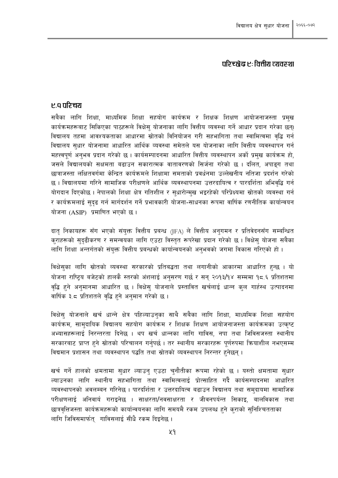## परिच्छेद्व एः वित्तीय द्यवस्था

## ए.व परिचय

सबैका लागि शिक्षा, माध्यमिक शिक्षा सहयोग कार्यक्रम र शिक्षक शिक्षण आयोजनाजस्ता प्रमुख कार्यक्रमहरूबाट सिकिएका पाठहरूले विक्षेस योजनाका लागि वित्तीय व्यवस्था गर्ने आधार प्रदान गरेका छन्। विद्यालय तहमा आवश्यकताका आधारमा स्रोतको विनियोजन गरी सहभागिता तथा स्वामित्वमा वद्धि गर्न विद्यालय सुधार योजनामा आधारित आर्थिक व्यवस्था समेतले यस योजनाका लागि वित्तीय व्यवस्थापन गर्न महत्त्वपूर्ण अनुभव प्रदान गरेको छ । कार्यसम्पादनमा आधारित वित्तीय व्यवस्थापन अर्को प्रमुख कार्यक्रम हो, जसले विद्यालयको सक्षमता बढाउन सकारात्मक वातावरणको सिर्जना गरेको छ । दलित, अपाइग तथा छात्राजस्ता लक्षितवर्गमा केन्द्रित कार्यक्रमले शिक्षामा समताको प्रवर्धनमा उल्लेखनीय नतिजा प्रदर्शन गरेको छ । विद्यालयमा गरिने सामाजिक परीक्षणले आर्थिक व्यवस्थापनमा उत्तरदायित्व र पारदर्शिता अभिवृद्धि गर्न योगदान दिएकोछ । नेपालको शिक्षा क्षेत्र गतिशील र सुधारोन्मुख भइरहेको परिप्रेक्ष्यमा स्रोतको व्यवस्था गर्न र कार्यक्रमलाई सदढ गर्न मार्गदर्शन गर्ने प्रभावकारी योजना-साधनका रूपमा वार्षिक रणनीतिक कार्यान्वयन योजना (ASIP) प्रमाणित भएको छ।

दात निकायहरू सँग भएको संयुक्त वित्तीय प्रबन्ध (JFA) ले वित्तीय अनुगमन र प्रतिवेदनसँग सम्बन्धित कराहरूको सदढीकरण र समन्वयका लागि एउटा विस्तृत रूपरेखा प्रदान गरेको छ । विक्षेस योजना सबैका लागि शिक्षा अन्तर्गतको संयुक्त वित्तीय प्रबन्धको कार्यान्वयनको अनुभवको जगमा विकास गरिएको हो।

विक्षेसुका लागि स्रोतको व्यवस्था सरकारको प्रतिबद्धता तथा लगानीको आकारमा आधारित हुन्छ । यो योजना राष्टिय बजेटको हालकै स्तरको अंशलाई अनुसरण गर्छ र सन् २०१३/१४ सम्ममा १८.६ प्रतिशतमा वृद्धि हुने अनुमानमा आधारित छ । विक्षेसु योजनाले प्रस्तावित खर्चलाई धान्न कुल गार्हस्थ उत्पादनमा वार्षिक ३.८ प्रतिशतले वद्धि हुने अनुमान गरेको छ ।

विक्षेस् योजनाले खर्च धान्ने क्षेत्र पहिल्याउन्का साथै सबैका लागि शिक्षा, माध्यमिक शिक्षा सहयोग कार्यक्रम, सामुदायिक विद्यालय सहयोग कार्यक्रम र शिक्षक शिक्षण आयोजनाजस्ता कार्यक्रमका उत्कृष्ट अभ्यासहरूलाई निरन्तरता दिनेछ । थप खर्च धान्नका लागि गाविस, नपा तथा जिविसजस्ता स्थानीय सरकारबाट प्राप्त हुने स्रोतको परिचालन गर्नुपर्छ । तर स्थानीय सरकारहरू पूर्णरुपमा क्रियाशील नभएसम्म विद्यमान प्रशासन तथा व्यवस्थापन पद्धति तथा स्रोतको व्यवस्थापन निरन्तर हुनेछन् ।

खर्च गर्ने हालको क्षमतामा सधार ल्याउन एउटा चनौतीका रूपमा रहेको छ । यस्तो क्षमतामा सधार ल्याउनका लागि स्थानीय सहभागिता तथा स्वामित्वलाई प्रोत्साहित गर्दै कार्यसम्पादनमा आधारित व्यवस्थापनको अवलम्बन गरिनेछ । पारदर्शिता र उत्तरदायित्व बढाउन विद्यालय तथा समुदायमा सामाजिक परीक्षणलाई अनिवार्य गराइनेछ । साक्षरता/नवसाक्षरता र जीवनपर्यन्त सिकाइ, बालविकास तथा छात्रवत्तिजस्ता कार्यक्रमहरूको कार्यान्वयनका लागि समयमै रकम उपलब्ध हने कराको सनिश्चितताका लागि जिविसमार्फत् गाविसलाई सीधै रकम दिइनेछ ।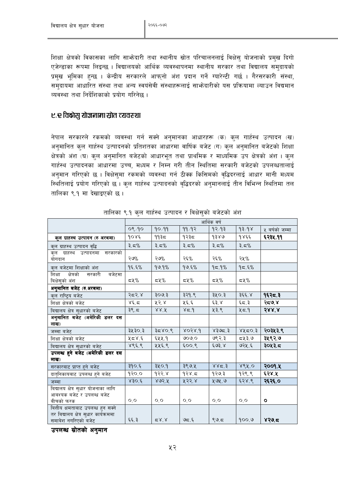शिक्षा क्षेत्रको विकासका लागि साभ्रेदारी तथा स्थानीय स्रोत परिचालनलाई विक्षेसु योजनाको प्रमुख दिगो एजेन्डाका रूपमा लिइन्छ । विद्यालयको आर्थिक व्यवस्थापनमा स्थानीय सरकार तथा विद्यालय समदायको प्रमुख भूमिका हुन्छ । केन्द्रीय सरकारले आफुनो अंश प्रदान गर्ने ग्यारेन्टी गर्छ । गैरसरकारी संस्था, समदायमा आधारित संस्था तथा अन्य स्वयंसेवी संस्थाहरूलाई साभ्रेदारीको यस प्रक्रियामा ल्याउन विद्यमान व्यवस्था तथा निर्देशिकाको प्रयोग गरिनेछ ।

## ए.र विद्वासु योजनामा स्रोत व्यवस्था

नेपाल सरकारले रकमको व्यवस्था गर्न सक्ने अनुमानका आधारहरू (क) कुल गार्हस्थ उत्पादन (ख) अनुमानित कुल गार्हस्थ उत्पादनको प्रतिशतका आधारमा वार्षिक बजेट (ग) कुल अनुमानित बजेटको शिक्षा क्षेत्रको अंश (घ) कुल अनुमानित बजेटको आधारभूत तथा प्राथमिक र माध्यमिक उप क्षेत्रको अंश । कुल गार्हस्थ उत्पादनका आधारमा उच्च, मध्यम र निम्न गरी तीन स्थितिमा सरकारी बजेटको उपलब्धतालाई अनुमान गरिएको छ । विक्षेसुमा रकमको व्यवस्था गर्न ठीक्क किसिमको वृद्धिदरलाई आधार मानी मध्यम स्थितिलाई प्रयोग गरिएको छ । कुल गार्हस्थ उत्पादनको वद्धिदरको अनुमानलाई तीन विभिन्न स्थितिमा तल तालिका ९.१ मा देखाइएको छ।

|                                                           | आर्थिक वर्ष |                  |                             |           |              |                |  |  |
|-----------------------------------------------------------|-------------|------------------|-----------------------------|-----------|--------------|----------------|--|--|
|                                                           | ०९/१०       | 90/99            | 99/92                       | १२∕१३     | $\gamma$ १२९ | ५ वर्षको जम्मा |  |  |
| कुल ग्राहस्थ उत्पादन (रु अरबमा)                           | १०४६        | ११३८             | १२३≂                        | 9380      | १४६६         | ६२३४.११        |  |  |
| कुल ग्राहस्थ उत्पादन वृद्धि                               | ३. $5\%$    | 3.5%             | ३. $5\%$                    | ३. $5\%$  | ३. $5\%$     |                |  |  |
| कुल ग्राहस्थ उत्पादनमा सरकारको<br>योगदान                  | २७%         | २७%              | २६%                         | २६%       | २५%          |                |  |  |
| कुल बजेटमा शिक्षाको अंश                                   | 95.5%       | 99.9%            | 99.5%                       | 95.9%     | 95.5%        |                |  |  |
| क्षेत्रको<br>बजेटमा<br>शिक्षा<br>सरकारी<br>बिक्षेसुको अंश | $54\%$      | $54\%$           | ≂५%                         | ≂५%       | ≂५%          |                |  |  |
| अनुमानित बजेट (रु.अरबमा)                                  |             |                  |                             |           |              |                |  |  |
| क्ल राष्ट्रिय बजेट                                        | २८२.४       | 300 <sup>5</sup> | ३२१.९                       | ३५०.३     | ३६६.४        | १६२८.३         |  |  |
| शिक्षा क्षेत्रको बजेट                                     | 86.5        | ५२.४             | ५६.६                        | $\xi$ ३.४ | ६८.३         | २८७.४          |  |  |
| बिद्यालय क्षेत्र सुधारको बजेट                             | ३९.८        | 88.7             | $\gamma$ $\approx$ $\gamma$ | ५३.९      | 45.9         | 588.8          |  |  |
| अनुमानित बजेट (अमेरिकी डलर दस                             |             |                  |                             |           |              |                |  |  |
| लाख)                                                      |             |                  |                             |           |              |                |  |  |
| जम्मा बजेट                                                | ३५३०.३      | 3500.8           | 8038.9                      | \$395.3   | ४५८०.३       | २०३५३.९        |  |  |
| शिक्षा क्षेत्रको बजेट                                     | 2.85        | ६५५.१            | ७०७०                        | ७९२.३     | ८५३.७        | ३५९२.७         |  |  |
| बिद्यालय क्षेत्र सुधारको बजेट                             | 886.8       | ५५६.९            | $5.00\%$                    | ६७३.४     | ७२५.६        | ३०५३.८         |  |  |
| उपलब्ध हुने बजेट (अमेरिकी डलर दस                          |             |                  |                             |           |              |                |  |  |
| लाख)                                                      |             |                  |                             |           |              |                |  |  |
| सरकारबाट प्राप्त हुने बजेट                                | ३१०.६       | ३५०.१            | ३९७.५                       | 885.3     | 888.0        | २००१.५         |  |  |
| दातृनिकायबाट उपलब्ध हुने बजेट                             | 950.0       | 932.8            | 93x.5                       | १२७.३     | १२९.९        | ६२४.५          |  |  |
| जम्मा                                                     | 830.6       | 802.8            | ५२२.४                       | ५७५.७     | 638.8        | २६२६.०         |  |  |
| बिद्यालय क्षेत्र सुधार योजनाका लागि                       |             |                  |                             |           |              |                |  |  |
| आबश्यक बजेट र उपलब्ध बजेट                                 |             |                  |                             |           |              |                |  |  |
| बीचको फरक                                                 | O, O        | O, O             | O, O                        | 0,0       | 0,0          | $\mathbf{o}$   |  |  |
| बित्तीय क्षमताबाट उपलब्ध हुन सक्ने                        |             |                  |                             |           |              |                |  |  |
| तर बिद्यालय क्षेत्र सुधार कार्यक्रममा                     |             |                  | 95.5                        |           | 900.9        |                |  |  |
| समावेश नगरिएको बजेट                                       | ६६.३        | $Z_X^{\prime}$   |                             | 99.5      |              | 850.5          |  |  |

|  |  | तालिका ९.१ कुल गार्हस्थ उत्पादन र विक्षेसुको बजेटको अंश |  |  |  |
|--|--|---------------------------------------------------------|--|--|--|
|  |  |                                                         |  |  |  |

उपलब्ध स्रोतको अनुमान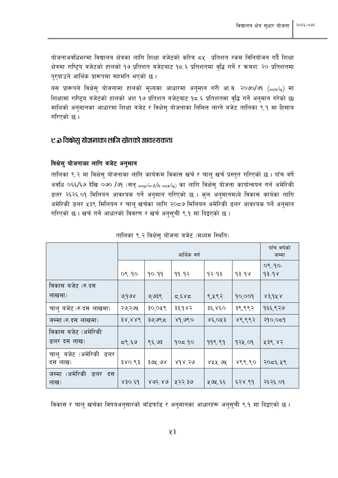योजनाअवधिभरमा विद्यालय क्षेत्रका लागि शिक्षा बजेटको करिब ८५ प्रतिशत रकम विनियोजन गर्दै शिक्षा क्षेत्रमा राष्ट्रिय बजेटको हालको १७ प्रतिशत बजेटबाट १८.६ प्रतिशतमा वृद्धि गर्ने र क्रमश: २० प्रतिशतमा पुर्याउने आर्थिक प्रारूपमा सहमति भएको छ।

यस प्रारूपले विक्षेस् योजनामा हालको मूल्यका आधारमा अनुमान गरी आ.व. २०७०/७१ (2013/14) मा शिक्षामा राष्ट्रिय बजेटको हालको अंश १७ प्रतिशत बजेटबाट १८.६ प्रतिशतमा वृद्धि गर्ने अनुमान गरेको छ। माथिको अनुमानका आधारमा शिक्षा बजेट र विक्षेसु योजनाका निमित्त लाग्ने बजेट तालिका ९.१ मा हिसाब गरिएको छ।

## ए.ळ विक्षेसु योजनाका लागि स्रोतको आवश्यकता

#### विक्षेसु योजनाका लागि बजेट अनुमान

तालिका ९.२ मा विक्षेसु योजनाका लागि कार्यक्रम विकास खर्च र चालू खर्च प्रस्तुत गरिएको छ। पाँच वर्षे अवधि ०६६/६७ देखि ०७० /७१ (सन् 2009/10 6]/10 2013/14) का लागि विक्षेसु योजना कार्यान्वयन गर्न अमेरिकी डलर २६२६.०१ मिलियन आवश्यक पर्ने अनुमान गरिएको छ । कुल अनुमानमध्ये विकास कार्यका लागि अमेरिकी डलर ५३९ मिलियन र चालू खर्चका लागि २०८७ मिलियन अमेरिकी डलर आवश्यक पर्ने अनुमान गरिएको छ। खर्च गर्ने आधारको विवरण र खर्च अनुसूची ९.१ मा दिइएको छ।

|                                     |                           | आर्थिक वर्ष |        |                   |        |                                               |  |  |  |
|-------------------------------------|---------------------------|-------------|--------|-------------------|--------|-----------------------------------------------|--|--|--|
|                                     | $O\sqrt{2}O$              | 90/99       | 99/93  | १२∕१३             | 93/98  | $0\sqrt[6]{90}$<br>$\delta \xi / \delta \chi$ |  |  |  |
| विकास बजेट (रु.दस                   |                           |             |        |                   |        |                                               |  |  |  |
| लाखमा)                              | ७,१७४                     | ७,७३९       | 5,5,85 | ९,५९२             | 90,009 | 83,988                                        |  |  |  |
| चालु बजेट (रु.दस लाखमा)             | २७,२७५                    | ३०,०५९      | ३३,१४२ | ३६,४६०            | ३९,९९२ | १६६,९२७                                       |  |  |  |
| जम्मा (रु.दस लाखमा)                 | $38^{\circ}$ $88^{\circ}$ | ३७,७९८      | 89,980 | $x \in \{0.055\}$ | ४९,९९२ | २१०,०८१                                       |  |  |  |
| विकास बजेट (अमेरिकी                 |                           |             |        |                   |        |                                               |  |  |  |
| डलर दस लाख)                         | ८९.६७                     | ९६.७३       | 905.90 | 998.99            | १२५.०१ | प्र३९.४२                                      |  |  |  |
| चालु बजेट (अमेरिकी डलर<br>दस लाख)   | ३४०.९३                    | ३७५.७४      | 898.50 | ४५५.७५            | 888.80 | २०८६.५९                                       |  |  |  |
| (अमेरिकी<br>जम्मा<br>डलर दस<br>लाख) | 830.69                    | 803.80      | ५२२.३७ | ५७५.६६            | ६२४.९१ | २६२६.०१                                       |  |  |  |

| तालिका ९.२ विक्षेस योजना बजेट (मध्यम स्थिति) |  |  |  |  |
|----------------------------------------------|--|--|--|--|
|                                              |  |  |  |  |

विकास र चालू खर्चका विषयअनुसारको बाँडफाँड र अनुमानका आधारहरू अनुसूची ९.१ मा दिइएको छ ।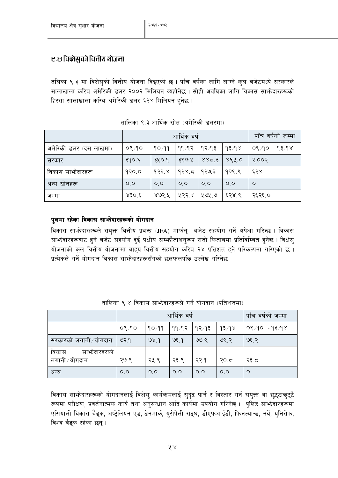# ए.ध विक्षेसुको वित्तीय योजना

तलिका ९.३ मा विक्षेसुको वित्तीय योजना दिइएको छ । पाँच वर्षका लागि लाग्ने कुल बजेटमध्ये सरकारले सालाखाला करिब अमेरिकी डलर २००२ मिलियन व्यहोर्नेछ । सोही अवधिका लागि विकास साभ्रेदारहरूको हिस्सा सालाखाला करिब अमेरिकी डलर ६२४ मिलियन हुनेछ ।

|                        |                | आर्थिक वर्ष | पाँच वर्षको जम्मा |                                 |             |               |
|------------------------|----------------|-------------|-------------------|---------------------------------|-------------|---------------|
| अमेरिकी डलर (दस लाखमा) | $O\sqrt[6]{2}$ | 90/99       | -११ /१२ ∣ १२ ⁄ १३ |                                 | १३∕१४       | ०९,१० - १३,१४ |
| सरकार                  | ३१०.६          | 340.9       | ३९७.५             | 8.82                            | $867^\circ$ | २.००२         |
| विकास साभ्रेदारहरू     | 930.0          | १२२.४       | १२४.८             | । १२७.३                         | १२९.९       | ६२४           |
| अन्य स्रोतहरू          | $O_2$          | $O_0$       | $O_0$             | $\overline{O}$ , $\overline{O}$ | $O_0$       | $\circ$       |
| जम्मा                  | 830.6          | ४७२.५       | ५२२.४             | ५७५.७                           | ६२४.९       | २६२६.०        |

| तालिका ९.३ आर्थिक स्रोत (अमेरिकी डलरमा) |
|-----------------------------------------|
|-----------------------------------------|

## पुलमा रहेका विकास साभेदारहरूको योगदान

विकास साभ्रेदारहरूले संयुक्त वित्तीय प्रबन्ध (JFA) मार्फत् वजेट सहयोग गर्ने अपेक्षा गरिन्छ । विकास साभोदारहरूबाट हुने बजेट सहयोग दुई पक्षीय सम्भोताअनुरूप रातो किताबमा प्रतिविम्बित हुनेछ । विक्षेसु योजनाको कुल वित्तीय योजनामा बाहय वित्तीय सहयोग करिब २४ प्रतिशत हुने परिकल्पना गरिएको छ । प्रत्येकले गर्ने योगदान विकास साभ्रेदारहरूसँगको छलफलपछि उल्लेख गरिनेछ

|                        |             | आर्थिक वर्ष | पाँच वर्षको जम्मा |      |        |               |
|------------------------|-------------|-------------|-------------------|------|--------|---------------|
|                        | $O\sqrt{2}$ | 90/99       | ११ १२   १२ १३     |      | 193.98 | ०९,१० - १३,१४ |
| सरकारको लगानी ∕योगदान  | 93.9        | 98.9        | 95.9              | ७७.९ | ७९.२   | ७६.२          |
| विकास<br>साभ्रेदारहरको |             |             |                   |      |        |               |
| लगानी ∕ योगदान         | २७.९        | २५.९        | २३.९              | २२.१ | २०.८   | २३.८          |
| अन्य                   | O, O        | O, O        | 0,0               | 0,0  | 0,0    | $\circ$       |

तालिका ९.४ विकास साभ्रेदारहरूले गर्ने योगदान (प्रतिशतमा)

विकास साभेदारहरूको योगदानलाई विक्षेस् कार्यक्रमलाई सुदृढ पार्न र विस्तार गर्न संयुक्त वा छुट्टाछुट्टै रूपमा परीक्षण, प्रवर्तनात्मक कार्य तथा अनुसन्धान आदि कार्यमा उपयोग गरिनेछ । पुलिङ साभ्रेदारहरूमा एसियाली विकास बैङ्क, अष्ट्रेलियन एड, डेनमार्क, युरोपेली सङ्घ, डीएफआईडी, फिनल्यान्ड, नर्वे, युनिसेफ, विश्व बैङ्क रहेका छन् ।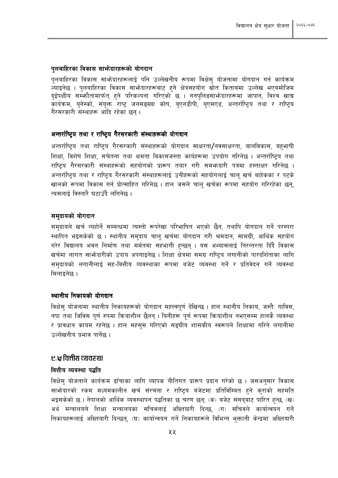#### पुलबाहिरका विकास साभेदारहरूको योगदान

पुलबाहिरका विकास साभेनदारहरूलाई पनि उल्लेखनीय रूपमा विक्षेसु योजनामा योगदान गर्न कार्यक्रम .<br>ल्याइनेछ । पुलबाहिरका विकास साभेदारहरूबाट हुने क्षेत्रसहयोग स्रोत किताबमा उल्लेख भएबमोजिम दुईपक्षीय सम्भौतामार्फत् हुने परिकल्पना गरिएको छ । ननप्लिङसाभ्रेदारहरूमा जापान, विश्व खाद्य कार्यक्रम, यनेस्को, संयक्त राष्ट जनसङ्ख्या कोष, यएनडीपी, यएसएड, अन्तर्राष्टिय तथा र राष्टिय गैरसरकारी संस्थाहरू आदि रहेका छन।

### अन्तर्राष्टिय तथा र राष्टिय गैरसरकारी संस्थाहरूको योगदान

अन्तर्राष्ट्रिय तथा राष्ट्रिय गैरसरकारी संस्थाहरूको योगदान साक्षरता/नवसाक्षरता, बालविकास, बहुभाषी शिक्षा, विशेष शिक्षा, सचेतना तथा क्षमता विकासजस्ता कार्यहरूमा उपयोग गरिनेछ । अन्तर्राष्टिय तथा राष्टिय गैरसरकारी संस्थाहरूको सहयोगको प्रारूप तयार गरी समभ्रुदारी पत्रमा हस्ताक्षर गरिनेछ । अन्तर्राष्टिय तथा र राष्टिय गैरसरकारी संस्थाहरूलाई उनीहरूको सहयोगलाई चालु खर्च बाहेकका र पटके खालको रूपमा विकास गर्न प्रोत्साहित गरिनेछ । हाल जसले चाल खर्चका रूपमा सहयोग गरिरहेका छन. त्यसलाई विस्तारै घटाउँदै लगिनेछ ।

#### समदायको योगदान

समदायले खर्च व्यहोर्ने सम्बन्धमा त्यस्तो रूपरेखा परिभाषित भएको छैन. तथापि योगदान गर्ने परम्परा स्थापित भइसकेको छ । स्थानीय समुदाय चालू खर्चमा योगदान गरी श्रमदान, सामग्री, आर्थिक सहयोग गरेर विद्यालय भवन निर्माण तथा मर्मतमा सहभागी हुन्छन् । यस अभ्यासलाई निरन्तरता दिँदै विकास खर्चमा लागत साभ्रेदारीको उपाय अपनाइनेछ । शिक्षा क्षेत्रमा समग्र राष्ट्रिय लगानीको पारदर्शिताका लागि समदायको लगानीलाई सह-वित्तीय व्यवस्थाका रूपमा बजेट व्यवस्था गर्ने र प्रतिवेदन गर्ने व्यवस्था मिलाइनेछ ।

### स्थानीय निकायको योगदान

विक्षेसु योजनामा स्थानीय निकायहरूको योगदान महत्त्वपूर्ण देखिन्छ । हाल स्थानीय निकाय, जस्तैः गाविस, नपा तथा जिविस पर्ण रुपमा क्रियाशील छैनन । यिनीहरू पर्ण रूपमा कियाशील नभएसम्म हालकै व्यवस्था र प्रावधान कायम रहनेछ । हाल महसस गरिएको सङ्घीय शासकीय स्वरूपले शिक्षामा गरिने लगानीमा उल्लेखनीय प्रभाव पार्नेछ ।

### ए.सृ वित्तीय व्यवस्था

#### वित्तीय व्यवस्था पद्धति

विक्षेसु योजनाले कार्यक्रम ढाँचाका लागि व्यापक नीतिगत प्रारूप प्रदान गरेको छ । जसअनुसार विकास साभनेदारको रकम मध्यमकालीन खर्च संरचना र राष्टिय बजेटमा प्रतिविम्बित हुने कराको सहमति भइसकेको छ । नेपालको आर्थिक व्यवस्थापन पद्धतिका छ चरण छन्: (क) बजेट संसद्बाट पारित हुन्छ, (ख) अर्थ मन्त्रालयले शिक्षा मन्त्रालयका सचिवलाई अख्तियारी दिन्छ. (ग) सचिवले कार्यान्वयन गर्ने निकायहरूलाई अख्तियारी दिन्छन्, (घ) कार्यान्वयन गर्ने निकायहरूले विभिन्न भुक्तानी केन्द्रमा अख्तियारी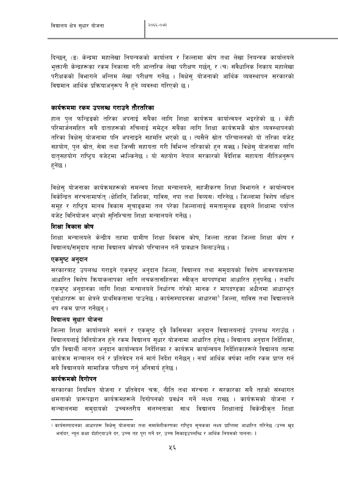दिन्छन्, (ङ) केन्द्रमा महालेखा नियन्त्रकको कार्यालय र जिल्लामा कोष तथा लेखा नियन्त्रक कार्यालयले भक्तानी केन्द्रहरूका रकम निकासा गरी आन्तरिक लेखा परीक्षण गर्छन्, र (च) संवैधानिक निकाय महालेखा परीक्षकको विभागले अन्तिम लेखा परीक्षण गर्नेछ । विक्षेस् योजनाको आर्थिक व्यवस्थापन सरकारको विद्यमान आर्थिक प्रक्रियाअनुरूप नै हुने व्यवस्था गरिएको छ।

### कार्यक्रममा रकम उपलब्ध गराउने तौरतरिका

हाल पुल फन्डिडको तरिका अपनाई सबैका लागि शिक्षा कार्यक्रम कार्यान्वयन भइरहेको छ । केही परिमार्जनसहित सबै दाताहरूको रुचिलाई समेटन सबैका लागि शिक्षा कार्यक्रमकै स्रोत व्यवस्थापनको तरिका विक्षेस् योजनामा पनि अपनाइने सहमति भएको छ । त्यसैले स्रोत परिचालनको यो तरिका बजेट सहयोग, पुल स्रोत, सेवा तथा जिन्सी सहायता गरी विभिन्न तरिकाको हुन सक्छ । विक्षेसु योजनाका लागि दातृसहयोग राष्ट्रिय बजेटमा भाल्किनेछ । यो सहयोग नेपाल सरकारको वैदेशिक सहायता नीतिअनुरूप हनेछ ।

विक्षेस योजनाका कार्यक्रमहरूको समन्वय शिक्षा मन्त्रालयले. सहजीकरण शिक्षा विभागले र कार्यान्वयन विकेन्द्रित संरचनामार्फत (क्षेशिनि, जिशिका, गाविस, नपा तथा विव्यस) गरिनेछ । जिल्लामा विशेष लक्षित समूह र राष्टिय मानव विकास सुचाइकमा तल परेका जिल्लालाई समतामुलक ढइगले शिक्षामा पर्याप्त बजेट विनियोजन भएको सनिश्चिता शिक्षा मन्त्रालयले गर्नेछ ।

### शिक्षा विकास कोष

शिक्षा मन्त्रालयले केन्द्रीय तहमा ग्रामीण शिक्षा विकास कोष, जिल्ला तहका जिल्ला शिक्षा कोष र विद्यालय/समुदाय तहमा विद्यालय कोषको परिचालन गर्ने प्रावधान मिलाउनेछ ।

#### एकमुष्ट अनुदान

सरकारबाट उपलब्ध गराइने एकमुष्ट अनुदान जिल्ला, विद्यालय तथा समुदायको विशेष आवश्यकतामा आधारित विशेष कियाकलापका लागि लचकतासहितका स्वीकृत मापदण्डमा आधारित हुनुपर्नेछ । तथापि एकमुष्ट अनुदानका लागि शिक्षा मन्त्रालयले निर्धारण गरेको मानक र मापदण्डका अधीनमा आधारभुत पर्वाधारहरू का क्षेत्रले प्राथमिकतामा पाउनेछ । कार्यसम्पादनका आधारमा<sup>5</sup> जिल्ला, गाविस तथा विद्यालयले थप रकम प्राप्त गर्नेछन ।

### विद्यालय सुधार योजना

जिल्ला शिक्षा कार्यालयले ससर्त र एकमुष्ट दुवै किसिमका अनुदान विद्यालयलाई उपलब्ध गराउँछ । विद्यालयलाई विनियोजन हुने रकम विद्यालय सुधार योजनामा आधारित हुनेछ । विद्यालय अनुदान निर्देशिका, प्रति विद्यार्थी लागत अनुदान कार्यान्वयन निर्देशिका र कार्यक्रम कार्यान्वयन निर्देशिकाहरूले विद्यालय तहमा कार्यक्रम सञ्चालन गर्न र प्रतिवेदन गर्न मार्ग निर्देश गर्नेछन । नयाँ आर्थिक वर्षका लागि रकम प्राप्त गर्न सबै विद्यालयले सामाजिक परीक्षण गर्नु अनिवार्य हुनेछ ।

### कार्यक्रमको दिगोपन

सरकारका नियमित योजना र प्रतिवेदन चक्र, नीति तथा संरचना र सरकारका सबै तहको संस्थागत क्षमताको प्रारूपद्वारा कार्यक्रमहरूले दिगोपनको प्रवर्धन गर्ने लक्ष्य राख्छ । कार्यक्रमको योजना र सञ्चालनमा समुदायको उच्चस्तरीय संलग्नताका साथ विद्यालय शिक्षालाई विकेन्द्रीकृत शिक्षा

<sup>&</sup>lt;sup>5</sup> कार्यसम्पादनका आधारहरू विक्षेस् योजनाका तथा समावेशीकरणका राष्ट्रिय सुचकका लक्ष्य प्राप्तिमा आधारित गरिनेछ (उच्च खुद भर्नादर, न्यून कक्षा दोहोरुयाउने दर, उच्च तह पुरा गर्ने दर, उच्च सिकाइउपलब्धि र आर्थिक नियमको पालना) ।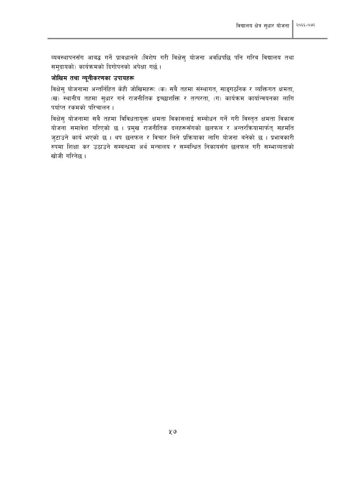व्यवस्थापनसँग आबद्ध गर्ने प्रावधानले (विशेष गरी विक्षेस् योजना अवधिपछि पनि गरिब विद्यालय तथा समुदायको) कार्यक्रमको दिगोपनको अपेक्षा गर्छ।

### जोखिम तथा न्यूनीकरणका उपायहरू

विक्षेसु योजनामा अन्तर्निहित केही जोखिमहरू: (क) सबै तहमा संस्थागत, साङ्गठनिक र व्यक्तिगत क्षमता, (ख) स्थानीय तहमा सुधार गर्न राजनीतिक इच्छाशक्ति र तत्परता, (ग) कार्यक्रम कार्यान्वयनका लागि पर्याप्त रकमको परिचालन ।

विक्षेसु योजनामा सबै तहमा विविधतायुक्त क्षमता विकासलाई सम्बोधन गर्ने गरी विस्तृत क्षमता विकास योजना समावेश गरिएको छ । प्रमुख राजनीतिक दलहरूसँगको छलफल र अन्तरकियामार्फत् सहमति जुटाउने कार्य भएको छ । थप छलफल र विचार लिने प्रक्रियाका लागि योजना बनेको छ । प्रभावकारी रुपमा शिक्षा कर उठाउने सम्बन्धमा अर्थ मन्त्रालय र सम्बन्धित निकायसँग छलफल गरी सम्भाव्यताको खोजी गरिनेछ ।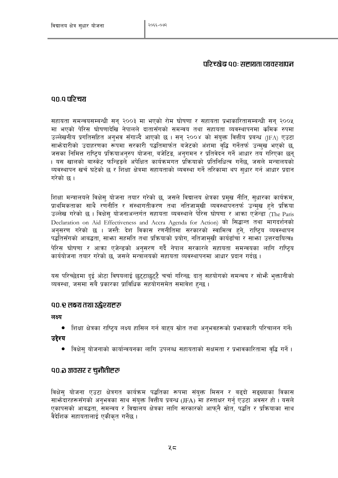## परिच्छेद्व ९०ः सहायता व्यवस्थापन

## ००.० परिचय

सहायता समन्वयसम्बन्धी सन् २००३ मा भएको रोम घोषणा र सहायता प्रभाकारितासम्बन्धी सन् २००५ मा भएको पेरिस घोषणादेखि नेपालले दातासँगको समन्वय तथा सहायता व्यवस्थापनमा क्रमिक रुपमा उल्लेखनीय प्रगतिसहित अनुभव सँगाल्दै आएको छ । सन् २००४ को संयुक्त वित्तीय प्रबन्ध (JFA) एउटा साभ्रेदारीको उदाहरणका रूपमा सरकारी पद्धतिमार्फत बजेटको अंशमा वृद्धि गर्नेतर्फ उन्मुख भएको छ, जसका निमित्त राष्ट्रिय प्रक्रियाअनुरुप योजना, बजेटिङ, अनुगमन र प्रतिवेदन गर्ने आधार तय गरिएका छन् । यस खालको बास्केट फन्डिडले अपेक्षित कार्यक्रमगत प्रक्रियाको प्रतिनिधित्व गर्नेछ, जसले मन्त्रालयको व्यवस्थापन खर्च घटेको छ र शिक्षा क्षेत्रमा सहायताको व्यवस्था गर्ने तरिकामा थप सुधार गर्न आधार प्रदान गरेको छ।

शिक्षा मन्त्रालयले विक्षेस योजना तयार गरेको छ, जसले विद्यालय क्षेत्रका प्रमुख नीति, सुधारका कार्यक्रम, प्राथमिकताका साथै रणनीति र संस्थागतीकरण तथा नतिजामखी व्यवस्थापनतर्फ उन्मख हुने प्रक्रिया उल्लेख गरेको छ। विक्षेस योजनाअन्तर्गत सहायता व्यवस्थाले पेरिस घोषणा र आक्रा एजेन्डा (The Paris Declaration on Aid Effectiveness and Accra Agenda for Action) को सिद्धान्त तथा मागदर्शनको अनुसरण गरेको छ । जस्तै: देश विकास रणनीतिमा सरकारको स्वामित्व हुने, राष्ट्रिय व्यवस्थापन पद्धतिसँगको आबद्धता, साभ्रा सहमति तथा प्रक्रियाको प्रयोग, नतिजामुखी कार्यढाँचा र साभ्रा उत्तरदायित्व॥ पेरिस घोषणा र आक्रा एजेन्डको अनुसरण गर्दै नेपाल सरकारले सहायता समन्वयका लागि राष्टिय कार्ययोजना तयार गरेको छ, जसले मन्त्रालयको सहायता व्यवस्थापनमा आधार प्रदान गर्दछ।

यस परिच्छेदमा दुई ओटा विषयलाई छुट्टाछुट्टै चर्चा गरिन्छ: दातृ सहयोगको समन्वय र सोभै भुक्तानीको व्यवस्था, जसमा सबै प्रकारका प्राविधिक सहयोगसमेत समावेश हुन्छ ।

## <u>१०.९ लक्ष्य तथा उद्घेश्यहरू</u>

लक्ष्य

- शिक्षा क्षेत्रका राष्टिय लक्ष्य हासिल गर्न बाहुय स्रोत तथा अनुभवहरूको प्रभावकारी परिचालन गर्ने। उद्देश्य
	- - विक्षेस् योजनाको कार्यान्वयनका लागि उपलब्ध सहायताको सक्षमता र प्रभावकारितामा वृद्धि गर्ने ।

## ९०.३ अवसर र चनौतीहरू

विक्षेस् योजना एउटा क्षेत्रगत कार्यक्रम पद्धतिका रूपमा संयुक्त मिसन र बढ्दो सङ्ख्याका विकास साभेदारहरूसँगको अनुभवका साथ संयुक्त वित्तीय प्रबन्ध (JFA) मा हस्ताक्षर गर्नु एउटा अवसर हो। यसले एकापसको आबद्धता, समन्वय र विद्यालय क्षेत्रका लागि सरकारको आफनै स्रोत, पद्धति र प्रक्रियाका साथ वैदेशिक सहायतालाई एकीकत गर्नेछ ।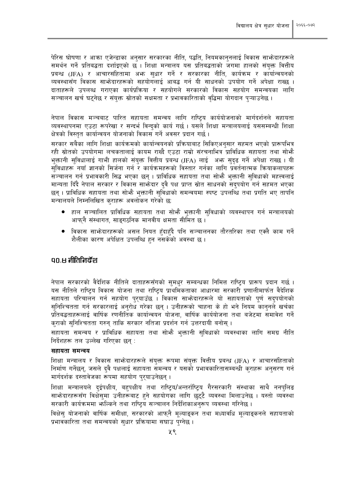पेरिस घोषणा र आका एजेन्डाका अनुसार सरकारका नीति, पद्धति, नियमकानुनलाई विकास साभ्रेदारहरूले समर्थन गर्ने प्रतिबद्धता दर्शाइएको छ । शिक्षा मन्त्रालय यस प्रतिबद्धताको जगमा हालको संयक्त वित्तीय प्रबन्ध (JFA) र आचारसंहितामा अभ्र सधार गर्ने र सरकारका नीति, कार्यक्रम र कार्यान्वयनको व्यवस्थासँग विकास साभ्रेदारहरूको सहयोगलाई आबद्ध गर्न यी साधनको उपयोग गर्ने अपेक्षा राख्छ । दाताहरूले उपलब्ध गराएका कार्यप्रक्रिया र सहयोगले सरकारको विकास सहयोग समन्वयका लागि सञ्चालन खर्च घट्नेछ र संयुक्त स्रोतको सक्षमता र प्रभावकारिताको वृद्धिमा योगदान प्ऱ्याउनेछ ।

नेपाल विकास मञ्चबाट पारित सहायता समन्वय लागि राष्ट्रिय कार्ययोजनाको मार्गदर्शनले सहायता व्यवस्थापनमा एउटा रूपरेखा र सन्दर्भ विन्दको कार्य गर्छ। यसले शिक्षा मन्त्रालयलाई यससम्बन्धी शिक्षा क्षेत्रको विस्तत कार्यान्वयन योजनाको विकास गर्ने अवसर प्रदान गर्छ ।

सरकार सबैका लागि शिक्षा कार्यक्रमको कार्यान्वयनको प्रक्रियाबाट सिकिएअनुसार सहमत भएको प्रारूपभित्र रही स्रोतको उपयोगमा लचकतालाई कायम राख्दै एउटा राम्रो संरचनाभित्र प्राविधिक सहायता तथा सोभ्है भक्तानी सुविधालाई गाभी हालको संयुक्त वित्तीय प्रबन्ध (JFA) लाई अभ्र सदढ गर्ने अपेक्षा राख्छ । यी सुविधाहरू नयाँ ज्ञानको सिर्जना गर्न र कार्यक्रमहरूको विस्तार गर्नका लागि प्रवर्तनात्मक क्रियाकलापहरू सञ्चालन गर्न प्रभावकारी सिद्ध भएका छन् । प्राविधिक सहायता तथा सोभै भक्तानी सविधाको महत्त्वलाई मान्यता दिंदै नेपाल सरकार र विकास साफ़ेदार दवै पक्ष प्राप्त स्रोत साधनको सदपयोग गर्न सहमत भएका छन । प्राविधिक सहायता तथा सोभ्है भक्तानी सर्विधाको समन्वयमा स्पष्ट उपलब्धि तथा प्रगति भए तापनि मन्त्रालयले निम्नलिखित कुराहरू अवलोकन गरेको छ:

- हाल सञ्चालित प्राविधिक सहायता तथा सोभै भुक्तानी सुविधाको व्यवस्थापन गर्न मन्त्रालयको आफ्नै संस्थागत, साइगठनिक मानवीय क्षमता सीमित छ ।
- विकास साभ्रेदारहरूको असल नियत हँदाहँदै पनि सञ्चालनका तौरतरिका तथा एक्लै काम गर्ने शैलीका कारण अपेक्षित उपलब्धि हन नसकेको अवस्था छ ।

#### an.स नीतिनिर्देश

नेपाल सरकारको वैदेशिक नीतिले दाताहरूसँगको सुमधुर सम्बन्धका निमित्त राष्ट्रिय प्रारूप प्रदान गर्छ । यस नीतिले राष्टिय विकास योजना तथा राष्टिय प्राथमिकताका आधारमा सरकारी प्रणालीमार्फत वैदेशिक सहायता परिचालन गर्न सहयोग परयाउँछ । विकास साभ्रेदारहरूले यो सहायताको पर्ण सदपयोगको सुनिश्चितता गर्न सरकारलाई अनुरोध गरेका छन् । उनीहरूको चाहना के हो भने नियम कानुनले खर्चका प्रतिबद्धताहरूलाई वार्षिक रणनीतिक कार्यान्वयन योजना, वार्षिक कार्ययोजना तथा बजेटमा समावेश गर्ने कराको सुनिश्चितता गरुन् ताकि सरकार नतिजा प्रदर्शन गर्न उत्तरदायी बनोस् ।

सहायता समन्वय र प्राविधिक सहायता तथा सोभै भुक्तानी सुविधाको व्यवस्थाका लागि समग्र नीति निर्देशहरू तल उल्लेख गरिएका छन्:

#### सहायता समन्वय

शिक्षा मन्त्रालय र विकास साभेदारहरूले संयुक्त रूपमा संयुक्त वित्तीय प्रबन्ध (JFA) र आचारसंहिताको निर्माण गर्नेछन्, जसले दुवै पक्षलाई सहायता समन्वय र यसको प्रभावकारितासम्बन्धी कुराहरू अनुसरण गर्न मार्गदर्शक दस्तावेजका रूपमा सहयोग पुरयाउनेछन्।

शिक्षा मन्त्रालयले दुईपक्षीय, बहुपक्षीय तथा राष्ट्रिय/अन्तर्राष्ट्रिय गैरसरकारी संस्थाका साथै ननपुलिङ साभ्रेदारहरूसँग विक्षेसुमा उनीहरूबाट हुने सहयोगका लागि छुट्टै व्यवस्था मिलाउनेछ । यस्तो व्यवस्था सरकारी कार्यक्रममा भाल्किने तथा राष्ट्रिय सञ्चालन निर्देशिकाअनुरूप व्यवस्था गरिनेछ ।

विक्षेस योजनाको वार्षिक समीक्षा, सरकारको आफनै मल्याङकन तथा मध्यावधि मल्याङकनले सहायताको प्रभावकारिता तथा समन्वयको सुधार प्रक्रियामा सघाउ पग्नेछ ।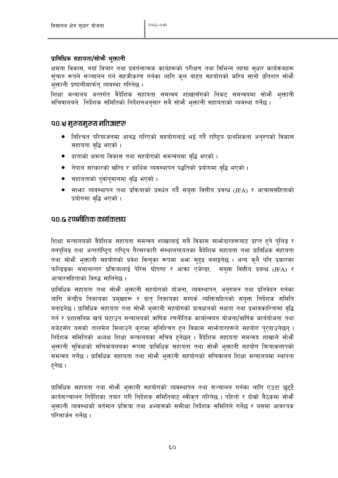#### प्राविधिक सहायता/सोभौ भुक्तानी

क्षमता विकास, नयाँ विचार तथा प्रवर्तनात्मक कार्यहरूको परीक्षण तथा विभिन्न तहमा सुधार कार्यक्रमहरू सुचारु रूपले सञ्चालन गर्न सहजीकरण गर्नका लागि कुल बाहय सहयोगको करिब सानो प्रतिशत सोभौ भुक्तानी प्रणालीमार्फत् व्यवस्था गरिनेछ ।

शिक्षा मन्त्रालय अन्तर्गत वैदेशिक सहायता समन्वय शाखासँगको निकट समन्वयमा सोभै भुक्तानी सचिवालयले निर्देशक समितिको निर्देशनअनुसार सबै सोभ्गै भुक्तानी सहायताको व्यवस्था गर्नेछ ।

#### ९०.५ मुख्यमुख्य नतिज्ञाहरू

- निश्चित परियाजनमा आबद्ध गरिएको सहयोगलाई भई गर्दै राष्ट्रिय प्राथमिकता अनुरुपको विकास सहायता वृद्धि भएको ।
- दाताको क्षमता विकास तथा सहयोगको समन्वयमा वृद्धि भएको ।
- नेपाल सरकारको खरिद र आर्थिक व्यवस्थापन पद्धतिको प्रयोगमा वद्धि भएको ।
- सहायताको पूर्वानुमानमा वद्धि भएको ।
- साफ्ता व्यवस्थापन तथा प्रक्रियाको प्रवर्धन गर्दै संयुक्त वित्तीय प्रबन्ध (JFA) र आचाससंहिताको प्रयोगमा वद्धि भएको ।

#### ९०.६ रणनीतिक कार्यकलाप

शिक्षा मन्त्रालयको वैदेशिक सहायता समन्वय शाखालाई सबै विकास साभ्रेदारहरूबाट प्राप्त हुने पलिङ र ननपुलिङ तथा अन्तर्राष्ट्रिय राष्ट्रिय गैरसरकारी संस्थालगायतका वैदेशिक सहायता तथा प्राविधिक सहायता तथा सोभै भुक्तानी सहयोगको प्रवेश विन्दुका रूपमा अभ्र सुदृढ बनाइनेछ । अन्य कुनै पनि प्रकारका फन्डिडका समानान्तर प्रक्रियालाई पेरिस घोषणा र आका एजेन्डा, संयुक्त वित्तीय प्रबन्ध (JFA) र आचारसंहिताको विरुद्ध मानिनेछ ।

प्राविधिक सहायता तथा सोभै भुक्तानी सहयोगको योजना, व्यवस्थापन, अनुगमन तथा प्रतिवेदन गर्नका लागि केन्द्रीय निकायका प्रमुखहरू र दातृ निकायका सम्पर्क व्यक्तिसहितको संयुक्त निर्देशक समिति बनाइनेछ । प्राविधिक सहायता तथा सोभ्रै भुक्तानी सहयोगको प्रावधानको सक्षता तथा प्रभावकारितामा वद्धि गर्न र प्रशासनिक खर्च घटाउन मन्त्रालयको वार्षिक रणनीतिक कार्यान्वयन योजना/वार्षिक कार्ययोजना तथा बजेटसँग यसको तालमेल मिलाउने करामा सुनिश्चित हुन विकास साभेदारहरूले सहयोग पुरुयाउनेछन् । निर्देशक समितिको अध्यक्ष शिक्षा मन्त्रालयका सचिव हुनेछन् । वैदेशिक सहायता समन्वय शाखाले सोभै भक्तानी सविधाको सचिवायलयका रूपमा प्राविधिक सहायता तथा सोभै भक्तानी सहयोग कियाकलापको समन्वय गर्नेछ । प्राविधिक सहायता तथा सोभ्गै भुक्तानी सहयोगको सचिवालय शिक्षा मन्त्रालयमा स्थापना हनेछ ।

प्राविधिक सहायता तथा सोभै भुक्तानी सहयोगको व्यवस्थापन तथा सञ्चालन गर्नका लागि एउटा छुट्टै कार्यसञ्चालन निर्देशिका तयार गरी निर्देशक समितिबाट स्वीकृत गरिनेछ । पहिलो र दोस्रो बैठकमा सोभै भुक्तानी व्यवस्थाको वर्तमान प्रक्रिया तथा अभ्यासको समीक्षा निर्देशक समितिले गर्नेछ र यसमा आवश्यक परिमार्जन गर्नेछ ।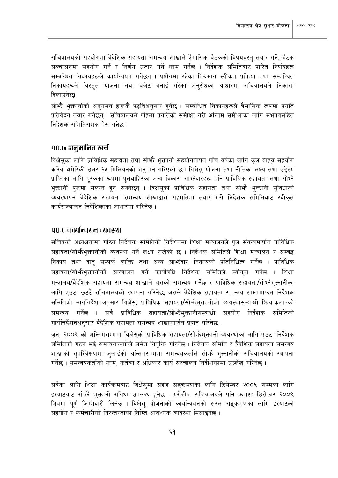सचिवालयको सहयोगमा वैदेशिक सहायता समन्वय शाखाले त्रैमासिक बैठकको विषयवस्तु तयार गर्ने, बैठक सञ्चालनमा सहयोग गर्ने र निर्णय उतार गर्ने काम गर्नेछ । निर्देशक समितिबाट पारित निर्णयहरू सम्बन्धित निकायहरूले कार्यान्वयन गर्नेछन् । प्रयोगमा रहेका विद्यमान स्वीकृत प्रक्रिया तथा सम्बन्धित निकायहरूले विस्तत योजना तथा बजेट बनाई गरेका अनुरोधका आधारमा सचिवालयले निकासा दिलाउनेछ।

सोभै भुक्तानीको अनुगमन हालकै पद्धतिअनुसार हुनेछ । सम्बन्धित निकायहरूले त्रैमासिक रूपमा प्रगति प्रतिवेदन तयार गर्नेछन । सचिवालयले पहिला प्रगतिको समीक्षा गरी अन्तिम समीक्षाका लागि सभ्जावसहित निर्देशक समितिसमक्ष पेस गर्नेछ ।

#### **qo.a** अनुमानित खर्च

विक्षेसका लागि प्राविधिक सहायता तथा सोभै भक्तानी सहयोगबापत पाँच वर्षका लागि कल बाहय सहयोग करिब अमेरिकी डलर २५ मिलियनको अनुमान गरिएको छ। विक्षेस योजना तथा नीतिका लक्ष्य तथा उद्देश्य प्राप्तिका लागि पुरकका रूपमा पुलबाहिरका अन्य विकास साभेदारहरू पनि प्राविधिक सहायता तथा सोभै भुक्तानी पुलमा संलग्न हुन सक्नेछन् । विक्षेसुको प्राविधिक सहायता तथा सोभ्गै भुक्तानी सुविधाको व्यवस्थापन वैदेशिक सहायता समन्वय शाखाद्वारा सहमतिमा तयार गरी निर्देशक समितिबाट स्वीकत कार्यसञ्चालन निर्देशिकाका आधारमा गरिनेछ ।

#### ९०.ट कार्यान्वयन व्यवस्था

सचिवको अध्यक्षतामा गठित निर्देशक समितिको निर्देशनमा शिक्षा मन्त्रालयले पुल संयन्त्रमार्फत प्राविधिक सहायता/सोभैभक्तानीको व्यवस्था गर्ने लक्ष्य राखेको छ । निर्देशक समितिले शिक्षा मन्त्रालय र सम्बद्ध निकाय तथा दातु सम्पर्क व्यक्ति तथा अन्य साभ्रेदार निकायको प्रतिनिधित्व गर्नेछ । प्राविधिक सहायता/सोभ्कैभक्तानीको सञ्चालन गर्ने कार्यविधि निर्देशक समितिले स्वीकत गर्नेछ । शिक्षा मन्त्रालय/वैदेशिक सहायता समन्वय शाखाले यसको समन्वय गर्नेछ र प्राविधिक सहायता/सोभौभुक्तानीका लागि एउटा छुट्टै सचिवालयको स्थापना गरिनेछ, जसले वैदेशिक सहायता समन्वय शाखामार्फत निर्देशक समितिको मार्गनिर्देशनअनुसार विक्षेस्, प्राविधिक सहायता/सोभैभुक्तानीको व्यवस्थासम्बन्धी क्रियाकलापको समन्वय गर्नेछ । सबै प्राविधिक सहायता/सोभैभुक्तानीसम्बन्धी सहयोग निर्देशक समितिको मार्गनिर्देशनअनुसार वैदेशिक सहायता समन्वय शाखामार्फत प्रदान गरिनेछ ।

जन, २००९ को अन्तिमसम्ममा विक्षेसको प्राविधिक सहायता/सोभैभक्तानी व्यवस्थाका लागि एउटा निर्देशक समितिको गठन भई समन्वयकर्ताको समेत नियुक्ति गरिनेछ। निर्देशक समिति र वैदेशिक सहायता समन्वय शाखाको सुपरिवेक्षणमा जुलाईको अन्तिमसम्ममा समन्वयकर्ताले सोभ्गै भुक्तानीको सचिवालयको स्थापना गर्नेछ । समन्वयकर्ताको काम, कर्तव्य र अधिकार कार्य सञ्चालन निर्देशिकामा उल्लेख गरिनेछ ।

सबैका लागि शिक्षा कार्यक्रमबाट विक्षेसमा सहज सडक्रमणका लागि डिसेम्बर २००९ सम्मका लागि इस्याटबाट सोफै भक्तानी सविधा उपलब्ध हनेछ । यसैबीच सचिवालयले पनि क्रमश: डिसेम्बर २००९ भित्रमा पूर्ण जिम्मेवारी लिनेछ । विक्षेस योजनाको कार्यान्वयनको सरल सङ्क्रमणका लागि इस्याटको सहयोग र कर्मचारीको निरन्तरताका निम्ति आवश्यक व्यवस्था मिलाइनेछ ।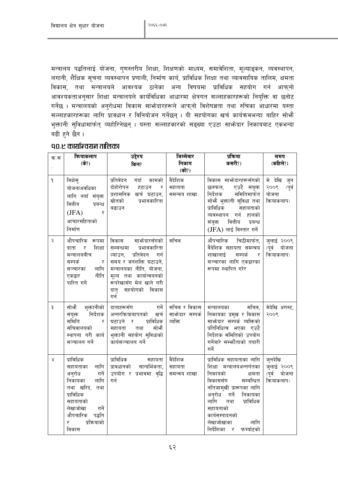मन्त्रालय पद्धतिलाई योजना, गुणस्तरीय शिक्षा, शिक्षणको माध्यम, समावेशिता, मूल्याङ्कन, व्यवस्थापन, लगानी, शैक्षिक सूचना व्यवस्थापन प्रणाली, निर्माण कार्य, प्राविधिक शिक्षा तथा व्यावसायिक तालिम, क्षमता विकास, तथा मन्त्रालयले आवश्यक ठानेका अन्य विषयमा प्राविधिक सहयोग गर्न आफुनो आवश्यकताअनुसार शिक्षा मन्त्रालयले कार्यविधिका आधारमा क्षेत्रगत सल्लाहकारहरूको नियुक्ति वा छनोट गर्नेछ । मन्त्रालयको अनुरोधमा विकास साभ्रेदारहरूले आफुनो विशेषज्ञता तथा रुचिका आधारमा यस्ता सल्लाहकारहरूका लागि प्रावधान र विनियोजन गर्नेछन । यी सहयोगका खर्च कार्यक्रमभन्दा बाहिर सोभ्है भुक्तानी सुविधामार्फत् व्यहोरिनेछन् । यस्ता सल्लाहकारको सङ्ख्या एउटा साभेदार निकायबाट एकभन्दा बढी हने छैन ।

| क.सं         | कियाकलाप<br>$($ के?)                                                                                                                                                                 | उद्देश्य<br>किन?                                                                                                                                                                                                                 | जिम्मेवार<br>निकाय<br>(को?)                 | प्रक्रिया<br>कसरी?)                                                                                                                                                                                                                                                      | समय<br>(कहिले?)                                         |
|--------------|--------------------------------------------------------------------------------------------------------------------------------------------------------------------------------------|----------------------------------------------------------------------------------------------------------------------------------------------------------------------------------------------------------------------------------|---------------------------------------------|--------------------------------------------------------------------------------------------------------------------------------------------------------------------------------------------------------------------------------------------------------------------------|---------------------------------------------------------|
| $\mathsf{P}$ | विक्षेस्<br>योजनाअवधिका<br>लागि नयाँ संयुक्त<br>वित्तीय<br>प्रबन्ध<br>(JFA)<br>र<br>आचारसंहिताको<br>निर्माण                                                                          | गर्दा कामको<br>प्रतिवेदन<br>दोहोरोपन<br>हटाउन<br>्र<br>प्रशासनिक खर्च घटाउन,<br>स्रोतको<br>प्रभावकारिता<br>बढाउन                                                                                                                 | वैदेशिक<br>सहायता<br>समन्वय शाखा            | विकास साभ्रेदारहरूसँगको  <br>एउटै संयुक्त<br>छलफल,<br>समितिमार्फत<br>निर्देशक<br>सोभै भुक्तानी सुविधा तथा<br>प्राविधिक<br>सहायताको<br>व्यवस्थापन गर्न हालको<br>वित्तीय<br>संयुक्त<br>प्रबन्ध<br>(JFA) लाई विस्तार गर्ने                                                  | मे देखि जुन<br>२००९<br>(पूर्व<br>योजना<br>क्रियाकलाप)   |
| २            | औपचारिक रूपमा<br>शिक्षा<br>दाता<br>र<br>मन्त्रालयबीच<br>सम्पर्क<br>र<br>लागि<br>सञ्चारका<br>नीति<br>एकद्वार<br>पारित गर्ने                                                           | साभ्रेदारसँगको<br>विकास<br>प्रभावकारिता<br>सम्बन्धमा<br>प्रतिवेदन<br>ल्याउन,<br>गर्न<br>समय र जनशक्ति घटाउने,<br>मन्त्रालयका नीति, योजना,<br>मूल्य तथा कार्यान्वयनको<br>रूपरेखासँग मेल खाने गरी<br>सहयोगको विकास<br>दातृ<br>गर्न | सचिव                                        | औपचारिक चिठीमार्फत,<br>वैदेशिक सहायता समन्वय<br>शाखालाई सम्पर्क र<br>सञ्चारका लागि एकद्वारका<br>रूपमा स्थापित गरेर                                                                                                                                                       | जुलाई २००९<br>(पूर्व<br>योजना<br>क्रियाकलाप)            |
| ३            | सोभै भुक्तानीको<br>संयुक्त निर्देशक<br>समिति<br>र<br>सचिवालयको<br>स्थापना गरी कार्य<br>सञ्चालन गर्ने                                                                                 | दाताहरूसँग<br>गर्ने<br>अन्तरक्रियाबापतको खर्च<br>प्राविधिक<br>घटाउने र<br>सोभै<br>सहायता<br>तथा<br>भुक्तानी सहयोग सुविधाको<br>कार्यसञ्चालन गर्ने                                                                                 | सचिव र विकास<br>साफ़ेदार सम्पर्क<br>व्यक्ति | सचिव,<br>मन्त्रालयका<br>निकायका प्रमुख र विकास<br>साभ्रेदार सम्पर्क व्यक्तिको<br>प्रतिनिधित्व भएका एउटै<br>निर्देशक समितिको उपयोग<br>गर्नेबारे सम्भौताको तयारी<br>गर्ने                                                                                                  | मेदेखि अगस्ट,<br>२००९                                   |
| $\lambda$    | प्राविधिक<br>लागि<br>सहायताका<br>अनुरोध<br>गर्ने<br>लागि<br>निकायका<br>तथा खरिद,<br>तथा<br>प्राविधिक<br>सहायताको<br>लेखाजोखा<br>गर्ने<br>औपचारिक पद्धति<br>प्रक्रियाको<br>र<br>विकास | प्राविधिक<br>सहायता<br>सान्दर्भिकता,<br>प्रावधानको<br>उपयोग र प्रभावमा वृद्धि<br>गर्न                                                                                                                                            | वैदेशिक<br>सहायता<br>समन्वय शाखा            | प्राविधिक सहायताका लागि<br>शिक्षा मन्त्रालयअन्तर्गतका<br>निकायको<br>क्षमता<br>विकाससँग<br>सम्बन्धित<br>नतिजामुखी प्रारूपका लागि<br>अनुरोध<br>गर्ने<br>निकायका<br>लागि<br>प्राविधिक<br>तथा<br>सहायताको<br>कार्यसम्पादनको<br>लेखाजोखाका<br>लागि<br>निर्देशिका र फर्म्याटको | जुनदेखि<br>जुलाई २००९<br>(पूर्व<br>योजना<br>क्रियाकलाप) |

#### ९०.ए कार्यान्वयन तालिका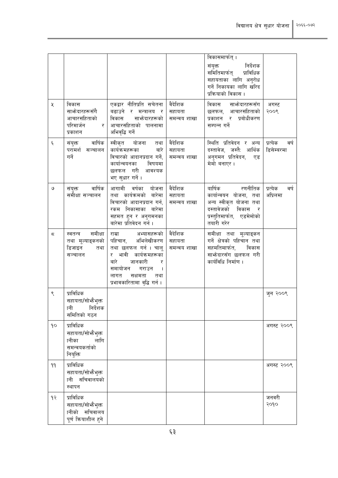| X                 | विकास<br>साभ्रेदारहरूसँगै<br>आचारसंहिताको<br>परिमार्जन<br>र                 | एकद्वार नीतिप्रति सचेतना<br>बढाउने र मन्त्रालय<br>र<br>साभोदारहरूको<br>विकास<br>आचारसंहिताको पालनामा                                                                                                                           | वैदेशिक<br>सहायता<br>समन्वय शाखा | विकासमार्फत् ।<br>निर्देशक<br>संयुक्त<br>समितिमार्फत् प्राविधिक<br>सहायताका लागि अनुरोध<br>गर्ने निकायका लागि खरिद<br>प्रक्रियाको विकास ।<br>विकास साभ्रेदारहरूसँग<br>छलफल, आचारसंहिताको<br>प्रकाशन र प्रबोधीकरण<br>सम्पन्न गर्ने | अगस्ट<br>२००९                  |
|-------------------|-----------------------------------------------------------------------------|--------------------------------------------------------------------------------------------------------------------------------------------------------------------------------------------------------------------------------|----------------------------------|-----------------------------------------------------------------------------------------------------------------------------------------------------------------------------------------------------------------------------------|--------------------------------|
| $\xi$             | प्रकाशन<br>संयुक्त वार्षिक<br>परामर्श सञ्चालन<br>गर्ने                      | अभिवृद्धि गर्ने<br>स्वीकृत योजना तथा<br>बारे<br>कार्यक्रमहरूका<br>विचारको आदानप्रदान गर्ने,<br>कार्यान्वयनका<br>विषयमा<br>छलफल गरी आवश्यक<br>भए सुधार गर्ने।                                                                   | वैदेशिक<br>सहायता<br>समन्वय शाखा | स्थिति प्रतिवेदन र अन्य<br>दस्तावेज, जस्तै: आर्थिक<br>अनुगमन प्रतिवेदन,<br>एड<br>मेमो बनाएर।                                                                                                                                      | प्रत्येक<br>वर्ष<br>डिसेम्बरमा |
| ও                 | वार्षिक<br>संयुक्त<br>समीक्षा सञ्चालन                                       | आगामी वर्षका योजना<br>तथा कार्यक्रमको बारेमा<br>विचारको आदानप्रदान गर्न,<br>रकम निकासाका बारेमा<br>सहमत हुन र अनुगमनका<br>बारेमा प्रतिवेदन गर्न ।                                                                              | वैदेशिक<br>सहायता<br>समन्वय शाखा | रणनीतिक<br>वार्षिक<br>कार्यान्वयन योजना, तथा<br>अन्य स्वीकृत योजना तथा<br>दस्तावेजको विकास<br>्र<br>प्रस्तुतिमार्फत, एडमेमोको<br>तयारी गरेर                                                                                       | प्रत्येक<br>वर्ष<br>अप्रिलमा   |
| ς                 | समीक्षा<br>स्वतन्त्र<br>तथा मूल्याङ्कनको<br>डिजाइन<br>तथा<br>सञ्चालन        | अभ्यासहरूको<br>राम्रा<br>पहिचान, अभिलेखीकरण<br>तथा छलफल गर्न । चालू<br>र भावी कार्यक्रमहरूका<br>बारे<br>जानकारी<br>र<br>समायोजन<br>गराउन<br>$\overline{\phantom{a}}$<br>लागत<br>सक्षमता<br>तथा<br>प्रभावकारितामा वृद्धि गर्न । | वैदेशिक<br>सहायता<br>समन्वय शाखा | समीक्षा तथा मूल्याङ्कन<br>गर्ने क्षेत्रको पहिचान तथा<br>सहमतिमार्फत,<br>विकास<br>साभ्रेदारसँग छलफल गरी<br>कार्यविधि निर्माण ।                                                                                                     |                                |
| ९                 | प्राविधिक<br>सहायता/सोभैभुक्त<br>ानी<br>निर्देशक<br>समितिको गठन             |                                                                                                                                                                                                                                |                                  |                                                                                                                                                                                                                                   | जुन २००९                       |
| $\mathsf{q}\circ$ | प्राविधिक<br>सहायता/सोफैभुक्त<br>लागि<br>ानीका<br>समन्वयकर्ताको<br>नियुक्ति |                                                                                                                                                                                                                                |                                  |                                                                                                                                                                                                                                   | अगस्ट २००९                     |
| 99                | प्राविधिक<br>सहायता/सोफैभुक्त<br>ानी सचिवालयको<br>स्थापन                    |                                                                                                                                                                                                                                |                                  |                                                                                                                                                                                                                                   | अगस्ट २००९                     |
| 93                | प्राविधिक<br>सहायता/सोभैभुक्त<br>ानीको सचिवालय<br>पूर्ण कियाशील हुने        |                                                                                                                                                                                                                                |                                  |                                                                                                                                                                                                                                   | जनवरी<br>२०१०                  |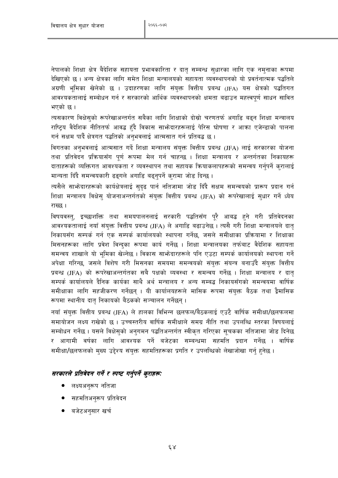नेपालको शिक्षा क्षेत्र बैदेशिक सहायता प्रभावकारिता र दातृ सम्बन्ध सुधारका लागि एक नम्नाका रूपमा देखिएको छ । अन्य क्षेत्रका लागि समेत शिक्षा मन्त्रालयको सहायता व्यवस्थापनको यो प्रवर्तनात्मक पद्धतिले अग्रणी भूमिका खेलेको छ । उदाहरणका लागि संयुक्त वित्तीय प्रबन्ध (JFA) यस क्षेत्रको पद्धतिगत आवश्यकतालाई सम्बोधन गर्न र सरकारको आर्थिक व्यवस्थापनको क्षमता बढाउन महत्त्वपूर्ण साधन सावित भएको छ ।

त्यसकारण विक्षेसुको रूपरेखाअन्तर्गत सबैका लागि शिक्षाको दोस्रो चरणतर्फ अगाडि बढ्न शिक्षा मन्त्रालय राष्टिय वैदेशिक नीतितर्फ आवद्ध हँदै विकास साभेदारहरूलाई पेरिस घोषणा र आक्रा एजेन्डाको पालना गर्न सक्षम पार्दे क्षेत्रगत पद्धतिको अनभवलाई आत्मसात गर्न प्रतिबद्ध छ ।

विगतका अनभवलाई आत्मसात गर्दे शिक्षा मन्त्रालय संयुक्त वित्तीय प्रबन्ध (JFA) लाई सरकारका योजना तथा प्रतिवेदन प्रक्रियासँग पुर्ण रूपमा मेल गर्न चाहन्छ । शिक्षा मन्त्रालय र अन्तर्गतका निकायहरू दाताहरूको व्यक्तिगत आवश्यकता र व्यवस्थापन तथा सहायक कियाकलापहरूको समन्वय गर्नुपर्ने कुरालाई मान्यता दिँदै समन्वयकारी ढङ्गले अगाडि बढ्नुपर्ने कुरामा जोड दिन्छ ।

त्यसैले साभ्गेदारहरूको कार्यक्षेत्रलाई सुदृढ पार्न नतिजामा जोड दिँदै सक्षम समन्वयको प्रारूप प्रदान गर्न शिक्षा मन्त्रालय विक्षेस् योजनाअन्तर्गतको संयुक्त वित्तीय प्रबन्ध (JFA) को रूपरेखालाई सुधार गर्ने ध्येय राख्छ ।

विषयवस्त्, इच्छाशक्ति तथा समयपालनलाई सरकारी पद्धतिसँग पुरै आबद्ध हुने गरी प्रतिवेदनका आवश्यकतालाई नयाँ संयुक्त वित्तीय प्रबन्ध (JFA) ले अगाडि बढाउनेछ । त्यसै गरी शिक्षा मन्त्रालयले दात् निकायसँग सम्पर्क गर्न एक सम्पर्क कार्यालयको स्थापना गर्नेछ, जसले समीक्षाका प्रक्रियामा र शिक्षाका मिसनहरूका लागि प्रवेश विन्दुका रूपमा कार्य गर्नेछ । शिक्षा मन्त्रालयका तर्फबाट वैदेशिक सहायता समन्वय शाखाले यो भूमिका खेल्नेछ । विकास साभ्रेदारहरूले पनि एउटा सम्पर्क कार्यालयको स्थापना गर्ने अपेक्षा गरिन्छ, जसले विशेष गरी मिसनका समयमा समन्वयको संयुक्त संयन्त्र बनाउँदै संयुक्त वित्तीय प्रबन्ध (JFA) को रूपरेखाअन्तर्गतका सबै पक्षको व्यवस्था र समन्वय गर्नेछ । शिक्षा मन्त्रालय र दात सम्पर्क कार्यालयले दैनिक कार्यका साथै अर्थ मन्त्रालय र अन्य सम्बद्ध निकायसँगको समन्वयमा वार्षिक समीक्षाका लागि सहजीकरण गर्नेछन् । यी कार्यालयहरूले मासिक रूपमा संयुक्त बैठक तथा द्वैमासिक रूपमा स्थानीय दात निकायको बैठकको सञ्चालन गर्नेछन्।

नयाँ संयुक्त वित्तीय प्रबन्ध (JFA) ले हालका विभिन्न छलफल/बैठकलाई एउटै वार्षिक समीक्षा/छलफलमा समायोजन लक्ष्य राखेको छ । उच्चस्तरीय वार्षिक समीक्षाले समग्र नीति तथा उपलब्धि स्तरका विषयलाई सम्बोधन गर्नेछ । यसले विक्षेसुको अनुगमन पद्धतिअन्तर्गत स्वीकृत गरिएका सूचकका नतिजामा जोड दिनेछ र आगामी वर्षका लागि आवश्यक पर्ने बजेटका सम्बन्धमा सहमति प्रदान गर्नेछ । वार्षिक समीक्षा/छलफलको मुख्य उद्देश्य संयुक्त सहमतिहरूका प्रगति र उपलब्धिको लेखाजोखा गर्नु हुनेछ ।

#### सरकारले प्रतिवेदन गर्ने र स्पष्ट गर्नुपर्ने कुराहरू:

- लक्ष्यअनुरूप नतिजा
- सहमतिअनुरूप प्रतिवेदन
- बजेटअनुसार खर्च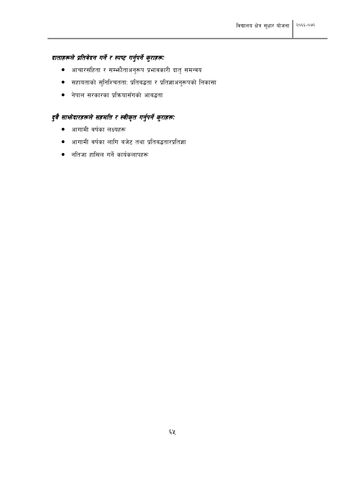### दाताहरूले प्रतिवेदन गर्ने र स्पष्ट गर्नुपर्ने कुराहरू:

- आचारसंहिता र सम्भौताअनुरूप प्रभावकारी दातृ समन्वय  $\bullet$
- सहायताको सुनिश्चितताः प्रतिबद्धता र प्रतिज्ञाअनुरूपको निकासा
- नेपाल सरकारका प्रक्रियासँगको आबद्धता

## दुवै साभ्रेदारहरूले सहमति र स्वीकृत गर्नुपर्ने कुराहरू:

- आगामी वर्षका लक्ष्यहरू  $\bullet$
- आगामी वर्षका लागि बजेट तथा प्रतिबद्धतारप्रतिज्ञा  $\bullet$
- नतिजा हासिल गर्ने कार्यकलापहरू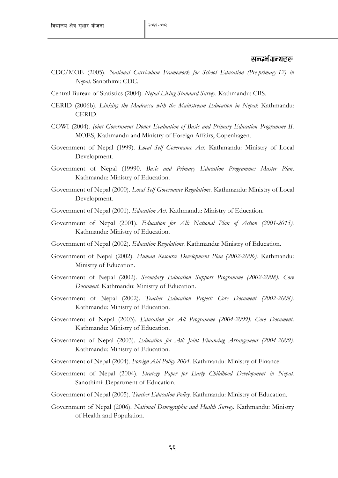#### सन्दर्भ ग्रन्थहरू

- CDC/MOE (2005). *National Curriculum Framework for School Education (Pre-primary-12) in Nepal*. Sanothimi: CDC.
- Central Bureau of Statistics (2004). *Nepal Living Standard Survey*. Kathmandu: CBS.
- CERID (2006b). *Linking the Madrassa with the Mainstream Education in Nepal*: Kathmandu: CERID.
- COWI (2004). *Joint Government Donor Evaluation of Basic and Primary Education Programme II*. MOES, Kathmandu and Ministry of Foreign Affairs, Copenhagen.
- Government of Nepal (1999). *Local Self Governance Act.* Kathmandu: Ministry of Local Development.
- Government of Nepal (19990. *Basic and Primary Education Programme: Master Plan*. Kathmandu: Ministry of Education.
- Government of Nepal (2000). *Local Self Governance Regulations.* Kathmandu: Ministry of Local Development.
- Government of Nepal (2001). *Education Act.* Kathmandu: Ministry of Education.
- Government of Nepal (2001). *Education for All: National Plan of Action (2001-2015).* Kathmandu: Ministry of Education.
- Government of Nepal (2002). *Education Regulations.* Kathmandu: Ministry of Education.
- Government of Nepal (2002). *Human Resource Development Plan (2002-2006).* Kathmandu: Ministry of Education.
- Government of Nepal (2002). *Secondary Education Support Programme (2002-2008): Core Document.* Kathmandu: Ministry of Education.
- Government of Nepal (2002). *Teacher Education Project: Core Document (2002-2008).* Kathmandu: Ministry of Education.
- Government of Nepal (2003). *Education for All Programme (2004-2009): Core Document*. Kathmandu: Ministry of Education.
- Government of Nepal (2003). *Education for All: Joint Financing Arrangement (2004-2009).* Kathmandu: Ministry of Education.
- Government of Nepal (2004). *Foreign Aid Policy 2004.* Kathmandu: Ministry of Finance.
- Government of Nepal (2004). *Strategy Paper for Early Childhood Development in Nepal.* Sanothimi: Department of Education.
- Government of Nepal (2005). *Teacher Education Policy.* Kathmandu: Ministry of Education.
- Government of Nepal (2006). *National Demographic and Health Survey.* Kathmandu: Ministry of Health and Population.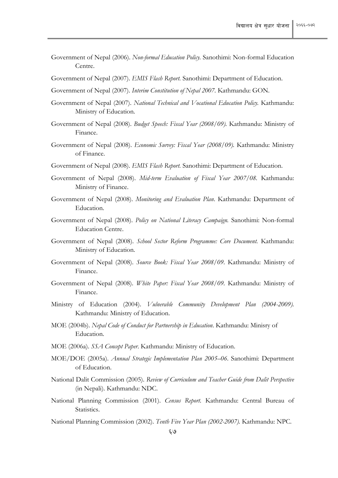- Government of Nepal (2006). *Non-formal Education Policy.* Sanothimi: Non-formal Education Centre.
- Government of Nepal (2007). *EMIS Flash Report.* Sanothimi: Department of Education.
- Government of Nepal (2007). *Interim Constitution of Nepal 2007.* Kathmandu: GON.
- Government of Nepal (2007). *National Technical and Vocational Education Policy.* Kathmandu: Ministry of Education.
- Government of Nepal (2008). *Budget Speech: Fiscal Year (2008/09).* Kathmandu: Ministry of Finance.
- Government of Nepal (2008). *Economic Survey: Fiscal Year (2008/09).* Kathmandu: Ministry of Finance.
- Government of Nepal (2008). *EMIS Flash Report.* Sanothimi: Department of Education.
- Government of Nepal (2008). *Mid-term Evaluation of Fiscal Year 2007/08.* Kathmandu: Ministry of Finance.
- Government of Nepal (2008). *Monitoring and Evaluation Plan*. Kathmandu: Department of Education.
- Government of Nepal (2008). *Policy on National Literacy Campaign.* Sanothimi: Non-formal Education Centre.
- Government of Nepal (2008). *School Sector Reform Programme: Core Document.* Kathmandu: Ministry of Education.
- Government of Nepal (2008). *Source Book: Fiscal Year 2008/09*. Kathmandu: Ministry of Finance.
- Government of Nepal (2008). *White Paper: Fiscal Year 2008/09.* Kathmandu: Ministry of Finance.
- Ministry of Education (2004). *Vulnerable Community Development Plan (2004-2009).*  Kathmandu: Ministry of Education.
- MOE (2004b). *Nepal Code of Conduct for Partnership in Education*. Kathmandu: Minisry of Education.
- MOE (2006a). *SSA Concept Paper*. Kathmandu: Ministry of Education.
- MOE/DOE (2005a). *Annual Strategic Implementation Plan 2005–06*. Sanothimi: Department of Education.
- National Dalit Commission (2005). *Review of Curriculum and Teacher Guide from Dalit Perspective* (in Nepali). Kathmandu: NDC.
- National Planning Commission (2001). *Census Report.* Kathmandu: Central Bureau of Statistics.
- National Planning Commission (2002). *Tenth Five Year Plan (2002-2007).* Kathmandu: NPC.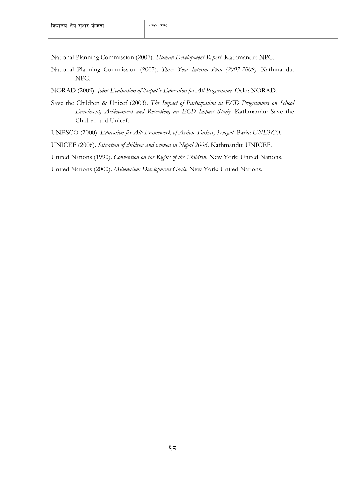National Planning Commission (2007). *Human Development Report.* Kathmandu: NPC.

National Planning Commission (2007). *Three Year Interim Plan (2007-2009).* Kathmandu: NPC.

NORAD (2009). *Joint Evaluation of Nepal´s Education for All Programme.* Oslo: NORAD.

Save the Children & Unicef (2003). *The Impact of Participation in ECD Programmes on School Enrolment, Achievement and Retention, an ECD Impact Study.* Kathmandu: Save the Chidren and Unicef.

UNESCO (2000). *Education for All: Framework of Action, Dakar, Senegal.* Paris: *UNESCO.*

UNICEF (2006). *Situation of children and women in Nepal 2006*. Kathmandu: UNICEF.

United Nations (1990). *Convention on the Rights of the Children.* New York: United Nations.

United Nations (2000). *Millennium Development Goals.* New York: United Nations.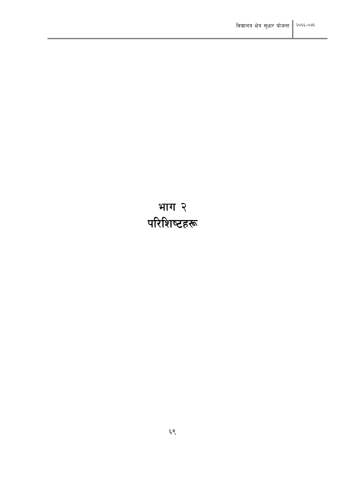# भाग २<br>परिशिष्टहरू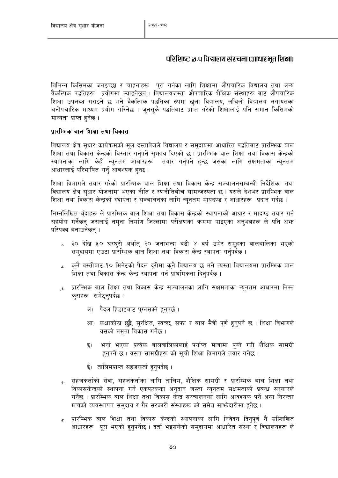#### परिशिष्ट ৯.९ विद्यालय संरचना (आधारभूत शिक्षा)

विभिन्न किसिमका जनइच्छा र चाहनाहरू पुरा गर्नका लागि शिक्षामा औपचारिक विद्यालय तथा अन्य वैकल्पिक पद्धतिहरू प्रयोगमा ल्याइनेछन् । विद्यालयजस्ता औपचारिक शैक्षिक संस्थाहरू बाट औपचारिक शिक्षा उपलब्ध गराइने छ भने वैकल्पिक पद्धतिका रुपमा खला विद्यालय, लचिलो विद्यालय लगायतका अनौपचारिक माध्यम प्रयोग गरिनेछ । जनसकै पद्धतिबाट प्राप्त गरेको शिक्षालाई पनि समान किसिमको मान्यता प्राप्त हनेछ।

#### प्रारम्भिक बाल शिक्षा तथा विकास

विद्यालय क्षेत्र सुधार कार्यक्रमको मूल दस्तावेजले विद्यालय र समुदायमा आधारित पद्धतिबाट प्रारम्भिक बाल शिक्षा तथा विकास केन्द्रको विस्तार गर्नुपर्ने सुभाव दिएको छ । प्रारम्भिक बाल शिक्षा तथा विकास केन्द्रको स्थापनाका लागि केही न्युनतम आधारहरू तयार गर्नुपर्ने हुन्छ जसका लागि सक्षमताका न्युनतम आधारलाई परिभाषित गर्नु आवश्यक हुन्छ ।

शिक्षा विभागले तयार गरेको प्रारम्भिक बाल शिक्षा तथा विकास केन्द्र सञ्चालनसम्बन्धी निर्देशिका तथा विद्यालय क्षेत्र सुधार योजनामा भएका नीति र रणनीतिबीच सामन्जस्यता छ। यसले देशभर प्रारम्भिक बाल शिक्षा तथा विकास केन्द्रको स्थापना र सञ्चालनका लागि न्युनतम मापदण्ड र आधारहरू प्रदान गर्दछ ।

निम्नलिखित बँदाहरू ले प्रारम्भिक बाल शिक्षा तथा विकास केन्द्रको स्थापनाको आधार र मादण्ड तयार गर्न सहयोग गर्नेछन् जसलाई नम्ना निर्माण जिल्लामा परीक्षणका क्रममा पाइएका अन्भवहरू ले पनि अफ्न परिपक्व बनाउनेछन ।

- $_L$  ३० देखि ५० घरघुरी अर्थात् २० जनाभन्दा बढी ४ वर्ष उमेर समुहका बालबालिका भएको समदायमा एउटा प्रारम्भिक बाल शिक्षा तथा विकास केन्द्र स्थापना गर्नपर्दछ ।
- कनै वस्तीबाट १० मिनेटको पैदल दुरीमा कुनै विद्यालय छ भने त्यस्ता विद्यालयमा प्रारम्भिक बाल  $\lambda$ . शिक्षा तथा विकास केन्द्र केन्द्र स्थापना गर्न प्राथमिकता दिनुपर्दछ ।
- <u>3. प्रा</u>रम्भिक बाल शिक्षा तथा विकास केन्द्र सञ्चालनका लागि सक्षमताका न्यूनतम आधारमा निम्न कराहरू समेटनपर्दछ :
	- अ) पैदल हिडाइबाट पुग्नसक्ने हुनुपर्छ ।
	- आ) कक्षाकोठा छुट्टै, सुरक्षित, स्वच्छ, सफा र बाल मैत्री पूर्ण हुनुपर्ने छ। शिक्षा विभागले यसको नमना विकास गर्नेछ ।
	- भर्ना भएका प्रत्येक बालबालिकालाई पर्याप्त मात्रामा पग्ने गरी शैक्षिक सामग्री इ) हनुपर्ने छ । यस्ता सामग्रीहरू को सूची शिक्षा विभागले तयार गर्नेछ ।
	- ई) तालिमप्राप्त सहजकर्ता हनुपर्दछ ।
- सहजकर्ताको सेवा, सहजकर्ताका लागि तालिम, शैक्षिक सामग्री र प्रारम्भिक बाल शिक्षा तथा  $\mathbf{L}$ विकासकेन्द्रको स्थापना गर्न एकपटकका अनदान जस्ता न्यनतम सक्षमताको प्रबन्ध सरकारले गर्नेछ । प्रारम्भिक बाल शिक्षा तथा विकास केन्द्र सञ्चालनका लागि आवश्यक पर्ने अन्य निरन्तर खर्चको व्यवस्थापन समुदाय र गैर सरकारी संस्थाहरू को समेत साभ्रेदारीमा हुनेछ ।
- प्रारम्भिक बाल शिक्षा तथा विकास केन्द्रको स्थापनाका लागि निवेदन दिनुपूर्व नै उल्लिखित  $\mathcal{L}$ आधारहरू पुरा भएको हुनुपर्नेछ । दर्ता भइसकेको समुदायमा आधारित संस्था र विद्यालयहरू ले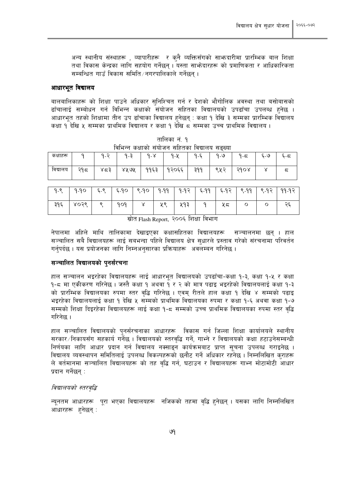अन्य स्थानीय संस्थाहरू , व्यापारीहरू र कुनै व्यक्तिसँगको साभ्रुदारीमा प्रारम्भिक बाल शिक्षा तथा विकास केन्द्रका लागि सहयोग गर्नेछन । यस्ता साभ्रेदारहरू को प्रमाणिकता र आधिकारिकता सम्बन्धित गाउँ विकास समिति/नगरपालिकाले गर्नेछन ।

#### आधारभुत विद्यालय

बालबालिकाहरू को शिक्षा पाउने अधिकार सुनिश्चित गर्न र देशको भौगोलिक अवस्था तथा बसोबासको ढाँचालाई सम्बोधन गर्न विभिन्न कक्षाको संयोजन सहितका विद्यालयको उपढाँचा उपलब्ध हनेछ । आधारभत तहको शिक्षामा तीन उप ढाँचाका विद्यालय हुनेछन : कक्षा १ देखि ३ सम्मका प्रारम्भिक विद्यालय कक्षा १ देखि ५ सम्मका प्राथमिक विद्यालय र कक्षा १ देखि ८ सम्मका उच्च प्राथमिक विद्यालय ।

| कक्षाहरू |     | $\overline{\phantom{0}}$<br>$\Omega$<br>. .<br>. . | $9 - 3$ | $\sim$<br><sup>o</sup><br>- 0 | $9 - 4$ | n c<br>ما – ا | $9 - 9$ | $\overline{\phantom{0}}$<br>$-6$ | ್- ೨ | ۔۔ |
|----------|-----|----------------------------------------------------|---------|-------------------------------|---------|---------------|---------|----------------------------------|------|----|
| विद्यालय | २१८ | ∨–ว<br>$\circ \hookrightarrow \circ$               | ४४ ७४   | 9983                          | १२०६६   | 299<br>ີ      | QUQ     | 3d0R                             |      | ∽  |

|  | तालिका नं. १                                   |  |
|--|------------------------------------------------|--|
|  | विभिन्न कक्षाको संयोजन सहितका विद्यालय सङ्ख्या |  |

 $9-90$  $\xi$ -९  $6-90$  $Q - Q$  $9.99$  $9-92$  $6 - 99$  $9 - 9$  $9 - 9$  $592$  $99 - 9$  $99 - 92$  $395$ ४०२९  $\overline{\mathcal{S}}$  $909$  $\overline{\mathsf{x}}$ ५९ ५१३  $\mathsf{P}$  $45$  $\overline{O}$  $\circ$ २६

स्रोत Flash Report, २००६ शिक्षा विभाग

नेपालमा अहिले माथि तालिकामा देखाइएका कक्षासहितका विद्यालयहरू सञ्चालनमा छन् । हाल सञ्चालित सबै विद्यालयहरू लाई सबभन्दा पहिले विद्यालय क्षेत्र सुधारले प्रस्ताव गरेको संरचनामा परिवर्तन गर्नपर्दछ । यस प्रयोजनका लागि निम्नअनसारका प्रक्रियाहरू अवलम्बन गरिनेछ ।

#### सञ्चालित विद्यालयको पुनर्संरचना

हाल सञ्चालन भइरहेका विद्यालयहरू लाई आधारभूत विद्यालयको उपढाँचा-कक्षा १-३, कक्षा १-५ र कक्षा १-८ मा एकीकरण गरिनेछ । जस्तै कक्षा १ अथवा १ र २ को मात्र पढाइ भइरहेको विद्यालयलाई कक्षा १-३ को प्रारम्भिक विद्यालयका रुपमा स्तर वद्धि गरिनेछ । एवम रीतले हाल कक्षा १ देखि ४ सम्मको पढाइ भइरहेका विद्यालयलाई कक्षा १ देखि ५ सम्मको प्राथमिक विद्यालयका रुपमा र कक्षा १-६ अथवा कक्षा १-७ सम्मको शिक्षा दिइरहेका विद्यालयहरू लाई कक्षा १-८ सम्मको उच्च प्राथमिक विद्यालयका रुपमा स्तर वद्धि गरिनेछ ।

हाल सञ्चालित विद्यालयको पुनर्संरचनाका आधारहरू विकास गर्न जिल्ला शिक्षा कार्यालयले स्थानीय सरकार /निकायसँग सहकार्य गर्नेछ । विद्यालयको स्तरवद्धि गर्ने, गाभ्ने र विद्यालयको कक्षा हटाउनेसम्बन्धी निर्णयका लागि आधार प्रदान गर्न विद्यालय नक्साइन कार्यक्रमबाट प्राप्त सूचना उपलब्ध गराइनेछ । विद्यालय व्यवस्थापन समितिलाई उपलब्ध विकल्पहरूको छनौट गर्ने अधिकार रहनेछ । निम्नलिखित कुराहरू ले वर्तमानमा सञ्चालित विद्यालयहरू को तह वद्धि गर्न, घटाउन र विद्यालयहरू गाभ्न मोटामोटी आधार प्रदान गर्नेछन :

#### विद्यालयको स्तरवद्धि

न्यूनतम आधारहरू पूरा भएका विद्यालयहरू नजिकको तहमा वृद्धि हुनेछन् । यसका लागि निम्नलिखित आधारहरू हनेछन :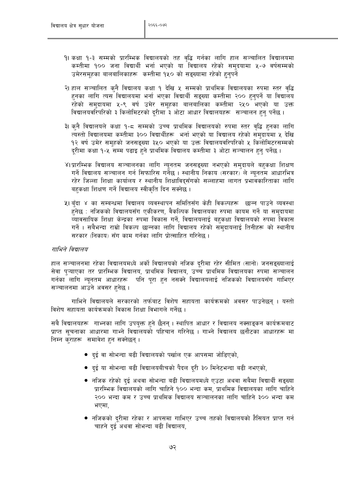- १। कक्षा १-३ सम्मको प्रारम्भिक विद्यालयको तह वृद्धि गर्नका लागि हाल सञ्चालित विद्यालयमा कम्तीमा १०० जना विद्यार्थी भर्ना भएको या विद्यालय रहेको समुदयामा ५-७ वर्षसम्मको उमेरसमूहका बालबालिकाहरू कम्तीमा १५० को सङ्ख्यामा रहेको हुनुपर्ने
- २। हाल सञ्चालित कुनै विद्यालय कक्षा १ देखि ५ सम्मको प्राथमिक विद्यालयका रुपमा स्तर वृद्धि हुनका लागि त्यस विद्यालयमा भर्ना भएका विद्यार्थी सङ्ख्या कम्तीमा २०० हुनुपर्ने या विद्यालय रहेको समुदायमा ५-९ वर्ष उमेर समुहका बालबालिका कम्तीमा २५० भएको या उक्त विद्यालयवरिपरिको ३ किलोमिटरको दूरीमा ३ ओटा आधार विद्यालयहरू सञ्चालन हुन् पर्नेछ ।
- ३। क्नै विद्यालयले कक्षा १-८ सम्मको उच्च प्राथमिक विद्यालयको रुपमा स्तर वृद्धि हुनका लागि त्यस्तो विद्यालयमा कम्तीमा ३०० विद्यार्थीहरू भर्ना भएको या विद्यालय रहेको समुदायमा ५ देखि १२ वर्ष उमेर समुहको जनसङ्ख्या ३५० भएको या उक्त विद्यालयवरिपरिको ५ किलोमिटरसम्मको दूरीमा कक्षा १-५ सम्म पढाइ हुने प्राथमिक विद्यालय कम्तीमा ३ ओटा सञ्चालन हुनु पर्नेछ ।
- ४।प्रारम्भिक विद्यालय सञ्चालनका लागि न्युनतम जनसङ्ख्या नभएको समुदायले बहुकक्षा शिक्षण गर्ने विद्यालय सञ्चालन गर्न सिफारिस गर्नेछ । स्थानीय निकाय (सरकार) ले न्युनतम आधारभित्र रहेर जिल्ला शिक्षा कार्यालय र स्थानीय शिक्षाविदसँगको सल्लाहमा लागत प्रभावकारिताका लागि बहकक्षा शिक्षण गर्ने विद्यालय स्वीकृति दिन सक्नेछ ।
- ५। बुँदा ४ का सम्बन्धमा विद्यालय व्यवस्थापन समितिसँग केही विकल्पहरू छान्न पाउने व्यवस्था हुनेछ : नजिकको विद्यालयसँग एकीकरण, वैकल्पिक विद्यालयका रुपमा कायम गर्ने या समदायमा व्यावसायिक शिक्षा केन्द्रका रुपमा विकास गर्ने, विद्यालयलाई बहुकक्षा विद्यालयको रुपमा विकास गर्ने । सबैभन्दा राम्रो विकल्प छान्नका लागि विद्यालय रहेको समदायलाई तिनीहरू को स्थानीय सरकार (निकाय) सँग काम गर्नका लागि प्रोत्साहित गरिनेछ ।

#### गाभिने विद्यालय

हाल सञ्चालनमा रहेका विद्यालयमध्ये अर्को विद्यालयको नजिक दूरीमा रहेर सीमित (सानो) जनसङ्ख्यालाई सेवा प्ऱ्याएका तर प्रारम्भिक विद्यालय, प्राथमिक विद्यालय, उच्च प्राथमिक विद्यालयका रुपमा सञ्चालन गर्नका लागि न्यूनतम आधारहरू पनि पूरा हुन नसक्ने विद्यालयलाई नजिकको विद्यालयसँग गाभिएर सञ्चालनमा आउने अवसर हुनेछ ।

गाभिने विद्यालयले सरकारको तर्फबाट विशेष सहायता कार्यक्रमको अवसर पाउनेछन् । यस्तो विशेष सहायता कार्यक्रमको विकास शिक्षा विभागले गर्नेछ ।

सबै विद्यालयहरू गाभ्नका लागि उपयुक्त हुने छैनन् । स्थापित आधार र विद्यालय नक्साङ्कन कार्यक्रमबाट प्राप्त सूचनाका आधारमा गाभ्ने विद्यालयको पहिचान गरिनेछ । गाभ्ने विद्यालय छनौटका आधारहरू मा निम्न कुराहरू समावेश हन सक्नेछन्।

- दुई वा सोभन्दा बढी विद्यालयको पर्खाल एक आपसमा जोडिएको,
- दुई या सोभन्दा बढी विद्यालयबीचको पैदल दूरी ३० मिनेटभन्दा बढी नभएको,
- नजिक रहेको दुई अथवा सोभन्दा बढी विद्यालयमध्ये एउटा अथवा सबैमा विद्यार्थी सङ्ख्या प्रारम्भिक विद्यालयको लागि चाहिने १०० भन्दा कम, प्राथमिक विद्यालयका लागि चाहिने २०० भन्दा कम र उच्च प्राथमिक विद्यालय सञ्चालनका लागि चाहिने ३०० भन्दा कम भएमा,
- नजिकको दुरीमा रहेका र आपसमा गाभिएर उच्च तहको विद्यालयको हैसियत प्राप्त गर्न चाहने दई अथवा सोभन्दा बढी विद्यालय.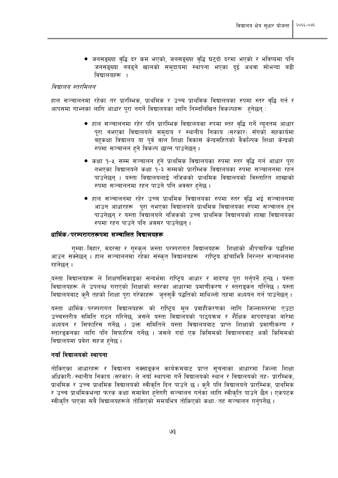● जनसङ्ख्या वृद्धि दर कम भएको, जनसङ्ख्या वृद्धि घट्दो दरमा भएको र भविष्यमा पनि जनसङ्ख्या नबढ्ने खालको समुदायमा स्थापना भएका दुई अथवा सोभन्दा बढी विद्यालयहरू ।

#### विद्यालय स्तरमिलन

हाल सञ्चालनमा रहेका तर प्रारम्भिक, प्राथमिक र उच्च प्राथमिक विद्यालयका रुपमा स्तर वृद्धि गर्न र आपसमा गाभ्नका लागि आधार पुरा नगर्ने विद्यालयका लागि निम्नलिखित विकल्पहरू हुनेछन् :

- हाल सञ्चालनमा रहेर पनि प्रारम्भिक विद्यालयका रुपमा स्तर वद्धि गर्ने न्युनतम आधार पूरा नभएका विद्यालयले समुदाय र स्थानीय निकाय (सरकार) सँगको सहकार्यमा बहुकक्षा विद्यालय या पूर्व बाल शिक्षा विकास केन्द्रसहितको वैकल्पिक शिक्षा केन्द्रको रुपमा सञ्चालन हुने विकल्प छान्न पाउनेछन ।
- कक्षा १-५ सम्म सञ्चालन हुने प्राथमिक विद्यालयका रुपमा स्तर वृद्धि गर्न आधार पुरा नभएका विद्यालयले कक्षा १-३ सम्मको प्रारम्भिक विद्यालयका रुपमा सञ्चालनमा रहन पाउनेछन् । यस्ता विद्यालयलाई नजिकको प्राथमिक विद्यालयको विस्तारित शाखाको रुपमा सञ्चालनमा रहन पाउने पनि अवसर हनेछ ।
- हाल सञ्चालनमा रहेर उच्च प्राथमिक विद्यालयका रुपमा स्तर वृद्धि भई सञ्चालनमा आउन आधारहरू पुरा नभएका विद्यालयले प्राथमिक विद्यालयका रुपमा सञ्चालन हुन पाउनेछन र यस्ता विद्यालयले नजिकको उच्च प्राथमिक विद्यालयको शाखा विद्यालयका रुपमा रहन पाउने पनि अवसर पाउनेछन।

#### धार्मिक ⁄ परम्परागतरूपमा सञ्चालित विद्यालयहरू

गम्बा ∕ विहार, मदरसा र गुरुकुल जस्ता परम्परागत विद्यालयहरू शिक्षाको औपचारिक पद्धतिमा आउन सक्नेछन् । हाल सञ्चालनमा रहेका संस्कृत विद्यालयहरू राष्ट्रिय ढाँचाभित्रै निरन्तर सञ्चालनमा रहनेछन् ।

यस्ता विद्यालयहरू ले शिक्षणसिकाइका सन्दर्भमा राष्टिय आधार र मादण्ड पुरा गर्नुपर्ने हुन्छ । यस्ता विद्यालयहरू ले उपलब्ध गराएको शिक्षाको स्तरका आधारमा प्रमाणीकरण र स्तराइकन गरिनेछ । यस्ता विद्यालयबाट क्नै तहको शिक्षा पूरा गरेकाहरू जुनसुकै पद्धतिको माथिल्लो तहमा अध्ययन गर्न पाउनेछन् ।

यस्ता धार्मिक परम्परागत विद्यालयहरू को राष्ट्रिय मूल प्रवाहीकरणका लागि जिल्लास्तरमा एउटा उच्चस्तरीय समिति गठन गरिनेछ, जसले यस्ता विद्यालयको पाठयक्रम र शैक्षिक मापदण्डका बारेमा अध्ययन र सिफारिस गर्नेछ । उक्त समितिले यस्ता विद्यालयबाट प्राप्त शिक्षाको प्रमाणीकरण र स्तारड़कनका लागि पनि सिफारिस गर्नेछ । जसले गर्दा एक किसिमको विद्यालयबाट अर्को किसिमको विद्यालयमा प्रवेश सहज हुनेछ ।

#### नयाँ विद्यालयको स्थापना

तोकिएका आधारहरू र विद्यालय नक्साङ्कन कार्यक्रमबाट प्राप्त सूचनाका आधारमा जिल्ला शिक्षा अधिकारी/स्थानीय निकाय (सरकार) ले नयाँ स्थापना गर्ने विद्यालयको स्थान र विद्यालयको तह- प्रारम्भिक, प्राथमिक र उच्च प्राथमिक विद्यालयको स्वीकृति दिन पाउने छ। कुनै पनि विद्यालयले प्रारम्भिक, प्राथमिक र उच्च प्राथमिकभन्दा फरक कक्षा समावेश हुनेगरी सञ्चालन गर्नका लागि स्वीकृति पाउने छैन । एकपटक स्वीकति पाएका सबै विद्यालयहरूले तोकिएको समयभित्र तोकिएको कक्षा/तह सञ्चालन गर्नपर्नेछ ।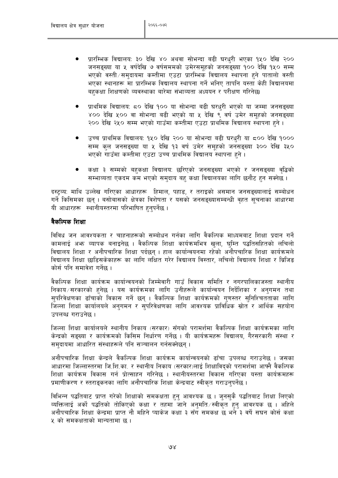- प्रारम्भिक विद्यालय: ३० देखि ४० अथवा सोभन्दा बढी घरधुरी भएका १५० देखि २०० जनसङ्ख्या या ५ वर्षदेखि ७ वर्षसममको उमेरसमुहको जनसङ्ख्या १०० देखि १५० सम्म भएको वस्ती समुदायमा कम्तीमा एउटा प्रारम्भिक विद्यालय स्थापना हुने पातालो वस्ती भएका स्थानहरू मा प्रारम्भिक विद्यालय स्थापना गर्ने भनिए तापनि यस्ता केही विद्यालयमा बहकक्षा शिक्षणको व्यवस्थाका बारेमा संभाव्यता अध्ययन र परीक्षण गरिनेछ।
- प्राथमिक विद्यालय: ८० देखि १०० या सोभन्दा बढी घरधुरी भएको या जम्मा जनसङ्ख्या ४०० देखि ५०० वा सोभन्दा बढी भएको या ५ देखि ९ वर्ष उमेर समहको जनसङ्ख्या २०० देखि २५० सम्म भएको गाउँमा कम्तीमा एउटा प्राथमिक विद्यालय स्थापना हुने ।
- उच्च प्राथमिक विद्यालय: १५० देखि २०० या सोभन्दा बढी घरधुरी या ८०० देखि १००० सम्म कल जनसङ्ख्या या ५ देखि १३ वर्ष उमेर समहको जनसङ्ख्या ३०० देखि ३५० भएको गाउँमा कम्तीमा एउटा उच्च प्राथमिक विद्यालय स्थापना हुने।
- कक्षा ३ सम्मको बहकक्षा विद्यालयः छरिएको जनसङ्ख्या भएको र जनसङ्ख्या वृद्धिको सम्भाव्यता एकदम कम भएको समदाय बह कक्षा विद्यालयका लागि छनौट हन सक्नेछ ।

दस्ट्व्य: माथि उल्लेख गरिएका आधारहरू हिमाल, पहाड, र तराइको असमान जनसङ्ख्यालाई सम्बोधन गर्ने किसिमका छन । बसोबासको क्षेत्रका विशेषता र यसको जनसङख्यासम्बन्धी वहत सचनाका आधारमा यी आधारहरू स्थानीयस्तरमा परिभाषित हनपर्नेछ ।

#### वैकल्पिक शिक्षा

विविध जन आवश्यकता र चाहनाहरूको सम्बोधन गर्नका लागि वैकल्पिक माध्यमबाट शिक्षा प्रदान गर्ने कामलाई अभ्र व्यापक बनाइनेछ । वैकल्पिक शिक्षा कार्यक्रमभित्र खला, घम्ति पद्धतिसहितको लचिलो विद्यालय शिक्षा र अनौपचारिक शिक्षा पर्दछन् । हाल कार्यान्वयनमा रहेको अनौपचारिक शिक्षा कार्यक्रमले विद्यालय शिक्षा छाडिसकेकाहरू का लागि लक्षित गरेर विद्यालय विस्तार, लचिलो विद्यालय शिक्षा र ब्रिजिड कोर्स पनि समावेश गर्नेछ ।

वैकल्पिक शिक्षा कार्यक्रम कार्यान्वयनको जिम्मेवारी गाउँ विकास समिति र नगरपालिकाजस्ता स्थानीय निकाय/सरकारको हुनेछ । यस कार्यक्रमका लागि उनीहरूले कार्यान्वयन निर्देशिका र अनगमन तथा सपरिवेक्षणका ढाँचाको विकास गर्ने छन् । वैकल्पिक शिक्षा कार्यक्रमको गणस्तर सनिश्चितताका लागि जिल्ला शिक्षा कार्यालयले अनुगमन र सुपरिवेक्षणका लागि आवश्यक प्राविधिक स्रोत र आर्थिक सहयोग उपलब्ध गराउनेछ ।

जिल्ला शिक्षा कार्यालयले स्थानीय निकाय (सरकार) सँगको परामर्शमा वैकल्पिक शिक्षा कार्यक्रमका लागि केन्द्रको सङख्या र कार्यक्रमको किसिम निर्धारण गर्नेछ । यी कार्यक्रमहरू विद्यालय, गैरसरकारी संस्था र समदायमा आधारित संस्थाहरूले पनि सञ्चालन गर्नसक्नेछन्।

अनौपचारिक शिक्षा केन्दले वैकल्पिक शिक्षा कार्यक्रम कार्यान्वयनको ढाँचा उपलब्ध गराउनेछ । जसका आधारमा जिल्लास्तरमा जि.शि.का. र स्थानीय निकाय (सरकार)लाई शिक्षाविदको परामर्शमा आफ्नै वैकल्पिक शिक्षा कार्यक्रम विकास गर्न प्रोत्साहन गरिनेछ । स्थानीयस्तरमा विकास गरिएका यस्ता कार्यक्रमहरू प्रमाणीकरण र स्तराइकनका लागि अनौपचारिक शिक्षा केन्द्रबाट स्वीकृत गराउनुपर्नेछ ।

विभिन्न पद्धतिबाट प्राप्त गरेको शिक्षाको समकक्षता हुनु आवश्यक छ । जनसुकै पद्धतिबाट शिक्षा लिएको व्यक्तिलाई अर्को पद्धतिको तोकिएको कक्षा र तहमा जाने अनुमति स्वीकृत हुनु आवश्यक छ । अहिले अनौपचारिक शिक्षा केन्द्रमा प्राप्त नौ महिने प्याकेज कक्षा ३ सँग समकक्ष छ भने ३ वर्षे सघन कोर्स कक्षा ५ को समकक्षताको मान्यतामा छ ।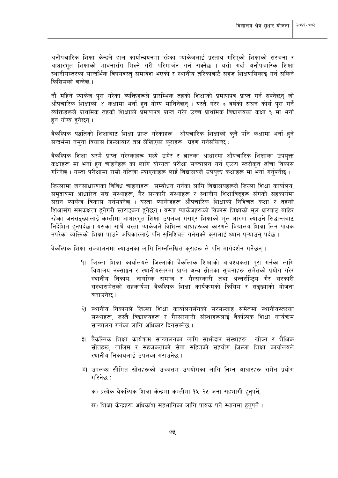अनौपचारिक शिक्षा केन्द्रले हाल कार्यान्वयनमा रहेका प्याकेजलाई प्रस्ताव गरिएको शिक्षाको संरचना र आधारभुत शिक्षाको भावनासँग मिल्ने गरी परिमार्जन गर्न सक्नेछ । यसो गर्दा अनौपचारिक शिक्षा स्थानीयस्तरका सान्दर्भिक विषयवस्त समावेश भएको र स्थानीय तरिकाबाटै सहज शिक्षणसिकाइ गर्न सकिने किसिमको बन्नेछ ।

नौ महिने प्याकेज पुरा गरेका व्यक्तिहरूले प्रारम्भिक तहको शिक्षाको प्रमाणपत्र प्राप्त गर्न सक्नेछन् जो औपचारिक शिक्षाको ४ कक्षामा भर्ना हुन योग्य मानिनेछन् । यस्तै गरेर ३ वर्षको सघन कोर्स पुरा गर्ने व्यक्तिहरूले प्राथमिक तहको शिक्षाको प्रमाणपत्र प्राप्त गरेर उच्च प्राथमिक विद्यालयका कक्षा ६ मा भर्ना हन योग्य हनेछन्।

वैकल्पिक पद्धतिको शिक्षाबाट शिक्षा प्राप्त गरेकाहरू औपचारिक शिक्षाको कनै पनि कक्षामा भर्ना हुने सन्दर्भमा नमना विकास जिल्लाबाट तल लेखिएका कराहरू ग्रहण गर्नसकिन्छ :

वैकल्पिक शिक्षा घरमै प्राप्त गरेरकाहरू मध्ये उमेर र ज्ञानका आधारमा औपचारिक शिक्षाका उपयुक्त कक्षाहरू मा भर्ना हुन चाहनेहरू का लागि योग्यता परीक्षा सञ्चालन गर्न एउटा स्तरीकृत ढाँचा विकास गरिनेछ । यस्ता परीक्षामा राम्रो नतिजा ल्याएकाहरू लाई विद्यालयले उपयुक्त कक्षाहरू मा भर्ना गर्नुपर्नेछ ।

जिल्लामा जनसाधारणका विविध चाहनाहरू सम्बोधन गर्नका लागि विद्यालयहरूले जिल्ला शिक्षा कार्यालय, समुदायमा आधारित संघ संस्थाहरू, गैर सरकारी संस्थाहरू र स्थानीय शिक्षाविद्हरू सँगको सहकार्यमा सघन प्याकेज विकास गर्नसक्नेछ । यस्ता प्याकेजहरू औपचारिक शिक्षाको निश्चित कक्षा र तहको शिक्षासँग समकक्षता हुनेगरी स्तराङ्कन हुनेछन् । यस्ता प्याकेजहरूको विकास शिक्षाको मुल धारबाट बाहिर रहेका जनसङ्ख्यालाई कम्तीमा आधारभूत शिक्षा उपलब्ध गराएर शिक्षाको मूल धारमा ल्याउने सिद्धान्तबाट निर्देशित हुनपर्दछ । यसका साथै यस्ता प्याकेजले विभिन्न बाधाहरूका कारणले विद्यालय शिक्षा लिन पायक नपरेका व्यक्तिको शिक्षा पाउने अधिकारलाई पनि सुनिश्चित गर्नसक्ने करालाई ध्यान पऱ्याउनु पर्दछ ।

वैकल्पिक शिक्षा सञ्चालनमा ल्याउनका लागि निम्नलिखित कराहरू ले पनि मार्गदर्शन गर्नेछन ।

- १। जिल्ला शिक्षा कार्यालयले जिल्लाको वैकल्पिक शिक्षाको आवश्यकता परा गर्नका लागि विद्यालय नक्साङ्कन र स्थानीयस्तरमा प्राप्त अन्य स्रोतका सचनाहरू समेतको प्रयोग गरेर स्थानीय निकाय, नागरिक समाज र गैरसरकारी तथा अन्तर्राष्ट्रिय गैर सरकारी संस्थासमेतको सहकार्यमा वैकल्पिक शिक्षा कार्यक्रमको किसिम र सङ्ख्याको योजना बनाउनेछ ।
- २। स्थानीय निकायले जिल्ला शिक्षा कार्यालयसँगको सरसल्लाह समेतमा स्थानीयस्तरका संस्थाहरू, जस्तै विद्यालयहरू र गैरसरकारी संस्थाहरूलाई वैकल्पिक शिक्षा कार्यक्रम सञ्चालन गर्नका लागि अधिकार दिनसक्नेछ ।
- ३। वैकल्पिक शिक्षा कार्यक्रम सञ्चालनका लागि साभ्रेदार संस्थाहरू खोज्न र शैक्षिक स्रोतहरू, तालिम र सहजकर्ताको सेवा सहितको सहयोग जिल्ला शिक्षा कार्यालयले स्थानीय निकायलाई उपलब्ध गराउनेछ ।
- ४। उपलब्ध सीमित स्रोतहरूको उच्चतम उपयोगका लागि निम्न आधारहरू समेत प्रयोग गरिनेछ :
	- क) प्रत्येक वैकल्पिक शिक्षा केन्द्रमा कम्तीमा १५-२५ जना सहभागी हुनुपर्ने,
	- ख) शिक्षा केन्द्रहरू अधिकांश सहभागिका लागि पायक पर्ने स्थानमा हुनुपर्ने ।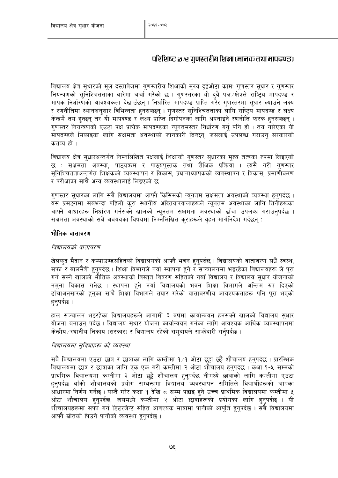#### परिशिष्ट ३.२ गुणस्तरीय शिक्षा (मानक तथा मापढण्ड)

विद्यालय क्षेत्र सुधारको मूल दस्तावेजमा गुणस्तरीय शिक्षाको मुख्य दुईओटा कामः गुणस्तर सुधार र गुणस्तर नियन्त्रणको सुनिश्चितताका बारेमा चर्चा गरेको छ । गुणस्तरका यी दुवै पक्ष क्षेत्रले राष्ट्रिय मापदण्ड र मापक निर्धारणको आवश्यकता देखाउँछन् । निर्धारित मापदण्ड प्राप्ति गरेर गणस्तरमा सुधार ल्याउने लक्ष्य र रणनीतिमा स्थानअनुसार विभिन्नता हुनसक्छन् । गुणस्तर सुनिश्चितताका लागि राष्ट्रिय मापदण्ड र लक्ष्य केन्द्रमै तय हुन्छन् तर यी मापदण्ड र लक्ष्य प्राप्ति दिगोपनका लागि अपनाइने रणनीति फरक हुनसक्छन् । गुणस्तर नियन्त्रणको एउटा पक्ष प्रत्येक मापदण्डका न्युनतमस्तर निर्धारण गर्नु पनि हो । तय गरिएका यी मापदण्डले सिकाइका लागि सक्षमता अवस्थाको जानकारी दिन्छन, जसलाई उपलब्ध गराउन सरकारको कर्तव्य हो ।

विद्यालय क्षेत्र सुधारअन्तर्गत निम्नलिखित पक्षलाई शिक्षाको गुणस्तर सुधारका मुख्य तत्वका रुपमा लिइएको छ : सक्षमता अवस्था, पाठ्यक्रम र पाठ्यपुस्तक तथा शैक्षिक प्रक्रिया । त्यसै गरी गुणस्तर सनिश्चितताअन्तर्गत शिक्षकको व्यवस्थापन र विकास, प्रधानाध्यापकको व्यवस्थापन र विकास, प्रमाणीकरण र परीक्षाका साथै अन्य व्यवस्थालाई लिइएको छ ।

गुणस्तर सुधारका लागि सबै विद्यालयमा आफ्नै किसिमको न्युनतम सक्षमता अवस्थाको व्यवस्था हुनुपर्दछ । यस प्रसङ्गमा सबभन्दा पहिलो करा स्थानीय अख्तियारवालाहरूले न्यूनतम अवस्थाका लागि तिनीहरूका आफ्नै आधारहरू निर्धारण गर्नसक्ने खालको न्यूनतम सक्षमता अवस्थाको ढाँचा उपलब्ध गराउनुपर्दछ । सक्षमता अवस्थाको सबै अवयवका विषयमा निम्नलिखित कराहरूले वहत मार्गनिर्देश गर्दछन् :

#### भौतिक वातावरण

#### विद्यालयको वातावरण

खेलक्द मैदान र कम्पाउण्डसहितको विद्यालयको आफ्नै भवन हुनुपर्दछ । विद्यालयको वातावरण सधैँ स्वस्थ, सफा र बालमैत्री हुनुपर्दछ । शिक्षा विभागले नयाँ स्थापना हुने र सञ्चालनमा भइरहेका विद्यालयहरू ले पूरा गर्न सक्ने खालको भौतिक अवस्थाको विस्तुत विवरण सहितको नयाँ विद्यालय र विद्यालय सुधार योजनाको नमुना विकास गर्नेछ । स्थापना हुने नयाँ विद्यालयको भवन शिक्षा विभागले अन्तिम रुप दिएको ढाँचाअनुसारको हुनुका साथै शिक्षा विभागले तयार गरेको वातावरणीय आवश्यकताहरू पनि परा भएको हनपर्दछ ।

हाल सञ्चालन भइरहेका विद्यालयहरूले आगामी ३ वर्षमा कार्यान्वयन हुनसक्ने खालको विद्यालय सुधार योजना बनाउन् पर्दछ । विद्यालय सुधार योजना कार्यान्वयन गर्नका लागि आवश्यक आर्थिक व्यवस्थापनमा केन्द्रीय ⁄ स्थानीय निकाय (सरकार) र विद्यालय रहेको समुदायले साभ्रेदारी गर्नुपर्दछ ।

#### विद्यालयमा सविधाहरू को व्यवस्था

सबै विद्यालयमा एउटा छात्र र छात्राका लागि कम्तीमा १⁄१ ओटा छट्टा छट्टै शौचालय हुनुपर्दछ । प्रारम्भिक विद्यालयमा छात्र र छात्राका लागि एक एक गरी कम्तीमा २ ओटा शौचालय हुनुपर्दछ । कक्षा १-५ सम्मको प्राथमिक विद्यालयमा कम्तीमा ३ ओटा छुट्टै शौचालय हुनुपर्दछ तीमध्ये छात्राको लागि कम्तीमा एउटा हनपर्दछ बाँकी शौचालयको प्रयोग सम्बन्धमा विद्यालय व्यवस्थापन समितिले विद्यार्थीहरूको चापका आधारमा निर्णय गर्नेछ । यस्तै गरेर कक्षा १ देखि ८ सम्म पढाइ हुने उच्च प्राथमिक विद्यालयमा कम्तीमा ५ ओटा शौचालय हुनुपर्दछ, जसमध्ये कम्तीमा २ ओटा छात्राहरूको प्रयोगका लागि हुनुपर्दछ । यी .<br>शौचालयहरूमा सफा गर्न डिटरजेन्ट सहित आवश्यक मात्रामा पानीको आपूर्ति हन्**पर्दछ । सबै विद्यालयमा** आफ्नै स्रोतको पिउने पानीको व्यवस्था हनपर्दछ ।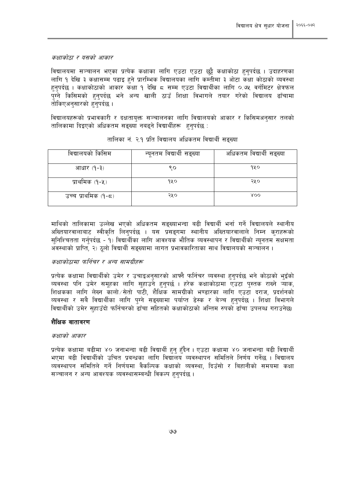कक्षाकोठा र यसको आकार

विद्यालयमा सञ्चालन भएका प्रत्येक कक्षाका लागि एउटा एउटा छुट्टै कक्षाकोठा हुनुपर्दछ । उदाहरणका लागि १ देखि ३ कक्षासम्म पढाइ हुने प्रारम्भिक विद्यालयका लागि कम्तीमा ३ ओटा कक्षा कोठाको व्यवस्था हुनुपर्दछ । कक्षाकोठाको आकार कक्षा १ देखि ८ सम्म एउटा विद्यार्थीका लागि ०.७५ वर्गमिटर क्षेत्रफल पुग्ने किसिमको हुनुपर्दछ भने अन्य खाली ठाउँ शिक्षा विभागले तयार गरेको विद्यालय ढाँचामा तोकिएअनसारको हनपर्दछ ।

विद्यालयहरूको प्रभावकारी र दक्षतायक्त सञ्चालनका लागि विद्यालयको आकार र किसिमअनसार तलको तालिकामा दिइएको अधिकतम सङ्ख्या नबढने विद्यार्थीहरू हनपर्दछ :

| विद्यालयको किसिम    | न्यूनतम विद्यार्थी सङ्ख्या | अधिकतम विद्यार्थी सङ्ख्या |
|---------------------|----------------------------|---------------------------|
| आधार (१-३)          | ९०                         | १५०                       |
| प्राथमिक (१-५)      | १५०                        | २५०                       |
| उच्च प्राथमिक (१-८) | २५०                        | XOO                       |

#### तालिका नं. २.१ प्रति विद्यालय अधिकतम विद्यार्थी सङ्ख्या

माथिको तालिकामा उल्लेख भएको अधिकतम सङ्ख्याभन्दा बढी विद्यार्थी भर्ना गर्ने विद्यालयले स्थानीय अख्तियारवालाबाट स्वीकृति लिनुपर्दछ । यस प्रसङ्गमा स्थानीय अख्तियारवालाले निम्न कुराहरूको सनिश्चितता गर्नपर्दछ - १) विद्यार्थीका लागि आवश्यक भौतिक व्यवस्थापन र विद्यार्थीको न्यनतम सक्षमता अवस्थाको प्राप्ति, २) ठलो विद्यार्थी सङ्ख्यामा लागत प्रभावकारिताका साथ विद्यालयको सञ्चालन ।

#### कक्षाकोठामा फर्निचर र अन्य सामग्रीहरू

प्रत्येक कक्षामा विद्यार्थीको उमेर र उचाइअनुसारको आफ्नै फर्निचर व्यवस्था हुनुपर्दछ भने कोठाको भुइँको व्यवस्था पनि उमेर समूहका लागि सुहाउने हुनुपर्छ । हरेक कक्षाकोठामा एउटा पुस्तक राख्ने ऱ्याक, शिक्षकका लागि लेख्न कालो सेतो पाटी, शैक्षिक सामग्रीको भण्डारका लागि एउटा दराज, प्रदर्शनको व्यवस्था र सबै विद्यार्थीका लागि पुग्ने सङ्ख्यामा पर्याप्त डेस्क र बेञ्च हुनुपर्दछ । शिक्षा विभागले विद्यार्थीको उमेर सहाउँदो फर्निचरको ढाँचा सहितको कक्षाकोठाको अन्तिम रुपको ढाँचा उपलब्ध गराउनेछ।

#### शैक्षिक वातावरण

#### कक्षाको आकार

प्रत्येक कक्षामा बढीमा ४० जनाभन्दा बढी विद्यार्थी हुन् हुँदैन । एउटा कक्षामा ४० जनाभन्दा बढी विद्यार्थी भएमा बढी विद्यार्थीको उचित प्रबन्धका लागि विद्यालय व्यवस्थापन समितिले निर्णय गर्नेछ । विद्यालय व्यवस्थापन समितिले गर्ने निर्णयमा वैकल्पिक कक्षाको व्यवस्था, दिउँसो र बिहानीको समयमा कक्षा सञ्चालन र अन्य आवश्यक व्यवस्थासम्बन्धी विकल्प हुनुपर्दछ ।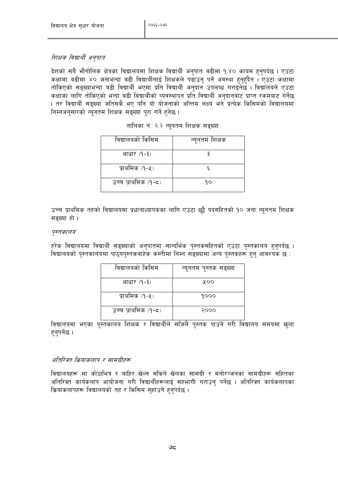#### शिक्षक विद्यार्थी अनुपात

देशको सबै भौगोलिक क्षेत्रका विद्यालयमा शिक्षक विद्यार्थी अनुपात बढीमा १:४० कायम हुनुपर्दछ । एउटा कक्षामा बढीमा ४० जनाभन्दा बढी विद्यार्थीलाई शिक्षकले पढाउनु पर्ने अवस्था हुनुहुँदैन । एउटा कक्षामा तोकिएको सङ्ख्याभन्दा बढी विद्यार्थी भएमा प्रति विद्यार्थी अनुदान उपलब्ध गराइनेछ । विद्यालयले एउटा कक्षाका लागि तोकिएको भन्दा बढी विद्यार्थीको व्यवस्थापन प्रति विद्यार्थी अनुदानबाट प्राप्त रकमबाट गर्नेछ । तर विद्यार्थी सङ्ख्या जतिसकै भए पनि यो योजनाको अन्तिम लक्ष्य भने प्रत्येक किसिमको विद्यालयमा निम्नअनुसारको न्युनतम शिक्षक सङ्ख्या पुरा गर्ने हुनेछ ।

| विद्यालयको किसिम    | न्यूनतम शिक्षक |
|---------------------|----------------|
| आधार (१-३)          |                |
| प्राथमिक (१-५)      |                |
| उच्च प्राथमिक (१-८) | १०             |

|  |  |  | तालिका नं. २.२ न्यूनतम शिक्षक सङ्ख्या |  |  |
|--|--|--|---------------------------------------|--|--|
|--|--|--|---------------------------------------|--|--|

उच्च प्राथमिक तहको विद्यालयमा प्रधानाध्यापकका लागि एउटा छुट्टै पदसहितको १० जना न्यूनतम शिक्षक सङ्ख्या हो।

#### पुस्तकालय

हरेक विद्यालयमा विद्यार्थी सङ्ख्याको अनुपातमा सान्दर्भिक पुस्तकसहितको एउटा पुस्तकालय हुनुपर्दछ । विद्यालयको पुस्तकालयमा पाठुयपुस्तकबाहेक कम्तीमा निम्न सङ्ख्यामा अन्य पुस्तकहरू हुन् आवश्यक छ :

| विद्यालयको किसिम    | न्यूनतम पुस्तक सङ्ख्या |
|---------------------|------------------------|
| आधार (१-३)          | ४००                    |
| प्राथमिक (१-५)      | १०००                   |
| उच्च प्राथमिक (१-८) | २०००                   |

विद्यालयमा भएका पुस्तकालय शिक्षक र विद्यार्थीले सजिलै पुस्तक पाउने गरी विद्यालय समयमा खुला हनुपर्नेछ ।

#### अतिरिक्त क्रियाकलाप र सामग्रीहरू

विद्यालयहरू मा कोठाभित्र र बाहिर खेल्न सकिने खेलका सामग्री र मनोरञ्जनका सामग्रीहरू सहितका अतिरिक्त कार्यकलाप आयोजना गरी विद्यार्थीहरूलाई सहभागी गराउन पर्नेछ । अतिरिक्त कार्यकलापका क्रियाकलापहरू विद्यालयको तह र किसिम सहाउने हुनुपर्दछ ।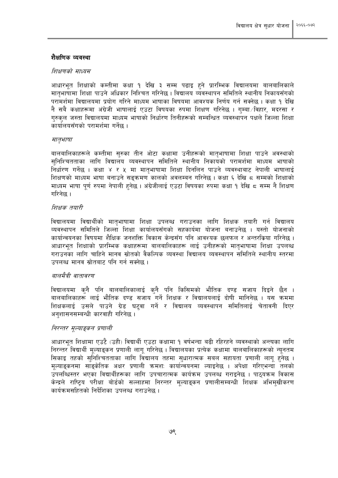#### शैक्षणिक व्यवस्था

#### शिक्षणको माध्यम

आधारभूत शिक्षाको कम्तीमा कक्षा १ देखि ३ सम्म पढाइ हुने प्रारम्भिक विद्यालयमा बालबालिकाले मातृभाषामा शिक्षा पाउने अधिकार निश्चित गरिनेछ । विद्यालय व्यवस्थापन समितिले स्थानीय निकायसँगको परामर्शमा विद्यालयमा प्रयोग गरिने माध्यम भाषाका विषयमा आवश्यक निर्णय गर्न सक्नेछ । कक्षा १ देखि नै सबै कक्षाहरूमा अंग्रेजी भाषालाई एउटा विषयका रुपमा शिक्षण गरिनेछ । गम्बा /विहार, मदरसा र गरुकल जस्ता विद्यालयमा माध्यम भाषाको निर्धारण तिनीहरूको सम्बन्धित व्यवस्थापन पक्षले जिल्ला शिक्षा कार्यालयसँगको परामर्शमा गर्नेछ ।

#### मातृभाषा

बालबालिकाहरूले कम्तीमा सुरुका तीन ओटा कक्षामा उनीहरूको मातृभाषामा शिक्षा पाउने अवस्थाको सुनिश्चितताका लागि विद्यालय व्यवस्थापन समितिले स्थानीय निकायको परामर्शमा माध्यम भाषाको निर्धारण गर्नेछ । कक्षा ४ र ५ मा मातभाषामा शिक्षा दिनलिन पाउने व्यवस्थाबाट नेपाली भाषालाई शिक्षणको माध्यम भाषा बनाउने सडक्रमण कालको अवलम्बन गरिनेछ । कक्षा ६ देखि ८ सम्मको शिक्षाको माध्यम भाषा पर्ण रुपमा नेपाली हुनेछ । अंग्रेजीलाई एउटा विषयका रुपमा कक्षा १ देखि ८ सम्म नै शिक्षण गरिनेछ ।

#### शिक्षक तयारी

विद्यालयमा विद्यार्थीको मातभाषामा शिक्षा उपलब्ध गराउनका लागि शिक्षक तयारी गर्न विद्यालय व्यवस्थापन समितिले जिल्ला शिक्षा कार्यालयसँगको सहकार्यमा योजना बनाउनेछ । यस्तो योजनाको कार्यान्वयनका विषयमा शैक्षिक जनशक्ति विकास केन्द्रसँग पनि आवश्यक छलफल र अन्तरकिया गरिनेछ । आधारभत शिक्षाको प्रारम्भिक कक्षाहरूमा बालबालिकाहरू लाई उनीहरूको मातभाषामा शिक्षा उपलब्ध गराउनका लागि चाहिने मानव स्रोतको वैकल्पिक व्यवस्था विद्यालय व्यवस्थापन समितिले स्थानीय स्तरमा उपलब्ध मानव स्रोतबाट पनि गर्न सक्नेछ ।

#### बालमैत्री वातावरण

विद्यालयमा कनै पनि बालबालिकालाई कनै पनि किसिमको भौतिक दण्ड सजाय दिइने छैन । बालबालिकाहरू लाई भौतिक दण्ड सजाय<sup>ँ</sup>गर्ने शिक्षक र विद्यालयलाई दोषी मानिनेछ । यस क्रममा .<br>शिक्षकलाई उसले पाउने ग्रेड घटुवा गर्ने र विद्यालय व्यवस्थापन समितिलाई चेतावनी दिएर अनशासनसम्बन्धी कारवाही गरिनेछ ।

#### निरन्तर मल्याङकन प्रणाली

आधारभूत शिक्षामा एउटै (उही) विद्यार्थी एउटा कक्षामा १ वर्षभन्दा बढी रहिरहने व्यवस्थाको अन्त्यका लागि निरन्तर विद्यार्थी मुल्याङ्कन प्रणाली लागु गरिनेछ । विद्यालयका प्रत्येक कक्षामा बालबालिकाहरूको न्युनतम सिकाइ तहको सनिश्चितताका लागि विद्यालय तहमा सधारात्मक सबल सहायता प्रणाली लाग हनेछ । मुल्याइकनमा साइकेतिक अक्षर प्रणाली क्रमश: कार्यान्वयनमा ल्याइनेछ । अपेक्षा गरिएभन्दा तलको उपलब्धिस्तर भएका विद्यार्थीहरूका लागि उपचारात्मक कार्यक्रम उपलब्ध गराइनेछ । पाठ्यक्रम विकास केन्द्रले राष्टिय परीक्षा बोर्डको सल्लाहमा निरन्तर मुल्याइकन प्रणालीसम्बन्धी शिक्षक अभिमखीकरण कार्यक्रमसहितको निर्देशिका उपलब्ध गराउनेछ ।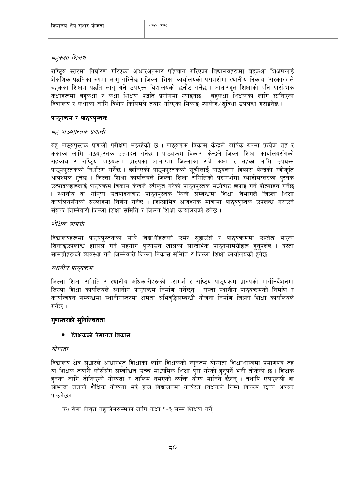#### बहुकक्षा शिक्षण

राष्ट्यि स्तरमा निर्धारण गरिएका आधारअनुसार पहिचान गरिएका विद्यालयहरूमा बहुकक्षा शिक्षणलाई शैक्षणिक पद्धतिका रुपमा लागु गरिनेछ । जिल्ला शिक्षा कार्यालयको परामर्शमा स्थानीय निकाय (सरकार) ले बहुकक्षा शिक्षण पद्धति लागु गर्ने उपयुक्त विद्यालयको छनौट गर्नेछ । आधारभुत शिक्षाको पनि प्रारम्भिक कक्षाहरूमा बहकक्षा र कक्षा शिक्षण पद्धति प्रयोगमा ल्याइनेछ । बहकक्षा शिक्षणका लागि छानिएका विद्यालय र कक्षाका लागि विशेष किसिमले तयार गरिएका सिकाइ प्याकेज / सविधा उपलब्ध गराइनेछ ।

#### पाठ्यक्रम र पाठ्यपुस्तक

#### बह् पाठ्यपुस्तक प्रणाली

बह पाठ्यपुस्तक प्रणाली परीक्षण भइरहेको छ । पाठ्यक्रम विकास केन्द्रले वार्षिक रुपमा प्रत्येक तह र कक्षाका लागि पाठुयपुस्तक उत्पादन गर्नेछ । पाठुयक्रम विकास केन्द्रले जिल्ला शिक्षा कार्यालयसँगको सहकार्य र राष्ट्रिय पाठ्यक्रम प्रारुपका आधारमा जिल्लाका सबै कक्षा र तहका लागि उपयुक्त पाठ्यपुस्तकको निर्धारण गर्नेछ । छानिएको पाठ्यपुस्तकको सुचीलाई पाठ्यक्रम विकास केन्द्रको स्वीकृति आवश्यक हुनेछ । जिल्ला शिक्षा कार्यालयले जिल्ला शिक्षा समितिको परामर्शमा स्थानीयस्तरका पस्तक उत्पादकहरूलाई पाठ्यक्रम विकास केन्द्रले स्वीकृत गरेको पाठ्यपुस्तक मध्येबाट छपाइ गर्न प्रोत्साहन गर्नेछ । स्थानीय वा राष्ट्रिय उतपादकबाट पाठ्यपुस्तक किन्ने सम्बन्धमा शिक्षा विभागले जिल्ला शिक्षा कार्यालयसँगको सल्लाहमा निर्णय गर्नेछ । जिल्लाभित्र आवश्यक मात्रामा पाठयपस्तक उपलब्ध गराउने संयुक्त जिम्मेवारी जिल्ला शिक्षा समिति र जिल्ला शिक्षा कार्यालयको हुनेछ ।

#### शैक्षिक सामग्री

विद्यालयहरूमा पाठ्यपुस्तकका साथै विद्यार्थीहरूको उमेर सुहाउँदो र पाठ्यक्रममा उल्लेख भएका सिकाइउपलब्धि हासिल गर्न सहयोग प्ऱ्याउने खालका सान्दर्भिक पाठ्यसामग्रीहरू हुनुपर्दछ । यस्ता सामग्रीहरूको व्यवस्था गर्ने जिम्मेवारी जिल्ला विकास समिति र जिल्ला शिक्षा कार्यालयको हुनेछ ।

#### स्थानीय पाठ्यक्रम

जिल्ला शिक्षा समिति र स्थानीय अधिकारीहरूको परामर्श र राष्ट्रिय पाठुयक्रम प्रारुपको मार्गनिर्देशनमा जिल्ला शिक्षा कार्यालयले स्थानीय पाठयक्रम निर्माण गर्नेछन । यस्ता स्थानीय पाठयक्रमको निर्माण र कार्यान्वयन सम्बन्धमा स्थानीयस्तरमा क्षमता अभिवद्धिसम्बन्धी योजना निर्माण जिल्ला शिक्षा कार्यालयले गर्नेछ ।

#### गुणस्तरको सुनिश्चितता

#### • शिक्षकको पेसागत विकास

#### योग्यता

विद्यालय क्षेत्र सुधारले आधारभूत शिक्षाका लागि शिक्षकको न्यूनतम योग्यता शिक्षाशास्त्रमा प्रमाणपत्र तह या शिक्षक तयारी कोर्ससँग सम्बन्धित उच्च माध्यमिक शिक्षा पुरा गरेको हुनपर्ने भनी तोकेको छ । शिक्षक हनका लागि तोकिएको योग्यता र तालिम नभएको व्यक्ति योग्य मानिने छैनन् । तथापि एसएलसी वा सोभन्दा तलको शैक्षिक योग्यता भई हाल विद्यालयमा कार्यरत शिक्षकले निम्न विकल्प छान्न अवसर पाउनेछन

क) सेवा निवृत्त नहुन्जेलसम्मका लागि कक्षा १-३ सम्म शिक्षण गर्ने,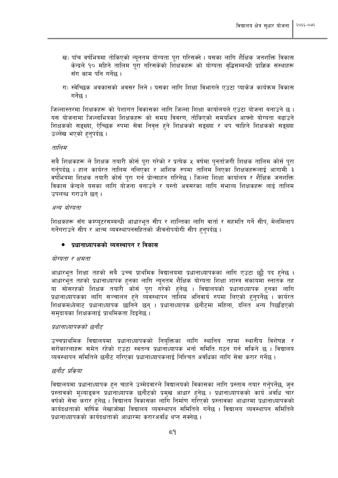- ख) पाँच वर्षभित्रमा तोकिएको न्युनतम योग्यता पुरा गरिसक्ने । यसका लागि शैक्षिक जनशक्ति विकास केन्द्रले १० महिने तालिम परा गरिसकेको शिक्षकहरू को योग्यता वद्धिसम्बन्धी प्राज्ञिक संस्थाहरू सँग काम पनि गर्नेछ ।
- ग) स्वेच्छिक अवकासको अवसर लिने । यसका लागि शिक्षा विभागले एउटा प्याकेज कार्यक्रम विकास गर्नेछ ।

जिल्लास्तरमा शिक्षकहरू को पेशागत विकासका लागि जिल्ला शिक्षा कार्यालयले एउटा योजना बनाउने छ। यस योजनामा जिल्लाभित्रका शिक्षकहरू को समग्र विवरण, तोकिएको समयभित्र आफ्नो योग्यता बढाउने शिक्षकको सङ्ख्या, ऐच्छिक रुपमा सेवा निवत्त हुने शिक्षकको सङ्ख्या र थप चाहिने शिक्षकको सङ्ख्या उल्लेख भएको हनपर्दछ ।

#### तालिम

सबै शिक्षकहरू ले शिक्षक तयारी कोर्स पुरा गरेको र प्रत्येक ५ वर्षमा पुनर्ताजगी शिक्षक तालिम कोर्स पुरा गर्नपर्दछ । हाल कार्यरत तालिम नलिएका र आंशिक रुपमा तालिम लिएका शिक्षकहरूलाई आगामी ३ वर्षभित्रमा शिक्षक तयारी कोर्स परा गर्न प्रोत्साहन गरिनेछ । जिल्ला शिक्षा कार्यालय र शैक्षिक जनशक्ति विकास केन्द्रले यसका लागि योजना बनाउने र यस्तो अवसरका लागि संभाव्य शिक्षकहरू लाई तालिम उपलब्ध गराउने छन ।

#### अन्य योग्यता

शिक्षकहरू सँग कम्प्यटरसम्बन्धी आधारभत सीप र शान्तिका लागि वार्ता र सहमति गर्ने सीप, मेलमिलाप गर्नेगराउने सीप र आत्म व्यवस्थापनसहितको जीवनोपयोगी सीप हनुपर्दछ ।

#### ● प्रधानाध्यापकको व्यवस्थापन र विकास

#### योग्यता र क्षमता

आधारभूत शिक्षा तहको सबै उच्च प्राथमिक विद्यालयमा प्रधानाध्यापकका लागि एउटा छुट्टै पद हुनेछ । आधारभुत तहको प्रधानाध्यापक हुनका लागि न्युनतम शैक्षिक योग्यता शिक्षा शास्त्र संकायमा स्नातक तह या सोसरहको शिक्षक तयारी कोर्स परा गरेको हनेछ । विद्यालयको प्रधानाध्यापक हनका लागि प्रधानाध्यापकका लागि सञ्चालन हुने व्यवस्थापन तालिम अनिवार्य रुपमा लिएको हुनपर्नेछ । कार्यरत शिक्षकमध्येबाट प्रधानाध्यापक छानिने छन् । प्रधानाध्यापक छनौटमा महिला, दलित अन्य पिछडिएको समुदायका शिक्षकलाई प्राथमिकता दिइनेछ ।

#### प्रधानाध्यापकको छनौट

उच्चप्राथमिक विद्यालयमा प्रधानाध्यापकको नियुक्तिका लागि स्थानिय तहमा स्थानीय विशेषज्ञ र सरोकारलाहरू समेत रहेको एउटा स्वतन्त्र प्रधानाध्यापक भर्ना समिति गठन गर्न सकिने छ । विद्यालय व्यवस्थापन समितिले छनौट गरिएका प्रधानाध्यापकलाई निश्चित अवधिका लागि सेवा करार गर्नेछ ।

#### छनौट प्रकिया

विद्यालयमा प्रधानाध्यापक हुन चाहने उम्मेदवारले विद्यालयको विकासका लागि प्रस्ताव तयार गर्नुपर्नेछ, जुन प्रस्तावको मूल्याङ्कन प्रधानाध्यापक छनौटको प्रमुख आधार हुनेछ । प्रधानाध्यापकको कार्य अवधि चार वर्षको सेवा करार हुनेछ । विद्यालय विकासका लागि निर्माण गरिएको प्रस्तावका आधारमा प्रधानाध्यापकको कार्यदक्षताको वार्षिक लेखाजोखा विद्यालय व्यवस्थापन समितिले गर्नेछ । विद्यालय व्यवस्थापन समितिले प्रधानाध्यापकको कार्यदक्षताको आधारमा करारअवधि थप्न सक्नेछ ।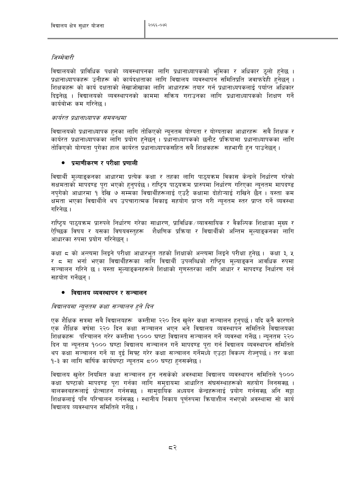#### जिम्मेवारी

विद्यालयको प्राविधिक पक्षको व्यवस्थापनका लागि प्रधानाध्यापकको भूमिका र अधिकार ठूलो हुनेछ । प्रधानाध्यापकहरू उनीहरू को कार्यदक्षताका लागि विद्यालय व्यवस्थापन समितिप्रति जवाफदेही हुनेछन् । शिक्षकहरू को कार्य दक्षताको लेखाजोखाका लागि आधारहरू तयार गर्न प्रधानाध्यपकलाई पर्याप्त अधिकार दिइनेछ । विद्यालयको व्यवस्थापनको काममा सक्रिय गराउनका लागि प्रधानाध्यापकको शिक्षण गर्ने कार्यबोभ्रु कम गरिनेछ ।

#### कार्यरत प्रधानाध्यापक समबन्धमा

विद्यालयको प्रधानाध्यापक हुनका लागि तोकिएको न्युनतम योग्यता र योग्यताका आधारहरू सबै शिक्षक र कार्यरत प्रधानाध्यापकका लागि प्रयोग हुनेछन् । प्रधानाध्यापकको छुनौट प्रक्रियामा प्रधानाध्यापकका लागि तोकिएको योग्यता पगेका हाल कार्यरत प्रधानाध्यापकसहित सबै शिक्षकहरू सहभागी हुन पाउनेछन् ।

#### • प्रमाणीकरण र परीक्षा प्रणाली

विद्यार्थी मुल्याङ्कनका आधारमा प्रत्येक कक्षा र तहका लागि पाठुयक्रम विकास केन्द्रले निर्धारण गरेको सक्षमताको मापदण्ड पुरा भएको हुनुपर्दछ । राष्टिय पाठुयक्रम प्रारुपमा निर्धारण गरिएका न्युनुतम मापदण्ड नपगेको आधारमा १ देखि ७ सम्मका विद्यार्थीहरूलाई एउटै कक्षामा दोहोऱ्याई राखिने छैन । यस्ता कम क्षमता भएका विद्यार्थीले थप उपचारात्मक सिकाइ सहयोग प्राप्त गरी न्यनतम स्तर प्राप्त गर्ने व्यवस्था गरिनेछ ।

राष्ट्रिय पाठ्यक्रम प्रारुपले निर्धारण गरेका साधारण, प्राविधिक⁄व्यावसायिक र वैकल्पिक शिक्षाका मुख्य र ऐच्छिक विषय र यसका विषयवस्तुहरू शैक्षणिक प्रक्रिया र विद्यार्थीको अन्तिम मुल्याङ्कनका लागि आधारका रुपमा प्रयोग गरिनेछन ।

कक्षा ८ को अन्त्यमा लिइने परीक्षा आधारभूत तहको शिक्षाको अन्त्यमा लिइने परीक्षा हुनेछ । कक्षा ३, ५ र ८ मा भर्ना भएका विद्यार्थीहरूका लागि विद्यार्थी उपलब्धिको राष्ट्रिय मुल्याङ्कन आवधिक रुपमा सञ्चालन गरिने छ । यस्ता मुल्याङ्कनहरूले शिक्षाको गुणस्तरका लागि आधार र मापदण्ड निर्धारण गर्न सहयोग गर्नेछन ।

#### ● विद्यालय व्यवस्थापन र सञ्चालन

#### विद्यालयमा न्यूनतम कक्षा सञ्चालन हुने दिन

एक शैक्षिक सत्रमा सबै विद्यालयहरू कम्तीमा २२० दिन खलेर कक्षा सञ्चालन हुनुपर्छ । यदि कुनै कारणले एक शैक्षिक वर्षमा २२० दिन कक्षा सञ्चालन भएन भने विद्यालय व्यवस्थापन समितिले विद्यालयका शिक्षकहरू परिचालन गरेर कम्तीमा १००० घण्टा विद्यालय सञ्चालन गर्ने व्यवस्था गर्नेछ । न्युनतम २२० दिन या न्युनतम १००० घण्टा विद्यालय सञ्चालन गर्ने मापदण्ड पुरा गर्न विद्यालय व्यवस्थापन समितिले थप कक्षा सञ्चालन गर्ने या दई सिफ्ट गरेर कक्षा सञ्चालन गर्नेमध्ये एउटा विकल्प रोज्नुपर्छ । तर कक्षा 9-३ का लागि वार्षिक कार्यघण्टा न्युनतम ८०० घण्टा हुनसक्नेछ ।

विद्यालय खुलेर नियमित कक्षा सञ्चालन हुन नसकेको अवस्थामा विद्यालय व्यवस्थापन समितिले १००० कक्षा घण्टाको मापदण्ड परा गर्नका लागि समदायमा आधारित संघसंस्थाहरूको सहयोग लिनसक्छ । बालक्लबहरूलाई प्रोत्साहन<sup>े</sup> गर्नसक्छ । सामदायिक अध्ययन केन्द्रहरूलाई प्रयोग गर्नसक्छ अनि सट्टा शिक्षकलाई पनि परिचालन गर्नसक्छ । स्थानीय निकाय पर्णरुपमा क्रियाशील नभएको अवस्थामा सो कार्य विद्यालय व्यवस्थापन समितिले गर्नेछ ।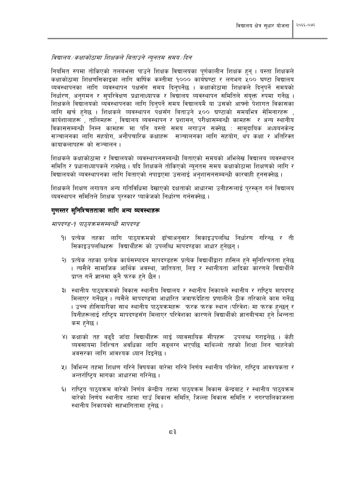#### विद्यालय/कक्षाकोठामा शिक्षकले बिताउने न्यूनतम समय/दिन

नियमित रुपमा तोकिएको तलबभत्ता पाउने शिक्षक विद्यालयका पूर्णकालीन शिक्षक हुन् । यस्ता शिक्षकले कक्षाकोठामा शिक्षणसिकाइका लागि वार्षिक कम्तीमा १००० कार्यघण्टा र लगभग ५०० घण्टा विद्यालय व्यवस्थापनका लागि व्यवस्थापन पक्षसँग समय दिनुपर्नेछ । कक्षाकोठामा शिक्षकले दिनुपर्ने समयको निर्धारण. अनगमन र सपरिवेक्षण प्रधानाध्यापक र विद्यालय व्यवस्थापन समितिले संयुक्त रुपमा गर्नेछ । शिक्षकले विद्यालयको व्यवस्थापनका लागि दिनपर्ने समय विद्यालयमै या उसको आफ्नो पेशागत विकासका लागि खर्च हनेछ । शिक्षकले व्यवस्थापन पक्षसँग बिताउने ५०० घण्टाको समयभित्र सेमिनारहरू , कार्यशालाहरू , तालिमहरू , विद्यालय व्यवस्थापन र प्रशासन, परीक्षासम्बन्धी कामहरू र अन्य स्थानीय विकाससम्बन्धी निम्न कामहरू मा पनि यस्तो समय लगाउन सक्नेछ : सामदायिक अध्ययनकेन्द्र सञ्चालनका लागि सहयोग, अनौपचारिक कक्षाहरू सञ्चालनका लागि सहयोग, थप कक्षा र अतिरिक्त कायाकलापहरू को सञ्चालन ।

शिक्षकले कक्षाकोठामा र विद्यालयको व्यवस्थापनसम्बन्धी बिताएको समयको अभिलेख विद्यालय व्यवस्थापन समिति र प्रधानाध्यापकले राख्नेछ । यदि शिक्षकले तोकिएको न्युनतम समय कक्षाकोठामा शिक्षणको लागि र विद्यालयको व्यवस्थापनका लागि बिताएको नपाइएमा उसलाई अनुशासनसम्बन्धी कारवाही हुनसक्नेछ ।

शिक्षकले शिक्षण लगायत अन्य गतिविधिमा देखाएको दक्षताको आधारमा उनीहरूलाई परस्कत गर्न विद्यालय व्यवस्थापन समितिले शिक्षक परस्कार प्याकेजको निर्धारण गर्नसक्नेछ ।

#### गणस्तर सुनिश्चितताका लागि अन्य व्यवस्थाहरू

मापदण्ड-१ पाठुयक्रमसम्बन्धी मापदण्ड

- १। प्रत्येक तहका लागि पाठ्यक्रमको ढाँचाअनुसार सिकाइउपलब्धि निर्धारण गरिन्छ र ती सिकाइउपलब्धिहरू विद्यार्थीहरू को उपलब्धि मापदण्डका आधार हनेछन् ।
- २। प्रत्येक तहका प्रत्येक कार्यसम्पादन मापदण्डहरू प्रत्येक विद्यार्थीद्वारा हासिल हुने सुनिश्चितता हुनेछ । त्यसैले सामाजिक आर्थिक अवस्था, जातियता, लिङ्ग र स्थानीयता आदिका कारणले विद्यार्थीले प्राप्त गर्ने ज्ञानमा कनै फरक हने छैन ।
- ३। स्थानीय पाठयक्रमको विकास स्थानीय विद्यालय र स्थानीय निकायले स्थानीय र राष्टिय मापदण्ड मिलाएर गर्नेछन । त्यसैले मापदण्डमा आधारित जवाफदेहिता प्रणालीले ठीक तरिकाले काम गर्नेछ । उच्च होसियारीका साथ स्थानीय पाठ्यक्रमहरू फरक फरक स्थान (परिवेश) मा फरक हुन्छन् र यिनीहरूलाई राष्ट्रिय मापदण्डसँग मिलाएर परिवेशका कारणले विद्यार्थीको ज्ञानबीचमा हुने भिन्नता कम हनेछ ।
- ४। कक्षाको तह बढ्दै जाँदा विद्यार्थीहरू लाई व्यावसायिक सीपहरू उपलब्ध गराइनेछ । केही व्यवसायमा निश्चित अवधिका लागि सङलग्न भएपछि माथिल्लो तहको शिक्षा लिन चाहनेको अवसरका लागि आवश्यक ध्यान दिइनेछ ।
- ५। विभिन्न तहमा शिक्षण गरिने विषयका बारेमा गरिने निर्णय स्थानीय परिवेश, राष्ट्रिय आवश्यकता र अन्तर्राष्ट्रिय मागका आधारमा गरिनेछ ।
- ६। राष्ट्रिय पाठ्यक्रम बारेको निर्णय केन्द्रीय तहमा पाठ्यक्रम विकास केन्द्रबाट र स्थानीय पाठ्यक्रम बारेको निर्णय स्थानीय तहमा गाउँ विकास समिति, जिल्ला विकास समिति र नगरपालिकाजस्ता स्थानीय निकायको सहभागितामा हुनेछ ।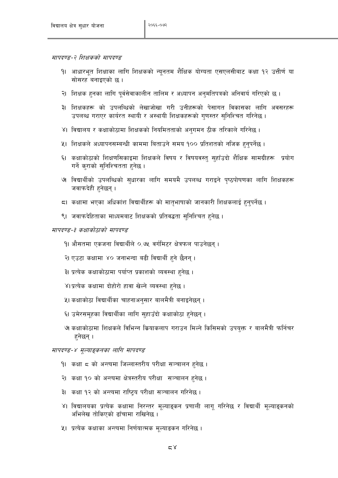मापदण्ड-२ शिक्षकको मापदण्ड

- १। आधारभूत शिक्षाका लागि शिक्षकको न्यूनतम शैक्षिक योग्यता एसएलसीबाट कक्षा १२ उत्तीर्ण या सोसरह बनाइएको छ।
- २। शिक्षक हुनका लागि पुर्वसेवाकालीन तालिम र अध्यापन अनुमंतिपत्रको अनिवार्य गरिएको छ ।
- ३। शिक्षकहरू को उपलब्धिको लेखाजोखा गरी उनीहरूको पेसागत विकासका लागि अवसरहरू उपलब्ध गराएर कार्यरत स्थायी र अस्थायी शिक्षकहरूको गणस्तर सनिश्चित गरिनेछ ।
- ४। विद्यालय र कक्षाकोठामा शिक्षकको नियमितताको अनुगमन ठीक तरिकाले गरिनेछ ।
- ५। शिक्षकले अध्यापनसम्बन्धी काममा बिताउने समय १०० प्रतिशतको नजिक हुनुपर्नेछ ।
- ६। कक्षाकोठाको शिक्षणसिकाइमा शिक्षकले विषय र विषयवस्त् सुहाँउदो शैक्षिक सामग्रीहरू प्रयोग गर्ने कराको सुनिश्चितता हुनेछ ।
- ७ विद्यार्थीको उपलब्धिको सुधारका लागि समयमै उपलब्ध गराइने पृष्ठपोषणका लागि शिक्षकहरू जवाफदेही हनेछन् ।
- 51 कक्षामा भएका अधिकांश विद्यार्थीहरू को मातुभाषाको जानकारी शिक्षकलाई हुनुपर्नेछ ।
- ९। जवाफदेहिताका माध्यमबाट शिक्षकको प्रतिवद्धता सनिश्चित हुनेछ ।

#### मापदण्ड-३ कक्षाकोठाको मापदण्ड

- १। औसतमा एकजना विद्यार्थीले ०.७५ वर्गमिटर क्षेत्रफल पाउनेछन् ।
- २। एउटा कक्षामा ४० जनाभन्दा बढी विद्यार्थी हुने छैनन् ।
- ३। प्रत्येक कक्षाकोठामा पर्याप्त प्रकाशको व्यवस्था हुनेछ ।
- ४। प्रत्येक कक्षामा दोहोरो हावा खेल्ने व्यवस्था हुनेछ ।
- ५। कक्षाकोठा विद्यार्थीका चाहनाअनुसार बालमैत्री बनाइनेछन् ।
- ६। उमेरसमुहका विद्यार्थीका लागि सुहाउँदो कक्षाकोठा हुनेछन् ।
- ७ कक्षाकोठामा शिक्षकले विभिन्न कियाकलाप गराउन मिल्ने किसिमको उपयुक्त र बालमैत्री फर्निचर हनेछन् ।

#### मापदण्ड-४ मूल्याङ्कनका लागि मापदण्ड

- <u> १। कक्षा ८ को अन्त्यमा जिल्लास्तरीय परीक्षा सञ्चालन हुनेछ ।</u>
- २। कक्षा १० को अन्त्यमा क्षेत्रस्तरीय परीक्षा सञ्चालन हनेछ ।
- ३। कक्षा १२ को अन्त्यमा राष्ट्रिय परीक्षा सञ्चालन गरिनेछ ।
- ४। विद्यालयका प्रत्येक कक्षामा निरन्तर मूल्याङ्कन प्रणाली लागू गरिनेछ र विद्यार्थी मूल्याङ्कनको अभिलेख तोकिएको ढाँचामा राखिनेछ ।
- ५। प्रत्येक कक्षाका अन्त्यमा निर्णयात्मक मुल्याङकन गरिनेछ ।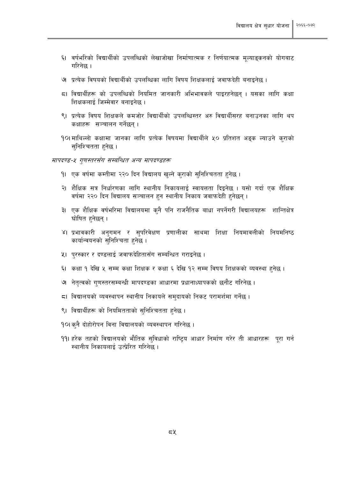- ६। वर्षभरिको विद्यार्थीको उपलब्धिको लेखाजोखा निर्माणात्मक र निर्णयात्मक मूल्याङ्कनको योगबाट गरिनेछ ।
- ७ प्रत्येक विषयको विद्यार्थीको उपलब्धिका लागि विषय शिक्षकलाई जवाफदेही बनाइनेछ ।
- 5। विद्यार्थीहरू को उपलब्धिको नियमित जानकारी अभिभावकले पाइरहनेछन । यसका लागि कक्षा शिक्षकलाई जिम्मेवार बनाइनेछ ।
- ९। प्रत्येक विषय शिक्षकले कमजोर विद्यार्थीको उपलब्धिस्तर अरु विद्यार्थीसरह बनाउनका लागि थप कक्षाहरू सञ्चालन गर्नेछन ।
- 90|माथिल्लो कक्षामा जानका लागि प्रत्येक विषयमा विद्यार्थीले ५० प्रतिशत अडुक ल्याउने कुराको सनिश्चितता हनेछ ।

#### मापदण्ड-५ गणस्तरसँग सम्बन्धित अन्य मापदण्डहरू

- १। एक वर्षमा कम्तीमा २२० दिन विद्यालय खुल्ने कुराको सुनिश्चितता हुनेछ ।
- २। शैक्षिक सत्र निर्धारणका लागि स्थानीय निकायलाई स्वायत्तता दिइनेछ । यसो गर्दा एक शैक्षिक वर्षमा २२० दिन विद्यालय सञ्चालन हुन स्थानीय निकाय जवाफदेही हुनेछन्।
- ३। एक शैक्षिक वर्षभरिमा विद्यालयमा कनै पनि राजनैतिक बाधा नपर्नेगरी विद्यालयहरू शान्तिक्षेत्र घोषित हनेछन्।
- ४। प्रभावकारी अनुगमन र सुपरिवेक्षण प्रणालीका साथमा शिक्षा नियमावलीको नियमनिष्ठ कार्यान्वयनको सुनिश्चिता हुनेछ।
- ५। पुरस्कार र दण्डलाई जवाफदेहितासँग सम्बन्धित गराइनेछ ।
- ६। कक्षा १ देखि ५ सम्म कक्षा शिक्षक र कक्षा ६ देखि १२ सम्म विषय शिक्षकको व्यवस्था हुनेछ ।
- ७ नेतत्वको गुणस्तरसम्बन्धी मापदण्डका आधारमा प्रधानाध्यापकको छनौट गरिनेछ ।
- 51 विद्यालयको व्यवस्थापन स्थानीय निकायले समुदायको निकट परामर्शमा गर्नेछ ।
- ९। विद्यार्थीहरू को नियमितताको सुनिश्चितता हुनेछ ।
- 9०।कुनै दोहोरोपन विना विद्यालयको व्यवस्थापन गरिनेछ ।
- 99। हरेक तहको विद्यालयको भौतिक सुविधाको राष्ट्रिय आधार निर्माण गरेर ती आधारहरू पुरा गर्न स्थानीय निकायलाई उत्प्रेरित गरिनेछ ।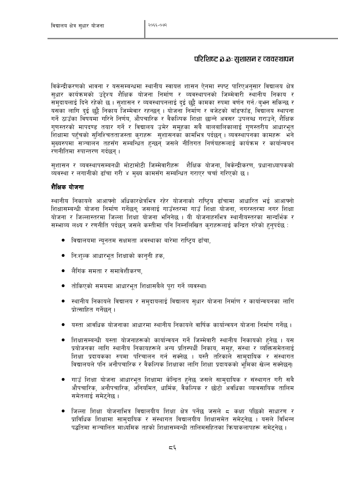#### परिशिष्ट อ.อ. सुशासन र व्यवस्थापन

विकेन्द्रीकरणको भावना र यससम्बन्धमा स्थानीय स्वायत्त शासन ऐनमा स्पष्ट पारिएअनुसार विद्यालय क्षेत्र सुधार कार्यक्रमको उद्देश्य शैक्षिक योजना निर्माण र व्यवस्थापनको जिम्मेवारी स्थानीय निकाय र समदायलाई दिने रहेको छ । सशासन र व्यवस्थापनलाई दई छुट्टै कामका रुपमा वर्णन गर्न⁄बभन सकिन्छ र यसका लागि दुई छुट्टै निकाय जिम्मेवार रहन्छन् । योजना निर्माण र बजेटको बाँडफाँड, विद्यालय स्थापना गर्ने ठाउँका विषयमा गरिने निर्णय, औपचारिक र वैकल्पिक शिक्षा छान्ने अवसर उपलब्ध गराउने, शैक्षिक गणस्तरको मापदण्ड तयार गर्ने र विद्यालय उमेर समहका सबै बालबालिकालाई गणस्तरीय आधारभत .<br>शिक्षामा पहँचको सनिश्चितताजस्ता कराहरू सशासनको कामभित्र पर्दछन । व्यवस्थापनका कामहरू भने मख्यरुपमा सञ्चालन तहसँग सम्बन्धित हुन्छन जसले नीतिगत निर्णयहरूलाई कार्यक्रम र कार्यान्वयन रणनीतिमा रुपान्तरण गर्दछन ।

सशासन र व्यवस्थापसम्बनधी मोटामोटी जिम्मेवारीहरू शैक्षिक योजना, विकेन्द्रीकरण, प्रधानाध्यापकको व्यवस्था र लगानीको ढाँचा गरी ४ मुख्य कामसँग सम्बन्धित गराएर चर्चा गरिएको छ।

#### शैक्षिक योजना

स्थानीय निकायले आआफ्नो अधिकारक्षेत्रभित्र रहेर योजनाको राष्ट्रिय ढाँचामा आधारित भई आआफ्नो शिक्षासम्बन्धी योजना निर्माण गर्नेछन: जसलाई गाउँस्तरमा गाउँ शिक्षा योजना, नगरस्तरमा नगर शिक्षा योजना र जिल्लास्तरमा जिल्ला शिक्षा योजना भनिनेछ । यी योजनाहरुभित्र स्थानीयस्तरका सान्दर्भिक र सम्भाव्य लक्ष्य र रणनीति पर्दछन् जसले कम्तीमा पनि निम्नलिखित कराहरूलाई कन्द्रित गरेको हुनुपर्दछ :

- विद्यालयमा न्यनतम सक्षमता अवस्थाका बारेमा राष्टिय ढाँचा.
- नि:शुल्क आधारभुत शिक्षाको कानुनी हक,
- लैगिंक समता र समावेशीकरण.
- तोकिएको समयमा आधारभत शिक्षासबैले परा गर्ने व्यवस्था।
- स्थानीय निकायले विद्यालय र समदायलाई विद्यालय सधार योजना निर्माण र कार्यान्वयनका लागि प्रोत्साहित गर्नेछन ।
- ्यस्ता आवधिक योजनाका आधारमा स्थानीय निकायले वार्षिक कार्यान्वयन योजना निर्माण गर्नेछ ।
- शिक्षासम्बन्धी यस्ता योजनाहरूको कार्यान्वयन गर्ने जिम्मेवारी स्थानीय निकायको हुनेछ । यस प्रयोजनका लागि स्थानीय निकायहरूले अन्य प्रतिस्पर्धी निकाय, समह, संस्था र व्यक्तिसमेतलाई शिक्षा प्रदायकका रुपमा परिचालन गर्न सक्नेछ । यस्तै तरिकाले सामदायिक र संस्थागत विद्यालयले पनि अनौपचारिक र वैकल्पिक शिक्षाका लागि शिक्षा प्रदायकको भूमिका खेल्न सक्नेछन।
- गाउँ शिक्षा योजना आधारभूत शिक्षामा केन्द्रित हुनेछ जसले सामुदायिक र संस्थागत गरी सबै औपचारिक, अनौपचारिक, अनियमित, धार्मिक, वैकल्पिक र छोटो अवधिका व्यावसायिक तालिम समेतलाई समेटनेछ ।
- जिल्ला शिक्षा योजनाभित्र विद्यालयीय शिक्षा क्षेत्र पर्नेछ जसले ८ कक्षा पछिको साधारण र प्राविधिक शिक्षामा सामदायिक र संस्थागत विद्यालयीय शिक्षासमेत समेटनेछ । यसले विभिन्न पद्धतिमा सञ्चालित मार्ध्यमिक तहको शिक्षासम्बन्धी तालिमसहितका कियाकलापहरू समेटनेछ ।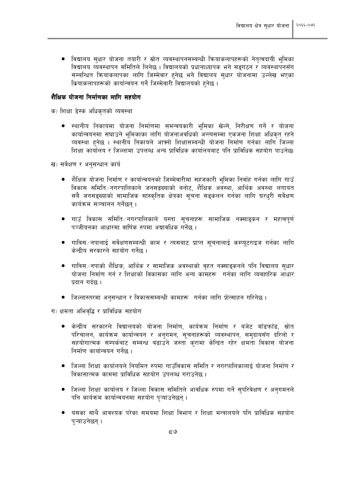● विद्यालय सुधार योजना तयारी र स्रोत व्यवस्थापनसम्बन्धी क्रियाकलापहरूको नेतृत्वदायी भूमिका विद्यालय व्यवस्थापन समितिले लिनेछ । विद्यालयको प्रधानाध्यापक भने सङ्गठन र व्यवस्थापनसँग सम्बन्धित कियाकलापका लागि जिम्मेवार हुनेछ भने विद्यालय सुधार योजनामा उल्लेख भएका क्रियाकलापहरूको कार्यान्वयन गर्ने जिम्मेवारी विद्यालयको हुनेछ ।

#### शैक्षिक योजना निर्माणका लागि सहयोग

क) शिक्षा डेस्क अधिकृतको व्यवस्था

● स्थानीय निकायमा योजना निर्माणमा समन्वयकारी भमिका खेल्ने. निरीक्षण गर्ने र योजना कार्यान्वयनमा सघाउने भमिकाका लागि योजनाअवधिको अन्त्यसम्मा एकजना शिक्षा अधिकत रहने व्यवस्था हनेछ । स्थानीय निकायले आफ्नो शिक्षासम्बन्धी योजना निर्माण गर्नका लागि जिल्ला शिक्षा कार्यालय र जिल्लामा उपलब्ध अन्य प्राविधिक कार्यालयबाट पनि प्राविधिक सहयोग पाउनेछ।

ख) सर्वेक्षण र अनुसन्धान कार्य

- शैक्षिक योजना निर्माण र कार्यान्वयनको जिम्मेवारीमा सहजकारी भमिका निर्वाह गर्नका लागि गाउँ विकास समिति तगरपालिकाले जनसङख्याको बनोट, शैक्षिक अवस्था, आर्थिक अवस्था लगायत सबै जनसङख्याको सामाजिक सांस्कतिक क्षेत्रका सचना सडकलन गर्नका लागि घरधरी सर्वेक्षण कार्यक्रम सञ्चालन गर्नेछन ।
- गाउँ विकास समिति ∕नगरपालिकाले यस्ता सूचनाहरू सामाजिक नक्साङ्कन र महत्वपूर्ण पञ्जीयनका आधारमा वार्षिक रुपमा अद्यावधिक गर्नेछ ।
- गाविस ∕ नपालाई सर्वेक्षणसम्बन्धी काम र त्यसबाट प्राप्त सूचनालाई कम्प्यूटराइज गर्नका लागि केन्दीय सरकारले सहयोग गर्नेछ ।
- गाविस / नपाको शैक्षिक, आर्थिक र सामाजिक अवस्थाको वहत नक्साइकनले पनि विद्यालय सुधार योजना निर्माण गर्न र शिक्षाको विकासका लागि अन्य कामहरू गर्नका लागि व्यवहारिक आँधार प्रदान गर्दछ ।
- जिल्लास्तरमा अनुसन्धान र विकाससम्बन्धी कामहरू गर्नका लागि प्रोत्साहन गरिनेछ ।

ग) क्षमता अभिवद्धि र प्राविधिक सहयोग

- केन्द्रीय सरकारले विद्यालयको योजना निर्माण, कार्यक्रम निर्माण र बजेट बाँडफाँड, स्रोत  $\bullet$ <u>परिचालन, कार्यक्रम कार्यान्वयन र अनुगमन, सूचनाहरूको व्यवस्थापन, समुदायसँग दरिलो र</u> सहयोगात्मक सम्पर्कबाट सम्बन्ध बढाउने जस्ता करामा केन्द्रित रहेर क्षमता विकास योजना निर्माण कार्यान्वयन गर्नेछ ।
- ्जिल्ला शिक्षा कार्यालयले नियमित रुपमा गाउँविकास समिति र नगरपालिकालाई योजना निर्माण र विकासात्मक काममा प्राविधिक सहयोग उपलब्ध गराउनेछ ।
- जिल्ला शिक्षा कार्यालय र जिल्ला विकास समितिले आवधिक रुपमा गर्ने सुपरिवेक्षण र अनुगमनले पनि कार्यक्रम कार्यान्वयनमा सहयोग पऱ्याउनेछन ।
- यसका साथै आवश्यक परेका समयमा शिक्षा विभाग र शिक्षा मन्त्रालयले पनि प्राविधिक सहयोग पऱ्याउनेछन् ।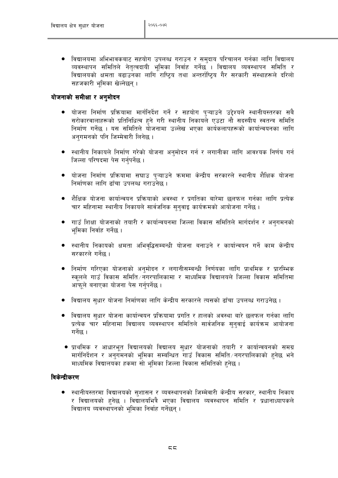● विद्यालयमा अभिभावकबाट सहयोग उपलब्ध गराउन र समुदाय परिचालन गर्नका लागि विद्यालय व्यवस्थापन समितिले नेतृत्वदायी भूमिका निर्वाह गर्नेछ । विद्यालय व्यवस्थापन समिति र विद्यालयको क्षमता बढाउनका लागि राष्ट्रिय तथा अन्तर्राष्ट्रिय गैर सरकारी संस्थाहरूले दरिलो सहजकारी भूमिका खेल्नेछन्।

#### योजनाको समीक्षा र अनमोदन

- योजना निर्माण प्रक्रियामा मार्गनिर्देश गर्ने र सहयोग प्ऱ्याउने उद्देश्यले स्थानीयस्तरका सबै सरोकारवालाहरूको प्रतिनिधित्व हुने गरी स्थानीय निकायले एउटा नौ सदस्यीय स्वतन्त्र समिति निर्माण गर्नेछ । यस समितिले योजनामा उल्लेख भएका कार्यकलापहरूको कार्यान्वयनका लागि अनगमनको पनि जिम्मेवारी लिनेछ।
- स्थानीय निकायले निर्माण गरेको योजना अनुमोदन गर्न र लगानीका लागि आवश्यक निर्णय गर्न जिल्ला परिषदमा पेस गर्नपर्नेछ ।
- योजना निर्माण प्रक्रियामा सघाउ प्ऱ्याउने क्रममा केन्द्रीय सरकारले स्थानीय शैक्षिक योजना निर्माणका लागि ढाँचा उपलब्ध गराउनेछ ।
- शैक्षिक योजना कार्यान्वयन प्रक्रियाको अवस्था र प्रगतिका बारेमा छलफल गर्नका लागि प्रत्येक चार महिनामा स्थानीय निकायले सार्वजनिक सुनुवाइ कार्यक्रमको आयोजना गर्नेछ ।
- गाउँ शिक्षा योजनाको तयारी र कार्यान्वयनमा जिल्ला विकास समितिले मार्गदर्शन र अनुगमनको भमिका निर्वाह गर्नेछ ।
- स्थानीय निकायको क्षमता अभिवृद्धिसम्बन्धी योजना बनाउने र कार्यान्वयन गर्ने काम केन्द्रीय सरकारले गर्नेछ ।
- ्निर्माण गरिएका योजनाको अनुमोदन र लगानीसम्बन्धी निर्णयका लागि प्राथमिक र प्रारम्भिक स्कूलले गाउँ विकास समिति नगरपालिकामा र माध्यमिक विद्यालयले जिल्ला विकास समितिमा आफूले बनाएका योजना पेस गर्नुपर्नेछ।
- ं विद्यालय सुधार योजना निर्माणका लागि केन्द्रीय सरकारले त्यसको ढाँचा उपलब्ध गराउनेछ ।
- विद्यालय सुधार योजना कार्यान्वयन प्रक्रियामा प्रगति र हालको अवस्था बारे छलफल गर्नका लागि प्रत्येक चार महिनामा विद्यालय व्यवस्थापन समितिले सार्वजनिक सनवाई कार्यक्रम आयोजना गर्नेछ ।
- प्राथमिक र आधारभूत विद्यालयको विद्यालय सुधार योजनाको तयारी र कार्यान्वयनको समग्र मार्गनिर्देशन र अनुगमनको भूमिका सम्बन्धित गाउँ विकास समिति नगरपालिकाको हुनेछ भने माध्यमिक विद्यालयका हकमा सो भमिका जिल्ला विकास समितिको हुनेछ ।

#### विकेन्द्रीकरण

स्थानीयस्तरमा विद्यालयको सुशासन र व्यवस्थापनको जिम्मेवारी केन्द्रीय सरकार, स्थानीय निकाय र विद्यालयको हुनेछ । विद्यालयभित्रै भएका विद्यालय व्यवस्थापन समिति र प्रधानाध्यापकले विद्यालय व्यवस्थापनको भूमिका निर्वाह गर्नेछन् ।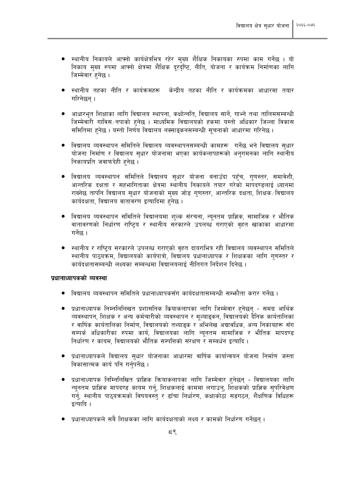- स्थानीय निकायले आफ्नो कार्यक्षेत्रभित्र रहेर मुख्य शैक्षिक निकायका रुपमा काम गर्नेछ । यो निकाय मुख्य रुपमा आफ्नो क्षेत्रमा शैक्षिक दूरदृष्टि, नीति, योजना र कार्यक्रम निर्माणका लागि जिम्मेवार हनेछ ।
- स्थानीय तहका नीति र कार्यक्रमहरू केन्द्रीय तहका नीति र कार्यक्रमका आधारमा तयार गरिनेछन ।
- आधारभत शिक्षाका लागि विद्यालय स्थापना, कक्षोन्नति, विद्यालय सार्ने, गाभ्ने तथा तालिमसम्बन्धी जिम्मेवारी गाविस/नपाको हुनेछ । माध्यमिक विद्यालयको हुकमा यस्तो अधिकार जिल्ला विकास समितिमा हुनेछ । यस्तो निर्णय विद्यालय नक्साङ्कनसम्बन्धी सूचनाको आधारमा गरिनेछ ।
- विद्यालय व्यवस्थापन समितिले विद्यालय व्यवस्थापनसम्बन्धी कामहरू गर्नेछ भने विद्यालय सुधार योजना निर्माण र विद्यालय सुधार योजनामा भएका कार्यकलापहरूको अनुगमनका लागि स्थानीय निकायप्रति जवाफदेही हुनेछ ।
- विद्यालय व्यवस्थापन समितिले विद्यालय सधार योजना बनाउँदा पहँच, गणस्तर, समावेशी, आन्तरिक दक्षता र सहभागिताका क्षेत्रमा स्थानीय निकायले तयार गरेको मापदण्डलाई ध्यानमा राख्नेछ तापनि विद्यालय सुधार योजनाको मुख्य जोड गुणस्तर, आन्तरिक दक्षता, शिक्षक/विद्यालय कार्यदक्षता, विद्यालय वातावरण इत्यादिमा हुनेछ ।
- विद्यालय व्यवस्थापन समितिले विद्यालयमा शुल्क संरचना, न्युनतम प्राज्ञिक, सामाजिक र भौतिक वातावरणको निर्धारण राष्ट्रिय र स्थानीय सरकारले उपलब्ध गराएको वृहत खाकाका आधारमा गर्नेछ ।
- स्थानीय र राष्टिय सरकारले उपलब्ध गराएको वहत दायराभित्र रही विद्यालय व्यवस्थापन समितिले स्थानीय पाठयक्रम, विद्यालयको कार्यपात्रो, विद्यालय प्रधानाध्यापक र शिक्षकका लागि गणस्तर र कार्यदक्षतासम्बन्धी लक्ष्यका सम्बन्धमा विद्यालयलाई नीतिगत निर्देशन दिनेछ ।

#### प्रधानाध्यापकको व्यवस्था

- विद्यालय व्यवस्थापन समितिले प्रधानाध्यापकसँग कार्यदक्षतासम्बन्धी सम्भौता करार गर्नेछ ।
- प्रधानाध्यापक निम्नलिलिखत प्रशासनिक क्रियाकलापका लागि जिम्मेवार हुनेछन समग्र आर्थिक व्यवस्थापन, शिक्षक र अन्य कर्मचारीको व्यवस्थापन र मुल्याइकन, विद्यालयको दैनिक कार्यतालिका र वार्षिक कार्यतालिका निर्माण, विद्यालयको तथ्याइक र अभिलेख अद्यावधिक, अन्य निकायहरू सँग सम्पर्क अधिकारीका रुपमा कार्य, विद्यालयका लागि न्यनतम सामाजिक र भौतिक मापदण्ड निर्धारण र कायम. विद्यालयको भौतिक सम्पत्तिको संरक्षण र सम्बर्धन इत्यादि ।
- ्प्रधानाध्यापकले विद्यालय सुधार योजनाका आधारमा वार्षिक कार्यान्वयन योजना निर्माण जस्ता विकासात्मक कार्य पनि गर्नपर्नेछ ।
- प्रधानाध्यापक निम्निलिखित प्राज्ञिक क्रियाकलापका लागि जिम्मेवार हुनेछन् विद्यालयका लागि न्यूनतम् प्राज्ञिक मापदण्ड कायम् गर्नु, शिक्षकलाई काममा लगाउनु, शिक्षकको प्राज्ञिक सुपरिवेक्षण गर्नु, स्थानीय पाठ्यक्रमको विषयवस्तु र ढाँचा निर्धारण, कक्षाकोठा सङगठन, शैक्षणिक विधिहरू इत्यादि ।
- प्रधानाध्यापकले सबै शिक्षकका लागि कार्यदक्षताको लक्ष्य र कामको निर्धारण गर्नेछन ।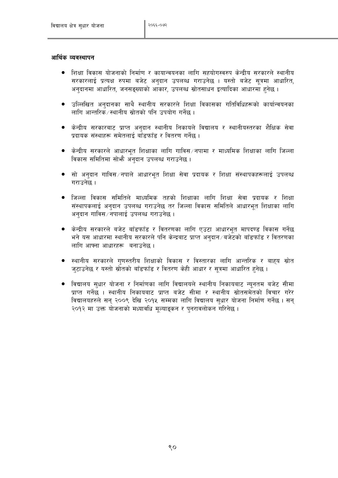#### आर्थिक व्यवस्थापन

- शिक्षा विकास योजनाको निर्माण र कायान्वयनका लागि सहयोगस्वरुप केन्द्रीय सरकारले स्थानीय सरकारलाई प्रत्यक्ष रुपमा बजेट अनुदान उपलब्ध गराउनेछ । यस्तो बजेट सुत्रमा आधारित, अनुदानमा आधारित, जनसङ्ख्याको आकार, उपलब्ध स्रोतसाधन इत्यादिका आधारमा हुनेछ ।
- उल्लिखित अनुदानका साथै स्थानीय सरकारले शिक्षा विकासका गतिविधिहरूको कार्यान्वयनका  $\bullet$ लागि आन्तरिक7स्थानीय स्रोतको पनि उपयोग गर्नेछ ।
- केन्द्रीय सरकारबाट प्राप्त अनुदान स्थानीय निकायले विद्यालय र स्थानीयस्तरका शैक्षिक सेवा प्रदायक संस्थाहरू समेतलाई बाँडफाँड र वितरण गर्नेछ ।
- केन्द्रीय सरकारले आधारभूत शिक्षाका लागि गाविस ∕नपामा र माध्यमिक शिक्षाका लागि जिल्ला विकास समितिमा सोभै अनुदान उपलब्ध गराउनेछ।
- सो अनुदान गाविस ∕ नपाले आधारभूत शिक्षा सेवा प्रदायक र शिक्षा संस्थापकहरूलाई उपलब्ध गराउनेछ ।
- जिल्ला विकास समितिले माध्यमिक तहको शिक्षाका लागि शिक्षा सेवा प्रदायक र शिक्षा संस्थापकलाई अनुदान उपलब्ध गराउनेछ तर जिल्ला विकास समितिले आधारभूत शिक्षाका लागि अनुदान गाविस ∕ नपालाई उपलब्ध गराउनेछ ।
- केन्द्रीय सरकारले बजेट बाँडफाँड र वितरणका लागि एउटा आधारभूत मापदण्ड विकास गर्नेछ भने यस आधारमा स्थानीय सरकारले पनि केन्द्रबाट प्राप्त अनुदान ⁄ बजेटको बाँडफाँड र वितरणका लागि आफ्ना आधारहरू बनाउनेछ।
- स्थानीय सरकारले गुणस्तरीय शिक्षाको विकास र विस्तारका लागि आन्तरिक र बाहय स्रोत ज्टाउनेछ र यस्तो स्रोतको बाँडफाँड र वितरण केही आधार र सूत्रमा आधारित हुनेछ ।
- विद्यालय सुधार योजना र निर्माणका लागि विद्यालयले स्थानीय निकायबाट न्यूनतम बजेट सीमा प्राप्त गर्नेछ । स्थानीय निकायबाट प्राप्त बजेट सीमा र स्थानीय स्रोतसमेतको विचार गरेर विद्यालयहरुले सन् २००९ देखि २०१५ सम्मका लागि विद्यालय सुधार योजना निर्माण गर्नेछ । सन् २०१२ मा उक्त योजनाको मध्यावधि मुल्याङ्कन र पुनरावलोकन गरिनेछ ।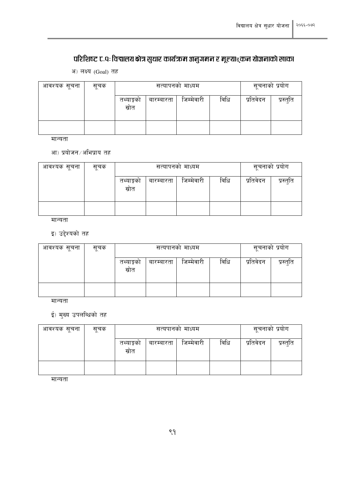# परिशिष्ट ट.पः विद्यालय क्षेत्र सुधार कार्यक्रम अनुगमन र मूल्याङ्कन योजनाको खाका

अ) लक्ष्य (Goal) तह

| आवश्यक सूचना | सुचक |                                                                  | सत्यापनको माध्यम | सूचनाका प्रयोग |  |           |           |
|--------------|------|------------------------------------------------------------------|------------------|----------------|--|-----------|-----------|
|              |      | विधि<br>$\sim$<br>जिम्मेवारी<br>तथ्याङ्को<br>बारम्बारता<br>स्रोत |                  |                |  | प्रतिवेदन | प्रस्तुति |
|              |      |                                                                  |                  |                |  |           |           |

मान्यता

#### आ) प्रयोजन ∕ अभिप्राय तह

| आवश्यक सूचना | सचक |                                                       | सत्यापनको माध्यम |  | सूचनाको प्रयोग |           |           |
|--------------|-----|-------------------------------------------------------|------------------|--|----------------|-----------|-----------|
|              |     | विधि<br>तथ्याङ्को<br>जिम्मवारी<br>बारम्बारता<br>स्रोत |                  |  |                | प्रतिवेदन | प्रस्तुति |
|              |     |                                                       |                  |  |                |           |           |

मान्यता

#### इ) उद्देश्यको तह

| आवश्यक सूचना | सुचक |                                                        | सत्यपानको माध्यम |  | सूचनाको प्रयोग |           |           |
|--------------|------|--------------------------------------------------------|------------------|--|----------------|-----------|-----------|
|              |      | विधि<br>जिम्मेवारी<br>तथ्याङ्को<br>बारम्बारता<br>स्रोत |                  |  |                | प्रतिवेदन | प्रस्तुति |
|              |      |                                                        |                  |  |                |           |           |

मान्यता

# ई) मुख्य उपलब्धिको तह

| आवश्यक सूचना | सुचक |                                                                  | सत्यपानको माध्यम |  | सूचनाको प्रयोग |           |           |
|--------------|------|------------------------------------------------------------------|------------------|--|----------------|-----------|-----------|
|              |      | विधि<br>$\sim$<br>जिम्मेवारी<br>तथ्याङ्को<br>बारम्बारता<br>स्रोत |                  |  |                | प्रतिवेदन | प्रस्तुति |
|              |      |                                                                  |                  |  |                |           |           |

मान्यता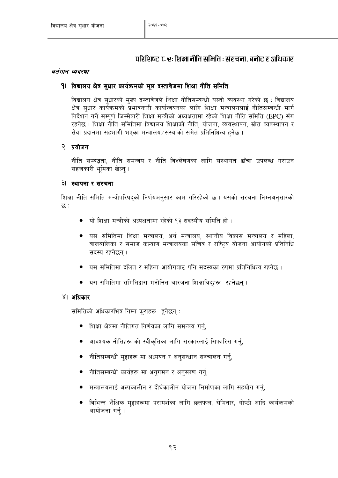#### परिशिष्ट ट.र: शिक्षा नीति समिति : संरचना, बनोट र अधिकार

#### वर्तमान व्यवस्था

#### 9। विद्यालय क्षेत्र सुधार कार्यक्रमको मूल दस्तावेजमा शिक्षा नीति समिति

विद्यालय क्षेत्र सधारको मख्य दस्तावेजले शिक्षा नीतिसम्बन्धी यस्तो व्यवस्था गरेको छ : विद्यालय क्षेत्र सुधार कार्यक्रमको प्रभावकारी कार्यान्वयनका लागि शिक्षा मन्त्रालयलाई नीतिसम्बन्धी मार्ग निर्देशन गर्ने सम्पर्ण जिम्मेवारी शिक्षा मन्त्रीको अध्यक्षतामा रहेको शिक्षा नीति समिति (EPC) सँग रहनेछ । शिक्षा नीति समितिमा विद्यालय शिक्षाको नीति, योजना, व्यवस्थापन, स्रोत व्यवस्थापन र सेवा प्रदानमा सहभागी भएका मन्त्रालय ∕संस्थाको समेत प्रतिनिधित्व हुनेछ ।

#### २। प्रयोजन

नीति सम्बद्धता. नीति समन्वय र नीति विश्लेषणका लागि संस्थागत ढाँचा उपलब्ध गराउन सहजकारी भूमिका खेल्न् ।

#### ३। स्थापना र संरचना

शिक्षा नीति समिति मन्त्रीपरिषदको निर्णयअनसार काम गरिरहेको छ । यसको संरचना निम्नअनसारको छ :

- यो शिक्षा मन्त्रीको अध्यक्षतामा रहेको १३ सदस्यीय समिति हो।
- यस समितिमा शिक्षा मन्त्रालय, अर्थ मन्त्रालय, स्थानीय विकास मन्त्रालय र महिला, बालबालिका र समाज कल्याण मन्त्रालयका सचिव र राष्ट्रिय योजना आयोगको प्रतिनिधि सदस्य रहनेछन।
- यस समितिमा दलित र महिला आयोगबाट पनि सदस्यका रुपमा प्रतिनिधित्व रहनेछ ।
- यस समितिमा समितिद्वारा मनोनित चारजना शिक्षाविदहरू रहनेछन।

#### ४। अधिकार

समितिको अधिकारभित्र निम्न कुराहरू हुनेछन्:

- शिक्षा क्षेत्रमा नीतिगत निर्णयका लागि समन्वय गर्नु,
- ्आवश्यक नीतिहरू को स्वीकृतिका लागि सरकारलाई सिफारिस गर्न,
- नीतिसम्बन्धी महाहरू मा अध्ययन र अनसन्धान सञ्चालन गर्न.
- नीतिसम्बन्धी कार्यहरू मा अनुगमन र अनुसरण गर्न,
- ्मन्त्रालयलाई अल्पकालीन र दीर्घकालीन योजना निर्माणका लागि सहयोग गर्नु
- विभिन्न शैक्षिक मुद्दाहरूमा परामर्शका लागि छलफल, सेमिनार, गोष्ठी आदि कार्यक्रमको आयोजना गर्न् ।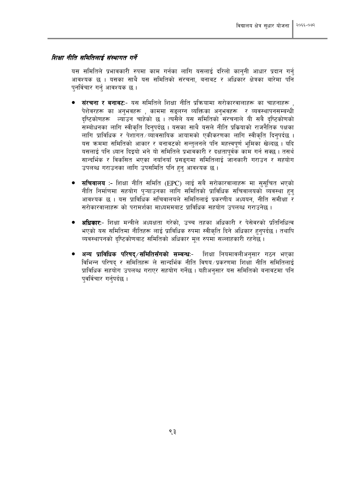#### शिक्षा नीति समितिलाई संस्थागत गर्ने

यस समितिले प्रभावकारी रुपमा काम गर्नका लागि यसलाई दरिलो कानुनी आधार प्रदान गर्नु आवश्यक छ । यसका साथै यस समितिको संरचना, बनावट र अधिकार क्षेत्रका बारेमा पनि पुनर्विचार गर्नु आवश्यक छ ।

- <mark>संरचना र बनावट</mark>ः- यस समितिले शिक्षा नीति प्रक्रियामा सरोकारवालाहरू का चाहनाहरू . पेशेवरहरू का अनुभवहरू , काममा सङ्लग्न व्यक्तिका अनुभवहरू र व्यवस्थापनसम्बन्धी दृष्टिकोणहरू ल्याउन चाहेको छ । त्यसैले यस समितिको संरचनाले यी सबै दृष्टिकोणको सम्बोधनका लागि स्वीकृति दिनुपर्दछ । यसका साथै यसले नीति प्रक्रियाको राजनैतिक पक्षका लागि प्राविधिक र पेशागत ⁄व्यावसायिक आयामको एकीकरणका लागि स्वीकति दिनपर्दछ । यस क्रममा समितिको आकार र बनावटको सन्तुलनले पनि महत्त्वपूर्ण भूमिका खेल्दछ । यदि यसलाई पनि ध्यान दिइयो भने यो समितिले प्रभावकारी र दक्षतापुर्वक काम गर्न सक्छ । तसर्थ सान्दर्भिक र विकसित भएका नयाँनयाँ प्रसङ्गमा समितिलाई जानकारी गराउन र सहयोग उपलब्ध गराउनका लागि उपसमिति पनि हुनु आवश्यक छ ।
- **्सचिवालय :-** शिक्षा नीति समिति (EPC) लाई सबै सरोकारवालाहरू मा ससचित भएको नीति निर्माणमा सहयोग प्ऱ्याउनका लागि समितिको प्राविधिक सचिवालयको व्यवस्था हुनु आवश्यक छ । यस प्राविधिक सचिवालयले समितिलाई प्रकरणीय अध्ययन, नीति समीक्षा र सरोकारवालाहरू को परामर्शका माध्यममबाट प्राविधिक सहयोग उपलब्ध गराउनेछ ।
- <mark>्अधिकार</mark>:- शिक्षा मन्त्रीले अध्यक्षता गरेको. उच्च तहका अधिकारी र पेसेवरको प्रतिनिधित्व भएको यस समितिमा नीतिहरू लाई प्राविधिक रुपमा स्वीकृति दिने अधिकार हुनुपर्दछ । तथापि व्यवस्थापनको दृष्टिकोणबाट समितिको अधिकार मूल रुपमा सल्लाहकारी रहनेछ।
- अन्य प्राविधिक परिषद⁄समितिसँगको सम्बन्धः- शिक्षा नियमावलीअनुसार गठन भएका विभिन्न परिषद र समितिहरू ले सान्दर्भिक नीति विषय /प्रकरणमा शिक्षा नीति समितिलाई प्राविधिक सहयोग उपलब्ध गराएर सहयोग गर्नेछ । यहीअनसार यस समितिको बनावटमा पनि पवर्विचार गर्नपर्दछ ।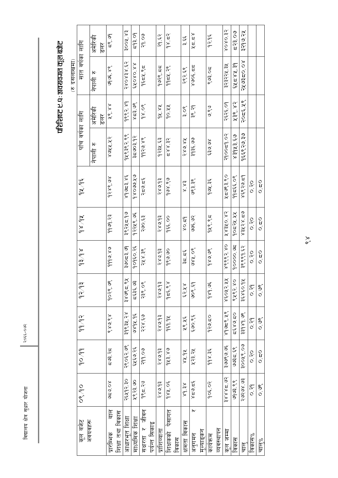२०६६-०७२

# परिशिष्ट ए.प: अवयवगत कूल बजेट

| सात वर्षका लागि         | अमेरिकी            | रेश  | <u>ब्दुरं</u>                                          |                  | ३००५.४३                                | દ્વરૂ.ા          | २१.०७           |               | $-53.65$      | $\frac{1}{2}$      |       | میں<br>من            | メロ・ロメ                             |            | १२.१६       |            | 80909      | द२३.०७        | ३२१७.२५     |                |                   |
|-------------------------|--------------------|------|--------------------------------------------------------|------------------|----------------------------------------|------------------|-----------------|---------------|---------------|--------------------|-------|----------------------|-----------------------------------|------------|-------------|------------|------------|---------------|-------------|----------------|-------------------|
|                         | $\kappa$<br>नेपाली |      | sk: seloo                                              |                  | ४३.४३४.६२                              | 88.080X3         | $9\xi$ 53, $95$ |               | १७२९.८८       | 9954.78            |       | २९२.६९               | $806'$ 22                         |            | ९७३.०८      |            | ३२३२२५.३५  | $\xi$ k=8x,39 | ام (ماء≿ه)  |                |                   |
| पाँच वर्षका लागि        | अमेरिकी            | रेडा | ye, xx                                                 |                  | 9882.89                                | ४८३.७९           | po s d          |               | $4x \times x$ | 10.44              |       | or<br>mi             | ३९.२१                             |            | りいう         |            | २६२६.०१    | ५३९.४२        | २०८६५९      |                |                   |
|                         | नेपाली रु          |      | 8942.12                                                |                  | १५९३९२.९९                              | ३८७०३.१२         | ११२७.४९         |               | १२३५.६३       | ८९ ४४.३            |       | ४९ ०१८               | ३१३६.७७                           |            | ko olea     |            | २१००८१.०२  | ४३५१३.६७      | १६६९२७३१    |                |                   |
| $\frac{3}{56}$ $\times$ |                    |      | १२४९.७४                                                |                  | $\frac{1}{2}8 \leq 2$ , $\frac{1}{2}8$ | ラ x うり O & b     | خْ⊆ آه`خ        |               | २४७१३         | ಲ್ಲಿ ಸಿಲಿ          |       | ex<br>X              | ૭૨ રૂજ                            |            | १७५.३६      |            | ४८७९३.९०   | ११ = ६६.०९    | ४६९२७.८१    | 0.20           | $0.\overline{2}0$ |
| $x_{b}$ /36             |                    |      | 9999.23                                                |                  | ३९२५८.१७                               | १२२५९.७६         | ६३.००६          |               | २४७.१३        | ०० ३३६             |       | $\frac{1}{2}$ o x    | ی رقع نهایی<br>د                  |            | १५९.९८      |            | Xx3X0.x2   | १०८२५.५५      | ०३४२४.८७    | $\frac{1}{2}$  | $\frac{1}{2}$     |
| $\sqrt{6}$              |                    |      | 98.9bb                                                 |                  | ३७०८३.७९                               | १०१६०.२६         | 248.38          |               | २४७.१३        | 9<br>∘″            |       | عُد َدوْ             | ९०.४१७                            |            | 89.98       |            | ४९९९२.४०   | 900009        | ३९९९१.६२    | 0.20           | o io              |
| 9293                    |                    |      | 9029.99                                                |                  | 38082.88                               | द्द्द्द्द्द्, ७३ | २३९.०९          |               | २४७१३         | ماء څ $\lesssim$   |       | १४.४३                | ९२.६१                             |            | 989.95      |            | ४६०५२.५५   | ९५९२.४०       | ३६४६०.१५    | ०.२९           | $\frac{8}{0}$     |
| 99.92                   |                    |      | 889                                                    |                  | ३१९३५.२४                               | ७४१५.१६          | २२४.६७          |               | २४७१३         | 959.92             |       | ४९.४६                | ३१.००३                            |            | १२७.८०      |            | ۵۲٬۵۳۵/۹   | ८५४७.८०       | ३३१४१.७९    | $\frac{8}{10}$ | $\frac{8}{0}$     |
| 90/99                   |                    |      | ≂७३.२६                                                 |                  | २९०६२.७९                               | ६५६७.२६          | 299.09          |               | २४७१३         | १५३.४७             |       | 88.98                | ५२३.२५                            |            | 35.86       |            | ようがのの      | १३. उ६०६      | ३००१९.०७    | 0.20           | $\frac{1}{2}$     |
| $\frac{1}{2}$           |                    |      | ^ 0.9」の                                                |                  | २६५१२.३०                               | ५९२३.७०          | १९८.२७          |               | २४७१३         | 982.05             |       | $x \in \mathfrak{b}$ | گ≃∂ندۇ                            |            | 10.505      |            | इ४४४८.७२   | ०१९६७         | BO. XONDIN  | $\frac{8}{10}$ | $\frac{8}{0}$     |
| कूल बजेट                | अवयवहरू            |      | $\frac{\overline{c}}{\overline{d}}$<br><u>यारीम्पक</u> | शिक्षा तथा विकास | आधारभूत शिक्षा                         | माध्यमिक शिक्षा  | सक्षरता र जीवन  | पर्यन्त सिकाइ | प्राशिव्यात   | पेसागत<br>शिक्षकको | विकास | क्षमता विकास         | $\overline{\mathbf{v}}$<br>अनुगमन | मुल्याङ्कन | <u>H4hl</u> | व्यवस्थापन | पामान जन्म | विकास         | <u>षे ब</u> | विकास%         | चाल्%             |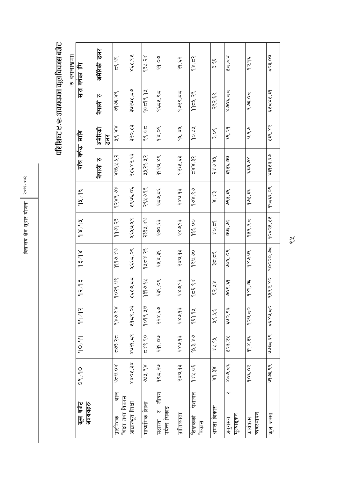परिशिष्ट ए. र: अवयवगत कूल विकास बजेट

| 7 दसलाखमा | सात वर्षका गि                 | डलर<br>अमेरिकी | <u>ब्दूर</u><br>ब                     | ४६५.९५         | 93x.28          | 29.09                                            | २१.६२         | $\frac{1}{2}$<br>$\approx 2$ | بمن<br>جم           | $x = 2x$                  | १२.१६                   | ८२३.०७        |
|-----------|-------------------------------|----------------|---------------------------------------|----------------|-----------------|--------------------------------------------------|---------------|------------------------------|---------------------|---------------------------|-------------------------|---------------|
|           |                               | Ю<br>नेपाली    | 98.89                                 | りい ごうしゅ        | १०८१९.१५        | $9\xi$ 52, $95$                                  | १७२९. ८८      | 9954.78                      | २९२.६९              | 25'206.8                  | ९७३.०८                  | $5x = 8x.39$  |
|           |                               | अमेरिकी<br>डलर | $x \times 6$                          | ३२०.५३         | 20.53           | 98.08                                            | $4x \times x$ | 60.88                        | $\frac{8}{3}$       | ३९.२१                     | りいう                     | ५३९.४२        |
|           | पाँच वर्षका लागि              | Ю<br>नेपाली    | 8942.12                               | २५६४२.२३       | ५५२६.५२         | ११२७.४९                                          | १२३५.६३       | 55.882                       | 58.685              | ३१३६.७७                   | १६.०६३                  | esitbex       |
|           | $\frac{1}{26}$ $\frac{1}{26}$ |                | 86.886                                | ५९७६.०६        | २९५७.१६         | خ≃چ خۈ                                           | २४७.१३        |                              | ex x                | ७९३.३९                    | 994.35                  | $\frac{1}{6}$ |
|           | $x_6 x_6$                     |                | 9999.23                               | ४६५७.४९        | २३३५.४७         | २७०.६३                                           | २४७.१३        | १६६.००                       | 60.56               | 5.9                       | १५९.९८                  | 90528.88      |
|           | 864                           |                | 88.9700                               | ४६६८.०९        | 35.858          | २५४.३९                                           | 56.685        | <u>୨୦୦</u><br>୧୯             | عُد َدِدُ           | १०.४४                     | so se d                 | 10000.95      |
|           | 1293                          |                | 90.80.99                              | $x \in X$      | $k_3$ in belo   | 298.08<br>$\mathbf{r}$                           | २४७.१३        | ∠ څ'خ<br>$\sigma$            | $\xi$ X $\xi$ $\xi$ | 99.59                     | 89.96<br>$\sigma$       | १५९२.४०       |
|           | 99/92                         |                | 8898                                  | ५१८९.०३        | 9098.29         | २२४.६७                                           | 56.685        | 999.92                       | 26.76               | ३४.००३                    | १२७.८०                  | 0258252       |
|           | 90.99                         |                | ದ್ರಕ್ಷ ≾ದ                             | 82.1688        | 66.882          | 299.09                                           | २४७.१३        | १५३.४७                       | $x_6$ is $x_8$      | ५२३.२५                    | 35.36                   | 83.586        |
|           | 08/90                         |                | $\frac{8}{9}$                         | 88.708.8       | ७५५.९४          | 985.29                                           | २४७.१३        | 984.05                       | $x\in \mathcal{S}$  | ∢≃ه:و'≥                   | 905,02                  | se sebbe      |
|           | कूल बजेट<br>अवयवहरू           |                | बाह<br>शिक्षा तथा विकास<br>प्रारम्भिक | आधारभूत शिक्षा | माध्यमिक शिक्षा | जीवन<br>$\mathbf{b}$<br>पर्यन्त सिकाइ<br>सक्षरता | प्राशिव्याता  | पेशागत<br>शिक्षकको<br>विकास  | क्षमता विकास        | ⋉<br>मूल्याङ्कन<br>अनुगमन | व्यवस्थापन<br>फार्यक्रम | कल जम्मा      |

 $\frac{1}{\alpha}$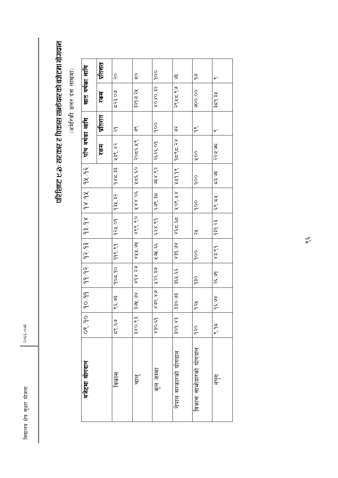२०६६-०७२

# परिशिष्ट ए.ळ : सरकार र विकास साभे बरच्या बजैटमा योगबान

(अमेरिकी डलर दस लाखमा)

| प्रतिशत                                                                                                                                                       | ο                                   | oo            | or<br>O                               | ୭<br>ଙ                   |
|---------------------------------------------------------------------------------------------------------------------------------------------------------------|-------------------------------------|---------------|---------------------------------------|--------------------------|
| सात वर्षका लागि<br>रकम                                                                                                                                        | ३२१७.२५                             | 8080.32       | २९५८.९७                               | oo ooo                   |
| प्रतिशत                                                                                                                                                       | or<br>O                             | $\frac{0}{0}$ | z                                     | $\frac{\infty}{\sigma}$  |
| पाँच वर्षका लागि<br>रकम                                                                                                                                       | २०८६.१९                             | २६२६.०१       | $\frac{1}{2}$ $\approx$ $\frac{1}{2}$ | $\frac{0}{x}$            |
| $36/\pi$                                                                                                                                                      | ۲۵ څ                                | ७३४.९२        | 249.98                                | $\frac{0}{0}$            |
| 18/97                                                                                                                                                         | 30.88                               | ६७९.३८        | 88.708                                | $\frac{0}{0}$            |
| 8948                                                                                                                                                          | 899.90                              | 68.85         | 85.538                                | z                        |
| 9293                                                                                                                                                          | 88.88                               | 23.761        | so bex                                | $\frac{0}{0}$            |
| 99/92                                                                                                                                                         | els: xbx                            | ५२२.३७        | ३६५.६६                                | ခုနှ                     |
| 90/99                                                                                                                                                         | sor rele                            | 88.508        | ३३०.७३                                | प्टले                    |
| $\frac{1}{\sqrt{2}}$                                                                                                                                          | 380.83                              | 63.058        | 309.83                                | oc<br>b                  |
| बजेटमा योगदान                                                                                                                                                 | $\frac{\overline{5}}{\overline{5}}$ | ममान जम्मा    | नेपाल सरकारको योगदान                  | विकास सार्भेदारको योगदान |
| $\frac{6}{2}$<br>द२३.०७<br>$\approx$<br>५३९.४२<br>$\frac{1}{2}$<br>$\approx 2.5$<br>१३५.३२<br>924.09<br>998.99<br>10226<br>99. بع<br>من<br>ده:<br>حن<br>विकास |                                     |               |                                       |                          |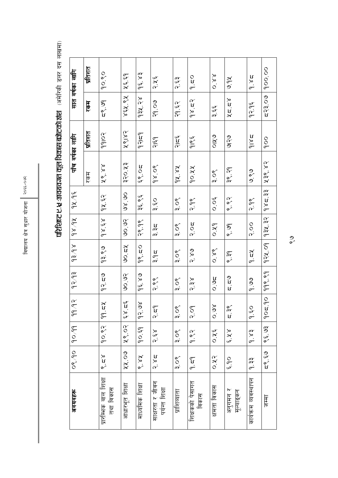परिशिष्ट ए. से. : अवयवगत कूल विकास बजेटको अंश*ा अमेरिकी इलर दस लाखमा*)

| अवयवहरू                          |                                | 08/90 90/99       | $\widetilde{\zeta}$<br>$\sigma$ | 9293                               | 866                 | 88.86                 | 94/95                                       | पाँच वर्षका लागि |                    |                        | सात वर्षका लागि                     |
|----------------------------------|--------------------------------|-------------------|---------------------------------|------------------------------------|---------------------|-----------------------|---------------------------------------------|------------------|--------------------|------------------------|-------------------------------------|
|                                  |                                |                   |                                 |                                    |                     |                       |                                             | रिके             | प्रतिशत            | रकम                    | प्रतिशत                             |
| प्रारमिक बाल शिक्षा<br>तथा विकास | o.<br>Vi                       | 90.82             | $\lambda$ z b                   | १२.८७                              | os es               | $x_3$ $x_6$           | 94.52                                       | 28.88            | <b>Polbb</b>       | न्थ. ७१                | oo eo                               |
| आधारभूत शिक्षा                   | ५५.०७                          | 28.02             | λ,<br>ix.                       | $\frac{2}{3}$                      | $\approx$ $\approx$ | $\frac{2}{3}$         | $\frac{5}{2}$                               | ३२०.५३           | ५९।४२              | ४६५.९५                 | $\frac{\sigma}{\sigma}$<br>نق<br>مح |
| माध्यमिक शिक्षा                  | $\frac{5}{2}$<br>$\frac{5}{2}$ | 90.59             | ولا<br>$\vec{r}$                | 96.89                              | 98.50               | api<br>Pri            | २६.९६                                       | 20.93            | $\frac{1}{2}$      | १३५.२४                 | $\frac{1}{2}$ $\frac{2}{3}$         |
| साक्षरता र जीवन<br>पयन्त शिक्षा  | خ و د                          | ४३८               | $\sigma$<br>بر<br>م             | $\frac{8}{3}$                      | $\frac{3}{2}$       | रे है                 | o<br>si                                     | 98.08            | $\frac{1}{2}$      | 20.90                  | २५६                                 |
| प्राशिव्याता                     | $\frac{8}{3}$                  | $\frac{8}{3}$     | $\frac{8}{3}$                   | or<br>mi                           | or<br>mi            | $\frac{8}{3}$         | or<br>mi                                    | 94.84            | $\frac{2}{2}$      | $53^{1.5}$             | o.es                                |
| शिक्षकको पेसागत<br><u>ploble</u> | $\frac{1}{6}$                  | $\frac{2}{9}$     | $\frac{8}{3}$                   | $_\infty^\infty$<br>$\tilde{\sim}$ | ox<br>V             | ρ<br>$\tilde{\alpha}$ | $\frac{8}{3}$                               | 10.44            | $\frac{v}{\sigma}$ | $\frac{1}{2} \times 2$ | 0.50                                |
| शमता विकास                       | 0.82                           | $\frac{6}{5}$ K O | $\succeq$<br>$\frac{5}{10}$     | <b>Di</b><br>O                     | $\frac{8}{10}$      | $\frac{9}{2}$         | $O. O \frac{C}{C}$                          | $\frac{8}{3}$    | $\frac{9}{0}$      | می<br>خو               | $\frac{8}{10}$                      |
| अनुगमन र<br>मूल्याङ्कन           | $\frac{0}{\sqrt{2}}$           | $x^2$             | $\mathbf{v}$<br>in<br>U         | e n<br>a                           | $\sum_{\alpha}$     | $\frac{5}{3}$         | $\begin{bmatrix} 2 \\ 3 \\ 2 \end{bmatrix}$ | ३९.२१            | のです                | $x = 2x$               | y<br>9.                             |
| कार्यक्रम व्यवस्थापन             | ते.<br>0. ह                    | v<br>P. X         | $Q, \xi Q$                      | စ္ဘ<br>၁<br>၁                      | $\star$             | $\frac{0}{2}$         | $\frac{8}{2}$                               | o<br>V<br>.<br>و | 2816               | १२.१६                  | $\frac{5}{6}$                       |
| 耳号                               | ट९ ५०                          | 99.99             | $105 - 10$                      | 998.99                             | 924.09              | 932.32                | 485.33                                      | ५३९.४२           | $\frac{0}{0}$      | द२३.०७                 | 00.00                               |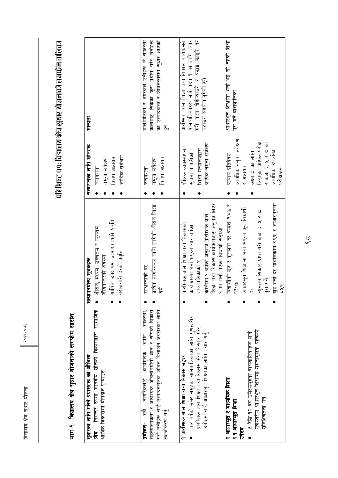२०६६-०७२

## परिशिष्ट १ १: विद्यालय क्षेत्र सुधार योजनाको लगफ्नेम तालिका

## भाग-१- विद्यालय क्षेत्र सुधार योजनाको लगफेम सारांश

| सुधारका लागि गरिने प्रयासहरू को औचित्य                                                                                                                                                              | सत्यापनयोग्य सूचकहरू                                                                                                                                                                                                                      | सत्यापनका लागि स्रोतहरू                                                                                                                                   | मान्यता                                                                                                                                                   |
|-----------------------------------------------------------------------------------------------------------------------------------------------------------------------------------------------------|-------------------------------------------------------------------------------------------------------------------------------------------------------------------------------------------------------------------------------------------|-----------------------------------------------------------------------------------------------------------------------------------------------------------|-----------------------------------------------------------------------------------------------------------------------------------------------------------|
| ध्येय - निरन्तर रुपमा मानवीय स्रोतको विकासद्वारा सामाजिक<br>आर्थिक विकासमा योगदान पुऱ्याउनु                                                                                                         | आर्थिक उपेक्षत्रमा उत्पादकत्वको प्रवृत्ति<br>औसत, मध्यम, उच्चतम र न्यूनतम<br>बेरोजगारी दरको प्रवृत्ति<br>जीवनस्तरको अवस्था                                                                                                                | आर्थिक सर्वेक्षण<br>विशेष अध्ययन<br>नमूना सर्वेक्षण<br>जनगणना                                                                                             |                                                                                                                                                           |
| साक्षरता,<br>गरी उनीहरू लाई उत्पादनमूलक जीवन बिताउने अवसरका लागि<br>सङ्ख्यात्मकता र आवश्यक जीवनोपयोगी ज्ञान र सीपको विकास<br>स्रम्<br>कार्यमलक<br>नागरिकलाई<br>सहजीकरण गन्<br>官<br>$\frac{1}{2}$    | प्रत्येक नागरिकका लागि लागेको औसत शिक्षा<br>वर्ष<br>खिरताको दर<br>k                                                                                                                                                                       | विशेष अध्ययन<br>नमूना सर्वेक्षण<br>जनगणना                                                                                                                 | कक्षाबाट सिकेका कुरा प्रयोग गरेर उनीहरू<br>को उत्पादकत्व र जीवनस्तरमा सुधार आएको<br>बालबालिका र वयस्कले उनीहरू ले साक्षरता<br>$\mathbb{E}$                |
| चार वर्षको उमेर समूहका बालबालिकाका लागि गुणस्तरीय<br>प्रारम्भिक वाल शिक्षा तथा विकास सेवा विस्तार गरेर<br>उनीहरू लाई आधारभूत शिक्षाका लागि तयार गर्नु<br>१ प्रारम्भिक बाल शिक्षा तथा विकास उद्देश्य | कम्तीमा १ वर्षको अनुभव प्रारम्भिक बाल<br>शिक्षा तथा विकास कार्यक्रमबाट अनुभव लिएर<br>प्रारम्भिक वाल शिक्षा तथा विकासको<br>कार्यक्रममा भनो भएका चार वर्षका<br>१ मा भर्ना भएका विद्यार्थी सङ्ख्या<br>बालबालिकाको %                          | वार्षिक नमूना सर्वेक्षण<br>शिक्षा मन्त्रालयद्वारा<br>शैक्षिक व्यवस्थापन<br>सूचना प्रणालीको                                                                | गरी कक्षा दोहोऱ्याउने र पढाइ छाड्ने दर<br>वालबालिकाहरू लाई कक्षा १ का लागि तयार<br>प्रारम्भिक वाल शिक्षा तथा विकास कार्यक्रमले<br>घटाउन सहयोग पुगेको हुने |
| गुणस्तरीय आधारभूत शिक्षामा समतामूलक पहुँचको<br>५ देखि १२ वर्ष उमेरसमूहका बालबालिकाहरू लाई<br>२ आधारभूत र माध्यमिक शिक्षा<br>सुनिश्चितता गर्न<br>२.१ आधारभूत शिक्षा<br>उद्देश्य                      | खुद भर्ना दर प्राथमिकमा ९९% र आधारभूतमा<br>विद्यार्थीको खुद र कूलभर्ना दर कमश ९४% र<br>आधारभूत शिक्षामा भर्ना भएका कूल विद्यार्थी<br>न्यूनतम् सिकाइ प्राप्त गरी कक्षा ३, ५ र ८<br>पूरा गर्ने<br>130%<br>582<br>$\stackrel{\sim}{\approx}$ | आवधिक नमूना सर्वेक्षण<br>लिइएको वार्षिक परीक्षा<br>र कक्षा ३, ५ र ८ का<br>आवधिक उपलब्धि<br>कक्षा = का लागि<br>फ्ल्यास प्रतिवेदन<br>र अध्ययन<br>परीक्षाहरू | आधारभूत शिक्षामा भनो भई सो तहको शिक्षा<br>पूरा गर्ने बालबालिका                                                                                            |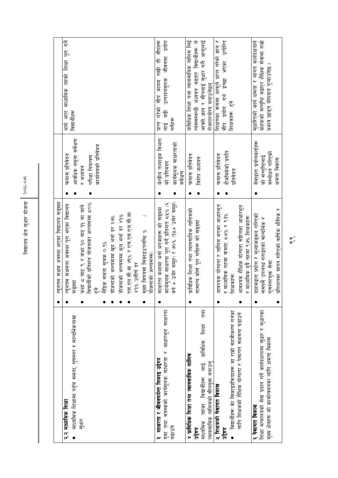|                                                                                                                                                                        | न्यूनतम सक्षम अवस्था भएका विद्यालय सङ्ख्या                                                                                                                                                                                                                                                                                                                                  |                                                                                                     |                                                                                                                                                           |
|------------------------------------------------------------------------------------------------------------------------------------------------------------------------|-----------------------------------------------------------------------------------------------------------------------------------------------------------------------------------------------------------------------------------------------------------------------------------------------------------------------------------------------------------------------------|-----------------------------------------------------------------------------------------------------|-----------------------------------------------------------------------------------------------------------------------------------------------------------|
| माध्यमिक शिक्षामा पहुँच समता, गुणस्तर र सान्दर्भिकतामा<br>२.२ माध्यमिक शिक्षा<br>सृधार<br>$\bullet$                                                                    | विद्यार्थीको प्रतिशत योजनाका अन्त्यसम्म ८०%<br>न्यूनतम सक्षमता अवस्था पूरा भएका विद्यालय<br>कक्षा ८ बाट ९ र कक्षा १० बाट ११ मा जाने<br>एस.एल.सी.मा ७१% र एच.एस.एल.सी.मा<br>योजनाको अन्त्यसम्म कुल भर्ना दर ४१%<br>योजनाको अन्त्यसम्म खुद भर्ना दर २७%<br>मुख्य विषयमा सिकाइउपलब्धि %<br>योजनाको अन्त्यसम्म)<br>हुने<br>लैड्विक समता सूचक ०.९६<br>४१% उत्तीर्ण दर<br>सङ्ख्या | आवधिक नमूना सर्वेक्षण<br>कार्यालयको प्रतिवेदन<br>फ्ल्यास प्रतिवेदन<br>परीक्षा नियन्त्रण<br>र अध्ययन | भनो भएर माध्यमिक तहको शिक्षा पूरा गर्ने<br>विद्यार्थीहरू                                                                                                  |
| वयस्कको कार्यमूलक साक्षरता र आधारभूत साक्षरता<br>३ साक्षरता र जीवनपर्यन्त सिकाइ उद्देश्य<br>पुवा तथा<br>बढाउने                                                         | वर्ष + उमेर समूह) र ७०% (१५+ उमेर समूह)<br>कार्यमूलक साक्षरता पूरा गर्ने प्रतिशत ८५% (६<br>साक्षरता कक्षामा भर्ना भएकाहरू को सङ्ख्या                                                                                                                                                                                                                                        | केन्द्रीय तथ्याइक विभाग<br>कार्यमूलक साक्षरताको<br>को प्रतिबदन<br>सर्वेक्षण                         | जीवनमा प्रयोग<br>गरेको सीप कायम राखी ती सीपहरू<br>उत्पादनमूलक<br>$\frac{1}{\sqrt{6}}$<br>गर्नेहरू<br>प्राप्<br>्<br>लो                                    |
| एथ<br>शिक्षा<br>प्राविधिक<br>४ प्राविधिक शिक्षा तथा व्यावसायिक तालिम<br>्<br>लाह<br>व्यावसायिक तालिमको सीपयुक्त बनाउन्<br>विद्यार्थीहरू<br>कथा<br>माध्यमिक<br>उद्देश्य | प्राविधिक शिक्षा तथा व्यावसायिक तालिमको<br>सामान्य कोसे पूरा गनेहरू को सङ्ख्या                                                                                                                                                                                                                                                                                              | फल्यास प्रतिवेदन<br>विशेष अध्ययन                                                                    | आफ्नो ज्ञान र सीपलाई सुधार गरी आफूलाई<br>त्यससम्बन्धी अध्ययन बढाएर विद्यार्थीहरू ले<br>प्राविधिक शिक्षा तथा व्यावसायिक तालिम लिई<br>रोजगारयोग्य बनाउनेछन् |
| विद्यार्थीहरू की सिकाइप्रक्रियाहरू मा राम्रो सहजीकरण गर्नका<br>लागि शिक्षकको शैक्षिक योग्यता र पेसागत सक्षमता बढाउने<br>५ शिक्षकको पेसागत विकास<br>उद्देश्य            | आवश्यक योग्यता र तालिम भएका आधारभूत<br>आवश्यक शैक्षिक योग्यता सहितका आधारभूत<br>माध्यमिक तहमा क्रमश: ८८% र ९३%<br>माध्यमिक दुवे तहमा ९७% शिक्षकहरू<br>शिक्षकहरू<br>$\overline{\mathbf{R}}$<br>$\ddot{\phantom{1}}$                                                                                                                                                          | शैजविकेको प्रगति<br>फल्यास प्रतिवेदन<br>प्रतिबेदन                                                   | शिक्षणका कममा आफले प्राप्त गरेको ज्ञान र<br>सीप प्रयोग गर्न इच्छा भएका उत्प्रेरित<br>शिक्षकहरू हुने                                                       |
| शिक्षा मन्त्रालयको सेवा प्रदान गर्ने कार्यदक्षतामा सुधार र सुधारका<br>मुख्य क्षेत्रहरू को कार्यान्वयनका लागि क्षमता विकास<br>६ पेसागत विकास                            | प्रतिशतमा मापन गरिएको वार्षिक भौतिक र<br>ग्राहकद्वारा प्रयोग र मूल्याकङ्कन गरिएको<br>समयमै उपलब्ध गराइएको सान्दभिक र<br>गुणस्तरयुक्त सेवा                                                                                                                                                                                                                                   | सेवाद्वारा प्रयोगकर्ताहरू<br>सम्बोधन गरिएको<br>को सन्तुष्टिलाइ<br>क्षमता विकास                      | ग्राहकको सन्तुष्टि बढाएर शैक्षिक सेवामा राम्रो<br>सुधारिएको कार्य क्षमता र लागत कार्यदक्षताले<br>प्रभाव छाड्न योगदान पुऱ्याउनेछ                           |

 $\frac{8}{3}$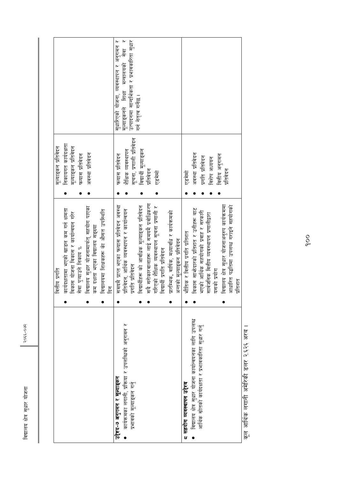विद्यालय क्षेत्र सुधार योजना $\parallel$  २०६-०७२ विद्यालय क्षेत्र सुधार योजना

२०६६-०७२

| निकायगत कार्यदक्षता<br>मूल्याङ्कन प्रतिवेदन<br>मुल्याङ्कन प्रतिवेदन<br>अवस्था प्रतिवेदन<br>फल्यास प्रतिवेदन                                                                                                                                                  | सुधारिएको योजना, व्यवस्थापन र अनुगमन र<br>मूल्याङ्कनले शिक्षा मन्त्रालयको सेवा र<br>उत्पादनमा सान्दर्भिकता र प्रभावकारिता सुधार<br>गर्न नेतृत्व गर्नेछ ।<br>सूचना, प्रणाली प्रतिवेदन<br>विद्यार्थी मूल्याङ्कन<br>शैक्षिक व्यवस्थापन<br>फल्यास प्रतिबेदन<br>प्रतिबेदन<br>एडमेमो                                                                              | अवस्था प्रतिवेदन<br>वित्तीय अनुगमन<br>प्रगति प्रतिवेदन<br>विशेष अध्ययन<br>प्रतिबेदन<br>एडमेमो                                                                                                                                                                                      |
|--------------------------------------------------------------------------------------------------------------------------------------------------------------------------------------------------------------------------------------------------------------|-------------------------------------------------------------------------------------------------------------------------------------------------------------------------------------------------------------------------------------------------------------------------------------------------------------------------------------------------------------|------------------------------------------------------------------------------------------------------------------------------------------------------------------------------------------------------------------------------------------------------------------------------------|
| वेद्यालय सुधार योजनामार्फत् सहयोग पाएका<br>कार्यदक्षतामा भएको खाडल कम गर्न क्षमता<br>वेद्यालयमा शिक्षकहरू की औसत उपस्थिति<br>वेकास योजना विकास र कार्यान्वयन गरेर<br>रुम दक्षता भएका विद्यालय सङ्ख्या<br>पेवा पुऱ्याउने निकाय %<br>वत्तीय प्रगति<br>ls<br>15 | प़बै सरोकारवालाहरू लाई समयमै प्रवोधिकरण<br>प्तमयमै प्राप्त भएका फल्यास प्रतिवेदन अवस्था<br>वेद्यार्थीहरू को आवधिक मूल्याङ्कन प्रतिवेदन<br>ारिएको शैक्षिक व्यवस्थापन सूचना प्रणाली र<br>ग्रतिवेदन, आर्थिक व्यवस्थापन र कार्यान्वयन<br>गरम्भिक, वार्षिक, मध्यावधि र कार्यक्रमको<br>भन्तको मूल्याङ्कन प्रतिवेदन<br>वदार्थी प्रगति प्रतिवेदन<br>ग्गति प्रतिवेदन | वेद्यालय क्षेत्र सुधार योजनाअनुरुप कार्यक्रममा<br>शाशारित पद्धतिमा उपलब्ध गराइने सहयोगको<br>वेकास सार्फदारको प्रतिशत र उनीहरू बाट<br>मएको आर्थिक सहयोगको प्रवाह र सरकारी<br>प्तार्वजनिक वित्तीय व्यवस्थापन प्रणालीद्वारा<br>मैतिक र वितीय प्रगति प्रतिशत<br>गसको प्रयोग<br>प्रतिशत |
|                                                                                                                                                                                                                                                              | कार्यक्रमका लगानी, प्रक्रिया र उपलब्धिको अनुगमन र<br>उद्देश्य-७ अनुगमन र मूल्याङ्कन<br>प्रभावको मूल्याङ्कन गर्नु                                                                                                                                                                                                                                            | विद्यालय क्षेत्र सुधार योजना कार्यान्वयनका लागि उपलब्ध<br>आर्थिक स्रोतको कार्यदक्षता र प्रभावकारिता सुधार गर्नु<br>८ सहयोग व्यवस्थापन उद्देश्य                                                                                                                                     |

<u>कूल आर्थिक लगानी अमेरिकी डलर २.६२६ अरब ।</u> कूल आर्थिक लगानी अमेरिकी डलर २.६२६ अरब ।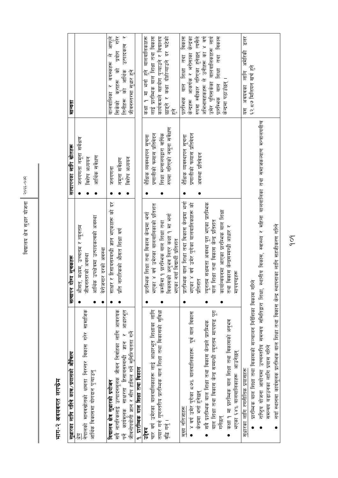### भाग-२ अवयवगत लगफेम

| सुधारका लागि गरिने काम /प्रयासको औचित्य                                                                                                                                                                                                                                                                                                                                         | योग्य सूचकहरू<br>सत्यापन                                                                                                                                                                                                                                                                   | सत्यापनका लागि स्रोतहरू                                                                                                  | गन्धम                                                                                                                                                                                                                                              |
|---------------------------------------------------------------------------------------------------------------------------------------------------------------------------------------------------------------------------------------------------------------------------------------------------------------------------------------------------------------------------------|--------------------------------------------------------------------------------------------------------------------------------------------------------------------------------------------------------------------------------------------------------------------------------------------|--------------------------------------------------------------------------------------------------------------------------|----------------------------------------------------------------------------------------------------------------------------------------------------------------------------------------------------------------------------------------------------|
| नेपालको मानवस्रोतको क्षमता निरन्तर विकास गरेर सामाजिक<br>आर्थिक विकासमा योगदान पुऱ्याउनु                                                                                                                                                                                                                                                                                        | आर्थिक उपक्षेत्रमा उत्पादकत्वको अवस्था<br>औसत, मध्यम, उच्चतम र न्यूनतम<br>बेरोजगार दरको अवस्था<br>जीवनस्तरको अवस्था                                                                                                                                                                        | <u>। अक्षेक्स मिर्मा एजिन्न स्</u><br>आर्थिक सर्वेक्षण<br>विशेष अध्ययन                                                   |                                                                                                                                                                                                                                                    |
| सबै नागरिकलाई उत्पादनमूलक जीवन निर्वाहका लागि आवश्यक<br>र आधारभूत<br>जीवनोपयोगी ज्ञान र सीप हासिल गर्ने सुनिश्चितता गर्ने<br>पर्ने कार्यमुलक साक्षरता हिसाबसम्बन्धी ज्ञान<br>१. प्रारमिक बाल शिक्षा तथा विकास<br>विद्यालय क्षेत्र सुधारको प्रयोजन                                                                                                                               | साक्षर र हिसाबसम्बन्धी ज्ञान भएकाहरू को दर<br>- नागरिकको औसत शिक्षा वर्ष<br>नूच                                                                                                                                                                                                            | विशेष अध्ययन<br>नमूना सर्वेक्षण<br>जनगणना                                                                                | तिनीहरू की आर्थिक उत्पादकत्व र<br>बालबालिका र वयस्कहरू ले आफूले<br>सिकेको कुराहरू को प्रयोग गरेर<br>जीवनस्तरमा सुधार हने                                                                                                                           |
| तयार गर्न गुणस्तरीय प्रारम्भिक बाल शिक्षा तथा विकासको सुविधा<br>चार वर्ष उमेरका बालबालिकाहरू लाई आधारभूत शिक्षाका लागि<br>वृद्धि गर्नु ।<br>उद्देश्य                                                                                                                                                                                                                            | भएका ४ वर्ष उमेरका बालबालिकाको प्रतिशत<br>प्रारम्भिक शिक्षा तथा विकास केन्द्रमा भर्ना<br>विकासको अनुभव लिएर कक्षा १ मा भर्ना<br>कम्तीमा १ प्रारमिक बाल शिक्षा तथा<br>भएका नयाँ विद्यार्थी प्रतिशत                                                                                          | रुपमा गरिएको नमूना सर्वेक्षण<br>प्रणालीको फल्यास प्रतिवेदन<br>शिक्षा मन्त्रालयद्वारा वार्षिक<br>शैक्षिक व्यवस्थापन सूचना | कक्षा १ मा भनो हुने बालबालिकाहरू<br>लाई प्रारम्भिक बाल शिक्षा तथा विकास<br>कार्यक्रमले सहयोग पुऱ्याउने र विद्यालय<br>छाड्ने र कक्षा दोहोऱ्याउने दर घटेको<br>$\overline{\text{ko}}$                                                                 |
| वाल शिक्षा तथा विकास केन्द्र सम्बन्धी न्यूनतम मापदण्ड पूरा<br>४ वर्ष उमेर पुगेका ८७% बालबालिकाहरू  पूर्व बाल विकास<br>कक्षा १ मा प्रारम्भिक बाल शिक्षा तथा विकासको अनुभव<br>सबै प्रारम्भिक बाल शिक्षा तथा विकास केन्द्रले प्रारम्भिक<br>भएका ६४% बालबालिकाहरू आउनेछन्<br>केन्द्रमा भनो हनेछन्<br>मुख्य नतिजाहरू<br>गनेछन्                                                       | प्रारम्भिक बाल शिक्षा तथा विकास केन्द्रमा भर्ना<br>न्यूनतम सक्षमता अवस्था पूरा भएका प्रारम्भिक<br>भएका ४ वर्ष उमेर पुगेका बालबालिकाहरू को<br>कार्यान्वयनमा आएका प्रारम्भिक बाल शिक्षा<br>वाल शिक्षा तथा विकास केन्द्र प्रतिशत<br>तथा विकास केन्द्रसम्बन्धी आधार र<br>मापदण्डहरू<br>प्रतिशत | प्रणालीको फल्यास प्रतिवेदन<br>शैंक्षिक व्यवस्थापन सूचना<br>अवस्था प्रतिबेदन                                              | रुपमा स्वीकार गरिएका हुनेछन् त्यसैले<br>अभिभावहकहरू ले उनीहरू का ४ वर्ष<br>उमेर पुगिसकेका बालबालिकाहरू लाय<br>विकास<br>केन्द्रहरू आकर्षक र भरोसाका केन्द्रका<br>प्रारमिक बाल शिक्षा तथा विकास<br>तथा<br>प्रार्शन काल बाह्य<br>केन्द्रमा पठाउँछन् । |
| राष्ट्रिय योजना आयोगमा उच्चस्तरीय समन्वय समितिद्वारा शिक्षा, स्थानीय विकास, स्वास्थ्य र महिला बालबालिका तथा समाजकल्याण मन्त्रालयबीच<br>नयाँ स्थानमा कार्यमूलक प्रारम्भिक बाल शिक्षा तथा विकास केन्द्र स्थापनाका लागि सहजीकरण गरिने<br>प्रारम्भिक बाल शिक्षा तथा विकासको सञ्चालन निर्देशिका विकास गरिने<br>समन्वय बढाउनका लागि प्रयास गरिने<br>लागि रणनीतिक प्रयासहरू<br>स्धारका |                                                                                                                                                                                                                                                                                            |                                                                                                                          | हेल्र<br>अवयवका लागि अमेरिकी<br>६२.८७ मिलियन खर्च हुने<br>म<br>प्र                                                                                                                                                                                 |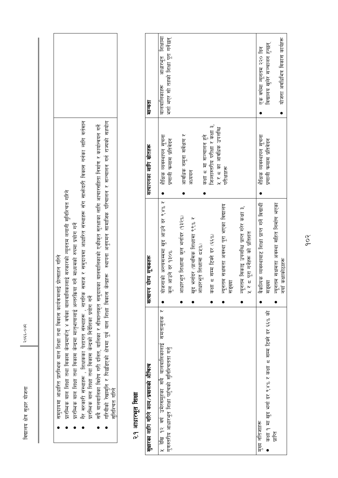$30666 - 9306$ 

| प्रारम्भिक बाल शिक्षा तथा विकास केन्द्रमा मातृभाषालाई अन्तरकिया गर्ने माध्यमको रुपमा प्रयोग गर्ने<br>प्रयोग गर्ने<br>गैर सरकारी संस्थाहरू , शिक्षकका पेशागत संस्थाहरू ,<br>गरमिक बाल शिक्षा तथा विकास केन्द्रको निर्देशिका |                                                                                                            | , नागरिक समाज र समुदायमा आधारित संस्थाहरू सँग सार्भदारी विकास गर्नका लागि वर्तमान | सबै बालबालिका विशेष गरी दलित, बालिका र सीमान्तकृत समुदायका बालबालिकाको एकीकृत सुरक्षाका लागि आचारसंहिता निर्माण र कार्यान्वयन गर्ने | गरिवीको रेखामुनि र पिछडिएको क्षेत्रमा पूर्व वाल शिक्षा विकास केन्द्रहरू  स्थापना अनुगमन सामाजिक परिचालन र सञ्चालन गर्न राज्यको सहयोग |                 |
|----------------------------------------------------------------------------------------------------------------------------------------------------------------------------------------------------------------------------|------------------------------------------------------------------------------------------------------------|-----------------------------------------------------------------------------------|-------------------------------------------------------------------------------------------------------------------------------------|--------------------------------------------------------------------------------------------------------------------------------------|-----------------|
| समुदायमा आधारित प्रारम्भिक बाल शिक्षा तथा विकास कार्यक्रमलाई प्रोत्साहन गरिने                                                                                                                                              | प्रारम्भिक वाल शिक्षा तथा विकास केन्द्रमार्फत् ४ वर्षका वालवालिकालाई सरकारको न्यूनतम लगानी सुनिश्चित गरिने |                                                                                   |                                                                                                                                     |                                                                                                                                      | सुनिश्चित गरिने |

### २.१ आधारभूत शिक्षा

| सुधारका लागि गरिने काम/प्रयासको औचित्य                                                                    | योग्य सूचकहरू<br>सत्यापन                                                    | सत्यापनका लागि स्रोतहरू                               | नान्यता                                                                  |
|-----------------------------------------------------------------------------------------------------------|-----------------------------------------------------------------------------|-------------------------------------------------------|--------------------------------------------------------------------------|
| ५ देखि १२ वर्ष उमेरसमूहका सबै बालबालिकालाई समतामूलक<br>गुणस्तरीय आधारभूत शिक्षा पहुँचको सुनिश्चितता गर्नु | योजनाको अन्त्यसम्मा खुद आउने दर ९४% र<br>कुल आउने दर १३०%                   | शैक्षिक व्यवस्थापन सूचना<br>प्रणाली पल्यास प्रतिवेदन  | आधारभूत शिक्षामा<br>भना भएर सो तहको शिक्षा पूरा गर्नेछन्<br>वालबालिकाहरू |
|                                                                                                           | आधारभूत शिक्षामा कुल भनांदर (१३२%)                                          | आवधिक नमूना सर्वेक्षण र                               |                                                                          |
|                                                                                                           | भर्नादर (प्राथमिक शिक्षामा ९९% र<br>आधारभूत शिक्षामा ८५%)<br>$\frac{16}{5}$ | कक्षा ८ मा सञ्चालन हुने<br>अध्ययन                     |                                                                          |
|                                                                                                           | कक्षा ८ सम्म टिक्ने दर (६६%)                                                | जिल्लास्तरीय परीक्षा र कक्षा ३,                       |                                                                          |
|                                                                                                           | न्यूनतम सक्षमता अवस्था पूरा भएका विद्यालय<br>सङ्ख्या                        | ५ र ८ का आवधिक उपलब्धि<br>परीक्षाहरू                  |                                                                          |
|                                                                                                           | न्यूनतम सिकाइ उपलब्धि प्राप्त गरेर कक्षा ३,<br>५ र ८ पूरा गनेहरू को प्रतिशत |                                                       |                                                                          |
| कक्षा १ मा खुद भनों दर ९४% र कक्षा ८ सम्म टिक्ने दर ६६% को<br>मुख्य नोतजाहरू                              | वैकल्पिक व्यवस्थाबाट शिक्षा प्राप्त गर्ने विद्यार्थी<br>सङ्ख्या             | शैंक्षिक व्यवस्थापन सूचना<br>प्रणाली पल्यास प्रतिवेदन | विद्यालय खुलेर सञ्चालन हुन्छन्<br>एक वर्षमा न्यूनतम २२० दिन              |
| पारि                                                                                                      | न्यूनतम सक्षमता अवस्था सहित निर्माण भएका<br>नयाँ कक्षाकोठाहरू               |                                                       | योजना अवधिभित्र विकास कार्यहरू                                           |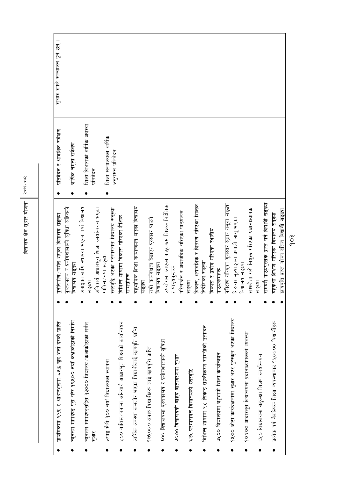| प्राथमिकमा ९९% र आधारभूतमा ८५% खुद भर्ना दरको प्राप्ति          | पुननिर्माण मर्मत भएका विद्यालय सङ्ख्या                     | प्रतिवेदन र आवधिक सर्वेक्षण   | सुचारु रुपले सञ्चालन हुने छन् । |
|-----------------------------------------------------------------|------------------------------------------------------------|-------------------------------|---------------------------------|
| न्यूनतम मापदण्ड पूरा गरेर १९५०० नयाँ कक्षाकोठाको निर्माण        | पुस्तकालय र प्रयोगशालाको सुविधा सहितको<br>विद्यालय सङ्ख्या | वार्षिक नमूना सर्वेक्षण       |                                 |
| न्यूनतम मापदण्डसहित १३००० विद्यालय ⁄ कक्षाकोठाको मर्मत          | अपाङ्गका लागि स्थापना भएका नयाँ विद्यालय<br>सङ्ख्या        | शिक्षा विभागको वार्षिक अवस्था |                                 |
| सुधार                                                           | अनिवार्य आधारभूत शिक्षा कार्यान्वयन भएका                   | प्रतिवेदन                     |                                 |
| अपाङ्ग मैत्री १०० नयाँ विद्यालयको स्थापना                       | विस / नपा सङ्ख्या<br>₣                                     | शिक्षा मन्त्रालयको वार्षिक    |                                 |
|                                                                 | स्तरवृद्धि भएका परम्परागत विद्यालय सङ्ख्या                 | अनुगमन प्रतिवेदन              |                                 |
| <u>५०० गाविस्/नपामा अनिवार्य आधारभूत शिक्षाको कार्यान्वयन</u>   | विभिन्न भाषामा विकास गरिएका शैक्षिक                        |                               |                                 |
|                                                                 | सामग्रीहरू                                                 |                               |                                 |
| आर्थिक अवस्था कमजोर भएका विद्यार्थीलाई छात्रवृत्ति प्राप्ति     | बहुभाषिक शिक्षा कार्यान्वयन भएका विद्यालय                  |                               |                                 |
| १७५,००० अपाङ्ग विद्यार्थीहरू लाई छात्रवृत्ति प्राप्ति           | राम्री कार्यदक्षता देखाएर पुरस्कार पाउने<br>सङ्ख्या        |                               |                                 |
|                                                                 | विद्यालय सङ्ख्या                                           |                               |                                 |
| ३०० विद्यालयमा पुस्तकालय र प्रयोगशालाको सुविधा                  | पर्यागमा आएका पाठ्यक्रम शिक्षक निर्देशिका<br>ত্রি          |                               |                                 |
| ७००० विद्यालयको बाह्य वातावरणमा सुधार                           | पाठ्यपुस्तक                                                |                               |                                 |
|                                                                 | परिमार्जन र अद्यावधिक गरिएका पाठ्यक्रम                     |                               |                                 |
| ६२५ परम्परागत विद्यालयको स्तरवृद्धि                             | सङ्ख्या                                                    |                               |                                 |
|                                                                 | विकास, अद्यावधिक र वितरण गरिएका शिक्षक                     |                               |                                 |
| विभिन्न भाषामा ९५ सिकाइ सहजीकरण सामग्रीको उत्पादन               | निर्देशिका सङ्ख्या                                         |                               |                                 |
|                                                                 | विकास र प्रयोग गरिएका स्थानीय                              |                               |                                 |
| ७५०० विद्यालयमा बहुभाषी शिक्षा कार्यान्वयन                      | पाठ्यक्रमहरू                                               |                               |                                 |
|                                                                 | परीक्षण गरिएका गुणस्तर सुधार नमूना सङ्ख्या                 |                               |                                 |
| ११०० ओटा कार्यदक्षतामा सुधार भएर पुरस्कृत भएका विद्यालय         | निरन्तर मूल्याइकन प्रणाली लागू भएका                        |                               |                                 |
|                                                                 | विद्यालय सङ्ख्या                                           |                               |                                 |
| १०४०० आधारभूत विद्यालयमा प्रधानाध्यापकको व्यवस्था               | सम्भतेता गरी नियुक्त गरिएका प्रधानाध्यापक                  |                               |                                 |
| ७५० विद्यालयमा बहुकक्षा शिक्षण कार्यान्वयन                      | सङ्ख्या                                                    |                               |                                 |
|                                                                 | समयमै पाठ्यपुस्तक प्राप्त गर्ने विद्यार्थी सङ्ख्या         |                               |                                 |
| प्रत्येक वर्ष वैकल्पिक शिक्षा व्यवस्थाबाट ११,०००० विद्यार्थीहरू | बहुकक्षा शिक्षण गरिएका विद्यालय सङ्ख्या                    |                               |                                 |
|                                                                 | छात्रवृत्ति प्राप्त गरेका दलित विद्यार्थी सङ्ख्या          |                               |                                 |

 $\frac{1}{2}$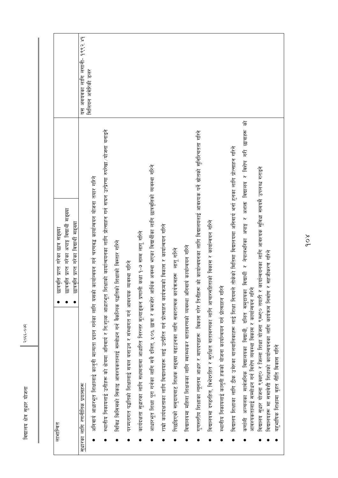| छात्र सङ्ख्या<br>छात्रवृति प्राप्त गरेका<br>लाभान्वत                                                                                                                                                                 |                               |
|----------------------------------------------------------------------------------------------------------------------------------------------------------------------------------------------------------------------|-------------------------------|
| छात्रवृत्ति प्राप्त गरेका अपाङ्ग विद्यार्थी सङ्ख्या                                                                                                                                                                  |                               |
| छात्रवृत्ति प्राप्त गरेका विद्यार्थी सङ्ख्या                                                                                                                                                                         |                               |
| सुधारका लागि रणनीतिक प्रयासहरू                                                                                                                                                                                       | यस अवयवका लागि लगानी- १९९२ ४१ |
| अनिवार्य आधारभूत शिक्षालाई कानुनी मान्यता प्रदान गर्नका लागि यसको कार्यान्वयन गर्न चरणवद्ध कार्यान्वयन योजना तयार गरिने                                                                                              | मिलियन अमेरिकी डलर            |
| शिक्षाको कार्यान्वयनका लागि प्रोत्साहन गर्न सघन उत्प्रेरणा रुपरेखा ⁄ योजना बनाइने<br>स्थानीय निकायलाई उनीहरू को क्षेत्रमा अनिवार्य र नि:शुल्क आधारभूत                                                                |                               |
| विविध किसिमको सिकाइ आवश्यकतालाई सम्बोधन गर्न वैकल्पिक पद्धतिको शिक्षाको विस्तार गरिने                                                                                                                                |                               |
| परम्परागत पद्धतिको शिक्षालाई सबल बनाउन र संस्थागत गर्न आवश्यक व्यवस्था गरिने                                                                                                                                         |                               |
| कार्यदक्षता सुधारका लागि सक्षमतामा आधारित निरन्तर मूल्याङ्कन प्रणाली कक्षा १-७ सम्म लागू गरिने                                                                                                                       |                               |
| आधारभूत शिक्षा पूरा गर्नका लागि सबै दलित, १०% छात्रा र कमजोर आर्थिक अवस्था भएका विद्यार्थीका लागि छात्रवृत्तिको व्यवस्था गरिने                                                                                       |                               |
| राम्रो कार्यदक्षताका लागि विद्यालयहरू लाई उत्प्रेरित गर्न प्रोत्साहन कार्यक्रमको विकास र कार्यान्वयन गरिने                                                                                                           |                               |
| पिछडिएको समुदायबाट शिक्षक सङ्ख्या बढाउनका लागि सकारात्मक कार्यक्रमहरू  लागू गरिने                                                                                                                                    |                               |
| विद्यालयमा महिला शिक्षकका लागि स्वास्थ्यकर वातावरणको व्यवस्था अनिवार्य कार्यान्वयन गरिने                                                                                                                             |                               |
| गुणस्तरीय शिक्षाका न्यूनतम आधार र मापदण्डहरू  विकास गरेर तिनीहरू को कार्यान्वयनका लागि विद्यालयलाई आवश्यक पर्ने स्रोतको सुनिश्चितता गरिने                                                                            |                               |
| विद्यालयमा दण्डरहित, विभेदरहित र सुरक्षित वातावरणका लागि आचारसंहिताको विकास र कार्यान्वयन गरिने                                                                                                                      |                               |
| स्थानीय निकायलाई कानुनी हकको योजना कार्यान्वयन गर्न प्रोत्साहन गरिने                                                                                                                                                 |                               |
| विद्यालय शिक्षाका लागि ठीक उमेरका बालबालिकाहरू लाई शिक्षा नियमले तोकेको मितिमा विद्यालयमा अनिवार्य भर्ना हुनका लागि प्रोत्साहन गरिने                                                                                 |                               |
| 乍<br>र विशेष गरी छात्राहरू<br>र अशक्त विद्यालय<br>कर्णाली अञ्चलका सार्वजनिक विद्यालयका विद्यार्थी, दलित समुदायका विद्यार्थी र नेपालभरिका अपाङ्ग<br>आवश्यकतालाई सम्बोधन गर्न विशेष व्यवस्था विकास र कार्यान्वयन गरिने |                               |
| र कार्यान्वयनका लागि आवश्यक सुविधा समयमै उपलब्ध गराइने<br>विद्यालय सुधार योजना ९क्क्ष्ए० र जिल्ला शिक्षा योजना ९म्भ्ए० तयारी                                                                                         |                               |
| विद्यालयहरू मा समावेशी शिक्षाको कार्यान्वयनका लागि कार्यऋम निर्माण र सहजीकरण गरिने                                                                                                                                   |                               |
| वहुभाषिक शिक्षामा वृहत नीति विकास गरिने                                                                                                                                                                              |                               |

 $\overline{1}$ 

 $3066 + 5306$ 

विद्यालय क्षेत्र सुधार योजना

 $\sum_{i=1}^{\infty}$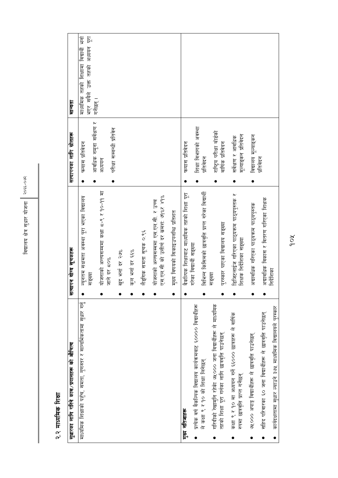| सुधारका लागि गरिने काम /प्रयासहरू को औचित्य                                                                      | सत्यापन योग्य सूचकहरू                                                         | सत्यापनका लागि स्रोतहरू                                        | मान्यता                                                                    |
|------------------------------------------------------------------------------------------------------------------|-------------------------------------------------------------------------------|----------------------------------------------------------------|----------------------------------------------------------------------------|
|                                                                                                                  |                                                                               |                                                                |                                                                            |
| माध्यमिक शिक्षाको पहुँच, समता, गुणस्तर र सान्दर्भिकतामा सुधार गर्नु                                              | न्यूनतम सक्षमता अवस्था पूरा भएका विद्यालय<br>सङ्ख्या                          | फ्ल्यास प्रतिवेदन                                              | भएर सबैले उक्त तहको अध्ययन पूरा<br>माध्यमिक तहको शिक्षामा विद्यार्थी भर्ना |
|                                                                                                                  | योजनाको अन्त्यसममा कक्षा ८-९ र १०-११ मा<br>जाने दर ८०%                        | आवधिक नमूना सर्वेक्षण र<br>परीक्षा सम्बन्धी प्रतिबेन<br>अध्ययन | गर्नेछन् ।                                                                 |
|                                                                                                                  | खुद भर्ना दर २७%                                                              |                                                                |                                                                            |
|                                                                                                                  | कुल भर्ना दर ६६%                                                              |                                                                |                                                                            |
|                                                                                                                  | लैङ्गिक समता सूचक ०.९६                                                        |                                                                |                                                                            |
|                                                                                                                  | एस.एल.सी को उत्तीर्ण दर कमश: अ%र ४१%<br>योजनाको अन्त्यसम्ममा एस.एल.सी. र उच्च |                                                                |                                                                            |
|                                                                                                                  | मुख्य विषयको सिकाइउपलब्धि प्रतिशत                                             |                                                                |                                                                            |
| मुख्य नतिजाहरू                                                                                                   | वैकलियक शिक्षाबाट माध्यमिक तहको शिक्षा पूरा                                   | फल्यास प्रतिवेदन                                               |                                                                            |
| प्रत्येक वर्ष वैकलियक विद्यालय कार्यक्रमबाट ६०००० विद्यार्थीहरू                                                  | गरेका विद्यार्थी सङ्ख्या                                                      | शिक्षा विभागको अवस्था                                          |                                                                            |
| ले कक्षा ९ र १० को शिक्षा लिनेछन्                                                                                | विभिन्न किसिमको छात्रवृत्ति प्राप्त गरेका विद्यार्थी                          | प्रतिवेदन                                                      |                                                                            |
| गरिवीको रेखामूनि रहेकी ७५,००० जना विद्यार्थीहरू ले माध्यमिक<br>तहको शिक्षा पूरा गर्नका लागि छात्रवृत्ति पाउनेछन् | पुरस्कार पाएका विद्यालय सङ्ख्या<br>सङ्ख्या                                    | राष्ट्रिय परीक्षा बोर्डको<br>वार्षिक प्रतिवेदन                 |                                                                            |
| कक्षा ९ र १० मा अध्ययन गर्ने ६६००० छात्राहरू ले वार्षिक<br>रुपमा छात्रवृत्ति प्राप्त गर्नेछन्                    | डिजिटलाईज गरिएका पाठ्यक्रम पाठ्यपुस्तक र<br>शिक्षक निर्देशिका सङ्ख्या         | मूल्याङ्कन प्रतिवेदन<br>सर्वेक्षण र आवधिक                      |                                                                            |
| ७५००० अपाङ्ग विद्यार्थीहरू ले छात्रवृत्ति पाउनेछन्                                                               | अद्यावधिक गरिएका पाठ्यक्रम पाठ्यपुस्तक                                        | विद्यालय मूल्याङ्कन                                            |                                                                            |
| सहिद परिवारका ६० जना विद्यार्थीहरू ले छात्रवृत्ति पाउनेछन्                                                       | अद्यावधिक विकास र वितरण गरिएका शिक्षक                                         | प्रतिवेदन                                                      |                                                                            |
| कार्यदक्षतामा सुधार ल्याउने ३७५ माध्यमिक विद्यालयले पुरस्कार                                                     | निर्देशिका                                                                    |                                                                |                                                                            |

### २.२ माध्यमिक शिक्षा

Xob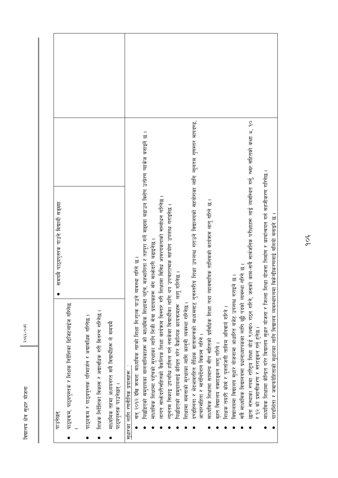| दण्डहिनता र भेदभावरहित शैक्षिक वातावरणको माध्यमबाट गुणस्तरीय शिक्षा उपलब्ध गराउने विद्यालयको सहयोगका लागि न्यूनतम गुणस्तर मापदण्ड,<br>पिछडिएको समुदायका बालवालिकाहरू को माध्यमिक शिक्षामा पहुँच, सहभागिता र तहपूरा गर्ने सङ्ख्या बढाउन विशेष उत्प्रेरण प्याकेज बनाइने छ ।<br>लागत साभेन्दारीसहितको वैकल्पिक शिक्षा कार्यक्रम विस्तार गरी शिक्षामा विविध आवश्यकताको सम्बोधन गरिनेछ ।<br>माध्यमिक शिक्षामा सामान्य सीप सहितको प्राविधिक शिक्षा तथा व्यावसायिक तालिमको कार्यक्रम लागू गरिने छ ।<br>न्यूनतम सिकाइ उपलब्धि हासिल गर्न नसकेका विद्यार्थीका लागि थप उपचारात्मक सहयोग उपलब्ध गराइनेछ ।<br>माध्यमिक शिक्षामा पहुँचको सुरक्षाका लागि निजी सेवा प्रदायकहरू सँग साभ्रेदारी बढाइनेछ ।<br>सन् २०१२ देखि क्रमश: माध्यमिक तहको शिक्षा नि:शुल्क पाउने व्यवस्था गरिने छ।<br>पिछडिएको समुदायलाई केन्द्रित गरेर वैकल्पिक कायऋमहरू  लागू गरिनेछ ।<br>शिक्षामा समताको सुरक्षाका लागि कानुनी व्यवस्था गरिनेछ ।<br>पाठ्यक्रम, पाठ्यपुस्तक र शिक्षक निर्देशिका डिजिटलाईज गरिनेछ<br>शिक्षक निर्देशिका विकास र अद्यावधिक गरी वितरण गरिनेछ<br>पाठ्यक्रम र पाठ्यपुस्तक परिमार्जन र अद्यावधिक गरिनेछ ।<br>माध्यमिक तहमा अध्ययनरत सबै विद्यार्थीहरू ले समयमै<br>आचारसंहिता र मार्गानंदेशन विकास गरिने ।<br>वृहत विद्यालय नक्शाङ्कन लागू गरिने ।<br>सुधारका लागि रणनीतिक प्रयासहरू<br>पाठ्यपुस्तक पाउनेछन्<br>पाउनछन |
|------------------------------------------------------------------------------------------------------------------------------------------------------------------------------------------------------------------------------------------------------------------------------------------------------------------------------------------------------------------------------------------------------------------------------------------------------------------------------------------------------------------------------------------------------------------------------------------------------------------------------------------------------------------------------------------------------------------------------------------------------------------------------------------------------------------------------------------------------------------------------------------------------------------------------------------------------------------------------------------------------------------------------------------------------------------------------------------------------------------------------------------------------------------------------------------------------------------------------------------------------------------------------------------------------|
|------------------------------------------------------------------------------------------------------------------------------------------------------------------------------------------------------------------------------------------------------------------------------------------------------------------------------------------------------------------------------------------------------------------------------------------------------------------------------------------------------------------------------------------------------------------------------------------------------------------------------------------------------------------------------------------------------------------------------------------------------------------------------------------------------------------------------------------------------------------------------------------------------------------------------------------------------------------------------------------------------------------------------------------------------------------------------------------------------------------------------------------------------------------------------------------------------------------------------------------------------------------------------------------------------|

२०६६-०७२

विद्यालय क्षेत्र सुधार योजना

- शिक्षक तयारी कोस र पुनर्ताजगी तालिम अनिवाय गरिने ।
- विद्यालयमा विद्यालय सुधार योजनामा आधारित बजेट उपलब्ध गराइने छ ।
- सबै माध्यमिक विद्यालयमा प्रधानाध्यापकका लागि छुट्टै पदको व्यवस्था गरिने छ ।
- छाता संस्थाका रुपमा राष्ट्रिय शिक्षा बोर्ड ९ल्भ्व० गठन गरिने, जसको काम-सबै सार्वजनिक परीक्षाहरू लाई व्यवस्थित गर्नु, त्म्ख सहितको कक्षा ८, १० र १२ को प्रमाणीकरण र स्तराइकन गर्नु हुनेछ ।
	- माध्यमिक शिक्षामा केन्द्रित गरेर विद्यालय सुधार योजना र जिल्ला शिक्षा योजना निर्माण र कार्यान्वयन गर्न सहजीकरण गरिनेछ ।
- पारदर्शिता र जवार्फदेहिताको सुधारका लागि विद्यालय व्यवस्थापनमा विकेन्द्रीकरणलाई बलियो बनाइने छ ।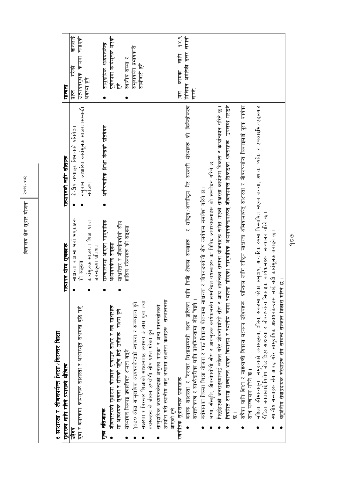| یخ<br>ح<br>$9 - 330$ |
|----------------------|
| मण<br>ज              |
| सधार                 |
| <u>हि</u>            |
| वद्यालय              |

| <u>क्र</u> |   |
|------------|---|
| ŗ          |   |
| ाक्षा / सि |   |
| È          |   |
| 乍          |   |
| ŗ.<br>けんあん |   |
|            | Í |

| सुधारका लागि गरिने प्रयासको औचित्य                                                                                                                                                                                                   | सत्यापन योग्य सूचकहरू                       | सत्यापनको लागि स्रोतहरू                                                                  | मान्यता                                  |
|--------------------------------------------------------------------------------------------------------------------------------------------------------------------------------------------------------------------------------------|---------------------------------------------|------------------------------------------------------------------------------------------|------------------------------------------|
| उद्देश्य                                                                                                                                                                                                                             | साक्षरता कक्षामा भनो भएकाहरू<br>$\bullet$   | केन्द्रीय तथ्याङ्क विभागको प्रतिवेदन                                                     | ज्ञानलाई<br>गरेको<br>प्राप्त             |
| युवा र वयस्कमा कार्यमूलक साक्षरता र आधारभूत सक्षमता वृद्धि गर्नु                                                                                                                                                                     | को सङ्ख्या                                  | नमूनामा आधारित कार्यमूलक साक्षरतासम्बन्धी                                                | उत्पादनमूलक कार्यमा लगाएको               |
|                                                                                                                                                                                                                                      | कार्यमूलक साक्षरता शिक्षा प्राप्त           | सर्वेक्षण                                                                                | अवस्था हुन                               |
|                                                                                                                                                                                                                                      | जनसङ्ख्या प्रतिशत                           |                                                                                          |                                          |
| मुख्य नोतजाहरू                                                                                                                                                                                                                       | सञ्चालनमा आएका सामुदायिक<br>0               | अनौपचारिक शिक्षा केन्द्रको प्रतिवेदन                                                     | सामुदायिक अध्ययनकेन्द्र                  |
| जीवनस्तरको सुधारमा योगदान पुऱ्याउन साक्षर र नव साक्षरहरू                                                                                                                                                                             | अध्ययनकेन्द्र सङ्ख्या                       |                                                                                          | पूर्णरुपमा कार्यमूलक भएको<br>हुने        |
| मा आवश्यक सूचना र सीपको पहुँच दिई उनीहरू  सक्षम हुने                                                                                                                                                                                 | साक्षरोत्तर र जीवनोपयोगी सीप                |                                                                                          |                                          |
| संस्थागत सिकाइ प्रणालीगत क्षमता बढ्ने                                                                                                                                                                                                | हासिल गरेकाहरू को सङ्ख्या                   |                                                                                          | स्थानीय संस्था र                         |
| १०१० ओटा सामुदायिक अध्ययनकेन्द्रको स्थापना र सञ्चालन हुने                                                                                                                                                                            |                                             |                                                                                          | समुदायसँग प्रभावकारी                     |
| सक्षरता र निरन्तर शिक्षाको माध्यमबाट लगभग ७ लाख युवा तथा                                                                                                                                                                             |                                             |                                                                                          | सार्फदारी हुने                           |
| वयस्कहरू ले जीवन उपयोगी सीप प्राप्त गरेको हने                                                                                                                                                                                        |                                             |                                                                                          |                                          |
| सामुदायिक अध्ययनकेन्द्रको अनुभव पाएका र अन्य मानवस्रोतको                                                                                                                                                                             |                                             |                                                                                          |                                          |
| उपयोग गरी स्थानीय मातृ भाषामा सक्षरता कक्षाहरू  सञ्चालनमा                                                                                                                                                                            |                                             |                                                                                          |                                          |
| आएको हुने                                                                                                                                                                                                                            |                                             |                                                                                          |                                          |
| रणनीतिक सुधारात्मक प्रयासहरू                                                                                                                                                                                                         |                                             |                                                                                          | $\frac{8}{9}$<br>लागि<br>कामका<br>स<br>ज |
| वयस्क साक्षरता र निरन्तर शिक्षासम्बन्धी लक्ष्य प्राप्तिका लागि                                                                                                                                                                       |                                             | निजी क्षेत्रका संस्थाहरू  र राष्ट्रिय⁄अन्सीष्ट्रिय गैर सरकारी संस्थाहरू को विकेन्द्रीकरण | मिलियन अमेरिकी डलर लगानी                 |
| सशक्तीकरण र सार्फदारीका लागि प्राथमिकतामा जोड दिइने ।                                                                                                                                                                                |                                             |                                                                                          | लाग्ने                                   |
| वर्तमानका जिल्ला शिक्षा योजना र गाउँ विकास योजनामा साक्षरता                                                                                                                                                                          | र जीवनउपयोगी सीप कार्यक्रम समावेश गरिने छ । |                                                                                          |                                          |
| भाषा, सँस्कृति, जीवनोपयोगी सीप र आयमूलक कार्यक्रमसँग सम्बन्धित वयस्कहरू का विविध आवश्यकताहरू को सम्बोधन गरिने छ।                                                                                                                     |                                             |                                                                                          |                                          |
| पिछडिएको जनसङ्ख्यालाई लक्षित गरेर जीवनोपयोगी सीप र आय आर्जनका ससाना योजनाहरू समेत भएको साक्षरता कार्यकम विकास र कार्यान्वयन गरिने छ ।                                                                                                |                                             |                                                                                          |                                          |
| निर्यामत रुपमा सञ्चालन भएका विद्यालय र स्थानीय रुपमा स्थापना गरिएका सामुदायिक अध्ययनकेन्द्रमार्फत् जीवनपर्यन्त सिकाइका अवसरहरू उपलब्ध गराइने                                                                                         |                                             |                                                                                          |                                          |
|                                                                                                                                                                                                                                      |                                             |                                                                                          |                                          |
| सबैका लागि शिक्षा र साहश्राब्दी विकास लक्ष्यका उद्देश्यहरू  प्राप्तिका लागि राष्ट्रिय साक्षरता श्राभ्रयामार्फत् र जीवनपर्यान्त सिकाइलाई पूरक कार्यका                                                                                 |                                             |                                                                                          |                                          |
| साथ सञ्चालन गरिने छ ।                                                                                                                                                                                                                |                                             |                                                                                          |                                          |
| महिला, सीमान्तकृत   समुदायको जनसङ्ख्या, दलित, संकटमा परेका समुदाय, आन्तरिक रुपमा विस्थापित भएका जनता, अशक्त व्यक्ति र एचआइभि /एड्सबाट<br>पीडित जनतालाई विशेष जोड दिएर साक्षरता र जीवनपर्यन्त सिकाइका कार्यक्रमहरू  सञ्चालन गरिने छ । |                                             |                                                                                          |                                          |
| स्थानीय संस्थाहरू सँग आवद्ध गरेर सामुदायिक अध्ययनकेन्द्रहरू लाई बढी कार्यमूलक बनाइने छ                                                                                                                                               |                                             |                                                                                          |                                          |
| वहुक्षेत्रीय सेवाप्रदायक संस्थाहरू सँग सम्बन्ध सञ्जाल विकास गरिने                                                                                                                                                                    | $\overline{5}$                              |                                                                                          |                                          |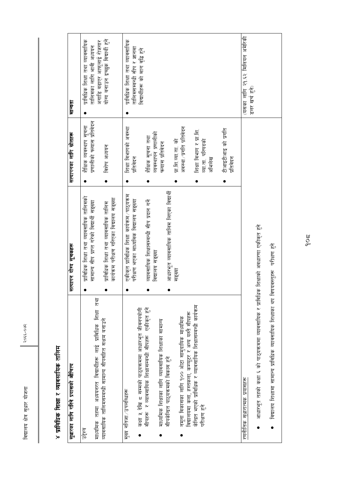२०६६-०७२

### ४ प्राविधिक शिक्षा र व्यावसायिक तालिम

| सुधारका लागि गरिने प्रयासको औचित्य                                                                                                      | सत्यापन योग्य सूचकहरू                                                                   | सत्यापनका लागि स्रोतहरू                                | मान्यता                                                           |
|-----------------------------------------------------------------------------------------------------------------------------------------|-----------------------------------------------------------------------------------------|--------------------------------------------------------|-------------------------------------------------------------------|
| माध्यमिक तहमा अध्ययनरत विद्यार्थीहरू लाई प्राविधिक शिक्षा तथा<br>उद्देश्य                                                               | प्राविधिक शिक्षा तथा व्यावसायिक तालिमको<br>सामान्य सीप प्राप्त गरेको विद्यार्थी सङ्ख्या | प्रणालीको फल्यास प्रतिवेदन<br>शैंक्षिक व्यवस्थाप सूचना | प्राविधिक शिक्षा तथा व्यावसायिक<br>तालिमका लागि भावी अध्ययन       |
| व्यावसायिक तालिमसम्बन्धी सामान्य सीपसहित सक्षम बनाउने                                                                                   | कार्यक्रम परीक्षण गरिएका विद्यालय सङ्ख्या<br>प्राविधिक शिक्षा तथा व्यावसायिक तालिम      | विशेष अध्ययन<br>$\bullet$                              | योग्य बनाउन इच्छुक विद्यार्थी हुने<br>अगाडि बढाएर आफ्लाई रोजगार   |
| कक्षा १ देखि ८ सम्मको पाठ्यक्रममा आधारभूत जीवनपर्यागी<br>मुख्य नोतजा / उपलब्धिहरू                                                       | एकीकृत प्राविधिक शिक्षा कार्यक्रम ⁄ पाठ्यक्रम<br>परीक्षण भएका माध्यमिक विद्यालय सङ्ख्या | शिक्षा विभागको अवस्था<br>प्रतिवेदन                     | तथा व्यावसायिक<br>तालिमसम्बन्धी सीप र ज्ञानमा<br>प्राविधिक शिक्षा |
| सीपहरू र व्यावसायिक शिक्षासम्बन्धी सीपहरू एकीकृत हुने                                                                                   | व्यावसायिक शिक्षासम्बन्धी सीप प्रदान गर्ने                                              | शैक्षिक सूचना तथा                                      | विद्यार्थीहरू को माग वृद्धि हुने                                  |
| माध्यमिक शिक्षाका लागि व्यावसायिक शिक्षाका सामान्य<br>सीपकेन्द्रित पाठ्यक्रमको विकास हुने                                               | आधारभूत व्यावसायिक तालिम लिएका विद्यार्थी<br>विद्यालय सङ्ख्या                           | व्यवस्थापन प्रणालीको<br>फल्यास प्रतिवेदन               |                                                                   |
| नमूना विकासका लागि १०० ओटा सामुदायिक माध्यमिक                                                                                           | सङ्ख्या                                                                                 | अवस्था/प्रगति प्रतिवेदन<br>प्रा.शि.व्या.ता. को         |                                                                   |
| केन्द्रित भएको प्राविधिक र व्यावसायिक शिक्षासम्बन्धी कार्यक्रम<br>विद्यालयमा कला, हस्तकला, कम्प्यूटर र अन्य यस्तै सीपहरू<br>परीक्षण हुन |                                                                                         | शिक्षा विभाग र प्रा.शि.<br>व्या ता परिषदकी<br>अभिलेख   |                                                                   |
|                                                                                                                                         |                                                                                         | टीआइटीआइ को प्रगति<br>प्रतिबेदन                        |                                                                   |
| रणनीतिक सुधारात्मक प्रयासहरू                                                                                                            |                                                                                         |                                                        | (यसका लागि २१.६२ मिलियन अमेरिकी<br>डलर खर्च हुने                  |
| आधारभूत तहको कक्षा ६ को पाठ्यक्रममा व्यावसायिक र प्राविधिक                                                                              | शिक्षाको अवधारणा एकीकृत हुने                                                            |                                                        |                                                                   |
| विद्यालय शिक्षामा सामान्य प्राविधिक व्यावसायिक शिक्षाका थप विषयवस्तुहरू                                                                 | परीक्षण हुने                                                                            |                                                        |                                                                   |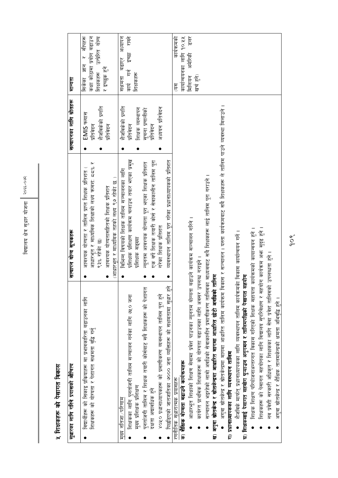### ५ शिक्षकहरू को पेसागत विकास

| सुधारका लागि गरिने प्रयासको औचित्य                                                                                                                                                                                                                                                                                                                                                                                                                                                                                                                                                                                                                                                                                                                                                                                                                                                                                                                                                                                                                                                                                               | सत्यापन योग्य सूचकहरू                                                                                                                                                                                                                                                                                           | सत्यापनका लागि स्रोतहरू                                                                               | मान्यता                                                                                                 |
|----------------------------------------------------------------------------------------------------------------------------------------------------------------------------------------------------------------------------------------------------------------------------------------------------------------------------------------------------------------------------------------------------------------------------------------------------------------------------------------------------------------------------------------------------------------------------------------------------------------------------------------------------------------------------------------------------------------------------------------------------------------------------------------------------------------------------------------------------------------------------------------------------------------------------------------------------------------------------------------------------------------------------------------------------------------------------------------------------------------------------------|-----------------------------------------------------------------------------------------------------------------------------------------------------------------------------------------------------------------------------------------------------------------------------------------------------------------|-------------------------------------------------------------------------------------------------------|---------------------------------------------------------------------------------------------------------|
| विद्यार्थीहरू को सिकाइ प्रकियाहरू मा प्रभावकारिता बढाउनका लागि<br>शिक्षकहरू को योग्यता र पेशागत सक्षमता वृद्धि गर्नु                                                                                                                                                                                                                                                                                                                                                                                                                                                                                                                                                                                                                                                                                                                                                                                                                                                                                                                                                                                                             | आधारभूत र माध्यमिक शिक्षाको लक्ष्य ऋमश: ८८% र<br>आवश्यक योग्यता र तालिम प्राप्त शिक्षक प्रतिशत<br>(आधारभूत र माध्यमिक तहको लक्ष्य ९७ रहेकी छ )<br>आवश्यक योग्यतासहितको शिक्षक प्रतिशत<br>९३% रहेकी छ)                                                                                                           | शैजविकेको प्रगति<br>EMIS फ्लास<br>प्रतिबेदन<br>प्रतिबेदन                                              | सीपहरू<br>कक्षा कोठामा प्रयोग बढाउन<br>उत्प्रेरित योग्य<br>सिकेका ज्ञान र<br>र इच्छुक हुने<br>शिक्षकहरू |
| पुनर्ताजगी तालिम र शिक्षक तयारी कोर्सबाट सबै शिक्षकहरू को पेशागत<br>पिछडिएको जातजातिका ७००० जना व्यक्तिहरू को सक्षमतामा सुधार हुन्<br>४०१० प्रधानाध्यापकहरू को प्रमाणीकरण व्यवस्थापन तालिम पूरा हुने<br>शिक्षकका लागि पुनर्ताजगी तालिम सञ्चालन गर्नका लागि ७५० जना<br>मुख्य प्रांशक प्रशिक्षण<br>दक्षता अद्यावधिक हुन<br>मख्य नतिजा ⁄ परिणाम                                                                                                                                                                                                                                                                                                                                                                                                                                                                                                                                                                                                                                                                                                                                                                                     | प्रशिक्षक प्रशिक्षण कार्यक्रम चलाउन तयार भएका प्रमुख<br>एक वर्षे शिक्षक तयारी कोर्स र सेवाकालीन तालिम पूरा<br>व्यवस्थापन तालिम पूरा गरेका प्रधानाध्यापकको प्रतिशत<br>न्यूनतम आवश्यक योग्यता पूरा भएका शिक्षक प्रतिशत<br>विभिन्न विषयको शिक्षक तालिम सञ्चालनका लागि<br>गरेका शिक्षक प्रतिशत<br>प्रशिक्षक सङ्ख्या | शैजविकेको प्रगति<br>अध्ययन प्रतिवेदन<br>शिक्षक व्यस्थापन<br>सूचना प्रणालीको<br>प्रतिवेदन<br>प्रतिवेदन | राख्ने<br>र<br>अध्यापन<br>इच्छा<br>सक्षमता बढाएर<br>कार्य गर्न<br>शिक्षकहरू                             |
| अगुवा स्रोतकेन्द्र र स्रोतकेन्द्रमा मारामा आधारित तालिम कार्यक्रम विकास र सञ्चालन । यस्ता कार्यक्रमवाट सर्वे शिक्षकहरू ले तालिम पाउने व्यवस्था मिलाउने ।<br>सञ्चालन भइरहेको लामो अवधिको सेवाकालीन प्रमाणीकरण तालिमका माध्यमबाट सबै शिक्षकहरू लाई तालिम पूरा गराउने ।<br>आधारभूत शिक्षाको शिक्षण सेवामा प्रवेश पाउनका न्यूनतम योग्यता बढाउने कार्यक्रम सञ्चालन गरिने ।<br>शिक्षकहरू को पेसागत सहयोगका लागि विद्यालय सुपरिवेक्षण र सहयोग कार्यक्रम अर्फा सुदृढ हुने<br>शैजविके मार्फत् प्रधानाध्यापकका लागि व्यवस्थापन तालिम कार्यक्रमको विकास कार्यान्वयन गर्ने ।<br>नव प्रवेशी सरकारी अधिकृत र शिक्षकका लागि सेवा प्रवेश तालिमको उपलब्धता हुने ।<br>कार्यरत प्राथमिक शिक्षकहरू को योग्यता बढाउनका लागि अवसर उपलब्ध गराइने<br>घ) शिक्षकलाई पेसागत सहयोग पुऱ्याउन अनुगमन र तालिमपछिको पेसागत सहयोग<br>शिक्षक शिक्षण परियोजनाअन्तरगत विकास गरिएको शिक्षक सहायता<br>ख) अगुवा स्रोतकेन्द्र र स्रोतकेन्द्रमा आधारित मागमा आधारित छोटो अवधिको<br>अगुवा स्रोतकेन्द्र र शैक्षिक तालमकेन्द्रको क्षमता अभिवृद्धि हुने ।<br>ग) प्रधानाध्यापकका लागि व्यवस्थापन तालिम<br>क) शैक्षिक योग्यता बढाउने कार्यऋमहरू<br>रणनीतिक सुधारात्मक प्रयासहरू | । कार्यक्रमको कायान्वयन हुने<br>तालिम                                                                                                                                                                                                                                                                           |                                                                                                       | कार्यान्वयनका लागि १०.११<br>हल्र<br>कार्यक्रमको<br>अमेरिकी<br>खर्च हुने)<br>मिलियन<br>हि                |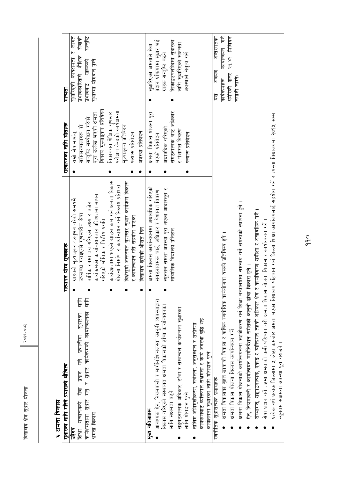| F<br>F<br>⊭ |  |
|-------------|--|
| सृधार       |  |
| 怎           |  |
| हू<br>चचा   |  |

#### ६ क्षमता विकास

| सुधारका लागि गरिने प्रयासको औचित्य                                                                                                         | सत्यापन योग्य सूचकहरू                            | सत्यापनका लागि स्रोतहरू       | गान्यता                          |
|--------------------------------------------------------------------------------------------------------------------------------------------|--------------------------------------------------|-------------------------------|----------------------------------|
| उद्देश्य                                                                                                                                   | ग्राहकले मूल्याङ्कन ⁄ अनुभव गरेको समयमै          | राम्रो सेवामार्फत्            | र लागत<br>सुधारिएको कार्यक्षमता  |
| लागि<br>प्रदान गर्ने प्रणालीमा सुधारका<br>सेवा<br>मन्त्रालयको<br>शिक्षा                                                                    | उपलब्ध गराइएको गुणस्तरीय सेवा                    | सरोकारवालाहरू को              | सेवाको<br>प्रभावकारिताले शैक्षिक |
| सीम<br>गर्नु र सुधार कार्यक्रमको कार्यान्वयनका<br>सृधार<br>कार्यक्षमतामा                                                                   | वार्षिक रुपमा तय गरिएको लक्ष्य र बजेट            | सन्तुष्टि सम्बोधन गरेको       | सन्तुष्टि<br>प्रभावबाट ग्राहकका  |
| क्षमता विकास                                                                                                                               | कार्यक्रमको कार्यान्वयनबाट प्रतिशतमा मापन        | करा उल्लेख भएको क्षमता        | सुधारमा योगदान पुग्ने            |
|                                                                                                                                            | गरिएको भौतिक र वित्तीय प्रगति                    | विकास मूल्याङ्कन प्रतिवेदन    |                                  |
|                                                                                                                                            | कार्यदक्षतामा भएको खाडल कम गर्न क्षमता विकास     | निकायगत शैक्षिक गुणस्तर       |                                  |
|                                                                                                                                            | योजना निर्माण र कार्यान्वयन गर्ने निकाय प्रतिशत  | परीक्षण केन्द्रको कार्यक्षमता |                                  |
|                                                                                                                                            | विक्षेसुयो अन्तरगत गुणस्तर सुधार कार्यक्रम विकास | मूल्याङ्कन प्रतिवेदन          |                                  |
|                                                                                                                                            | र कार्यान्वयन गरी सहयोग पाएका                    | फल्यास प्रतिवेदन              |                                  |
|                                                                                                                                            | विद्यालय खुलेको औसत दिन                          | अवस्था प्रतिवेदन              |                                  |
| मुख्य नतिजाहरू                                                                                                                             | क्षमता विकास कार्यान्वयनमा अद्यावधिक गरिएको      | क्षमता विकास योजना पूरा       | सुधारिएको क्षमताले सेवा          |
| आवश्यक ऐन, नियमवाली र मार्गनिर्देशनजस्ता कानुनी व्यवस्थाद्वारा                                                                             | संगठनातमक चार्ट, अधिकार र पेशागत विवरण           | भएको प्रतिवेदन                | प्रदान प्रक्रियामा सुधार भई      |
| विकास गरिएको संस्थागत क्षमता विकासको ढाँचा कार्यान्वयनका                                                                                   | न्यूनतम समता अवस्था पूरा भएका आधारभूत र          | अद्यावधिक गरिएको              | गाहक सन्तुष्टि बढने              |
| लागि सक्षमता बढ्ने                                                                                                                         | माध्यमिक विद्यालय प्रतिशत                        | संगठनात्मक चार्ट अधिकार       | सिकाइउपलब्धिमा सुधारका           |
| सङ्गठनात्मक अधिकार, ढाँचा र सम्बन्धले कार्यक्षमता सुधारका                                                                                  |                                                  | र पेशागत विवरण                | लागि सुधारिएको सक्षमता           |
| लागि योगदान पुग्ने                                                                                                                         |                                                  | फल्यास प्रतिवेदन              | अवस्थाले नेतृत्व गर्ने           |
| कार्यक्रमबाट व्यक्तिगत सक्षमता र कार्य अवस्था वृद्धि भई<br>तालिम अभिमुखीकरण, सचेतना, अनुसन्धान र उत्प्रेरणा                                |                                                  |                               |                                  |
| कार्यक्षमता सुधारका लागि योगदान पुग्ने                                                                                                     |                                                  |                               |                                  |
| रणनीतिक सुधारात्मक प्रयासहरू                                                                                                               |                                                  |                               | अन्तरगतका<br>अवयव<br>हि          |
| क्षमता विकासका वृहत खाकाको विकास र वार्षिक रणनीतिक कार्ययोजना यसको प्रतिविम्ब हुने ।                                                       |                                                  |                               | कार्यान्वयन गर्न<br>कार्यक्रमहरू |
| क्षमता विकास योजना विकास कार्यान्वयन गर्ने ।                                                                                               |                                                  |                               | २१.४१ मिलियन<br>अमेरिकी डलर      |
| क्षमता विकास योजनाको कार्यान्वयनमा सहजीकरण गर्न शिक्षा मन्त्रालयमा समन्वय गर्ने संयन्त्रको स्थापना हुने ।                                  |                                                  |                               | लगानी लाग्ने)                    |
| ऐन, नियमावली र कार्यान्वयन मार्गनिर्देशन समेतको कानुनी ढाँचा विकास हुने ।                                                                  |                                                  |                               |                                  |
| संस्थागत, सङ्गठनात्मक, एकाइ र व्यक्तिगत तहको अधिकार क्षेत्र र कार्यविवरण समीक्षा र अद्यावधिक गर्ने ।                                       |                                                  |                               |                                  |
| सेवा प्रदान गर्ने तहमा क्षमताको कमी पहिचान गरी क्षमता विकास                                                                                | योजना विकास र कार्यान्वयन गर्ने ।                |                               |                                  |
| प्रत्येक वर्ष प्रत्येक जिल्लामा १ ओटा कमजोर क्षमता भएका विद्यालय पहिचान गर्न जिल्ला कार्यालयलाई सहयोग गर्ने र त्यस्ता विद्यालयमा २०११ सम्म |                                                  |                               |                                  |
| न्यूनतम सक्षमता अवस्था पूरा गराउने ।                                                                                                       |                                                  |                               |                                  |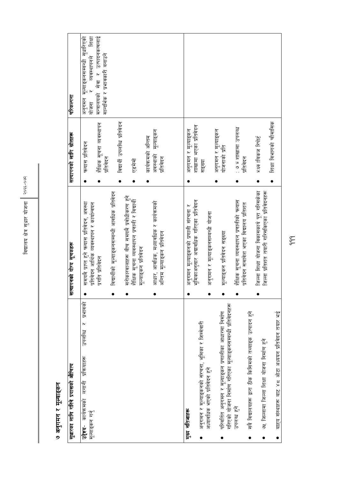| सुधारका लागि गरिने प्रयासको औचित्य                                                                                    | सत्यापनको योग्य सूचकहरू                                                                     | सत्यापनको लागि स्रोतहरू                  | परिकल्पना                                                              |
|-----------------------------------------------------------------------------------------------------------------------|---------------------------------------------------------------------------------------------|------------------------------------------|------------------------------------------------------------------------|
| प्रभावक<br>$\overline{R}$<br>उपलब्धि<br>प्रांकयाहरू<br>लगानी<br>कार्यक्रमको<br>मूल्याङ्कन गर्नु<br>न प्रदेश<br>जि     | समयमै प्राप्त हुने फ्ल्यास प्रतिवेदन, अवस्था<br>प्रतिवेदन आर्थिक व्यवस्थापन र कार्यान्वयन   | फ्ल्यास प्रतिवेदन                        | शिक्षा<br>अनुगमन मूल्याङ्कनसम्बन्धी सुधारिएको<br>व्यवस्थापनले<br>योजना |
|                                                                                                                       | प्रगांत प्रतिवेदन                                                                           | शैक्षिक सूचना व्यवस्थापन<br>प्रतिबेदन    | मन्त्रालयको सेवा र उत्पादनकत्वलाई<br>सान्दर्भिक र प्रभावकारी बनाउने    |
|                                                                                                                       | विद्यार्थीको मूल्याङ्कनसम्बन्धी आवधिक प्रतिवेदन                                             | विद्यार्थी उपलब्धि प्रतिवेदन             |                                                                        |
|                                                                                                                       | सरोकारवालाहरू बीच समयमै प्रवोधीकरण हुने<br>शैक्षिक सूचना व्यवस्थापन प्रणाली र विद्यार्थी    | एडमेमो                                   |                                                                        |
|                                                                                                                       | मूल्याङ्कन प्रतिवेदन                                                                        | कार्यक्रमको अन्तिम                       |                                                                        |
|                                                                                                                       | आधार, आवधिक, मध्यावधिक र कार्यक्रमको                                                        | अवस्थाको मूल्याङ्कन                      |                                                                        |
|                                                                                                                       | अन्तिम मूल्याङ्कन प्रतिवेदन                                                                 | प्रतिवेदन                                |                                                                        |
|                                                                                                                       |                                                                                             |                                          |                                                                        |
| मुख्य नतिजाहरू                                                                                                        | अनुगमन मूल्याङ्कनको प्रणाली संरचना र                                                        | अनुगमन र मूल्याङ्कन                      |                                                                        |
| अनुगमन र मूल्याङ्कनको संरचना, भूमिका र जिम्मेवारी                                                                     | भूमिकाअनुसार अद्यावधिक गरिएका प्रतिवेदन                                                     | शाखामा भएका प्रतिवेदन<br>सङ्ख्या         |                                                                        |
| अध्यावधिक भएको प्रतिवेदन हुने                                                                                         | अनुगमन र मूल्याङ्कनसम्बन्धी योजना                                                           |                                          |                                                                        |
| गरिएको योजना निर्माण गरिएका मूल्याङ्कनसम्बन्धी प्रतिवेदनहरू<br>परिवर्तित अनुगमन र मूल्याङ्कन प्रणालीका आधारमा निर्माण | मूल्याङ्कन प्रतिवेदन सङ्ख्या                                                                | अनुगमन र मूल्याङ्कन<br>योजनाको प्रति     |                                                                        |
| उपलब्ध हुने                                                                                                           | शैक्षिक सूचना व्यवस्थापन प्रणालीको फ्ल्यास<br>प्रतिवेदन समावेश भएका विद्यालय प्रतिशत        | <b>Pappe Hilallis + 6 :</b><br>प्रतिबेदन |                                                                        |
| सबै विद्यालयहरू द्वारा ठीक किसिमको तथ्याइक उत्पादन हुने                                                               |                                                                                             |                                          |                                                                        |
| ७५ जिल्लामा जिल्ला शिक्षा योजना निर्माण हुने                                                                          | जिल्ला शिक्षा योजना विकासकार्य पूरा गरिसकेका<br>जिल्ला प्रतिशत तयारी गरिसकिएका प्रतिवेदनहरू | भक्ष्य विकज रिपोर्ट                      |                                                                        |
| बाह्य संस्थाहरू बाट ४८ ओटा अध्ययन प्रतिवेदन तयार भई                                                                   |                                                                                             | शिक्षा विभागको चौमासिक                   |                                                                        |

विद्यालय क्षेत्र सुधार योजना २०६६-०७२ विद्यालय क्षेत्र सुधार योजना  $\begin{bmatrix} \cos\epsilon & -\cos\epsilon \end{bmatrix}$ 

#### ७ अनुगमन र मूल्याङ्कन ७ अनुगमन र मूल्याङ्कन<br>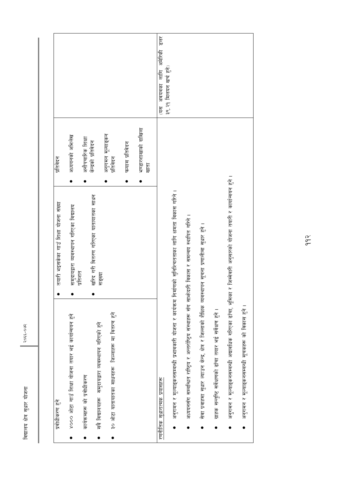| ३९.२१ मिलयन खर्च हुने)<br>हरू<br>भण्डारशाखाको दाखिला<br>अनुगमन मूल्याङ्कन<br>प्रतिवेदन<br>अध्ययनको अभिलेख<br>अनौपचारिक शिक्षा<br>केन्द्रको प्रतिवेदन<br>फल्यास प्रतिवेदन<br>प्रतिबेदन<br>खाता<br>र जिम्मेवारी अनुसारको योजना तयारी र कार्यान्वयन हुने ।<br>अनुगमन र मूल्याङ्कनसम्बन्धी प्रभावकारी योजना र कार्यकम निर्माणको सुनिश्चितताका लागि क्षमता विकास गरिने ।<br>खरिद गरी वितरण गरिएका यातायातका साधन<br>तयारी भइसकेका गाउँ शिक्षा योजना संख्या<br>समुदायद्वारा व्यवस्थापन गरिएका विद्यालय<br>अध्ययनसँग सम्बन्धित राष्ट्रिय र अन्तर्राष्ट्रिय संस्थाहरू सँग सार्फोदारी विकास र समन्वय स्थापित गरिने ।<br>सेवा प्रवाहमा सुधार ल्याउन केन्द्र, क्षेत्र र जिल्लाको शैक्षिक व्यवस्थापन सूचना प्रणालीमा सुधार हुने ।<br>प्रतिशत<br>सङ्ख्या<br>अनुगमन र मूल्याङ्कनसम्बन्धी अद्यावधिक गरिएका ढाँचा, भूमिका<br>ग्राहक सन्तुष्टि सर्वेक्षणको ढाँचा तयार भई सर्वेक्षण हुने ।<br>३० ओटा यातायातका साधनहरू जिल्लाहरू मा वितरण हुने<br>४००० ओटा गाउँ शिक्षा योजना तयार भई कार्यान्वयन हुने<br>समुदायद्वारा व्यवस्थापन गरिएको हुने<br>कार्यक्रमहरू को प्रवोधीकरण<br>रणनीतिक संधारात्मक प्रयासहरू<br>सबै विद्यालयहरू<br>प्रवोधीकरण हुने |
|--------------------------------------------------------------------------------------------------------------------------------------------------------------------------------------------------------------------------------------------------------------------------------------------------------------------------------------------------------------------------------------------------------------------------------------------------------------------------------------------------------------------------------------------------------------------------------------------------------------------------------------------------------------------------------------------------------------------------------------------------------------------------------------------------------------------------------------------------------------------------------------------------------------------------------------------------------------------------------------------------------------------------------------------------------------------------------------------------------------------------------|
|--------------------------------------------------------------------------------------------------------------------------------------------------------------------------------------------------------------------------------------------------------------------------------------------------------------------------------------------------------------------------------------------------------------------------------------------------------------------------------------------------------------------------------------------------------------------------------------------------------------------------------------------------------------------------------------------------------------------------------------------------------------------------------------------------------------------------------------------------------------------------------------------------------------------------------------------------------------------------------------------------------------------------------------------------------------------------------------------------------------------------------|

२०६६-०७२

विद्यालय क्षेत्र सुधार योजना